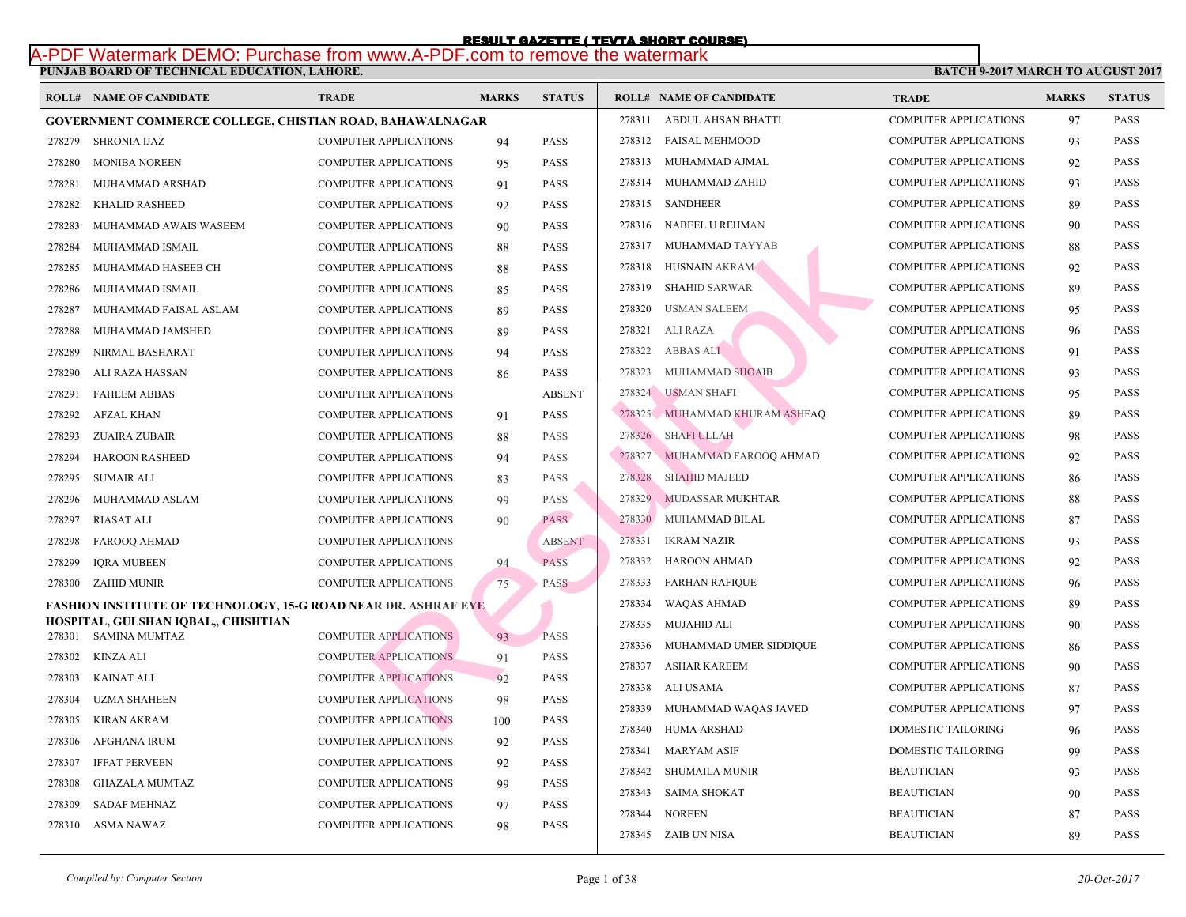# **PUNJAB BOARD OF TECHNICAL EDUCATION, LAHORE.**  RESULT GAZETTE ( TEVTA SHORT COURSE)<br>A-PDF Watermark DEMO: Purchase from www.A-PDF.com to remove the watermark

|        | <b>ROLL# NAME OF CANDIDATE</b>                                        | <b>TRADE</b>                 | <b>MARKS</b> | <b>STATUS</b> |        | <b>ROLL# NAME OF CANDIDATE</b> | <b>TRA</b>  |
|--------|-----------------------------------------------------------------------|------------------------------|--------------|---------------|--------|--------------------------------|-------------|
|        | <b>GOVERNMENT COMMERCE COLLEGE, CHISTIAN ROAD, BAHAWALNAGAR</b>       |                              |              |               | 278311 | ABDUL AHSAN BHATTI             | <b>COMF</b> |
| 278279 | SHRONIA IJAZ                                                          | <b>COMPUTER APPLICATIONS</b> | 94           | <b>PASS</b>   | 278312 | <b>FAISAL MEHMOOD</b>          | <b>COMF</b> |
| 278280 | <b>MONIBA NOREEN</b>                                                  | <b>COMPUTER APPLICATIONS</b> | 95           | <b>PASS</b>   |        | 278313 MUHAMMAD AJMAL          | <b>COMF</b> |
| 278281 | MUHAMMAD ARSHAD                                                       | <b>COMPUTER APPLICATIONS</b> | 91           | <b>PASS</b>   |        | 278314 MUHAMMAD ZAHID          | <b>COMI</b> |
| 278282 | <b>KHALID RASHEED</b>                                                 | <b>COMPUTER APPLICATIONS</b> | 92           | <b>PASS</b>   |        | 278315 SANDHEER                | <b>COMI</b> |
| 278283 | MUHAMMAD AWAIS WASEEM                                                 | COMPUTER APPLICATIONS        | 90           | <b>PASS</b>   |        | 278316 NABEEL U REHMAN         | <b>COMI</b> |
| 278284 | MUHAMMAD ISMAIL                                                       | <b>COMPUTER APPLICATIONS</b> | 88           | <b>PASS</b>   |        | 278317 MUHAMMAD TAYYAB         | <b>COMF</b> |
| 278285 | MUHAMMAD HASEEB CH                                                    | <b>COMPUTER APPLICATIONS</b> | 88           | <b>PASS</b>   | 278318 | HUSNAIN AKRAM                  | <b>COMI</b> |
| 278286 | MUHAMMAD ISMAIL                                                       | <b>COMPUTER APPLICATIONS</b> | 85           | <b>PASS</b>   | 278319 | <b>SHAHID SARWAR</b>           | COMI        |
| 278287 | MUHAMMAD FAISAL ASLAM                                                 | <b>COMPUTER APPLICATIONS</b> | 89           | <b>PASS</b>   | 278320 | <b>USMAN SALEEM</b>            | <b>COMI</b> |
| 278288 | MUHAMMAD JAMSHED                                                      | <b>COMPUTER APPLICATIONS</b> | 89           | PASS          | 278321 | <b>ALI RAZA</b>                | <b>COMI</b> |
| 278289 | NIRMAL BASHARAT                                                       | <b>COMPUTER APPLICATIONS</b> | 94           | <b>PASS</b>   | 278322 | <b>ABBAS ALI</b>               | <b>COMF</b> |
| 278290 | ALI RAZA HASSAN                                                       | <b>COMPUTER APPLICATIONS</b> | 86           | <b>PASS</b>   | 278323 | MUHAMMAD SHOAIB                | <b>COMI</b> |
| 278291 | <b>FAHEEM ABBAS</b>                                                   | <b>COMPUTER APPLICATIONS</b> |              | <b>ABSENT</b> | 278324 | <b>USMAN SHAFI</b>             | <b>COME</b> |
| 278292 | AFZAL KHAN                                                            | COMPUTER APPLICATIONS        | 91           | <b>PASS</b>   |        | 278325 MUHAMMAD KHURAM ASHFAQ  | <b>COMF</b> |
| 278293 | <b>ZUAIRA ZUBAIR</b>                                                  | <b>COMPUTER APPLICATIONS</b> | 88           | <b>PASS</b>   | 278326 | <b>SHAFI ULLAH</b>             | <b>COMI</b> |
| 278294 | <b>HAROON RASHEED</b>                                                 | <b>COMPUTER APPLICATIONS</b> | 94           | <b>PASS</b>   | 278327 | MUHAMMAD FAROOQ AHMAD          | <b>COMF</b> |
| 278295 | <b>SUMAIR ALI</b>                                                     | <b>COMPUTER APPLICATIONS</b> | 83           | PASS          | 278328 | <b>SHAHID MAJEED</b>           | <b>COMF</b> |
| 278296 | MUHAMMAD ASLAM                                                        | <b>COMPUTER APPLICATIONS</b> | 99           | <b>PASS</b>   | 278329 | MUDASSAR MUKHTAR               | <b>COMI</b> |
| 278297 | <b>RIASAT ALI</b>                                                     | <b>COMPUTER APPLICATIONS</b> | 90           | <b>PASS</b>   | 278330 | MUHAMMAD BILAL                 | <b>COMI</b> |
| 278298 | FAROOQ AHMAD                                                          | <b>COMPUTER APPLICATIONS</b> |              | <b>ABSENT</b> | 278331 | <b>IKRAM NAZIR</b>             | <b>COMI</b> |
| 278299 | <b>IQRA MUBEEN</b>                                                    | <b>COMPUTER APPLICATIONS</b> | 94           | <b>PASS</b>   | 278332 | <b>HAROON AHMAD</b>            | <b>COMF</b> |
| 278300 | ZAHID MUNIR                                                           | <b>COMPUTER APPLICATIONS</b> | 75           | <b>PASS</b>   | 278333 | <b>FARHAN RAFIQUE</b>          | COMI        |
|        | <b>FASHION INSTITUTE OF TECHNOLOGY, 15-G ROAD NEAR DR. ASHRAF EYE</b> |                              |              |               | 278334 | WAQAS AHMAD                    | <b>COMI</b> |
|        | HOSPITAL, GULSHAN IQBAL,, CHISHTIAN                                   |                              |              |               | 278335 | MUJAHID ALI                    | <b>COME</b> |
| 278301 | <b>SAMINA MUMTAZ</b>                                                  | <b>COMPUTER APPLICATIONS</b> | 93           | <b>PASS</b>   | 278336 | MUHAMMAD UMER SIDDIQUE         | <b>COME</b> |
| 278302 | KINZA ALI                                                             | <b>COMPUTER APPLICATIONS</b> | 91           | <b>PASS</b>   | 278337 | <b>ASHAR KAREEM</b>            | <b>COMF</b> |
| 278303 | <b>KAINAT ALI</b>                                                     | <b>COMPUTER APPLICATIONS</b> | 92           | PASS          | 278338 | ALI USAMA                      | <b>COMI</b> |
| 278304 | <b>UZMA SHAHEEN</b>                                                   | <b>COMPUTER APPLICATIONS</b> | 98           | <b>PASS</b>   | 278339 | MUHAMMAD WAQAS JAVED           | <b>COMF</b> |
| 278305 | KIRAN AKRAM                                                           | <b>COMPUTER APPLICATIONS</b> | 100          | <b>PASS</b>   | 278340 | HUMA ARSHAD                    | <b>DOM</b>  |
| 278306 | <b>AFGHANA IRUM</b>                                                   | <b>COMPUTER APPLICATIONS</b> | 92           | <b>PASS</b>   | 278341 | <b>MARYAM ASIF</b>             | <b>DOM</b>  |
| 278307 | <b>IFFAT PERVEEN</b>                                                  | <b>COMPUTER APPLICATIONS</b> | 92           | <b>PASS</b>   |        | 278342 SHUMAILA MUNIR          | <b>BEAL</b> |
| 278308 | <b>GHAZALA MUMTAZ</b>                                                 | <b>COMPUTER APPLICATIONS</b> | 99           | <b>PASS</b>   | 278343 | SAIMA SHOKAT                   | <b>BEAU</b> |
| 278309 | <b>SADAF MEHNAZ</b>                                                   | <b>COMPUTER APPLICATIONS</b> | 97           | <b>PASS</b>   | 278344 | <b>NOREEN</b>                  | <b>BEAL</b> |
| 278310 | ASMA NAWAZ                                                            | <b>COMPUTER APPLICATIONS</b> | 98           | <b>PASS</b>   |        | 278345 ZAIB UN NISA            | <b>BEAU</b> |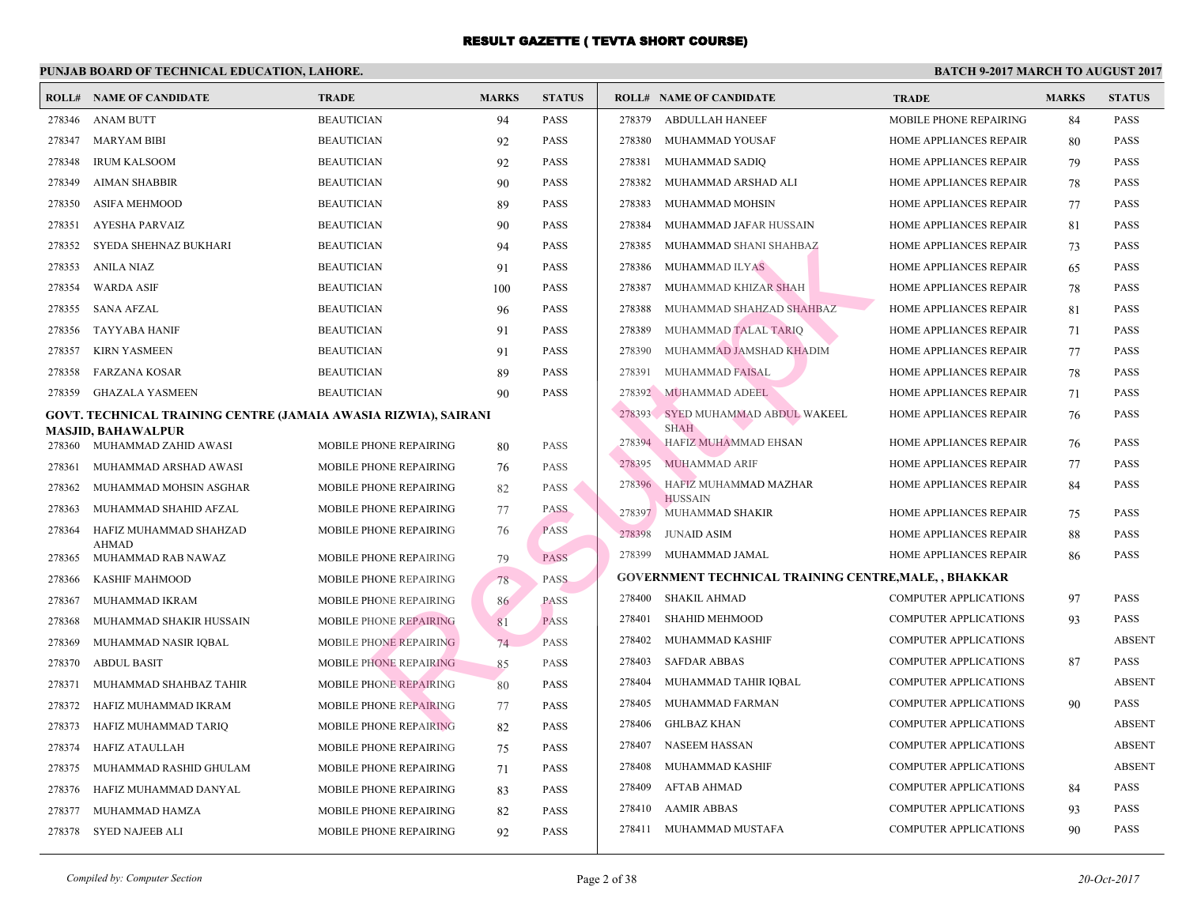|        | <b>ROLL# NAME OF CANDIDATE</b>                                  | <b>TRADE</b>                  | <b>MARKS</b> | <b>STATUS</b> |        | <b>ROLL# NAME OF CANDIDATE</b>                  | <b>TRA</b>  |
|--------|-----------------------------------------------------------------|-------------------------------|--------------|---------------|--------|-------------------------------------------------|-------------|
| 278346 | ANAM BUTT                                                       | <b>BEAUTICIAN</b>             | 94           | PASS          | 278379 | ABDULLAH HANEEF                                 | <b>MOBI</b> |
| 278347 | <b>MARYAM BIBI</b>                                              | <b>BEAUTICIAN</b>             | 92           | <b>PASS</b>   | 278380 | MUHAMMAD YOUSAF                                 | <b>HOMI</b> |
| 278348 | <b>IRUM KALSOOM</b>                                             | <b>BEAUTICIAN</b>             | 92           | PASS          | 278381 | MUHAMMAD SADIQ                                  | <b>HOMI</b> |
| 278349 | <b>AIMAN SHABBIR</b>                                            | <b>BEAUTICIAN</b>             | 90           | PASS          | 278382 | MUHAMMAD ARSHAD ALI                             | <b>HOMI</b> |
| 278350 | <b>ASIFA MEHMOOD</b>                                            | <b>BEAUTICIAN</b>             | 89           | PASS          | 278383 | MUHAMMAD MOHSIN                                 | <b>HOMI</b> |
| 278351 | <b>AYESHA PARVAIZ</b>                                           | <b>BEAUTICIAN</b>             | 90           | <b>PASS</b>   | 278384 | MUHAMMAD JAFAR HUSSAIN                          | <b>HOMI</b> |
| 278352 | SYEDA SHEHNAZ BUKHARI                                           | <b>BEAUTICIAN</b>             | 94           | <b>PASS</b>   | 278385 | MUHAMMAD SHANI SHAHBAZ                          | <b>HOMI</b> |
| 278353 | <b>ANILA NIAZ</b>                                               | <b>BEAUTICIAN</b>             | 91           | <b>PASS</b>   | 278386 | MUHAMMAD ILYAS                                  | <b>HOMI</b> |
| 278354 | <b>WARDA ASIF</b>                                               | <b>BEAUTICIAN</b>             | 100          | PASS          | 278387 | MUHAMMAD KHIZAR SHAH                            | <b>HOMI</b> |
| 278355 | <b>SANA AFZAL</b>                                               | <b>BEAUTICIAN</b>             | 96           | PASS          | 278388 | MUHAMMAD SHAHZAD SHAHBAZ                        | <b>HOMI</b> |
| 278356 | <b>TAYYABA HANIF</b>                                            | <b>BEAUTICIAN</b>             | 91           | PASS          | 278389 | MUHAMMAD TALAL TARIQ                            | <b>HOMI</b> |
| 278357 | <b>KIRN YASMEEN</b>                                             | <b>BEAUTICIAN</b>             | 91           | PASS          | 278390 | MUHAMMAD JAMSHAD KHADIM                         | <b>HOMI</b> |
| 278358 | <b>FARZANA KOSAR</b>                                            | <b>BEAUTICIAN</b>             | 89           | <b>PASS</b>   | 278391 | <b>MUHAMMAD FAISAL</b>                          | <b>HOMI</b> |
| 278359 | <b>GHAZALA YASMEEN</b>                                          | <b>BEAUTICIAN</b>             | 90           | PASS          | 278392 | MUHAMMAD ADEEL                                  | <b>HOMI</b> |
|        | GOVT. TECHNICAL TRAINING CENTRE (JAMAIA AWASIA RIZWIA), SAIRANI |                               |              |               | 278393 | SYED MUHAMMAD ABDUL WAKEEL                      | <b>HOMI</b> |
| 278360 | MASJID, BAHAWALPUR<br>MUHAMMAD ZAHID AWASI                      | MOBILE PHONE REPAIRING        |              | <b>PASS</b>   | 278394 | <b>SHAH</b><br><b>HAFIZ MUHAMMAD EHSAN</b>      | <b>HOMI</b> |
| 278361 | MUHAMMAD ARSHAD AWASI                                           | MOBILE PHONE REPAIRING        | 80           | <b>PASS</b>   | 278395 | <b>MUHAMMAD ARIF</b>                            | <b>HOMI</b> |
| 278362 | MUHAMMAD MOHSIN ASGHAR                                          | MOBILE PHONE REPAIRING        | 76           | <b>PASS</b>   | 278396 | HAFIZ MUHAMMAD MAZHAR                           | <b>HOMI</b> |
| 278363 | MUHAMMAD SHAHID AFZAL                                           | MOBILE PHONE REPAIRING        | 82<br>77     | <b>PASS</b>   |        | <b>HUSSAIN</b>                                  |             |
| 278364 |                                                                 | MOBILE PHONE REPAIRING        |              | <b>PASS</b>   |        | 278397 MUHAMMAD SHAKIR                          | <b>HOMI</b> |
|        | HAFIZ MUHAMMAD SHAHZAD<br><b>AHMAD</b>                          |                               | 76           |               | 278398 | <b>JUNAID ASIM</b>                              | <b>HOMI</b> |
| 278365 | MUHAMMAD RAB NAWAZ                                              | MOBILE PHONE REPAIRING        | 79           | <b>PASS</b>   | 278399 | MUHAMMAD JAMAL                                  | <b>HOMI</b> |
| 278366 | KASHIF MAHMOOD                                                  | MOBILE PHONE REPAIRING        | 78           | <b>PASS</b>   |        | <b>GOVERNMENT TECHNICAL TRAINING CENTRE, MA</b> |             |
| 278367 | MUHAMMAD IKRAM                                                  | <b>MOBILE PHONE REPAIRING</b> | 86           | <b>PASS</b>   | 278400 | <b>SHAKIL AHMAD</b>                             | <b>COMI</b> |
| 278368 | MUHAMMAD SHAKIR HUSSAIN                                         | MOBILE PHONE REPAIRING        | 81           | <b>PASS</b>   | 278401 | <b>SHAHID MEHMOOD</b>                           | COMI        |
| 278369 | MUHAMMAD NASIR IQBAL                                            | MOBILE PHONE REPAIRING        | 74           | <b>PASS</b>   | 278402 | MUHAMMAD KASHIF                                 | <b>COMF</b> |
| 278370 | <b>ABDUL BASIT</b>                                              | MOBILE PHONE REPAIRING        | 85           | PASS          | 278403 | <b>SAFDAR ABBAS</b>                             | COMI        |
| 278371 | MUHAMMAD SHAHBAZ TAHIR                                          | <b>MOBILE PHONE REPAIRING</b> | 80           | <b>PASS</b>   | 278404 | MUHAMMAD TAHIR IQBAL                            | COMI        |
| 278372 | HAFIZ MUHAMMAD IKRAM                                            | MOBILE PHONE REPAIRING        | 77           | PASS          | 278405 | MUHAMMAD FARMAN                                 | <b>COMI</b> |
| 278373 | HAFIZ MUHAMMAD TARIQ                                            | MOBILE PHONE REPAIRING        | 82           | PASS          | 278406 | GHLBAZ KHAN                                     | <b>COMI</b> |
| 278374 | HAFIZ ATAULLAH                                                  | MOBILE PHONE REPAIRING        | 75           | <b>PASS</b>   | 278407 | NASEEM HASSAN                                   | <b>COMI</b> |
| 278375 | MUHAMMAD RASHID GHULAM                                          | MOBILE PHONE REPAIRING        | 71           | PASS          | 278408 | MUHAMMAD KASHIF                                 | <b>COMI</b> |
| 278376 | HAFIZ MUHAMMAD DANYAL                                           | MOBILE PHONE REPAIRING        | 83           | PASS          | 278409 | AFTAB AHMAD                                     | <b>COMI</b> |
| 278377 | MUHAMMAD HAMZA                                                  | MOBILE PHONE REPAIRING        | 82           | PASS          | 278410 | <b>AAMIR ABBAS</b>                              | <b>COMI</b> |
| 278378 | SYED NAJEEB ALI                                                 | MOBILE PHONE REPAIRING        | 92           | <b>PASS</b>   |        | 278411 MUHAMMAD MUSTAFA                         | COMI        |
|        |                                                                 |                               |              |               |        |                                                 |             |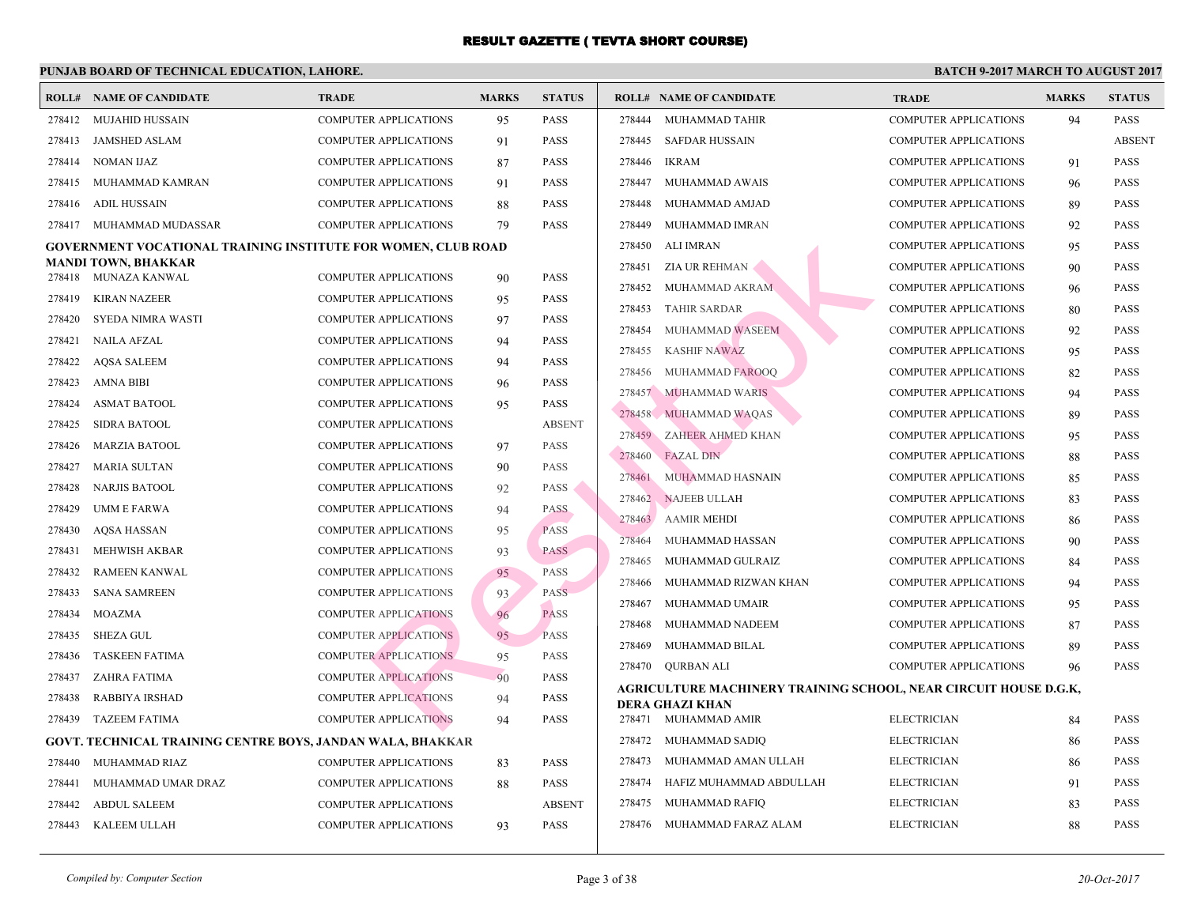|                  | <b>ROLL# NAME OF CANDIDATE</b>                                       | <b>TRADE</b>                 | <b>MARKS</b> | <b>STATUS</b>              |        | <b>ROLL# NAME OF CANDIDATE</b>           | <b>TRA</b>  |
|------------------|----------------------------------------------------------------------|------------------------------|--------------|----------------------------|--------|------------------------------------------|-------------|
|                  | 278412 MUJAHID HUSSAIN                                               | <b>COMPUTER APPLICATIONS</b> | 95           | <b>PASS</b>                | 278444 | MUHAMMAD TAHIR                           | <b>COMI</b> |
| 278413           | JAMSHED ASLAM                                                        | <b>COMPUTER APPLICATIONS</b> | 91           | <b>PASS</b>                | 278445 | SAFDAR HUSSAIN                           | <b>COMI</b> |
| 278414           | NOMAN IJAZ                                                           | <b>COMPUTER APPLICATIONS</b> | 87           | <b>PASS</b>                | 278446 | IKRAM                                    | COMI        |
| 278415           | MUHAMMAD KAMRAN                                                      | <b>COMPUTER APPLICATIONS</b> | 91           | <b>PASS</b>                | 278447 | MUHAMMAD AWAIS                           | <b>COMI</b> |
| 278416           | ADIL HUSSAIN                                                         | <b>COMPUTER APPLICATIONS</b> | 88           | <b>PASS</b>                | 278448 | MUHAMMAD AMJAD                           | <b>COMI</b> |
|                  | 278417 MUHAMMAD MUDASSAR                                             | <b>COMPUTER APPLICATIONS</b> | 79           | <b>PASS</b>                | 278449 | MUHAMMAD IMRAN                           | <b>COMI</b> |
|                  | <b>GOVERNMENT VOCATIONAL TRAINING INSTITUTE FOR WOMEN, CLUB ROAD</b> |                              |              |                            | 278450 | ALI IMRAN                                | COMI        |
|                  | <b>MANDI TOWN, BHAKKAR</b>                                           |                              |              |                            | 278451 | ZIA UR REHMAN                            | COMI        |
| 278418           | MUNAZA KANWAL                                                        | <b>COMPUTER APPLICATIONS</b> | 90           | <b>PASS</b>                | 278452 | MUHAMMAD AKRAM                           | COMI        |
| 278419           | <b>KIRAN NAZEER</b>                                                  | <b>COMPUTER APPLICATIONS</b> | 95           | <b>PASS</b>                | 278453 | <b>TAHIR SARDAR</b>                      | <b>COMI</b> |
| 278420<br>278421 | SYEDA NIMRA WASTI<br><b>NAILA AFZAL</b>                              | <b>COMPUTER APPLICATIONS</b> | 97           | <b>PASS</b><br><b>PASS</b> | 278454 | MUHAMMAD WASEEM                          | COMI        |
|                  |                                                                      | <b>COMPUTER APPLICATIONS</b> | 94           |                            | 278455 | <b>KASHIF NAWAZ</b>                      | COMI        |
| 278422           | <b>AQSA SALEEM</b>                                                   | <b>COMPUTER APPLICATIONS</b> | 94           | <b>PASS</b>                | 278456 | MUHAMMAD FAROOO                          | COMI        |
| 278423           | AMNA BIBI                                                            | <b>COMPUTER APPLICATIONS</b> | 96           | <b>PASS</b>                |        | 278457 MUHAMMAD WARIS                    | <b>COMI</b> |
| 278424<br>278425 | <b>ASMAT BATOOL</b>                                                  | <b>COMPUTER APPLICATIONS</b> | 95           | <b>PASS</b>                |        | 278458 MUHAMMAD WAQAS                    | COMI        |
|                  | <b>SIDRA BATOOL</b>                                                  | <b>COMPUTER APPLICATIONS</b> |              | <b>ABSENT</b>              | 278459 | ZAHEER AHMED KHAN                        | COMI        |
| 278426           | <b>MARZIA BATOOL</b>                                                 | <b>COMPUTER APPLICATIONS</b> | 97           | <b>PASS</b>                | 278460 | <b>FAZAL DIN</b>                         | COMI        |
| 278427           | <b>MARIA SULTAN</b>                                                  | <b>COMPUTER APPLICATIONS</b> | 90           | <b>PASS</b>                | 278461 | MUHAMMAD HASNAIN                         | <b>COMI</b> |
| 278428           | <b>NARJIS BATOOL</b>                                                 | <b>COMPUTER APPLICATIONS</b> | 92           | <b>PASS</b>                | 278462 | NAJEEB ULLAH                             | <b>COMI</b> |
| 278429           | UMM E FARWA                                                          | <b>COMPUTER APPLICATIONS</b> | 94           | <b>PASS</b>                | 278463 | <b>AAMIR MEHDI</b>                       | COMI        |
| 278430           | <b>AQSA HASSAN</b>                                                   | <b>COMPUTER APPLICATIONS</b> | 95           | <b>PASS</b>                | 278464 | MUHAMMAD HASSAN                          | <b>COMI</b> |
| 278431           | MEHWISH AKBAR                                                        | <b>COMPUTER APPLICATIONS</b> | 93           | <b>PASS</b>                | 278465 | MUHAMMAD GULRAIZ                         | <b>COMI</b> |
| 278432           | <b>RAMEEN KANWAL</b>                                                 | <b>COMPUTER APPLICATIONS</b> | 95           | <b>PASS</b>                | 278466 | MUHAMMAD RIZWAN KHAN                     | <b>COMI</b> |
| 278433           | <b>SANA SAMREEN</b>                                                  | <b>COMPUTER APPLICATIONS</b> | 93           | PASS                       | 278467 | MUHAMMAD UMAIR                           | COMI        |
| 278434           | <b>MOAZMA</b>                                                        | <b>COMPUTER APPLICATIONS</b> | 96           | <b>PASS</b>                | 278468 | MUHAMMAD NADEEM                          | <b>COMI</b> |
| 278435           | <b>SHEZA GUL</b>                                                     | <b>COMPUTER APPLICATIONS</b> | 95           | <b>PASS</b>                | 278469 | MUHAMMAD BILAL                           | COMI        |
| 278436           | TASKEEN FATIMA                                                       | <b>COMPUTER APPLICATIONS</b> | 95           | <b>PASS</b>                |        | 278470 QURBAN ALI                        | <b>COMI</b> |
| 278437           | ZAHRA FATIMA                                                         | <b>COMPUTER APPLICATIONS</b> | 90           | <b>PASS</b>                |        | AGRICULTURE MACHINERY TRAINING SCHOOL, N |             |
| 278438           | <b>RABBIYA IRSHAD</b>                                                | <b>COMPUTER APPLICATIONS</b> | 94           | <b>PASS</b>                |        | <b>DERA GHAZI KHAN</b>                   |             |
| 278439           | <b>TAZEEM FATIMA</b>                                                 | <b>COMPUTER APPLICATIONS</b> | 94           | <b>PASS</b>                |        | 278471 MUHAMMAD AMIR                     | <b>ELEC</b> |
|                  | GOVT. TECHNICAL TRAINING CENTRE BOYS, JANDAN WALA, BHAKKAR           |                              |              |                            | 278472 | MUHAMMAD SADIO                           | <b>ELEC</b> |
| 278440           | MUHAMMAD RIAZ                                                        | <b>COMPUTER APPLICATIONS</b> | 83           | <b>PASS</b>                | 278473 | MUHAMMAD AMAN ULLAH                      | <b>ELEC</b> |
| 278441           | MUHAMMAD UMAR DRAZ                                                   | <b>COMPUTER APPLICATIONS</b> | 88           | <b>PASS</b>                | 278474 | HAFIZ MUHAMMAD ABDULLAH                  | <b>ELEC</b> |
| 278442           | <b>ABDUL SALEEM</b>                                                  | <b>COMPUTER APPLICATIONS</b> |              | <b>ABSENT</b>              | 278475 | MUHAMMAD RAFIQ                           | <b>ELEC</b> |
| 278443           | KALEEM ULLAH                                                         | <b>COMPUTER APPLICATIONS</b> | 93           | <b>PASS</b>                |        | 278476 MUHAMMAD FARAZ ALAM               | <b>ELEC</b> |
|                  |                                                                      |                              |              |                            |        |                                          |             |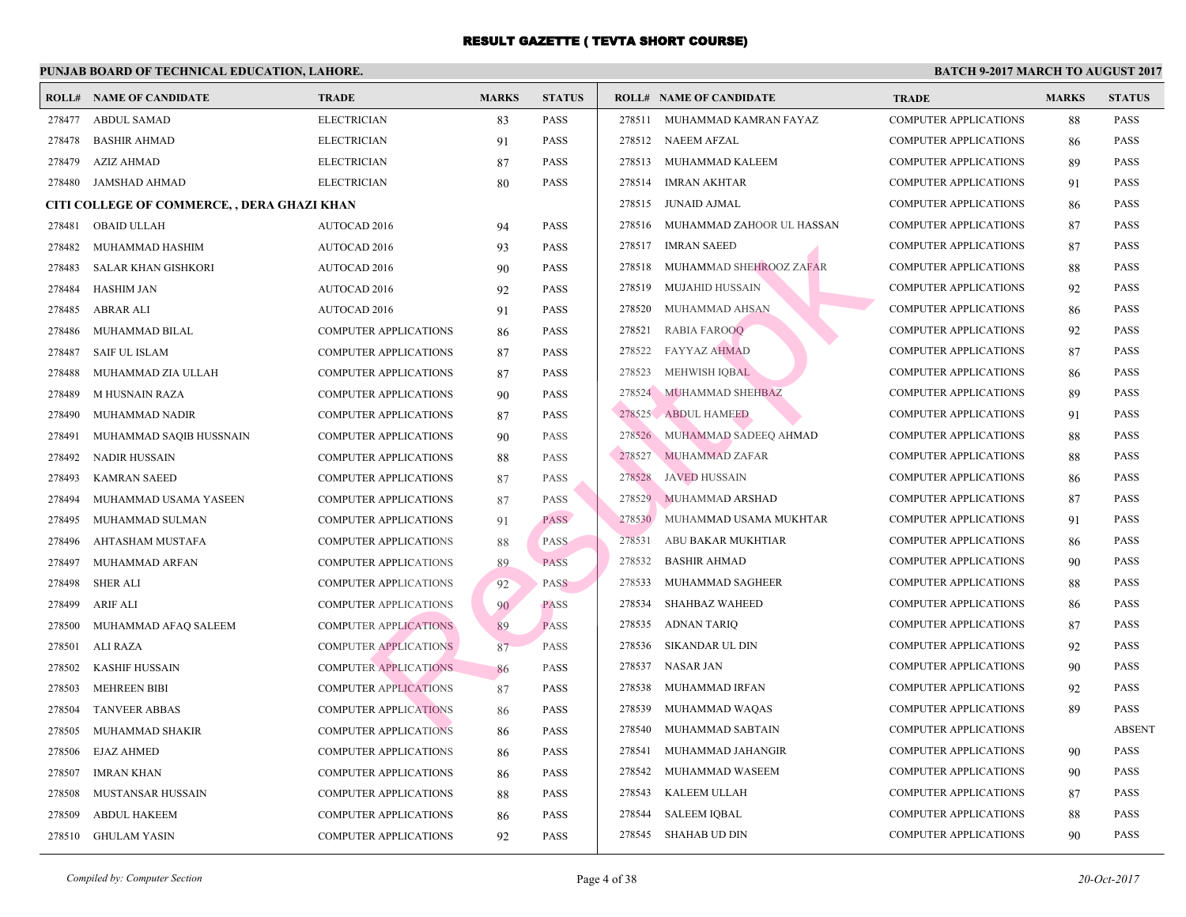|        | <b>ROLL# NAME OF CANDIDATE</b>              | <b>TRADE</b>                 | <b>MARKS</b> | <b>STATUS</b> |        | <b>ROLL# NAME OF CANDIDATE</b> | <b>TRA</b>  |
|--------|---------------------------------------------|------------------------------|--------------|---------------|--------|--------------------------------|-------------|
| 278477 | <b>ABDUL SAMAD</b>                          | <b>ELECTRICIAN</b>           | 83           | <b>PASS</b>   | 278511 | MUHAMMAD KAMRAN FAYAZ          | COMI        |
| 278478 | <b>BASHIR AHMAD</b>                         | <b>ELECTRICIAN</b>           | 91           | PASS          | 278512 | NAEEM AFZAL                    | COMI        |
| 278479 | <b>AZIZ AHMAD</b>                           | <b>ELECTRICIAN</b>           | 87           | PASS          | 278513 | MUHAMMAD KALEEM                | <b>COMI</b> |
| 278480 | <b>JAMSHAD AHMAD</b>                        | <b>ELECTRICIAN</b>           | 80           | PASS          | 278514 | <b>IMRAN AKHTAR</b>            | <b>COMI</b> |
|        | CITI COLLEGE OF COMMERCE, , DERA GHAZI KHAN |                              |              |               | 278515 | JUNAID AJMAL                   | <b>COMI</b> |
| 278481 | <b>OBAID ULLAH</b>                          | AUTOCAD 2016                 | 94           | <b>PASS</b>   | 278516 | MUHAMMAD ZAHOOR UL HASSAN      | COMI        |
| 278482 | MUHAMMAD HASHIM                             | AUTOCAD 2016                 | 93           | <b>PASS</b>   | 278517 | <b>IMRAN SAEED</b>             | COMI        |
| 278483 | <b>SALAR KHAN GISHKORI</b>                  | AUTOCAD 2016                 | 90           | PASS          | 278518 | MUHAMMAD SHEHROOZ ZAFAR        | <b>COMI</b> |
| 278484 | <b>HASHIM JAN</b>                           | <b>AUTOCAD 2016</b>          | 92           | PASS          | 278519 | <b>MUJAHID HUSSAIN</b>         | COMI        |
| 278485 | ABRAR ALI                                   | AUTOCAD 2016                 | 91           | PASS          | 278520 | MUHAMMAD AHSAN                 | COMI        |
| 278486 | MUHAMMAD BILAL                              | <b>COMPUTER APPLICATIONS</b> | 86           | <b>PASS</b>   | 278521 | <b>RABIA FAROOQ</b>            | COMI        |
| 278487 | <b>SAIF UL ISLAM</b>                        | <b>COMPUTER APPLICATIONS</b> | 87           | PASS          | 278522 | <b>FAYYAZ AHMAD</b>            | <b>COMI</b> |
| 278488 | MUHAMMAD ZIA ULLAH                          | COMPUTER APPLICATIONS        | 87           | PASS          | 278523 | <b>MEHWISH IQBAL</b>           | COMI        |
| 278489 | <b>MHUSNAIN RAZA</b>                        | <b>COMPUTER APPLICATIONS</b> | 90           | <b>PASS</b>   |        | 278524 MUHAMMAD SHEHBAZ        | <b>COMI</b> |
| 278490 | MUHAMMAD NADIR                              | <b>COMPUTER APPLICATIONS</b> | 87           | PASS          |        | 278525 ABDUL HAMEED            | <b>COMI</b> |
| 278491 | MUHAMMAD SAQIB HUSSNAIN                     | <b>COMPUTER APPLICATIONS</b> | 90           | <b>PASS</b>   | 278526 | MUHAMMAD SADEEQ AHMAD          | COMI        |
| 278492 | <b>NADIR HUSSAIN</b>                        | <b>COMPUTER APPLICATIONS</b> | 88           | <b>PASS</b>   | 278527 | MUHAMMAD ZAFAR                 | COMI        |
| 278493 | <b>KAMRAN SAEED</b>                         | <b>COMPUTER APPLICATIONS</b> | 87           | PASS          | 278528 | <b>JAVED HUSSAIN</b>           | <b>COMI</b> |
| 278494 | MUHAMMAD USAMA YASEEN                       | <b>COMPUTER APPLICATIONS</b> | 87           | PASS          | 278529 | MUHAMMAD ARSHAD                | COMI        |
| 278495 | MUHAMMAD SULMAN                             | <b>COMPUTER APPLICATIONS</b> | 91           | PASS          | 278530 | MUHAMMAD USAMA MUKHTAR         | COMI        |
| 278496 | AHTASHAM MUSTAFA                            | <b>COMPUTER APPLICATIONS</b> | 88           | <b>PASS</b>   | 278531 | ABU BAKAR MUKHTIAR             | <b>COMI</b> |
| 278497 | MUHAMMAD ARFAN                              | <b>COMPUTER APPLICATIONS</b> | 89           | <b>PASS</b>   | 278532 | <b>BASHIR AHMAD</b>            | COMI        |
| 278498 | <b>SHER ALI</b>                             | <b>COMPUTER APPLICATIONS</b> | 92           | <b>PASS</b>   | 278533 | MUHAMMAD SAGHEER               | COMI        |
| 278499 | <b>ARIF ALI</b>                             | <b>COMPUTER APPLICATIONS</b> | 90           | <b>PASS</b>   | 278534 | SHAHBAZ WAHEED                 | COMI        |
| 278500 | MUHAMMAD AFAQ SALEEM                        | <b>COMPUTER APPLICATIONS</b> | 89           | <b>PASS</b>   | 278535 | ADNAN TARIQ                    | <b>COMI</b> |
| 278501 | ALI RAZA                                    | <b>COMPUTER APPLICATIONS</b> | 87           | PASS          | 278536 | SIKANDAR UL DIN                | COMI        |
| 278502 | <b>KASHIF HUSSAIN</b>                       | <b>COMPUTER APPLICATIONS</b> | 86           | PASS          | 278537 | <b>NASAR JAN</b>               | COMI        |
| 278503 | <b>MEHREEN BIBI</b>                         | <b>COMPUTER APPLICATIONS</b> | 87           | <b>PASS</b>   | 278538 | MUHAMMAD IRFAN                 | COMI        |
| 278504 | <b>TANVEER ABBAS</b>                        | <b>COMPUTER APPLICATIONS</b> | 86           | PASS          | 278539 | MUHAMMAD WAQAS                 | COMI        |
| 278505 | MUHAMMAD SHAKIR                             | <b>COMPUTER APPLICATIONS</b> | 86           | <b>PASS</b>   | 278540 | MUHAMMAD SABTAIN               | COMI        |
| 278506 | <b>EJAZ AHMED</b>                           | <b>COMPUTER APPLICATIONS</b> | 86           | <b>PASS</b>   | 278541 | MUHAMMAD JAHANGIR              | <b>COMI</b> |
| 278507 | <b>IMRAN KHAN</b>                           | <b>COMPUTER APPLICATIONS</b> | 86           | PASS          | 278542 | MUHAMMAD WASEEM                | COMI        |
| 278508 | MUSTANSAR HUSSAIN                           | COMPUTER APPLICATIONS        | 88           | <b>PASS</b>   | 278543 | KALEEM ULLAH                   | COMI        |
| 278509 | <b>ABDUL HAKEEM</b>                         | <b>COMPUTER APPLICATIONS</b> | 86           | PASS          | 278544 | <b>SALEEM IQBAL</b>            | <b>COMI</b> |
| 278510 | GHULAM YASIN                                | <b>COMPUTER APPLICATIONS</b> | 92           | PASS          |        | 278545 SHAHAB UD DIN           | <b>COMI</b> |
|        |                                             |                              |              |               |        |                                |             |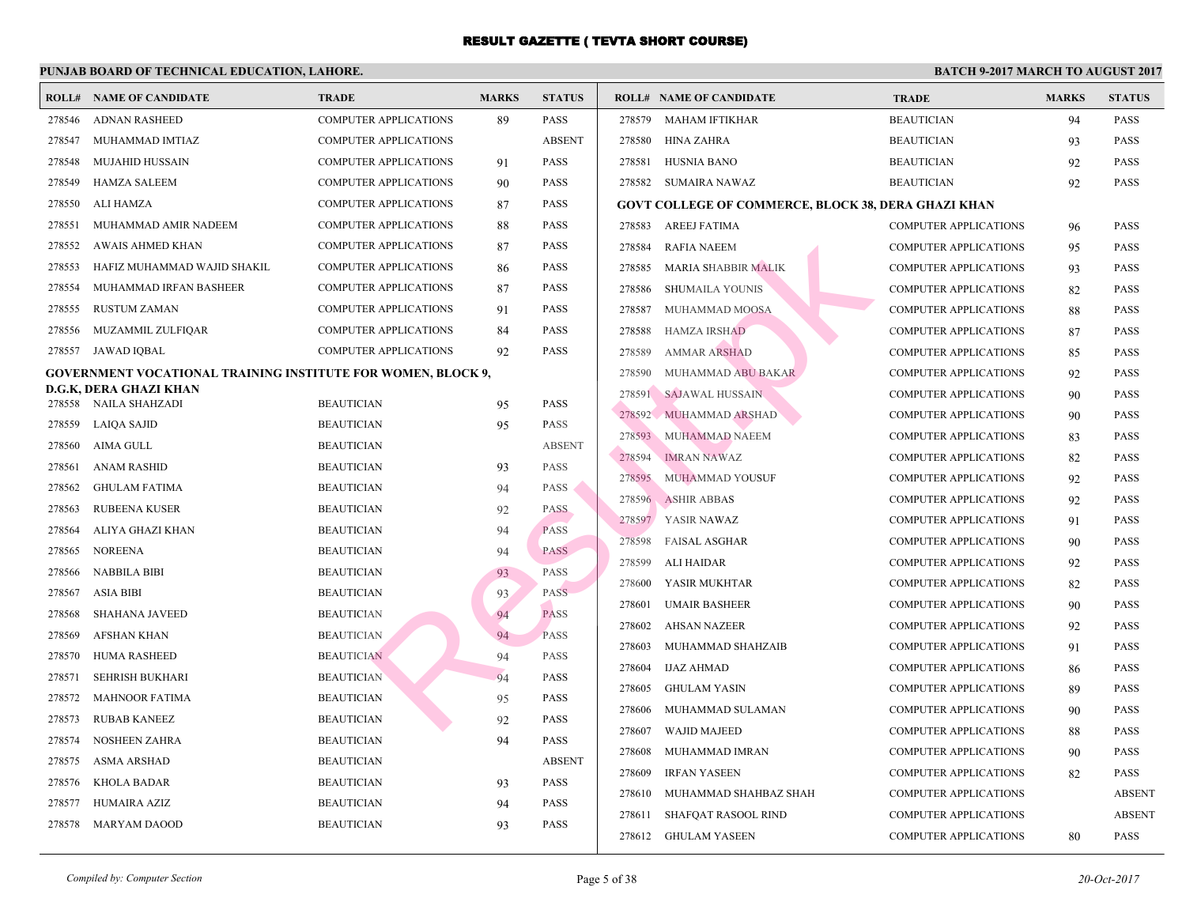|        | <b>ROLL# NAME OF CANDIDATE</b>                                      | <b>TRADE</b>                           | <b>MARKS</b> | <b>STATUS</b>              | <b>ROLL# NAME OF CANDIDATE</b>                  | <b>TRA</b>  |
|--------|---------------------------------------------------------------------|----------------------------------------|--------------|----------------------------|-------------------------------------------------|-------------|
| 278546 | <b>ADNAN RASHEED</b>                                                | <b>COMPUTER APPLICATIONS</b>           | 89           | <b>PASS</b>                | 278579<br>MAHAM IFTIKHAR                        | <b>BEAU</b> |
| 278547 | MUHAMMAD IMTIAZ                                                     | <b>COMPUTER APPLICATIONS</b>           |              | <b>ABSENT</b>              | 278580<br>HINA ZAHRA                            | <b>BEAU</b> |
| 278548 | <b>MUJAHID HUSSAIN</b>                                              | <b>COMPUTER APPLICATIONS</b>           | 91           | <b>PASS</b>                | 278581<br><b>HUSNIA BANO</b>                    | <b>BEAU</b> |
| 278549 | <b>HAMZA SALEEM</b>                                                 | COMPUTER APPLICATIONS                  | 90           | PASS                       | 278582<br>SUMAIRA NAWAZ                         | <b>BEAU</b> |
| 278550 | ALI HAMZA                                                           | <b>COMPUTER APPLICATIONS</b>           | 87           | <b>PASS</b>                | <b>GOVT COLLEGE OF COMMERCE, BLOCK 38, DERA</b> |             |
| 278551 | MUHAMMAD AMIR NADEEM                                                | <b>COMPUTER APPLICATIONS</b>           | 88           | PASS                       | 278583<br>AREEJ FATIMA                          | <b>COMI</b> |
| 278552 | AWAIS AHMED KHAN                                                    | <b>COMPUTER APPLICATIONS</b>           | 87           | <b>PASS</b>                | 278584<br><b>RAFIA NAEEM</b>                    | COMI        |
| 278553 | HAFIZ MUHAMMAD WAJID SHAKIL                                         | <b>COMPUTER APPLICATIONS</b>           | 86           | PASS                       | 278585<br><b>MARIA SHABBIR MALIK</b>            | COMI        |
| 278554 | MUHAMMAD IRFAN BASHEER                                              | <b>COMPUTER APPLICATIONS</b>           | 87           | <b>PASS</b>                | 278586<br><b>SHUMAILA YOUNIS</b>                | COMI        |
| 278555 | <b>RUSTUM ZAMAN</b>                                                 | <b>COMPUTER APPLICATIONS</b>           | 91           | PASS                       | 278587<br>MUHAMMAD MOOSA                        | COMI        |
| 278556 | MUZAMMIL ZULFIQAR                                                   | <b>COMPUTER APPLICATIONS</b>           | 84           | PASS                       | 278588<br><b>HAMZA IRSHAD</b>                   | COMI        |
| 278557 | JAWAD IQBAL                                                         | <b>COMPUTER APPLICATIONS</b>           | 92           | PASS                       | 278589<br><b>AMMAR ARSHAD</b>                   | COMI        |
|        | <b>GOVERNMENT VOCATIONAL TRAINING INSTITUTE FOR WOMEN, BLOCK 9,</b> |                                        |              |                            | 278590<br>MUHAMMAD ABU BAKAR                    | <b>COMI</b> |
|        | D.G.K, DERA GHAZI KHAN                                              |                                        |              |                            | 278591<br><b>SAJAWAL HUSSAIN</b>                | COMI        |
| 278558 | NAILA SHAHZADI                                                      | <b>BEAUTICIAN</b><br><b>BEAUTICIAN</b> | 95           | <b>PASS</b><br><b>PASS</b> | 278592<br>MUHAMMAD ARSHAD                       | COMI        |
| 278559 | <b>LAIQA SAJID</b>                                                  |                                        | 95           |                            | 278593<br>MUHAMMAD NAEEM                        | COMI        |
| 278560 | AIMA GULL                                                           | <b>BEAUTICIAN</b>                      |              | <b>ABSENT</b>              | 278594<br><b>IMRAN NAWAZ</b>                    | COMI        |
| 278561 | <b>ANAM RASHID</b>                                                  | <b>BEAUTICIAN</b>                      | 93           | <b>PASS</b>                | 278595<br>MUHAMMAD YOUSUF                       | COMI        |
| 278562 | <b>GHULAM FATIMA</b>                                                | <b>BEAUTICIAN</b>                      | 94           | <b>PASS</b>                | 278596<br><b>ASHIR ABBAS</b>                    | COMI        |
| 278563 | <b>RUBEENA KUSER</b>                                                | <b>BEAUTICIAN</b>                      | 92           | <b>PASS</b>                | 278597<br>YASIR NAWAZ                           | COMI        |
| 278564 | ALIYA GHAZI KHAN                                                    | <b>BEAUTICIAN</b>                      | 94           | <b>PASS</b>                | 278598<br><b>FAISAL ASGHAR</b>                  | <b>COMI</b> |
| 278565 | <b>NOREENA</b>                                                      | <b>BEAUTICIAN</b>                      | 94           | <b>PASS</b>                | 278599<br>ALI HAIDAR                            | <b>COMI</b> |
| 278566 | <b>NABBILA BIBI</b>                                                 | <b>BEAUTICIAN</b>                      | 93           | <b>PASS</b>                | 278600<br>YASIR MUKHTAR                         | <b>COMI</b> |
| 278567 | <b>ASIA BIBI</b>                                                    | <b>BEAUTICIAN</b>                      | 93           | <b>PASS</b>                | 278601<br><b>UMAIR BASHEER</b>                  | COMI        |
| 278568 | <b>SHAHANA JAVEED</b>                                               | <b>BEAUTICIAN</b>                      | 94           | <b>PASS</b>                | 278602<br>AHSAN NAZEER                          | <b>COMI</b> |
| 278569 | <b>AFSHAN KHAN</b>                                                  | <b>BEAUTICIAN</b>                      | 94           | <b>PASS</b>                | 278603<br>MUHAMMAD SHAHZAIB                     | <b>COMI</b> |
| 278570 | HUMA RASHEED                                                        | <b>BEAUTICIAN</b>                      | 94           | PASS                       | 278604<br><b>IJAZ AHMAD</b>                     | <b>COMI</b> |
| 278571 | <b>SEHRISH BUKHARI</b>                                              | <b>BEAUTICIAN</b>                      | 94           | PASS                       | 278605<br><b>GHULAM YASIN</b>                   | COMI        |
| 278572 | <b>MAHNOOR FATIMA</b>                                               | <b>BEAUTICIAN</b>                      | 95           | PASS                       | 278606<br>MUHAMMAD SULAMAN                      | <b>COMI</b> |
| 278573 | <b>RUBAB KANEEZ</b>                                                 | <b>BEAUTICIAN</b>                      | 92           | PASS                       | 278607<br><b>WAJID MAJEED</b>                   | <b>COMI</b> |
| 278574 | <b>NOSHEEN ZAHRA</b>                                                | <b>BEAUTICIAN</b>                      | 94           | <b>PASS</b>                | 278608<br>MUHAMMAD IMRAN                        | <b>COMI</b> |
| 278575 | <b>ASMA ARSHAD</b>                                                  | <b>BEAUTICIAN</b>                      |              | <b>ABSENT</b>              | 278609<br><b>IRFAN YASEEN</b>                   | COMI        |
| 278576 | <b>KHOLA BADAR</b>                                                  | <b>BEAUTICIAN</b>                      | 93           | <b>PASS</b>                | 278610<br>MUHAMMAD SHAHBAZ SHAH                 | <b>COMI</b> |
| 278577 | HUMAIRA AZIZ                                                        | <b>BEAUTICIAN</b>                      | 94           | <b>PASS</b>                | 278611<br><b>SHAFQAT RASOOL RIND</b>            | <b>COMI</b> |
| 278578 | <b>MARYAM DAOOD</b>                                                 | <b>BEAUTICIAN</b>                      | 93           | PASS                       | 278612 GHULAM YASEEN                            | COMI        |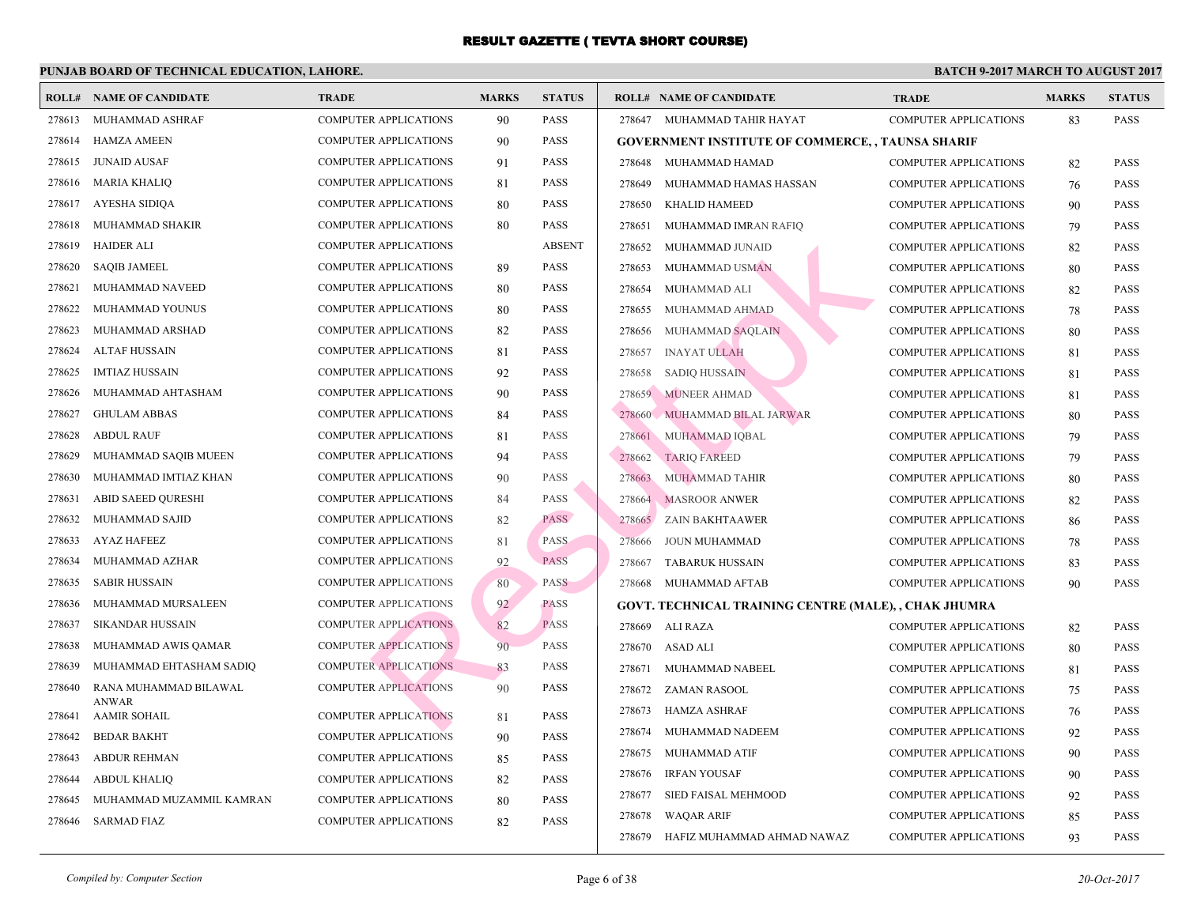|        | <b>ROLL# NAME OF CANDIDATE</b>      | <b>TRADE</b>                 | <b>MARKS</b> | <b>STATUS</b> |        | <b>ROLL# NAME OF CANDIDATE</b>                   | <b>TRA</b>  |
|--------|-------------------------------------|------------------------------|--------------|---------------|--------|--------------------------------------------------|-------------|
| 278613 | MUHAMMAD ASHRAF                     | <b>COMPUTER APPLICATIONS</b> | 90           | <b>PASS</b>   |        | 278647 MUHAMMAD TAHIR HAYAT                      | <b>COMI</b> |
| 278614 | <b>HAMZA AMEEN</b>                  | <b>COMPUTER APPLICATIONS</b> | 90           | <b>PASS</b>   |        | <b>GOVERNMENT INSTITUTE OF COMMERCE, , TAUNS</b> |             |
| 278615 | <b>JUNAID AUSAF</b>                 | <b>COMPUTER APPLICATIONS</b> | 91           | <b>PASS</b>   |        | 278648 MUHAMMAD HAMAD                            | <b>COMI</b> |
| 278616 | <b>MARIA KHALIQ</b>                 | <b>COMPUTER APPLICATIONS</b> | 81           | <b>PASS</b>   | 278649 | MUHAMMAD HAMAS HASSAN                            | COMI        |
| 278617 | <b>AYESHA SIDIQA</b>                | COMPUTER APPLICATIONS        | 80           | <b>PASS</b>   | 278650 | <b>KHALID HAMEED</b>                             | <b>COMF</b> |
| 278618 | MUHAMMAD SHAKIR                     | COMPUTER APPLICATIONS        | 80           | <b>PASS</b>   | 278651 | MUHAMMAD IMRAN RAFIQ                             | <b>COMI</b> |
| 278619 | <b>HAIDER ALI</b>                   | <b>COMPUTER APPLICATIONS</b> |              | <b>ABSENT</b> | 278652 | MUHAMMAD JUNAID                                  | <b>COMI</b> |
| 278620 | <b>SAQIB JAMEEL</b>                 | <b>COMPUTER APPLICATIONS</b> | 89           | <b>PASS</b>   | 278653 | MUHAMMAD USMAN                                   | COMI        |
| 278621 | MUHAMMAD NAVEED                     | COMPUTER APPLICATIONS        | 80           | <b>PASS</b>   | 278654 | MUHAMMAD ALI                                     | COMI        |
| 278622 | MUHAMMAD YOUNUS                     | <b>COMPUTER APPLICATIONS</b> | 80           | <b>PASS</b>   | 278655 | MUHAMMAD AHMAD                                   | COMI        |
| 278623 | MUHAMMAD ARSHAD                     | <b>COMPUTER APPLICATIONS</b> | 82           | <b>PASS</b>   | 278656 | MUHAMMAD SAQLAIN                                 | COMI        |
| 278624 | <b>ALTAF HUSSAIN</b>                | <b>COMPUTER APPLICATIONS</b> | 81           | <b>PASS</b>   | 278657 | <b>INAYAT ULLAH</b>                              | COMI        |
| 278625 | <b>IMTIAZ HUSSAIN</b>               | <b>COMPUTER APPLICATIONS</b> | 92           | <b>PASS</b>   | 278658 | <b>SADIQ HUSSAIN</b>                             | COMI        |
| 278626 | MUHAMMAD AHTASHAM                   | <b>COMPUTER APPLICATIONS</b> | 90           | <b>PASS</b>   | 278659 | <b>MUNEER AHMAD</b>                              | <b>COMI</b> |
| 278627 | <b>GHULAM ABBAS</b>                 | <b>COMPUTER APPLICATIONS</b> | 84           | <b>PASS</b>   | 278660 | MUHAMMAD BILAL JARWAR                            | <b>COMF</b> |
| 278628 | <b>ABDUL RAUF</b>                   | <b>COMPUTER APPLICATIONS</b> | 81           | <b>PASS</b>   | 278661 | MUHAMMAD IOBAL                                   | <b>COMI</b> |
| 278629 | MUHAMMAD SAQIB MUEEN                | <b>COMPUTER APPLICATIONS</b> | 94           | <b>PASS</b>   | 278662 | <b>TARIQ FAREED</b>                              | COMI        |
| 278630 | MUHAMMAD IMTIAZ KHAN                | <b>COMPUTER APPLICATIONS</b> | 90           | <b>PASS</b>   | 278663 | MUHAMMAD TAHIR                                   | COMI        |
| 278631 | <b>ABID SAEED QURESHI</b>           | <b>COMPUTER APPLICATIONS</b> | 84           | <b>PASS</b>   | 278664 | <b>MASROOR ANWER</b>                             | <b>COMI</b> |
| 278632 | MUHAMMAD SAJID                      | <b>COMPUTER APPLICATIONS</b> | 82           | PASS          | 278665 | ZAIN BAKHTAAWER                                  | <b>COMF</b> |
| 278633 | <b>AYAZ HAFEEZ</b>                  | <b>COMPUTER APPLICATIONS</b> | 81           | <b>PASS</b>   | 278666 | <b>JOUN MUHAMMAD</b>                             | <b>COMI</b> |
| 278634 | MUHAMMAD AZHAR                      | <b>COMPUTER APPLICATIONS</b> | 92           | <b>PASS</b>   | 278667 | TABARUK HUSSAIN                                  | <b>COMI</b> |
| 278635 | <b>SABIR HUSSAIN</b>                | <b>COMPUTER APPLICATIONS</b> | 80           | <b>PASS</b>   | 278668 | MUHAMMAD AFTAB                                   | COMI        |
| 278636 | MUHAMMAD MURSALEEN                  | <b>COMPUTER APPLICATIONS</b> | 92           | <b>PASS</b>   |        | GOVT. TECHNICAL TRAINING CENTRE (MALE), , CI     |             |
| 278637 | <b>SIKANDAR HUSSAIN</b>             | <b>COMPUTER APPLICATIONS</b> | 82           | <b>PASS</b>   | 278669 | ALI RAZA                                         | COMI        |
| 278638 | MUHAMMAD AWIS QAMAR                 | <b>COMPUTER APPLICATIONS</b> | 90           | <b>PASS</b>   | 278670 | ASAD ALI                                         | COMI        |
| 278639 | MUHAMMAD EHTASHAM SADIQ             | <b>COMPUTER APPLICATIONS</b> | 83           | <b>PASS</b>   | 278671 | MUHAMMAD NABEEL                                  | <b>COMI</b> |
| 278640 | RANA MUHAMMAD BILAWAL               | <b>COMPUTER APPLICATIONS</b> | 90           | <b>PASS</b>   | 278672 | <b>ZAMAN RASOOL</b>                              | <b>COMF</b> |
| 278641 | <b>ANWAR</b><br><b>AAMIR SOHAIL</b> | <b>COMPUTER APPLICATIONS</b> | 81           | <b>PASS</b>   | 278673 | HAMZA ASHRAF                                     | COMI        |
| 278642 | <b>BEDAR BAKHT</b>                  | <b>COMPUTER APPLICATIONS</b> | 90           | <b>PASS</b>   | 278674 | MUHAMMAD NADEEM                                  | COMI        |
| 278643 | <b>ABDUR REHMAN</b>                 | <b>COMPUTER APPLICATIONS</b> | 85           | <b>PASS</b>   | 278675 | MUHAMMAD ATIF                                    | COMI        |
| 278644 | <b>ABDUL KHALIQ</b>                 | <b>COMPUTER APPLICATIONS</b> | 82           | <b>PASS</b>   | 278676 | <b>IRFAN YOUSAF</b>                              | <b>COMI</b> |
| 278645 | MUHAMMAD MUZAMMIL KAMRAN            | <b>COMPUTER APPLICATIONS</b> | 80           | <b>PASS</b>   | 278677 | SIED FAISAL MEHMOOD                              | COMI        |
| 278646 | <b>SARMAD FIAZ</b>                  | <b>COMPUTER APPLICATIONS</b> | 82           | <b>PASS</b>   | 278678 | <b>WAQAR ARIF</b>                                | <b>COMI</b> |
|        |                                     |                              |              |               | 278679 | HAFIZ MUHAMMAD AHMAD NAWAZ                       | <b>COMI</b> |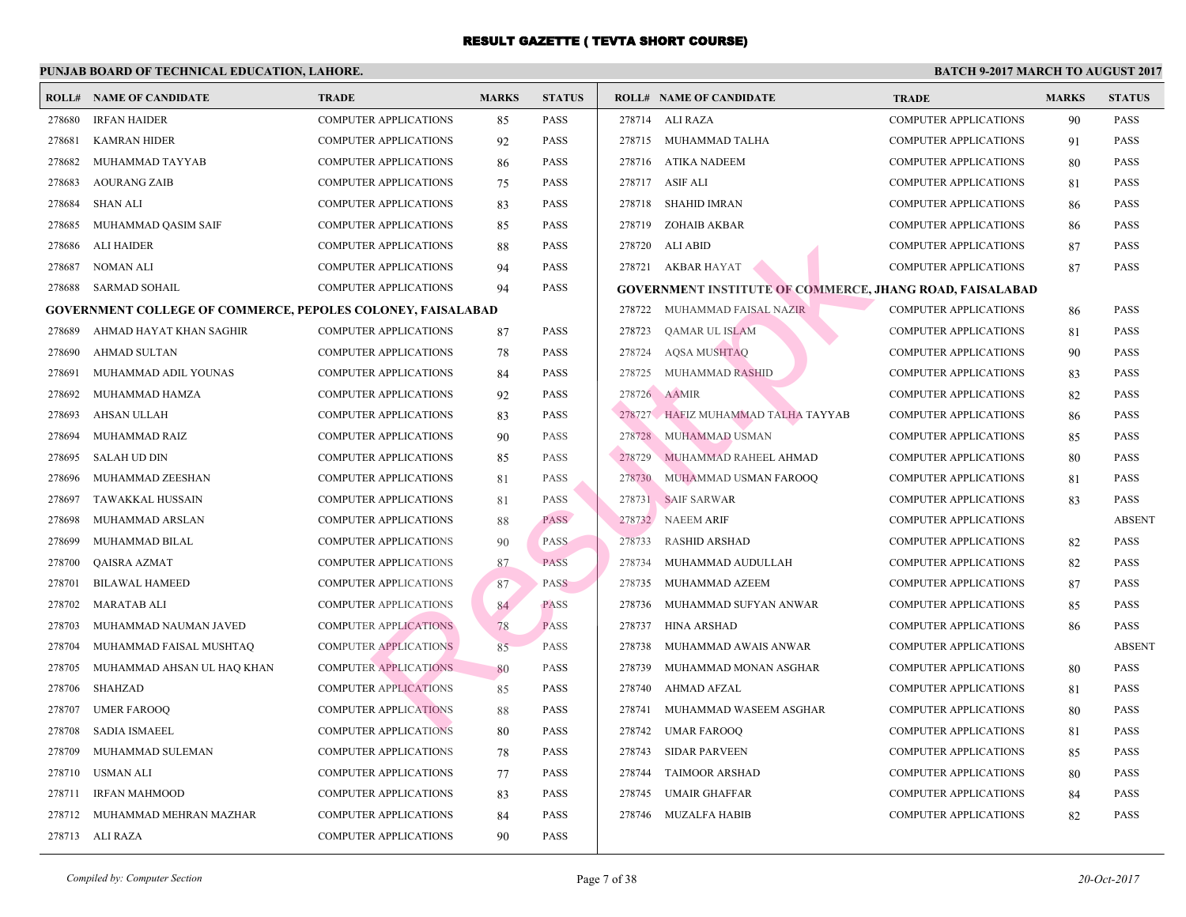|        | <b>ROLL# NAME OF CANDIDATE</b>                              | <b>TRADE</b>                 | <b>MARKS</b> | <b>STATUS</b> |              | <b>ROLL# NAME OF CANDIDATE</b>                 | <b>TRA</b>  |
|--------|-------------------------------------------------------------|------------------------------|--------------|---------------|--------------|------------------------------------------------|-------------|
| 278680 | <b>IRFAN HAIDER</b>                                         | COMPUTER APPLICATIONS        | 85           | <b>PASS</b>   |              | 278714 ALI RAZA                                | COMI        |
| 278681 | <b>KAMRAN HIDER</b>                                         | <b>COMPUTER APPLICATIONS</b> | 92           | PASS          |              | 278715 MUHAMMAD TALHA                          | COMI        |
| 278682 | MUHAMMAD TAYYAB                                             | <b>COMPUTER APPLICATIONS</b> | 86           | <b>PASS</b>   |              | 278716 ATIKA NADEEM                            | <b>COMI</b> |
| 278683 | <b>AOURANG ZAIB</b>                                         | <b>COMPUTER APPLICATIONS</b> | 75           | <b>PASS</b>   |              | 278717 ASIF ALI                                | <b>COMI</b> |
| 278684 | <b>SHAN ALI</b>                                             | <b>COMPUTER APPLICATIONS</b> | 83           | <b>PASS</b>   | 278718       | <b>SHAHID IMRAN</b>                            | <b>COMI</b> |
| 278685 | MUHAMMAD QASIM SAIF                                         | COMPUTER APPLICATIONS        | 85           | PASS          | 278719       | ZOHAIB AKBAR                                   | COMI        |
| 278686 | <b>ALI HAIDER</b>                                           | <b>COMPUTER APPLICATIONS</b> | 88           | PASS          | 278720       | ALI ABID                                       | <b>COMI</b> |
| 278687 | <b>NOMAN ALI</b>                                            | <b>COMPUTER APPLICATIONS</b> | 94           | PASS          |              | 278721 AKBAR HAYAT                             | <b>COMI</b> |
| 278688 | <b>SARMAD SOHAIL</b>                                        | <b>COMPUTER APPLICATIONS</b> | 94           | PASS          |              | <b>GOVERNMENT INSTITUTE OF COMMERCE, JHANG</b> |             |
|        | GOVERNMENT COLLEGE OF COMMERCE, PEPOLES COLONEY, FAISALABAD |                              |              |               | 278722       | MUHAMMAD FAISAL NAZIR                          | <b>COMI</b> |
| 278689 | AHMAD HAYAT KHAN SAGHIR                                     | <b>COMPUTER APPLICATIONS</b> | 87           | PASS          | 278723       | QAMAR UL ISLAM                                 | COMI        |
| 278690 | <b>AHMAD SULTAN</b>                                         | COMPUTER APPLICATIONS        | 78           | PASS          | 278724       | <b>AQSA MUSHTAQ</b>                            | <b>COMI</b> |
| 278691 | MUHAMMAD ADIL YOUNAS                                        | COMPUTER APPLICATIONS        | 84           | PASS          | 278725       | MUHAMMAD RASHID                                | COMI        |
| 278692 | MUHAMMAD HAMZA                                              | <b>COMPUTER APPLICATIONS</b> | 92           | <b>PASS</b>   | 278726 AAMIR |                                                | <b>COMI</b> |
| 278693 | <b>AHSAN ULLAH</b>                                          | <b>COMPUTER APPLICATIONS</b> | 83           | <b>PASS</b>   |              | 278727 HAFIZ MUHAMMAD TALHA TAYYAB             | <b>COMI</b> |
| 278694 | MUHAMMAD RAIZ                                               | <b>COMPUTER APPLICATIONS</b> | 90           | PASS          | 278728       | MUHAMMAD USMAN                                 | <b>COMI</b> |
| 278695 | <b>SALAH UD DIN</b>                                         | <b>COMPUTER APPLICATIONS</b> | 85           | <b>PASS</b>   | 278729       | MUHAMMAD RAHEEL AHMAD                          | COMI        |
| 278696 | MUHAMMAD ZEESHAN                                            | COMPUTER APPLICATIONS        | 81           | <b>PASS</b>   | 278730       | MUHAMMAD USMAN FAROOQ                          | <b>COMI</b> |
| 278697 | TAWAKKAL HUSSAIN                                            | COMPUTER APPLICATIONS        | 81           | <b>PASS</b>   | 278731       | SAIF SARWAR                                    | COMI        |
| 278698 | MUHAMMAD ARSLAN                                             | COMPUTER APPLICATIONS        | 88           | PASS          | 278732       | <b>NAEEM ARIF</b>                              | <b>COMI</b> |
| 278699 | MUHAMMAD BILAL                                              | <b>COMPUTER APPLICATIONS</b> | 90           | <b>PASS</b>   | 278733       | <b>RASHID ARSHAD</b>                           | COMI        |
| 278700 | QAISRA AZMAT                                                | <b>COMPUTER APPLICATIONS</b> | 87           | <b>PASS</b>   | 278734       | MUHAMMAD AUDULLAH                              | <b>COMI</b> |
| 278701 | <b>BILAWAL HAMEED</b>                                       | <b>COMPUTER APPLICATIONS</b> | 87           | <b>PASS</b>   | 278735       | MUHAMMAD AZEEM                                 | COMI        |
| 278702 | <b>MARATAB ALI</b>                                          | <b>COMPUTER APPLICATIONS</b> | 84           | <b>PASS</b>   | 278736       | MUHAMMAD SUFYAN ANWAR                          | <b>COMI</b> |
| 278703 | MUHAMMAD NAUMAN JAVED                                       | <b>COMPUTER APPLICATIONS</b> | 78           | <b>PASS</b>   | 278737       | HINA ARSHAD                                    | COMI        |
| 278704 | MUHAMMAD FAISAL MUSHTAQ                                     | <b>COMPUTER APPLICATIONS</b> | 85           | <b>PASS</b>   | 278738       | MUHAMMAD AWAIS ANWAR                           | COMI        |
| 278705 | MUHAMMAD AHSAN UL HAQ KHAN                                  | <b>COMPUTER APPLICATIONS</b> | 80           | <b>PASS</b>   | 278739       | MUHAMMAD MONAN ASGHAR                          | <b>COMI</b> |
| 278706 | <b>SHAHZAD</b>                                              | <b>COMPUTER APPLICATIONS</b> | 85           | PASS          | 278740       | AHMAD AFZAL                                    | <b>COMI</b> |
| 278707 | <b>UMER FAROOQ</b>                                          | <b>COMPUTER APPLICATIONS</b> | 88           | PASS          | 278741       | MUHAMMAD WASEEM ASGHAR                         | <b>COMI</b> |
| 278708 | <b>SADIA ISMAEEL</b>                                        | <b>COMPUTER APPLICATIONS</b> | 80           | PASS          | 278742       | <b>UMAR FAROOQ</b>                             | COMI        |
| 278709 | MUHAMMAD SULEMAN                                            | <b>COMPUTER APPLICATIONS</b> | 78           | <b>PASS</b>   | 278743       | <b>SIDAR PARVEEN</b>                           | <b>COMI</b> |
| 278710 | <b>USMAN ALI</b>                                            | <b>COMPUTER APPLICATIONS</b> | 77           | PASS          | 278744       | <b>TAIMOOR ARSHAD</b>                          | <b>COMI</b> |
| 278711 | <b>IRFAN MAHMOOD</b>                                        | <b>COMPUTER APPLICATIONS</b> | 83           | PASS          | 278745       | <b>UMAIR GHAFFAR</b>                           | <b>COMI</b> |
| 278712 | MUHAMMAD MEHRAN MAZHAR                                      | <b>COMPUTER APPLICATIONS</b> | 84           | <b>PASS</b>   | 278746       | MUZALFA HABIB                                  | COMI        |
|        | 278713 ALI RAZA                                             | <b>COMPUTER APPLICATIONS</b> | 90           | PASS          |              |                                                |             |
|        |                                                             |                              |              |               |              |                                                |             |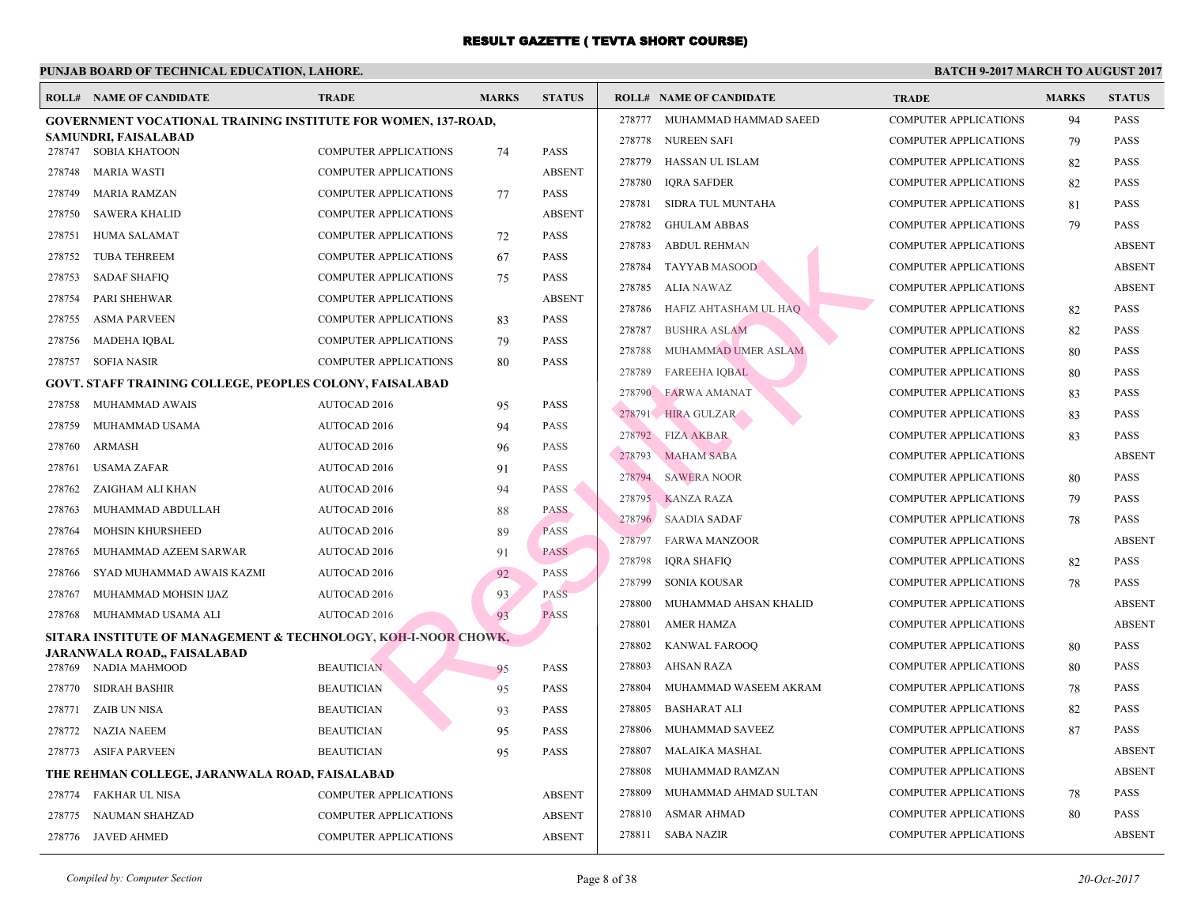|        | <b>ROLL# NAME OF CANDIDATE</b>                                       | <b>TRADE</b>                                          | <b>MARKS</b> | <b>STATUS</b> |        | <b>ROLL# NAME OF CANDIDATE</b>      | <b>TRA</b>  |
|--------|----------------------------------------------------------------------|-------------------------------------------------------|--------------|---------------|--------|-------------------------------------|-------------|
|        | <b>GOVERNMENT VOCATIONAL TRAINING INSTITUTE FOR WOMEN, 137-ROAD,</b> |                                                       |              |               | 278777 | MUHAMMAD HAMMAD SAEED               | COMI        |
|        | SAMUNDRI, FAISALABAD<br>278747 SOBIA KHATOON                         | <b>COMPUTER APPLICATIONS</b>                          |              | <b>PASS</b>   | 278778 | <b>NUREEN SAFI</b>                  | <b>COMI</b> |
| 278748 | <b>MARIA WASTI</b>                                                   | COMPUTER APPLICATIONS                                 | 74           | <b>ABSENT</b> | 278779 | HASSAN UL ISLAM                     | COMI        |
| 278749 | <b>MARIA RAMZAN</b>                                                  |                                                       |              | <b>PASS</b>   | 278780 | <b>IQRA SAFDER</b>                  | <b>COMI</b> |
| 278750 |                                                                      | COMPUTER APPLICATIONS<br><b>COMPUTER APPLICATIONS</b> | 77           | <b>ABSENT</b> | 278781 | SIDRA TUL MUNTAHA                   | <b>COMI</b> |
| 278751 | <b>SAWERA KHALID</b><br><b>HUMA SALAMAT</b>                          | <b>COMPUTER APPLICATIONS</b>                          |              | <b>PASS</b>   | 278782 | <b>GHULAM ABBAS</b>                 | <b>COMI</b> |
|        |                                                                      |                                                       | 72           | PASS          | 278783 | <b>ABDUL REHMAN</b>                 | <b>COMI</b> |
| 278752 | <b>TUBA TEHREEM</b>                                                  | <b>COMPUTER APPLICATIONS</b>                          | 67           |               | 278784 | TAYYAB MASOOD                       | COMI        |
| 278753 | <b>SADAF SHAFIQ</b>                                                  | <b>COMPUTER APPLICATIONS</b>                          | 75           | <b>PASS</b>   | 278785 | ALIA NAWAZ                          | COMI        |
| 278754 | PARI SHEHWAR                                                         | <b>COMPUTER APPLICATIONS</b>                          |              | <b>ABSENT</b> | 278786 | HAFIZ AHTASHAM UL HAQ               | COMI        |
| 278755 | <b>ASMA PARVEEN</b>                                                  | <b>COMPUTER APPLICATIONS</b>                          | 83           | <b>PASS</b>   | 278787 | <b>BUSHRA ASLAM</b>                 | <b>COMI</b> |
| 278756 | <b>MADEHA IQBAL</b>                                                  | <b>COMPUTER APPLICATIONS</b>                          | 79           | PASS          | 278788 | MUHAMMAD UMER ASLAM                 | COMI        |
| 278757 | <b>SOFIA NASIR</b>                                                   | <b>COMPUTER APPLICATIONS</b>                          | 80           | PASS          | 278789 | <b>FAREEHA IQBAL</b>                | <b>COMI</b> |
|        | <b>GOVT. STAFF TRAINING COLLEGE, PEOPLES COLONY, FAISALABAD</b>      |                                                       |              |               | 278790 | <b>FARWA AMANAT</b>                 | <b>COMI</b> |
| 278758 | MUHAMMAD AWAIS                                                       | AUTOCAD 2016                                          | 95           | PASS          |        | 278791 HIRA GULZAR                  | COMI        |
| 278759 | MUHAMMAD USAMA                                                       | AUTOCAD 2016                                          | 94           | <b>PASS</b>   |        | 278792 FIZA AKBAR                   | <b>COMI</b> |
| 278760 | ARMASH                                                               | <b>AUTOCAD 2016</b>                                   | 96           | <b>PASS</b>   | 278793 | <b>MAHAM SABA</b>                   | COMI        |
| 278761 | USAMA ZAFAR                                                          | AUTOCAD 2016                                          | 91           | <b>PASS</b>   | 278794 | <b>SAWERA NOOR</b>                  | COMI        |
| 278762 | ZAIGHAM ALI KHAN                                                     | AUTOCAD 2016                                          | 94           | <b>PASS</b>   | 278795 | <b>KANZA RAZA</b>                   | COMI        |
| 278763 | MUHAMMAD ABDULLAH                                                    | <b>AUTOCAD 2016</b>                                   | 88           | <b>PASS</b>   | 278796 | <b>SAADIA SADAF</b>                 | <b>COMI</b> |
| 278764 | MOHSIN KHURSHEED                                                     | <b>AUTOCAD 2016</b>                                   | 89           | <b>PASS</b>   | 278797 | <b>FARWA MANZOOR</b>                | COMI        |
| 278765 | MUHAMMAD AZEEM SARWAR                                                | AUTOCAD 2016                                          | 91           | <b>PASS</b>   | 278798 | <b>IQRA SHAFIQ</b>                  | COMI        |
| 278766 | SYAD MUHAMMAD AWAIS KAZMI                                            | AUTOCAD 2016                                          | 92           | <b>PASS</b>   | 278799 | SONIA KOUSAR                        | COMI        |
| 278767 | MUHAMMAD MOHSIN IJAZ                                                 | AUTOCAD 2016                                          | 93           | <b>PASS</b>   | 278800 | MUHAMMAD AHSAN KHALID               | <b>COMI</b> |
| 278768 | MUHAMMAD USAMA ALI                                                   | AUTOCAD 2016                                          | 93           | <b>PASS</b>   | 278801 | <b>AMER HAMZA</b>                   | <b>COMI</b> |
|        | SITARA INSTITUTE OF MANAGEMENT & TECHNOLOGY, KOH-I-NOOR CHOWK,       |                                                       |              |               | 278802 | <b>KANWAL FAROOQ</b>                | COMI        |
|        | <b>JARANWALA ROAD,, FAISALABAD</b>                                   |                                                       |              |               | 278803 |                                     | <b>COMI</b> |
| 278769 | NADIA MAHMOOD                                                        | <b>BEAUTICIAN</b>                                     | 95           | PASS          | 278804 | AHSAN RAZA<br>MUHAMMAD WASEEM AKRAM | COMI        |
| 278770 | <b>SIDRAH BASHIR</b>                                                 | <b>BEAUTICIAN</b>                                     | 95           | PASS          | 278805 | <b>BASHARAT ALI</b>                 | <b>COMI</b> |
| 278771 | ZAIB UN NISA                                                         | <b>BEAUTICIAN</b>                                     | 93           | PASS          |        |                                     | COMI        |
| 278772 | NAZIA NAEEM                                                          | <b>BEAUTICIAN</b>                                     | 95           | PASS          | 278806 | MUHAMMAD SAVEEZ                     |             |
| 278773 | ASIFA PARVEEN                                                        | <b>BEAUTICIAN</b>                                     | 95           | PASS          | 278807 | MALAIKA MASHAL                      | COMI        |
|        | THE REHMAN COLLEGE, JARANWALA ROAD, FAISALABAD                       |                                                       |              |               | 278808 | MUHAMMAD RAMZAN                     | COMI        |
| 278774 | FAKHAR UL NISA                                                       | <b>COMPUTER APPLICATIONS</b>                          |              | <b>ABSENT</b> | 278809 | MUHAMMAD AHMAD SULTAN               | <b>COMI</b> |
| 278775 | <b>NAUMAN SHAHZAD</b>                                                | <b>COMPUTER APPLICATIONS</b>                          |              | <b>ABSENT</b> | 278810 | ASMAR AHMAD                         | COMI        |
|        | 278776 JAVED AHMED                                                   | <b>COMPUTER APPLICATIONS</b>                          |              | <b>ABSENT</b> | 278811 | SABA NAZIR                          | COMI        |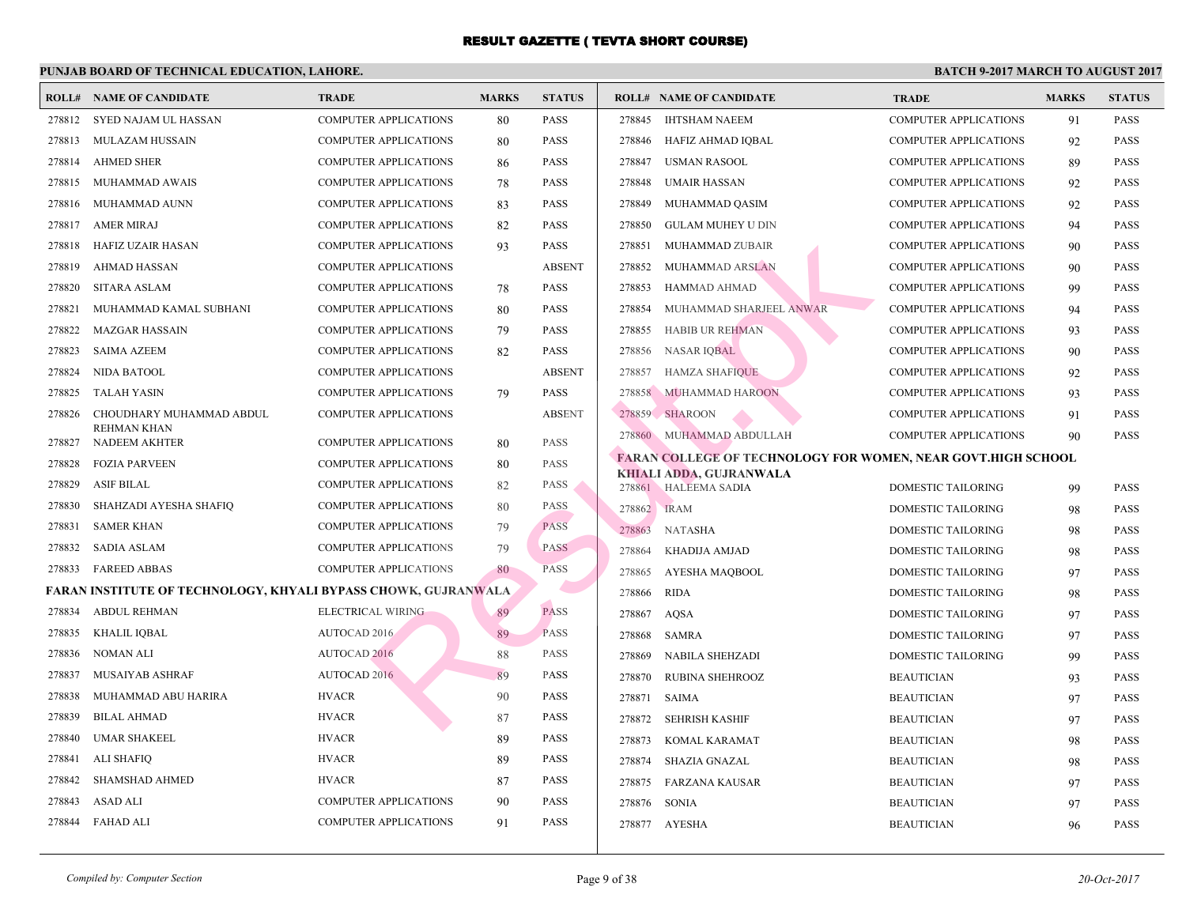| <b>ROLL#</b> | NAME OF CANDIDATE                                              | <b>TRADE</b>                 | <b>MARKS</b> | <b>STATUS</b> |        | <b>ROLL# NAME OF CANDIDATE</b>                         | <b>TRA</b>  |
|--------------|----------------------------------------------------------------|------------------------------|--------------|---------------|--------|--------------------------------------------------------|-------------|
| 278812       | SYED NAJAM UL HASSAN                                           | <b>COMPUTER APPLICATIONS</b> | 80           | <b>PASS</b>   | 278845 | <b>IHTSHAM NAEEM</b>                                   | <b>COME</b> |
| 278813       | MULAZAM HUSSAIN                                                | <b>COMPUTER APPLICATIONS</b> | 80           | <b>PASS</b>   | 278846 | HAFIZ AHMAD IQBAL                                      | <b>COME</b> |
| 278814       | <b>AHMED SHER</b>                                              | <b>COMPUTER APPLICATIONS</b> | 86           | <b>PASS</b>   | 278847 | <b>USMAN RASOOL</b>                                    | <b>COME</b> |
| 278815       | MUHAMMAD AWAIS                                                 | <b>COMPUTER APPLICATIONS</b> | 78           | <b>PASS</b>   | 278848 | <b>UMAIR HASSAN</b>                                    | <b>COME</b> |
| 278816       | MUHAMMAD AUNN                                                  | <b>COMPUTER APPLICATIONS</b> | 83           | <b>PASS</b>   | 278849 | MUHAMMAD QASIM                                         | <b>COME</b> |
| 278817       | <b>AMER MIRAJ</b>                                              | <b>COMPUTER APPLICATIONS</b> | 82           | <b>PASS</b>   | 278850 | <b>GULAM MUHEY U DIN</b>                               | <b>COMF</b> |
| 278818       | <b>HAFIZ UZAIR HASAN</b>                                       | <b>COMPUTER APPLICATIONS</b> | 93           | PASS          | 278851 | MUHAMMAD ZUBAIR                                        | <b>COME</b> |
| 278819       | <b>AHMAD HASSAN</b>                                            | <b>COMPUTER APPLICATIONS</b> |              | <b>ABSENT</b> | 278852 | MUHAMMAD ARSLAN                                        | <b>COME</b> |
| 278820       | <b>SITARA ASLAM</b>                                            | <b>COMPUTER APPLICATIONS</b> | 78           | PASS          | 278853 | <b>HAMMAD AHMAD</b>                                    | <b>COMF</b> |
| 278821       | MUHAMMAD KAMAL SUBHANI                                         | <b>COMPUTER APPLICATIONS</b> | 80           | <b>PASS</b>   | 278854 | MUHAMMAD SHARJEEL ANWAR                                | <b>COMI</b> |
| 278822       | MAZGAR HASSAIN                                                 | <b>COMPUTER APPLICATIONS</b> | 79           | <b>PASS</b>   | 278855 | <b>HABIB UR REHMAN</b>                                 | <b>COMI</b> |
| 278823       | <b>SAIMA AZEEM</b>                                             | <b>COMPUTER APPLICATIONS</b> | 82           | PASS          | 278856 | NASAR IQBAL                                            | <b>COMF</b> |
| 278824       | NIDA BATOOL                                                    | <b>COMPUTER APPLICATIONS</b> |              | <b>ABSENT</b> | 278857 | <b>HAMZA SHAFIQUE</b>                                  | <b>COMF</b> |
| 278825       | TALAH YASIN                                                    | <b>COMPUTER APPLICATIONS</b> | 79           | <b>PASS</b>   | 278858 | <b>MUHAMMAD HAROON</b>                                 | <b>COMI</b> |
| 278826       | CHOUDHARY MUHAMMAD ABDUL                                       | COMPUTER APPLICATIONS        |              | <b>ABSENT</b> |        | 278859 SHAROON                                         | <b>COMI</b> |
| 278827       | REHMAN KHAN<br><b>NADEEM AKHTER</b>                            | <b>COMPUTER APPLICATIONS</b> | 80           | <b>PASS</b>   |        | 278860 MUHAMMAD ABDULLAH                               | <b>COME</b> |
| 278828       | <b>FOZIA PARVEEN</b>                                           | <b>COMPUTER APPLICATIONS</b> | 80           | PASS          |        | <b>FARAN COLLEGE OF TECHNOLOGY FOR WOMEN,</b>          |             |
| 278829       | <b>ASIF BILAL</b>                                              | <b>COMPUTER APPLICATIONS</b> | 82           | PASS          |        | <b>KHIALI ADDA, GUJRANWALA</b><br>278861 HALEEMA SADIA | <b>DOMI</b> |
| 278830       | SHAHZADI AYESHA SHAFIQ                                         | <b>COMPUTER APPLICATIONS</b> | 80           | <b>PASS</b>   |        | 278862 IRAM                                            | <b>DOM</b>  |
| 278831       | <b>SAMER KHAN</b>                                              | <b>COMPUTER APPLICATIONS</b> | 79           | <b>PASS</b>   | 278863 | <b>NATASHA</b>                                         | <b>DOM</b>  |
| 278832       | <b>SADIA ASLAM</b>                                             | <b>COMPUTER APPLICATIONS</b> | 79           | <b>PASS</b>   | 278864 | KHADIJA AMJAD                                          | <b>DOM</b>  |
| 278833       | <b>FAREED ABBAS</b>                                            | <b>COMPUTER APPLICATIONS</b> | 80           | <b>PASS</b>   | 278865 | AYESHA MAQBOOL                                         | <b>DOMI</b> |
|              | FARAN INSTITUTE OF TECHNOLOGY, KHYALI BYPASS CHOWK, GUJRANWALA |                              |              |               | 278866 | <b>RIDA</b>                                            | <b>DOM</b>  |
| 278834       | <b>ABDUL REHMAN</b>                                            | ELECTRICAL WIRING            | 89           | <b>PASS</b>   | 278867 | <b>AQSA</b>                                            | <b>DOMI</b> |
| 278835       | KHALIL IQBAL                                                   | <b>AUTOCAD 2016</b>          | 89           | <b>PASS</b>   | 278868 | SAMRA                                                  | <b>DOMI</b> |
| 278836       | <b>NOMAN ALI</b>                                               | AUTOCAD 2016                 | 88           | PASS          | 278869 | NABILA SHEHZADI                                        | <b>DOMI</b> |
| 278837       | MUSAIYAB ASHRAF                                                | <b>AUTOCAD 2016</b>          | 89           | <b>PASS</b>   | 278870 | <b>RUBINA SHEHROOZ</b>                                 | <b>BEAU</b> |
| 278838       | MUHAMMAD ABU HARIRA                                            | <b>HVACR</b>                 | 90           | <b>PASS</b>   | 278871 | <b>SAIMA</b>                                           | <b>BEAL</b> |
| 278839       | <b>BILAL AHMAD</b>                                             | <b>HVACR</b>                 | 87           | PASS          | 278872 | <b>SEHRISH KASHIF</b>                                  | <b>BEAL</b> |
| 278840       | UMAR SHAKEEL                                                   | <b>HVACR</b>                 | 89           | <b>PASS</b>   | 278873 | KOMAL KARAMAT                                          | <b>BEAU</b> |
| 278841       | <b>ALI SHAFIQ</b>                                              | <b>HVACR</b>                 | 89           | <b>PASS</b>   | 278874 | SHAZIA GNAZAL                                          | <b>BEAU</b> |
| 278842       | <b>SHAMSHAD AHMED</b>                                          | <b>HVACR</b>                 | 87           | <b>PASS</b>   | 278875 | FARZANA KAUSAR                                         | <b>BEAL</b> |
| 278843       | <b>ASAD ALI</b>                                                | <b>COMPUTER APPLICATIONS</b> | 90           | <b>PASS</b>   | 278876 | SONIA                                                  | <b>BEAU</b> |
| 278844       | <b>FAHAD ALI</b>                                               | <b>COMPUTER APPLICATIONS</b> | 91           | <b>PASS</b>   |        | 278877 AYESHA                                          | <b>BEAU</b> |
|              |                                                                |                              |              |               |        |                                                        |             |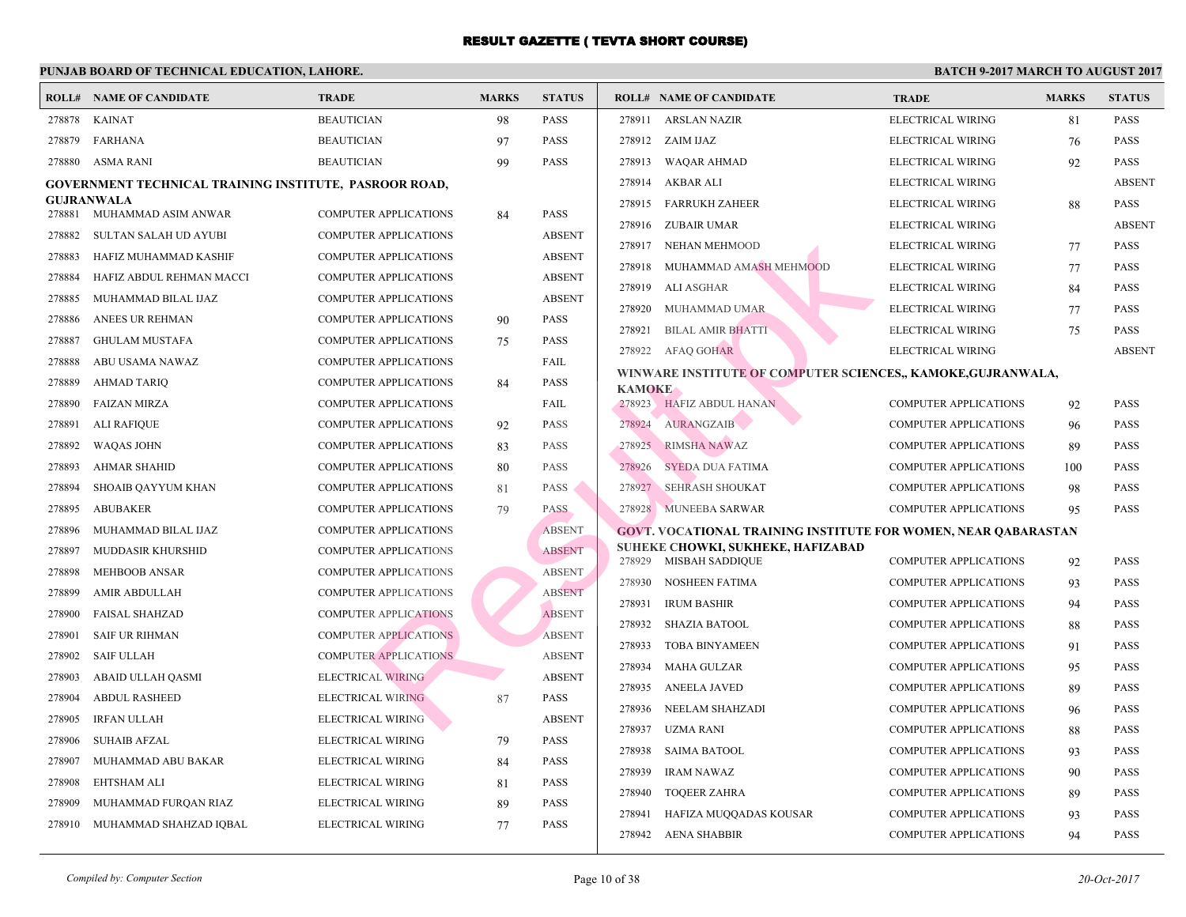| ROLL#  | NAME OF CANDIDATE                                             | <b>TRADE</b>                 | <b>MARKS</b> | <b>STATUS</b> |               | <b>ROLL# NAME OF CANDIDATE</b>             | <b>TRA</b>  |
|--------|---------------------------------------------------------------|------------------------------|--------------|---------------|---------------|--------------------------------------------|-------------|
| 278878 | <b>KAINAT</b>                                                 | <b>BEAUTICIAN</b>            | 98           | <b>PASS</b>   | 278911        | <b>ARSLAN NAZIR</b>                        | <b>ELEC</b> |
| 278879 | <b>FARHANA</b>                                                | <b>BEAUTICIAN</b>            | 97           | <b>PASS</b>   | 278912        | ZAIM IJAZ                                  | <b>ELEC</b> |
| 278880 | ASMA RANI                                                     | <b>BEAUTICIAN</b>            | 99           | PASS          | 278913        | WAQAR AHMAD                                | <b>ELEC</b> |
|        | <b>GOVERNMENT TECHNICAL TRAINING INSTITUTE, PASROOR ROAD,</b> |                              |              |               | 278914        | AKBAR ALI                                  | <b>ELEC</b> |
|        | <b>GUJRANWALA</b>                                             |                              |              |               | 278915        | <b>FARRUKH ZAHEER</b>                      | <b>ELEC</b> |
| 278881 | MUHAMMAD ASIM ANWAR                                           | <b>COMPUTER APPLICATIONS</b> | 84           | PASS          | 278916        | ZUBAIR UMAR                                | <b>ELEC</b> |
| 278882 | SULTAN SALAH UD AYUBI                                         | <b>COMPUTER APPLICATIONS</b> |              | <b>ABSENT</b> | 278917        | NEHAN MEHMOOD                              | <b>ELEC</b> |
| 278883 | HAFIZ MUHAMMAD KASHIF                                         | <b>COMPUTER APPLICATIONS</b> |              | <b>ABSENT</b> | 278918        | MUHAMMAD AMASH MEHMOOD                     | <b>ELEC</b> |
| 278884 | HAFIZ ABDUL REHMAN MACCI                                      | <b>COMPUTER APPLICATIONS</b> |              | <b>ABSENT</b> | 278919        | ALI ASGHAR                                 | <b>ELEC</b> |
| 278885 | MUHAMMAD BILAL IJAZ                                           | <b>COMPUTER APPLICATIONS</b> |              | <b>ABSENT</b> | 278920        | MUHAMMAD UMAR                              | <b>ELEC</b> |
| 278886 | ANEES UR REHMAN                                               | <b>COMPUTER APPLICATIONS</b> | 90           | PASS          | 278921        | <b>BILAL AMIR BHATTI</b>                   | <b>ELEC</b> |
| 278887 | <b>GHULAM MUSTAFA</b>                                         | <b>COMPUTER APPLICATIONS</b> | 75           | PASS          |               | 278922 AFAQ GOHAR                          | <b>ELEC</b> |
| 278888 | ABU USAMA NAWAZ                                               | <b>COMPUTER APPLICATIONS</b> |              | FAIL          |               | WINWARE INSTITUTE OF COMPUTER SCIENCES,, K |             |
| 278889 | <b>AHMAD TARIQ</b>                                            | <b>COMPUTER APPLICATIONS</b> | 84           | PASS          | <b>KAMOKE</b> |                                            |             |
| 278890 | <b>FAIZAN MIRZA</b>                                           | <b>COMPUTER APPLICATIONS</b> |              | FAIL          |               | 278923 HAFIZ ABDUL HANAN                   | <b>COMI</b> |
| 278891 | <b>ALI RAFIQUE</b>                                            | <b>COMPUTER APPLICATIONS</b> | 92           | <b>PASS</b>   | 278924        | AURANGZAIB                                 | <b>COMF</b> |
| 278892 | <b>WAQAS JOHN</b>                                             | <b>COMPUTER APPLICATIONS</b> | 83           | <b>PASS</b>   | 278925        | RIMSHA NAWAZ                               | <b>COMF</b> |
| 278893 | <b>AHMAR SHAHID</b>                                           | <b>COMPUTER APPLICATIONS</b> | 80           | <b>PASS</b>   | 278926        | SYEDA DUA FATIMA                           | <b>COMF</b> |
| 278894 | SHOAIB QAYYUM KHAN                                            | <b>COMPUTER APPLICATIONS</b> | 81           | PASS          | 278927        | <b>SEHRASH SHOUKAT</b>                     | <b>COMI</b> |
| 278895 | <b>ABUBAKER</b>                                               | <b>COMPUTER APPLICATIONS</b> | 79           | PASS          |               | 278928 MUNEEBA SARWAR                      | COMF        |
| 278896 | MUHAMMAD BILAL IJAZ                                           | <b>COMPUTER APPLICATIONS</b> |              | <b>ABSENT</b> |               | GOVT. VOCATIONAL TRAINING INSTITUTE FOR W  |             |
| 278897 | MUDDASIR KHURSHID                                             | <b>COMPUTER APPLICATIONS</b> |              | <b>ABSENT</b> |               | SUHEKE CHOWKI, SUKHEKE, HAFIZABAD          |             |
| 278898 | <b>MEHBOOB ANSAR</b>                                          | <b>COMPUTER APPLICATIONS</b> |              | <b>ABSENT</b> | 278929        | <b>MISBAH SADDIQUE</b>                     | <b>COMF</b> |
| 278899 | AMIR ABDULLAH                                                 | <b>COMPUTER APPLICATIONS</b> |              | <b>ABSENT</b> | 278930        | NOSHEEN FATIMA                             | COMF        |
| 278900 | <b>FAISAL SHAHZAD</b>                                         | <b>COMPUTER APPLICATIONS</b> |              | <b>ABSENT</b> | 278931        | <b>IRUM BASHIR</b>                         | <b>COMI</b> |
| 278901 | <b>SAIF UR RIHMAN</b>                                         | <b>COMPUTER APPLICATIONS</b> |              | <b>ABSENT</b> | 278932        | <b>SHAZIA BATOOL</b>                       | <b>COMF</b> |
| 278902 | <b>SAIF ULLAH</b>                                             | <b>COMPUTER APPLICATIONS</b> |              | <b>ABSENT</b> | 278933        | <b>TOBA BINYAMEEN</b>                      | <b>COMF</b> |
| 278903 | ABAID ULLAH QASMI                                             | <b>ELECTRICAL WIRING</b>     |              | <b>ABSENT</b> | 278934        | <b>MAHA GULZAR</b>                         | <b>COMF</b> |
| 278904 | <b>ABDUL RASHEED</b>                                          | <b>ELECTRICAL WIRING</b>     | 87           | PASS          | 278935        | <b>ANEELA JAVED</b>                        | <b>COMF</b> |
| 278905 | <b>IRFAN ULLAH</b>                                            | ELECTRICAL WIRING            |              | <b>ABSENT</b> | 278936        | NEELAM SHAHZADI                            | <b>COMI</b> |
| 278906 | <b>SUHAIB AFZAL</b>                                           | ELECTRICAL WIRING            | 79           | <b>PASS</b>   | 278937        | UZMA RANI                                  | <b>COMI</b> |
| 278907 | MUHAMMAD ABU BAKAR                                            | ELECTRICAL WIRING            | 84           | PASS          | 278938        | <b>SAIMA BATOOL</b>                        | <b>COME</b> |
| 278908 | <b>EHTSHAM ALI</b>                                            | ELECTRICAL WIRING            | 81           | PASS          | 278939        | <b>IRAM NAWAZ</b>                          | <b>COMF</b> |
| 278909 | MUHAMMAD FURQAN RIAZ                                          | ELECTRICAL WIRING            | 89           | PASS          | 278940        | <b>TOOEER ZAHRA</b>                        | <b>COMI</b> |
| 278910 | MUHAMMAD SHAHZAD IQBAL                                        | ELECTRICAL WIRING            | 77           | PASS          | 278941        | HAFIZA MUQQADAS KOUSAR                     | <b>COMI</b> |
|        |                                                               |                              |              |               | 278942        | <b>AENA SHABBIR</b>                        | <b>COMF</b> |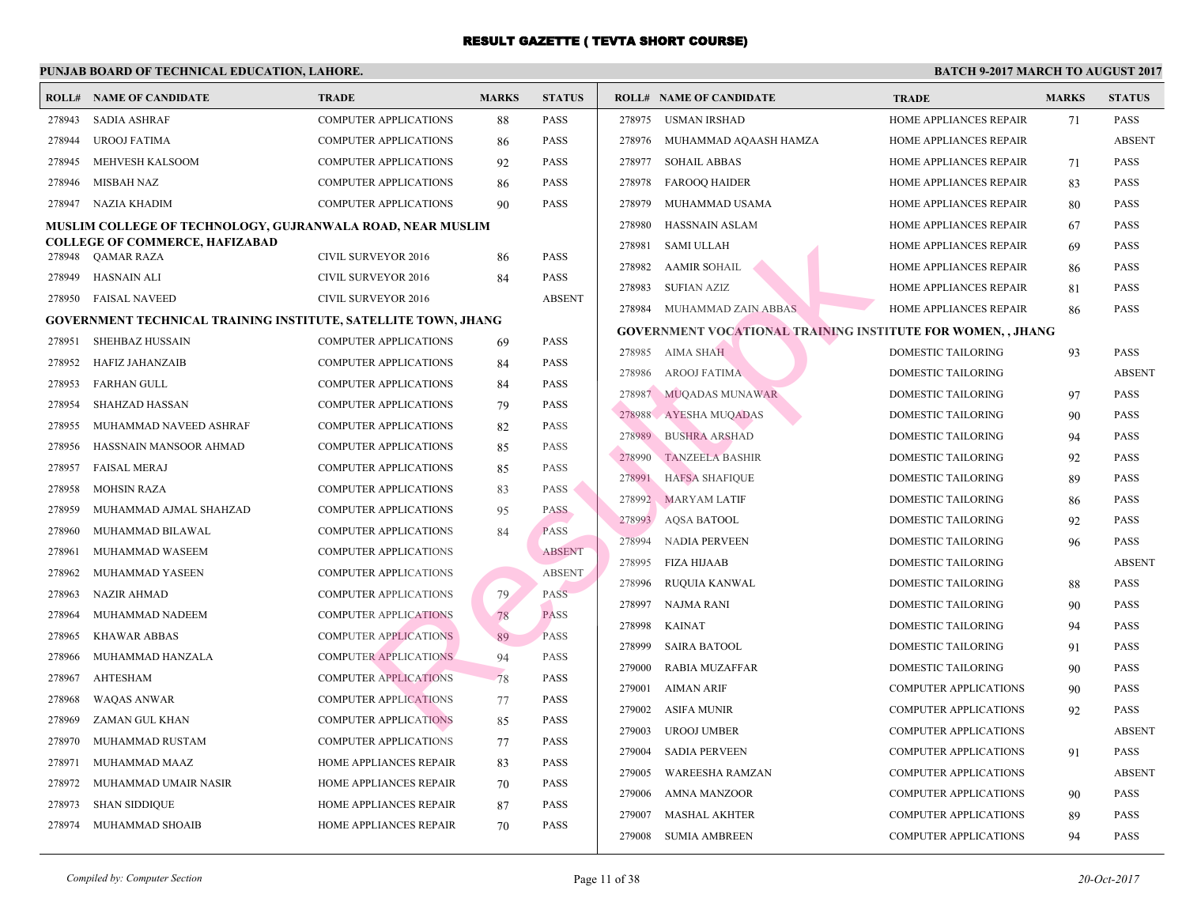|        | <b>ROLL# NAME OF CANDIDATE</b>                                 | <b>TRADE</b>                 | <b>MARKS</b> | <b>STATUS</b> |        | <b>ROLL# NAME OF CANDIDATE</b>                  | <b>TRA</b>  |
|--------|----------------------------------------------------------------|------------------------------|--------------|---------------|--------|-------------------------------------------------|-------------|
| 278943 | <b>SADIA ASHRAF</b>                                            | COMPUTER APPLICATIONS        | 88           | PASS          | 278975 | USMAN IRSHAD                                    | <b>HOMI</b> |
| 278944 | <b>UROOJ FATIMA</b>                                            | COMPUTER APPLICATIONS        | 86           | PASS          | 278976 | MUHAMMAD AQAASH HAMZA                           | <b>HOMI</b> |
| 278945 | MEHVESH KALSOOM                                                | COMPUTER APPLICATIONS        | 92           | <b>PASS</b>   | 278977 | <b>SOHAIL ABBAS</b>                             | <b>HOMI</b> |
| 278946 | MISBAH NAZ                                                     | COMPUTER APPLICATIONS        | 86           | PASS          | 278978 | <b>FAROOQ HAIDER</b>                            | <b>HOMI</b> |
| 278947 | NAZIA KHADIM                                                   | COMPUTER APPLICATIONS        | 90           | PASS          | 278979 | MUHAMMAD USAMA                                  | <b>HOMI</b> |
|        | MUSLIM COLLEGE OF TECHNOLOGY, GUJRANWALA ROAD, NEAR MUSLIM     |                              |              |               | 278980 | <b>HASSNAIN ASLAM</b>                           | <b>HOMI</b> |
|        | <b>COLLEGE OF COMMERCE, HAFIZABAD</b>                          |                              |              |               | 278981 | <b>SAMI ULLAH</b>                               | <b>HOMI</b> |
| 278948 | QAMAR RAZA                                                     | <b>CIVIL SURVEYOR 2016</b>   | 86           | PASS          | 278982 | <b>AAMIR SOHAIL</b>                             | <b>HOMI</b> |
| 278949 | <b>HASNAIN ALI</b>                                             | <b>CIVIL SURVEYOR 2016</b>   | 84           | PASS          | 278983 | <b>SUFIAN AZIZ</b>                              | <b>HOMI</b> |
| 278950 | <b>FAISAL NAVEED</b>                                           | <b>CIVIL SURVEYOR 2016</b>   |              | <b>ABSENT</b> |        | 278984 MUHAMMAD ZAIN ABBAS                      | <b>HOMI</b> |
|        | GOVERNMENT TECHNICAL TRAINING INSTITUTE, SATELLITE TOWN, JHANG |                              |              |               |        | <b>GOVERNMENT VOCATIONAL TRAINING INSTITUTI</b> |             |
| 278951 | SHEHBAZ HUSSAIN                                                | <b>COMPUTER APPLICATIONS</b> | 69           | <b>PASS</b>   |        | 278985 AIMA SHAH                                | <b>DOMI</b> |
| 278952 | <b>HAFIZ JAHANZAIB</b>                                         | <b>COMPUTER APPLICATIONS</b> | 84           | PASS          | 278986 | AROOJ FATIMA                                    | <b>DOMI</b> |
| 278953 | <b>FARHAN GULL</b>                                             | <b>COMPUTER APPLICATIONS</b> | 84           | <b>PASS</b>   |        | 278987 MUQADAS MUNAWAR                          | <b>DOMI</b> |
| 278954 | <b>SHAHZAD HASSAN</b>                                          | COMPUTER APPLICATIONS        | 79           | PASS          | 278988 | AYESHA MUQADAS                                  | <b>DOMI</b> |
| 278955 | MUHAMMAD NAVEED ASHRAF                                         | <b>COMPUTER APPLICATIONS</b> | 82           | PASS          | 278989 | <b>BUSHRA ARSHAD</b>                            | <b>DOMI</b> |
| 278956 | HASSNAIN MANSOOR AHMAD                                         | COMPUTER APPLICATIONS        | 85           | <b>PASS</b>   | 278990 | <b>TANZEELA BASHIR</b>                          | <b>DOMI</b> |
| 278957 | <b>FAISAL MERAJ</b>                                            | <b>COMPUTER APPLICATIONS</b> | 85           | <b>PASS</b>   | 278991 | <b>HAFSA SHAFIQUE</b>                           | <b>DOMI</b> |
| 278958 | <b>MOHSIN RAZA</b>                                             | COMPUTER APPLICATIONS        | 83           | <b>PASS</b>   | 278992 | <b>MARYAM LATIF</b>                             | <b>DOMI</b> |
| 278959 | MUHAMMAD AJMAL SHAHZAD                                         | COMPUTER APPLICATIONS        | 95           | <b>PASS</b>   | 278993 | <b>AQSA BATOOL</b>                              | <b>DOMI</b> |
| 278960 | MUHAMMAD BILAWAL                                               | COMPUTER APPLICATIONS        | 84           | <b>PASS</b>   |        |                                                 |             |
| 278961 | MUHAMMAD WASEEM                                                | <b>COMPUTER APPLICATIONS</b> |              | <b>ABSENT</b> | 278994 | NADIA PERVEEN                                   | <b>DOMI</b> |
| 278962 | MUHAMMAD YASEEN                                                | <b>COMPUTER APPLICATIONS</b> |              | <b>ABSENT</b> | 278995 | FIZA HIJAAB                                     | <b>DOMI</b> |
| 278963 | <b>NAZIR AHMAD</b>                                             | <b>COMPUTER APPLICATIONS</b> | 79           | <b>PASS</b>   | 278996 | RUQUIA KANWAL                                   | <b>DOMI</b> |
| 278964 | MUHAMMAD NADEEM                                                | <b>COMPUTER APPLICATIONS</b> | 78           | <b>PASS</b>   | 278997 | NAJMA RANI                                      | <b>DOMI</b> |
| 278965 | <b>KHAWAR ABBAS</b>                                            | <b>COMPUTER APPLICATIONS</b> | 89           | <b>PASS</b>   | 278998 | <b>KAINAT</b>                                   | <b>DOMI</b> |
| 278966 | MUHAMMAD HANZALA                                               | <b>COMPUTER APPLICATIONS</b> | 94           | <b>PASS</b>   | 278999 | <b>SAIRA BATOOL</b>                             | <b>DOMI</b> |
| 278967 | AHTESHAM                                                       | <b>COMPUTER APPLICATIONS</b> | 78           | PASS          | 279000 | <b>RABIA MUZAFFAR</b>                           | <b>DOMI</b> |
| 278968 | WAQAS ANWAR                                                    | <b>COMPUTER APPLICATIONS</b> | 77           | <b>PASS</b>   | 279001 | AIMAN ARIF                                      | COMI        |
| 278969 | ZAMAN GUL KHAN                                                 | <b>COMPUTER APPLICATIONS</b> | 85           | <b>PASS</b>   | 279002 | ASIFA MUNIR                                     | COMI        |
| 278970 | MUHAMMAD RUSTAM                                                | <b>COMPUTER APPLICATIONS</b> | 77           | <b>PASS</b>   | 279003 | <b>UROOJ UMBER</b>                              | COMI        |
| 278971 | MUHAMMAD MAAZ                                                  | HOME APPLIANCES REPAIR       | 83           | PASS          | 279004 | <b>SADIA PERVEEN</b>                            | <b>COMI</b> |
| 278972 | MUHAMMAD UMAIR NASIR                                           | HOME APPLIANCES REPAIR       | 70           | PASS          | 279005 | WAREESHA RAMZAN                                 | COMI        |
| 278973 | <b>SHAN SIDDIQUE</b>                                           | HOME APPLIANCES REPAIR       | 87           | PASS          | 279006 | AMNA MANZOOR                                    | COMI        |
| 278974 | MUHAMMAD SHOAIB                                                | HOME APPLIANCES REPAIR       | 70           | PASS          | 279007 | <b>MASHAL AKHTER</b>                            | <b>COMI</b> |
|        |                                                                |                              |              |               |        | 279008 SUMIA AMBREEN                            | COMI        |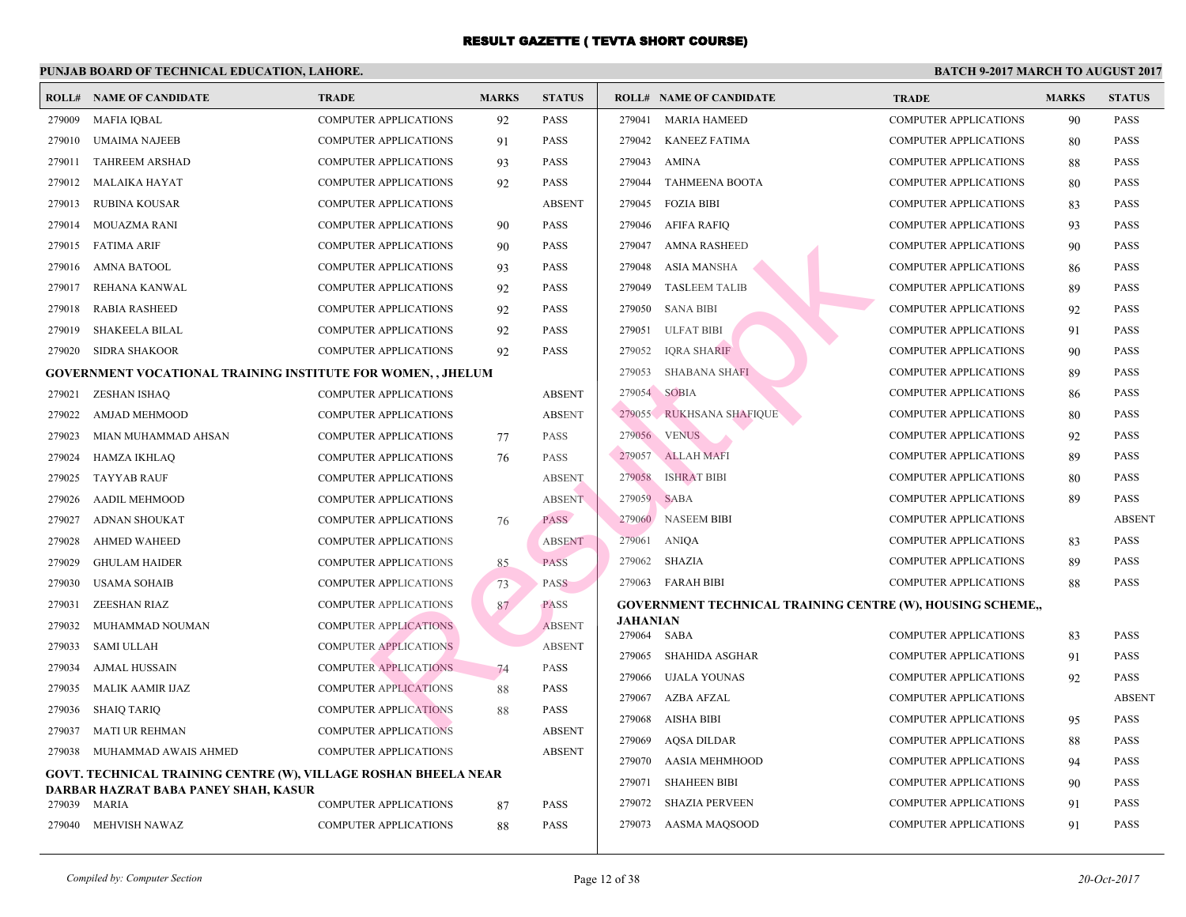|        | <b>ROLL# NAME OF CANDIDATE</b>                                         | <b>TRADE</b>                  | <b>MARKS</b> | <b>STATUS</b> | <b>ROLL# NAME OF CANDIDATE</b>                  | <b>TRA</b>  |
|--------|------------------------------------------------------------------------|-------------------------------|--------------|---------------|-------------------------------------------------|-------------|
| 279009 | MAFIA IQBAL                                                            | <b>COMPUTER APPLICATIONS</b>  | 92           | <b>PASS</b>   | 279041<br><b>MARIA HAMEED</b>                   | <b>COME</b> |
| 279010 | <b>UMAIMA NAJEEB</b>                                                   | <b>COMPUTER APPLICATIONS</b>  | 91           | <b>PASS</b>   | 279042 KANEEZ FATIMA                            | <b>COMI</b> |
| 279011 | <b>TAHREEM ARSHAD</b>                                                  | <b>COMPUTER APPLICATIONS</b>  | 93           | <b>PASS</b>   | AMINA<br>279043                                 | <b>COME</b> |
| 279012 | <b>MALAIKA HAYAT</b>                                                   | COMPUTER APPLICATIONS         | 92           | <b>PASS</b>   | 279044<br><b>TAHMEENA BOOTA</b>                 | <b>COME</b> |
| 279013 | RUBINA KOUSAR                                                          | <b>COMPUTER APPLICATIONS</b>  |              | <b>ABSENT</b> | 279045 FOZIA BIBI                               | <b>COME</b> |
| 279014 | MOUAZMA RANI                                                           | <b>COMPUTER APPLICATIONS</b>  | 90           | <b>PASS</b>   | 279046 AFIFA RAFIQ                              | COMI        |
| 279015 | <b>FATIMA ARIF</b>                                                     | <b>COMPUTER APPLICATIONS</b>  | 90           | <b>PASS</b>   | 279047<br><b>AMNA RASHEED</b>                   | COMI        |
| 279016 | <b>AMNA BATOOL</b>                                                     | <b>COMPUTER APPLICATIONS</b>  | 93           | <b>PASS</b>   | 279048<br>ASIA MANSHA                           | <b>COME</b> |
| 279017 | REHANA KANWAL                                                          | <b>COMPUTER APPLICATIONS</b>  | 92           | <b>PASS</b>   | 279049<br><b>TASLEEM TALIB</b>                  | <b>COMI</b> |
| 279018 | <b>RABIA RASHEED</b>                                                   | <b>COMPUTER APPLICATIONS</b>  | 92           | <b>PASS</b>   | 279050<br><b>SANA BIBI</b>                      | COMI        |
| 279019 | <b>SHAKEELA BILAL</b>                                                  | <b>COMPUTER APPLICATIONS</b>  | 92           | <b>PASS</b>   | 279051<br><b>ULFAT BIBI</b>                     | COMI        |
| 279020 | <b>SIDRA SHAKOOR</b>                                                   | COMPUTER APPLICATIONS         | 92           | <b>PASS</b>   | 279052<br><b>IQRA SHARIF</b>                    | <b>COME</b> |
|        | <b>GOVERNMENT VOCATIONAL TRAINING INSTITUTE FOR WOMEN,, JHELUM</b>     |                               |              |               | 279053<br><b>SHABANA SHAFI</b>                  | <b>COME</b> |
| 279021 | ZESHAN ISHAQ                                                           | <b>COMPUTER APPLICATIONS</b>  |              | <b>ABSENT</b> | 279054<br><b>SOBIA</b>                          | <b>COME</b> |
| 279022 | AMJAD MEHMOOD                                                          | <b>COMPUTER APPLICATIONS</b>  |              | <b>ABSENT</b> | 279055 RUKHSANA SHAFIQUE                        | <b>COME</b> |
| 279023 | MIAN MUHAMMAD AHSAN                                                    | <b>COMPUTER APPLICATIONS</b>  | 77           | <b>PASS</b>   | 279056 VENUS                                    | <b>COME</b> |
| 279024 | HAMZA IKHLAQ                                                           | <b>COMPUTER APPLICATIONS</b>  | 76           | <b>PASS</b>   | 279057 ALLAH MAFI                               | <b>COMI</b> |
| 279025 | <b>TAYYAB RAUF</b>                                                     | <b>COMPUTER APPLICATIONS</b>  |              | <b>ABSENT</b> | 279058<br><b>ISHRAT BIBI</b>                    | <b>COME</b> |
| 279026 | <b>AADIL MEHMOOD</b>                                                   | COMPUTER APPLICATIONS         |              | <b>ABSENT</b> | 279059 SABA                                     | COMI        |
| 279027 | <b>ADNAN SHOUKAT</b>                                                   | <b>COMPUTER APPLICATIONS</b>  | 76           | PASS          | 279060<br><b>NASEEM BIBI</b>                    | COMI        |
| 279028 | <b>AHMED WAHEED</b>                                                    | <b>COMPUTER APPLICATIONS</b>  |              | <b>ABSENT</b> | ANIQA<br>279061                                 | <b>COME</b> |
| 279029 | <b>GHULAM HAIDER</b>                                                   | <b>COMPUTER APPLICATIONS</b>  | 85           | <b>PASS</b>   | 279062 SHAZIA                                   | <b>COMF</b> |
| 279030 | <b>USAMA SOHAIB</b>                                                    | <b>COMPUTER APPLICATIONS</b>  | 73           | <b>PASS</b>   | 279063 FARAH BIBI                               | COMI        |
| 279031 | <b>ZEESHAN RIAZ</b>                                                    | <b>COMPUTER APPLICATIONS</b>  | 87           | <b>PASS</b>   | <b>GOVERNMENT TECHNICAL TRAINING CENTRE (W)</b> |             |
| 279032 | MUHAMMAD NOUMAN                                                        | <b>COMPUTER APPLICATIONS</b>  |              | <b>ABSENT</b> | JAHANIAN<br>279064<br>SABA                      | <b>COME</b> |
| 279033 | <b>SAMI ULLAH</b>                                                      | <b>COMPUTER APPLICATIONS</b>  |              | <b>ABSENT</b> | 279065<br>SHAHIDA ASGHAR                        | <b>COMF</b> |
| 279034 | <b>AJMAL HUSSAIN</b>                                                   | <b>COMPUTER APPLICATIONS</b>  | 74           | PASS          | 279066<br>UJALA YOUNAS                          | <b>COME</b> |
| 279035 | MALIK AAMIR IJAZ                                                       | <b>COMPUTER APPLICATIONS</b>  | 88           | <b>PASS</b>   | AZBA AFZAL<br>279067                            | <b>COME</b> |
| 279036 | <b>SHAIQ TARIQ</b>                                                     | <b>COMPUTER APPLICATIONS</b>  | 88           | <b>PASS</b>   | 279068<br>AISHA BIBI                            | <b>COMI</b> |
| 279037 | MATI UR REHMAN                                                         | <b>COMPUTER APPLICATIONS</b>  |              | <b>ABSENT</b> | AQSA DILDAR<br>279069                           | <b>COME</b> |
| 279038 | MUHAMMAD AWAIS AHMED                                                   | <b>COMPUTER APPLICATIONS</b>  |              | <b>ABSENT</b> | 279070<br>AASIA MEHMHOOD                        | <b>COME</b> |
|        | <b>GOVT. TECHNICAL TRAINING CENTRE (W), VILLAGE ROSHAN BHEELA NEAR</b> | 279071<br><b>SHAHEEN BIBI</b> | COMI         |               |                                                 |             |
|        | DARBAR HAZRAT BABA PANEY SHAH, KASUR                                   |                               |              |               | 279072<br><b>SHAZIA PERVEEN</b>                 | COMI        |
| 279039 | MARIA                                                                  | <b>COMPUTER APPLICATIONS</b>  | 87           | <b>PASS</b>   |                                                 | <b>COME</b> |
| 279040 | MEHVISH NAWAZ                                                          | <b>COMPUTER APPLICATIONS</b>  | 88           | PASS          | 279073 AASMA MAQSOOD                            |             |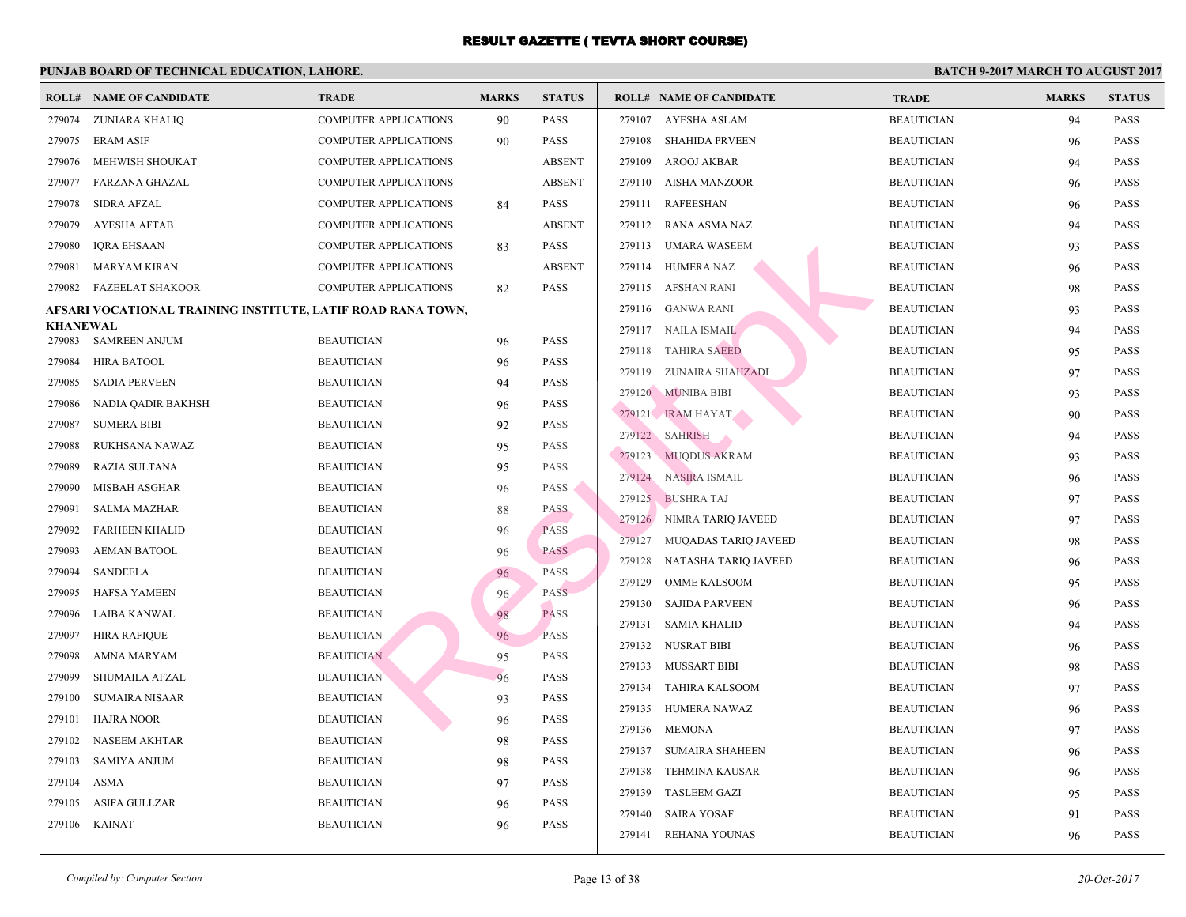|                           | <b>ROLL# NAME OF CANDIDATE</b>                              | <b>TRADE</b>                           | <b>MARKS</b> | <b>STATUS</b> |        | <b>ROLL# NAME OF CANDIDATE</b> | <b>TRA</b>  |
|---------------------------|-------------------------------------------------------------|----------------------------------------|--------------|---------------|--------|--------------------------------|-------------|
| 279074                    | ZUNIARA KHALIO                                              | <b>COMPUTER APPLICATIONS</b>           | 90           | <b>PASS</b>   | 279107 | AYESHA ASLAM                   | <b>BEAU</b> |
| 279075                    | <b>ERAM ASIF</b>                                            | <b>COMPUTER APPLICATIONS</b>           | 90           | <b>PASS</b>   | 279108 | <b>SHAHIDA PRVEEN</b>          | <b>BEAU</b> |
| 279076                    | MEHWISH SHOUKAT                                             | <b>COMPUTER APPLICATIONS</b>           |              | <b>ABSENT</b> | 279109 | AROOJ AKBAR                    | <b>BEAU</b> |
| 279077                    | FARZANA GHAZAL                                              | <b>COMPUTER APPLICATIONS</b>           |              | <b>ABSENT</b> |        | 279110 AISHA MANZOOR           | <b>BEAU</b> |
| 279078                    | <b>SIDRA AFZAL</b>                                          | <b>COMPUTER APPLICATIONS</b>           | 84           | <b>PASS</b>   | 279111 | <b>RAFEESHAN</b>               | <b>BEAU</b> |
| 279079                    | <b>AYESHA AFTAB</b>                                         | <b>COMPUTER APPLICATIONS</b>           |              | <b>ABSENT</b> |        | 279112 RANA ASMA NAZ           | <b>BEAU</b> |
| 279080                    | <b>IQRA EHSAAN</b>                                          | <b>COMPUTER APPLICATIONS</b>           | 83           | <b>PASS</b>   |        | 279113 UMARA WASEEM            | <b>BEAU</b> |
| 279081                    | <b>MARYAM KIRAN</b>                                         | COMPUTER APPLICATIONS                  |              | <b>ABSENT</b> | 279114 | HUMERA NAZ                     | <b>BEAU</b> |
| 279082                    | <b>FAZEELAT SHAKOOR</b>                                     | <b>COMPUTER APPLICATIONS</b>           | 82           | <b>PASS</b>   |        | 279115 AFSHAN RANI             | <b>BEAL</b> |
|                           | AFSARI VOCATIONAL TRAINING INSTITUTE, LATIF ROAD RANA TOWN, |                                        |              |               |        | 279116 GANWA RANI              | <b>BEAU</b> |
| <b>KHANEWAL</b><br>279083 | <b>SAMREEN ANJUM</b>                                        | <b>BEAUTICIAN</b>                      | 96           | <b>PASS</b>   |        | 279117 NAILA ISMAIL            | <b>BEAU</b> |
| 279084                    | <b>HIRA BATOOL</b>                                          | <b>BEAUTICIAN</b>                      |              | <b>PASS</b>   |        | 279118 TAHIRA SAEED            | <b>BEAU</b> |
| 279085                    | <b>SADIA PERVEEN</b>                                        | <b>BEAUTICIAN</b>                      | 96<br>94     | <b>PASS</b>   |        | 279119 ZUNAIRA SHAHZADI        | <b>BEAU</b> |
| 279086                    | NADIA QADIR BAKHSH                                          | <b>BEAUTICIAN</b>                      | 96           | <b>PASS</b>   |        | 279120 MUNIBA BIBI             | <b>BEAU</b> |
| 279087                    | <b>SUMERA BIBI</b>                                          | <b>BEAUTICIAN</b>                      | 92           | <b>PASS</b>   |        | 279121 IRAM HAYAT              | <b>BEAU</b> |
| 279088                    | RUKHSANA NAWAZ                                              | <b>BEAUTICIAN</b>                      | 95           | <b>PASS</b>   |        | 279122 SAHRISH                 | <b>BEAU</b> |
| 279089                    | RAZIA SULTANA                                               | <b>BEAUTICIAN</b>                      |              | PASS          |        | 279123 MUODUS AKRAM            | <b>BEAU</b> |
| 279090                    | MISBAH ASGHAR                                               | <b>BEAUTICIAN</b>                      | 95<br>96     | PASS          |        | 279124 NASIRA ISMAIL           | <b>BEAU</b> |
| 279091                    | <b>SALMA MAZHAR</b>                                         | <b>BEAUTICIAN</b>                      |              | <b>PASS</b>   |        | 279125 BUSHRA TAJ              | <b>BEAU</b> |
| 279092                    | <b>FARHEEN KHALID</b>                                       | <b>BEAUTICIAN</b>                      | 88<br>96     | <b>PASS</b>   |        | 279126 NIMRA TARIQ JAVEED      | <b>BEAU</b> |
| 279093                    | <b>AEMAN BATOOL</b>                                         | <b>BEAUTICIAN</b>                      |              | <b>PASS</b>   | 279127 | MUQADAS TARIQ JAVEED           | <b>BEAU</b> |
| 279094                    | <b>SANDEELA</b>                                             | <b>BEAUTICIAN</b>                      | 96           | PASS          | 279128 | NATASHA TARIQ JAVEED           | <b>BEAU</b> |
| 279095                    | <b>HAFSA YAMEEN</b>                                         | <b>BEAUTICIAN</b>                      | 96           | <b>PASS</b>   | 279129 | <b>OMME KALSOOM</b>            | <b>BEAU</b> |
| 279096                    | LAIBA KANWAL                                                | <b>BEAUTICIAN</b>                      | 96           | <b>PASS</b>   | 279130 | <b>SAJIDA PARVEEN</b>          | <b>BEAU</b> |
| 279097                    | <b>HIRA RAFIQUE</b>                                         |                                        | 98           | <b>PASS</b>   | 279131 | <b>SAMIA KHALID</b>            | <b>BEAU</b> |
| 279098                    | <b>AMNA MARYAM</b>                                          | <b>BEAUTICIAN</b><br><b>BEAUTICIAN</b> | 96           | <b>PASS</b>   |        | 279132 NUSRAT BIBI             | <b>BEAU</b> |
|                           |                                                             |                                        | 95           |               |        | 279133 MUSSART BIBI            | <b>BEAU</b> |
| 279099                    | SHUMAILA AFZAL                                              | <b>BEAUTICIAN</b><br><b>BEAUTICIAN</b> | 96           | <b>PASS</b>   | 279134 | TAHIRA KALSOOM                 | <b>BEAU</b> |
| 279100                    | <b>SUMAIRA NISAAR</b>                                       |                                        | 93           | <b>PASS</b>   |        | 279135 HUMERA NAWAZ            | <b>BEAU</b> |
| 279101                    | <b>HAJRA NOOR</b>                                           | <b>BEAUTICIAN</b><br><b>BEAUTICIAN</b> | 96           | <b>PASS</b>   |        | 279136 MEMONA                  | <b>BEAU</b> |
| 279102                    | <b>NASEEM AKHTAR</b>                                        |                                        | 98           | <b>PASS</b>   |        | 279137 SUMAIRA SHAHEEN         | <b>BEAU</b> |
| 279103                    | <b>SAMIYA ANJUM</b>                                         | <b>BEAUTICIAN</b>                      | 98           | <b>PASS</b>   | 279138 | TEHMINA KAUSAR                 | <b>BEAU</b> |
| 279104                    | ASMA                                                        | <b>BEAUTICIAN</b>                      | 97           | <b>PASS</b>   |        | 279139 TASLEEM GAZI            | <b>BEAU</b> |
| 279105                    | <b>ASIFA GULLZAR</b>                                        | <b>BEAUTICIAN</b>                      | 96           | <b>PASS</b>   |        | 279140 SAIRA YOSAF             | <b>BEAL</b> |
| 279106                    | <b>KAINAT</b>                                               | <b>BEAUTICIAN</b>                      | 96           | <b>PASS</b>   | 279141 | REHANA YOUNAS                  | <b>BEAU</b> |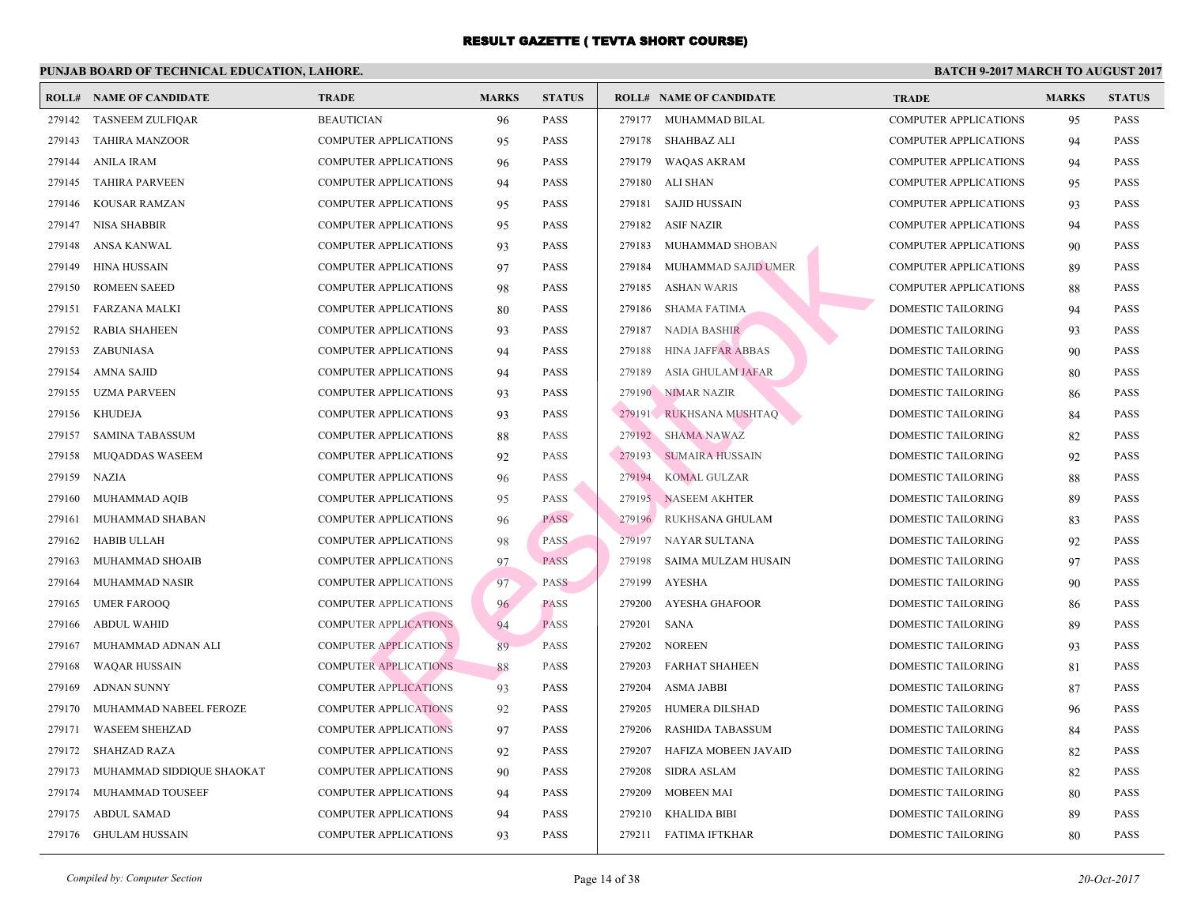|        | <b>ROLL# NAME OF CANDIDATE</b> | <b>TRADE</b>                 | <b>MARKS</b> | <b>STATUS</b> |        | <b>ROLL# NAME OF CANDIDATE</b> | <b>TRA</b>  |
|--------|--------------------------------|------------------------------|--------------|---------------|--------|--------------------------------|-------------|
| 279142 | <b>TASNEEM ZULFIQAR</b>        | <b>BEAUTICIAN</b>            | 96           | <b>PASS</b>   |        | 279177 MUHAMMAD BILAL          | COMI        |
| 279143 | <b>TAHIRA MANZOOR</b>          | COMPUTER APPLICATIONS        | 95           | <b>PASS</b>   | 279178 | SHAHBAZ ALI                    | <b>COMF</b> |
| 279144 | <b>ANILA IRAM</b>              | <b>COMPUTER APPLICATIONS</b> | 96           | <b>PASS</b>   | 279179 | <b>WAQAS AKRAM</b>             | <b>COME</b> |
| 279145 | <b>TAHIRA PARVEEN</b>          | <b>COMPUTER APPLICATIONS</b> | 94           | <b>PASS</b>   | 279180 | ALI SHAN                       | <b>COMF</b> |
| 279146 | <b>KOUSAR RAMZAN</b>           | COMPUTER APPLICATIONS        | 95           | <b>PASS</b>   | 279181 | <b>SAJID HUSSAIN</b>           | <b>COME</b> |
| 279147 | NISA SHABBIR                   | COMPUTER APPLICATIONS        | 95           | <b>PASS</b>   | 279182 | <b>ASIF NAZIR</b>              | COMI        |
| 279148 | ANSA KANWAL                    | <b>COMPUTER APPLICATIONS</b> | 93           | <b>PASS</b>   | 279183 | MUHAMMAD SHOBAN                | <b>COME</b> |
| 279149 | <b>HINA HUSSAIN</b>            | <b>COMPUTER APPLICATIONS</b> | 97           | <b>PASS</b>   | 279184 | MUHAMMAD SAJID UMER            | <b>COME</b> |
| 279150 | <b>ROMEEN SAEED</b>            | <b>COMPUTER APPLICATIONS</b> | 98           | <b>PASS</b>   | 279185 | <b>ASHAN WARIS</b>             | COMI        |
| 279151 | FARZANA MALKI                  | COMPUTER APPLICATIONS        | 80           | <b>PASS</b>   | 279186 | SHAMA FATIMA                   | <b>DOMI</b> |
| 279152 | <b>RABIA SHAHEEN</b>           | <b>COMPUTER APPLICATIONS</b> | 93           | <b>PASS</b>   | 279187 | <b>NADIA BASHIR</b>            | <b>DOMI</b> |
| 279153 | ZABUNIASA                      | <b>COMPUTER APPLICATIONS</b> | 94           | <b>PASS</b>   | 279188 | <b>HINA JAFFAR ABBAS</b>       | <b>DOMI</b> |
| 279154 | <b>AMNA SAJID</b>              | COMPUTER APPLICATIONS        | 94           | <b>PASS</b>   | 279189 | <b>ASIA GHULAM JAFAR</b>       | <b>DOMI</b> |
| 279155 | <b>UZMA PARVEEN</b>            | <b>COMPUTER APPLICATIONS</b> | 93           | <b>PASS</b>   |        | 279190 NIMAR NAZIR             | <b>DOMI</b> |
| 279156 | <b>KHUDEJA</b>                 | COMPUTER APPLICATIONS        | 93           | <b>PASS</b>   |        | 279191 RUKHSANA MUSHTAQ        | <b>DOM</b>  |
| 279157 | <b>SAMINA TABASSUM</b>         | <b>COMPUTER APPLICATIONS</b> | 88           | <b>PASS</b>   |        | 279192 SHAMA NAWAZ             | <b>DOMI</b> |
| 279158 | MUQADDAS WASEEM                | <b>COMPUTER APPLICATIONS</b> | 92           | <b>PASS</b>   | 279193 | SUMAIRA HUSSAIN                | <b>DOMI</b> |
| 279159 | <b>NAZIA</b>                   | <b>COMPUTER APPLICATIONS</b> | 96           | <b>PASS</b>   | 279194 | <b>KOMAL GULZAR</b>            | <b>DOMI</b> |
| 279160 | MUHAMMAD AQIB                  | <b>COMPUTER APPLICATIONS</b> | 95           | <b>PASS</b>   |        | 279195 NASEEM AKHTER           | <b>DOMI</b> |
| 279161 | MUHAMMAD SHABAN                | COMPUTER APPLICATIONS        | 96           | <b>PASS</b>   | 279196 | RUKHSANA GHULAM                | <b>DOMI</b> |
| 279162 | <b>HABIB ULLAH</b>             | <b>COMPUTER APPLICATIONS</b> | 98           | <b>PASS</b>   | 279197 | NAYAR SULTANA                  | <b>DOMI</b> |
| 279163 | MUHAMMAD SHOAIB                | <b>COMPUTER APPLICATIONS</b> | 97           | <b>PASS</b>   | 279198 | SAIMA MULZAM HUSAIN            | <b>DOMI</b> |
| 279164 | <b>MUHAMMAD NASIR</b>          | <b>COMPUTER APPLICATIONS</b> | 97           | <b>PASS</b>   | 279199 | <b>AYESHA</b>                  | <b>DOMI</b> |
| 279165 | <b>UMER FAROOQ</b>             | <b>COMPUTER APPLICATIONS</b> | 96           | <b>PASS</b>   | 279200 | <b>AYESHA GHAFOOR</b>          | <b>DOMI</b> |
| 279166 | <b>ABDUL WAHID</b>             | <b>COMPUTER APPLICATIONS</b> | 94           | <b>PASS</b>   | 279201 | <b>SANA</b>                    | <b>DOMI</b> |
| 279167 | MUHAMMAD ADNAN ALI             | <b>COMPUTER APPLICATIONS</b> | 89           | <b>PASS</b>   | 279202 | <b>NOREEN</b>                  | <b>DOMI</b> |
| 279168 | <b>WAQAR HUSSAIN</b>           | <b>COMPUTER APPLICATIONS</b> | 88           | PASS          | 279203 | FARHAT SHAHEEN                 | <b>DOMI</b> |
| 279169 | <b>ADNAN SUNNY</b>             | <b>COMPUTER APPLICATIONS</b> | 93           | <b>PASS</b>   | 279204 | <b>ASMA JABBI</b>              | <b>DOMI</b> |
| 279170 | MUHAMMAD NABEEL FEROZE         | <b>COMPUTER APPLICATIONS</b> | 92           | <b>PASS</b>   | 279205 | HUMERA DILSHAD                 | <b>DOMI</b> |
| 279171 | <b>WASEEM SHEHZAD</b>          | <b>COMPUTER APPLICATIONS</b> | 97           | <b>PASS</b>   | 279206 | RASHIDA TABASSUM               | <b>DOMI</b> |
| 279172 | <b>SHAHZAD RAZA</b>            | COMPUTER APPLICATIONS        | 92           | <b>PASS</b>   | 279207 | HAFIZA MOBEEN JAVAID           | <b>DOMI</b> |
| 279173 | MUHAMMAD SIDDIQUE SHAOKAT      | COMPUTER APPLICATIONS        | 90           | <b>PASS</b>   | 279208 | <b>SIDRA ASLAM</b>             | <b>DOMI</b> |
| 279174 | MUHAMMAD TOUSEEF               | COMPUTER APPLICATIONS        | 94           | <b>PASS</b>   | 279209 | <b>MOBEEN MAI</b>              | <b>DOMI</b> |
| 279175 | <b>ABDUL SAMAD</b>             | <b>COMPUTER APPLICATIONS</b> | 94           | <b>PASS</b>   | 279210 | KHALIDA BIBI                   | <b>DOMI</b> |
| 279176 | GHULAM HUSSAIN                 | COMPUTER APPLICATIONS        | 93           | <b>PASS</b>   |        | 279211 FATIMA IFTKHAR          | <b>DOMI</b> |
|        |                                |                              |              |               |        |                                |             |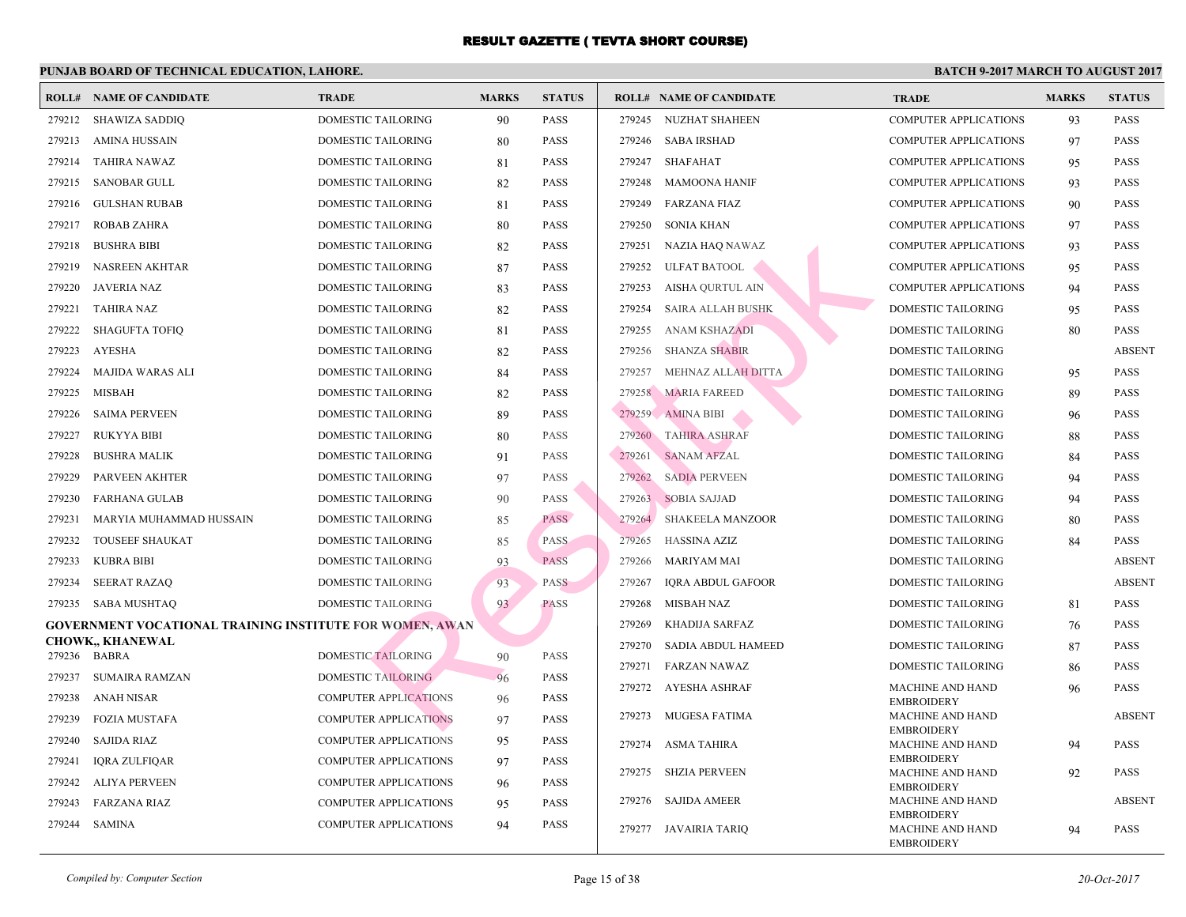|        | <b>ROLL# NAME OF CANDIDATE</b>                                  | <b>TRADE</b>                 | <b>MARKS</b> | <b>STATUS</b> | <b>ROLL# NAME OF CANDIDATE</b>    | <b>TRA</b>                 |
|--------|-----------------------------------------------------------------|------------------------------|--------------|---------------|-----------------------------------|----------------------------|
| 279212 | SHAWIZA SADDIQ                                                  | DOMESTIC TAILORING           | 90           | <b>PASS</b>   | 279245<br>NUZHAT SHAHEEN          | COMI                       |
| 279213 | AMINA HUSSAIN                                                   | <b>DOMESTIC TAILORING</b>    | 80           | <b>PASS</b>   | 279246 SABA IRSHAD                | <b>COME</b>                |
| 279214 | TAHIRA NAWAZ                                                    | DOMESTIC TAILORING           | 81           | <b>PASS</b>   | 279247<br>SHAFAHAT                | <b>COMI</b>                |
| 279215 | SANOBAR GULL                                                    | DOMESTIC TAILORING           | 82           | <b>PASS</b>   | 279248 MAMOONA HANIF              | <b>COMF</b>                |
| 279216 | <b>GULSHAN RUBAB</b>                                            | DOMESTIC TAILORING           | 81           | <b>PASS</b>   | 279249 FARZANA FIAZ               | <b>COMI</b>                |
| 279217 | <b>ROBAB ZAHRA</b>                                              | DOMESTIC TAILORING           | 80           | <b>PASS</b>   | 279250<br>SONIA KHAN              | <b>COME</b>                |
| 279218 | <b>BUSHRA BIBI</b>                                              | DOMESTIC TAILORING           | 82           | <b>PASS</b>   | 279251<br>NAZIA HAQ NAWAZ         | <b>COME</b>                |
| 279219 | <b>NASREEN AKHTAR</b>                                           | DOMESTIC TAILORING           | 87           | <b>PASS</b>   | 279252<br><b>ULFAT BATOOL</b>     | <b>COME</b>                |
| 279220 | JAVERIA NAZ                                                     | DOMESTIC TAILORING           | 83           | <b>PASS</b>   | 279253<br>AISHA QURTUL AIN        | <b>COME</b>                |
| 279221 | <b>TAHIRA NAZ</b>                                               | DOMESTIC TAILORING           | 82           | <b>PASS</b>   | 279254<br>SAIRA ALLAH BUSHK       | <b>DOMI</b>                |
| 279222 | <b>SHAGUFTA TOFIQ</b>                                           | DOMESTIC TAILORING           | 81           | <b>PASS</b>   | 279255<br><b>ANAM KSHAZADI</b>    | <b>DOMI</b>                |
| 279223 | <b>AYESHA</b>                                                   | DOMESTIC TAILORING           | 82           | <b>PASS</b>   | 279256<br><b>SHANZA SHABIR</b>    | <b>DOMI</b>                |
| 279224 | MAJIDA WARAS ALI                                                | DOMESTIC TAILORING           | 84           | <b>PASS</b>   | 279257<br>MEHNAZ ALLAH DITTA      | <b>DOMI</b>                |
| 279225 | MISBAH                                                          | DOMESTIC TAILORING           | 82           | <b>PASS</b>   | 279258 MARIA FAREED               | <b>DOMI</b>                |
| 279226 | <b>SAIMA PERVEEN</b>                                            | DOMESTIC TAILORING           | 89           | <b>PASS</b>   | 279259 AMINA BIBI                 | <b>DOMI</b>                |
| 279227 | <b>RUKYYA BIBI</b>                                              | DOMESTIC TAILORING           | 80           | <b>PASS</b>   | 279260<br><b>TAHIRA ASHRAF</b>    | <b>DOMI</b>                |
| 279228 | <b>BUSHRA MALIK</b>                                             | DOMESTIC TAILORING           | 91           | <b>PASS</b>   | 279261<br><b>SANAM AFZAL</b>      | <b>DOMI</b>                |
| 279229 | <b>PARVEEN AKHTER</b>                                           | DOMESTIC TAILORING           | 97           | <b>PASS</b>   | 279262<br><b>SADIA PERVEEN</b>    | <b>DOMI</b>                |
| 279230 | FARHANA GULAB                                                   | DOMESTIC TAILORING           | 90           | <b>PASS</b>   | 279263 SOBIA SAJJAD               | <b>DOMI</b>                |
| 279231 | MARYIA MUHAMMAD HUSSAIN                                         | DOMESTIC TAILORING           | 85           | <b>PASS</b>   | 279264<br><b>SHAKEELA MANZOOR</b> | <b>DOMI</b>                |
| 279232 | <b>TOUSEEF SHAUKAT</b>                                          | DOMESTIC TAILORING           | 85           | <b>PASS</b>   | 279265<br><b>HASSINA AZIZ</b>     | <b>DOMI</b>                |
| 279233 | <b>KUBRA BIBI</b>                                               | <b>DOMESTIC TAILORING</b>    | 93           | <b>PASS</b>   | 279266<br>MARIYAM MAI             | <b>DOMI</b>                |
| 279234 | <b>SEERAT RAZAQ</b>                                             | DOMESTIC TAILORING           | 93           | <b>PASS</b>   | 279267<br>IQRA ABDUL GAFOOR       | <b>DOMI</b>                |
| 279235 | SABA MUSHTAO                                                    | <b>DOMESTIC TAILORING</b>    | 93           | <b>PASS</b>   | 279268<br><b>MISBAH NAZ</b>       | <b>DOMI</b>                |
|        | <b>GOVERNMENT VOCATIONAL TRAINING INSTITUTE FOR WOMEN, AWAN</b> |                              |              |               | 279269<br>KHADIJA SARFAZ          | <b>DOMI</b>                |
|        | CHOWK,, KHANEWAL                                                |                              |              |               | 279270<br>SADIA ABDUL HAMEED      | <b>DOMI</b>                |
|        | 279236 BABRA                                                    | <b>DOMESTIC TAILORING</b>    | 90           | <b>PASS</b>   | 279271<br>FARZAN NAWAZ            | <b>DOMI</b>                |
| 279237 | <b>SUMAIRA RAMZAN</b>                                           | <b>DOMESTIC TAILORING</b>    | 96           | <b>PASS</b>   | 279272 AYESHA ASHRAF              | <b>MACI</b>                |
| 279238 | ANAH NISAR                                                      | <b>COMPUTER APPLICATIONS</b> | 96           | <b>PASS</b>   | 279273<br>MUGESA FATIMA           | <b>EMBF</b><br><b>MACI</b> |
| 279239 | <b>FOZIA MUSTAFA</b>                                            | <b>COMPUTER APPLICATIONS</b> | 97           | <b>PASS</b>   |                                   | <b>EMBF</b>                |
| 279240 | <b>SAJIDA RIAZ</b>                                              | <b>COMPUTER APPLICATIONS</b> | 95           | <b>PASS</b>   | 279274<br>ASMA TAHIRA             | <b>MACI</b><br><b>EMBF</b> |
| 279241 | IQRA ZULFIQAR                                                   | <b>COMPUTER APPLICATIONS</b> | 97           | <b>PASS</b>   | 279275 SHZIA PERVEEN              | <b>MACI</b>                |
| 279242 | <b>ALIYA PERVEEN</b>                                            | <b>COMPUTER APPLICATIONS</b> | 96           | <b>PASS</b>   | 279276                            | <b>EMBF</b>                |
| 279243 | FARZANA RIAZ                                                    | COMPUTER APPLICATIONS        | 95           | <b>PASS</b>   | SAJIDA AMEER                      | <b>MACI</b><br><b>EMBF</b> |
| 279244 | SAMINA                                                          | COMPUTER APPLICATIONS        | 94           | <b>PASS</b>   | 279277 JAVAIRIA TARIQ             | <b>MACI</b>                |
|        |                                                                 |                              |              |               |                                   | <b>EMBF</b>                |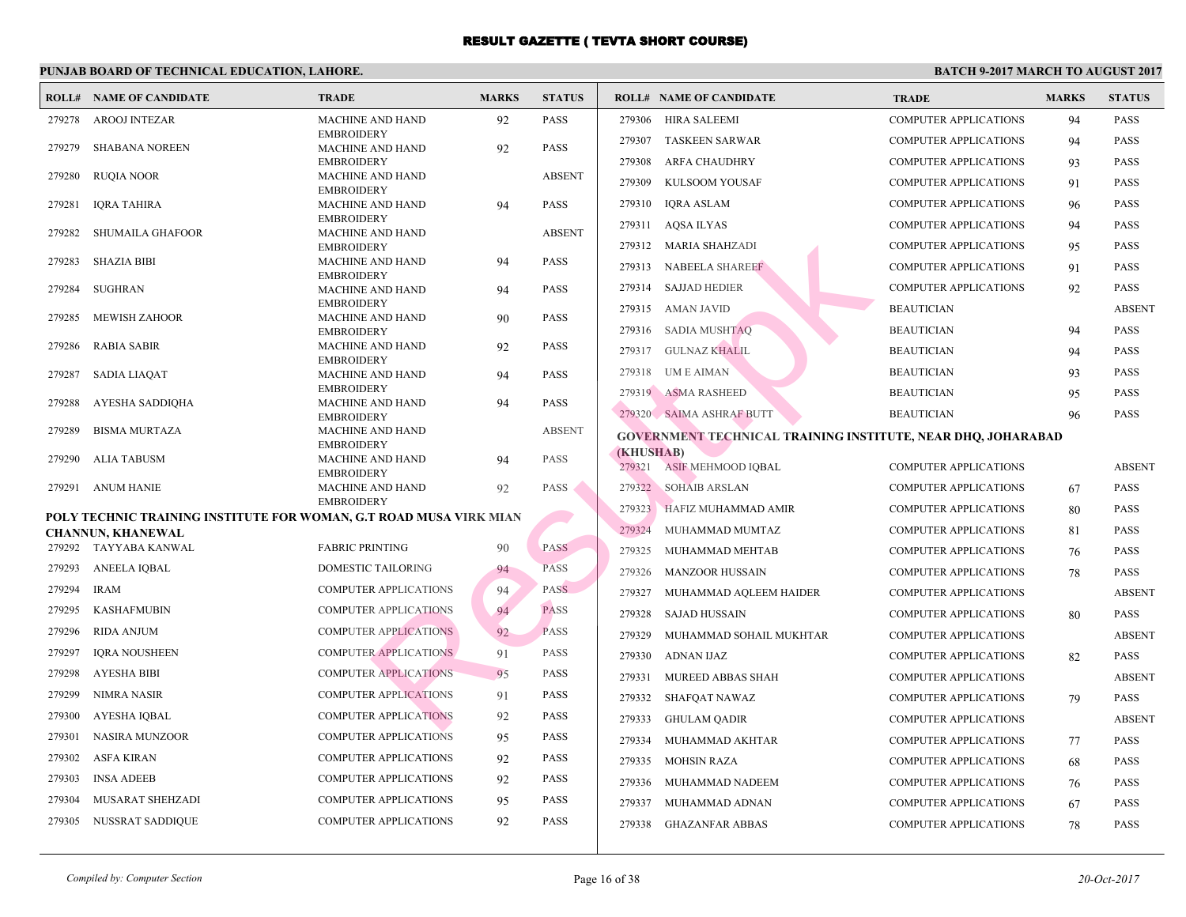|        | <b>ROLL# NAME OF CANDIDATE</b>                                     | <b>TRADE</b>                                 | <b>MARKS</b> | <b>STATUS</b> |           | <b>ROLL# NAME OF CANDIDATE</b>                  | <b>TRA</b>  |
|--------|--------------------------------------------------------------------|----------------------------------------------|--------------|---------------|-----------|-------------------------------------------------|-------------|
| 279278 | <b>AROOJ INTEZAR</b>                                               | <b>MACHINE AND HAND</b>                      | 92           | <b>PASS</b>   | 279306    | <b>HIRA SALEEMI</b>                             | <b>COMI</b> |
| 279279 | <b>SHABANA NOREEN</b>                                              | <b>EMBROIDERY</b><br><b>MACHINE AND HAND</b> | 92           | <b>PASS</b>   | 279307    | <b>TASKEEN SARWAR</b>                           | <b>COME</b> |
|        |                                                                    | <b>EMBROIDERY</b>                            |              |               | 279308    | <b>ARFA CHAUDHRY</b>                            | <b>COME</b> |
| 279280 | RUQIA NOOR                                                         | <b>MACHINE AND HAND</b>                      |              | <b>ABSENT</b> | 279309    | KULSOOM YOUSAF                                  | <b>COMF</b> |
| 279281 | <b>IQRA TAHIRA</b>                                                 | <b>EMBROIDERY</b><br><b>MACHINE AND HAND</b> | 94           | <b>PASS</b>   | 279310    | <b>IQRA ASLAM</b>                               | <b>COMF</b> |
|        |                                                                    | <b>EMBROIDERY</b>                            |              |               | 279311    | AQSA ILYAS                                      | <b>COME</b> |
| 279282 | <b>SHUMAILA GHAFOOR</b>                                            | <b>MACHINE AND HAND</b><br><b>EMBROIDERY</b> |              | <b>ABSENT</b> | 279312    | MARIA SHAHZADI                                  | <b>COMF</b> |
| 279283 | <b>SHAZIA BIBI</b>                                                 | <b>MACHINE AND HAND</b>                      | 94           | <b>PASS</b>   | 279313    | <b>NABEELA SHAREEF</b>                          | <b>COME</b> |
|        |                                                                    | <b>EMBROIDERY</b>                            |              |               | 279314    | <b>SAJJAD HEDIER</b>                            | <b>COME</b> |
| 279284 | SUGHRAN                                                            | <b>MACHINE AND HAND</b><br><b>EMBROIDERY</b> | 94           | <b>PASS</b>   |           |                                                 |             |
| 279285 | <b>MEWISH ZAHOOR</b>                                               | <b>MACHINE AND HAND</b>                      | 90           | <b>PASS</b>   | 279315    | AMAN JAVID                                      | <b>BEAU</b> |
| 279286 | <b>RABIA SABIR</b>                                                 | <b>EMBROIDERY</b><br><b>MACHINE AND HAND</b> | 92           | <b>PASS</b>   | 279316    | SADIA MUSHTAQ                                   | <b>BEAU</b> |
|        |                                                                    | <b>EMBROIDERY</b>                            |              |               | 279317    | GULNAZ KHALIL                                   | <b>BEAU</b> |
| 279287 | <b>SADIA LIAQAT</b>                                                | <b>MACHINE AND HAND</b>                      | 94           | <b>PASS</b>   | 279318    | UM E AIMAN                                      | <b>BEAU</b> |
| 279288 | AYESHA SADDIQHA                                                    | <b>EMBROIDERY</b><br><b>MACHINE AND HAND</b> | 94           | <b>PASS</b>   |           | 279319 ASMA RASHEED                             | <b>BEAU</b> |
|        |                                                                    | <b>EMBROIDERY</b>                            |              |               |           | 279320 SAIMA ASHRAF BUTT                        | <b>BEAU</b> |
| 279289 | <b>BISMA MURTAZA</b>                                               | <b>MACHINE AND HAND</b>                      |              | <b>ABSENT</b> |           | <b>GOVERNMENT TECHNICAL TRAINING INSTITUTE,</b> |             |
| 279290 | ALIA TABUSM                                                        | <b>EMBROIDERY</b><br><b>MACHINE AND HAND</b> | 94           | <b>PASS</b>   | (KHUSHAB) |                                                 |             |
|        |                                                                    | <b>EMBROIDERY</b>                            |              |               | 279321    | <b>ASIF MEHMOOD IQBAL</b>                       | <b>COME</b> |
| 279291 | <b>ANUM HANIE</b>                                                  | <b>MACHINE AND HAND</b><br><b>EMBROIDERY</b> | 92           | <b>PASS</b>   |           | 279322 SOHAIB ARSLAN                            | <b>COMF</b> |
|        | POLY TECHNIC TRAINING INSTITUTE FOR WOMAN, G.T ROAD MUSA VIRK MIAN |                                              |              |               |           | 279323 HAFIZ MUHAMMAD AMIR                      | <b>COME</b> |
|        | <b>CHANNUN, KHANEWAL</b>                                           |                                              |              |               | 279324    | MUHAMMAD MUMTAZ                                 | <b>COME</b> |
|        | 279292 TAYYABA KANWAL                                              | <b>FABRIC PRINTING</b>                       | 90           | <b>PASS</b>   | 279325    | MUHAMMAD MEHTAB                                 | <b>COME</b> |
| 279293 | <b>ANEELA IQBAL</b>                                                | DOMESTIC TAILORING                           | 94           | <b>PASS</b>   | 279326    | <b>MANZOOR HUSSAIN</b>                          | <b>COMF</b> |
| 279294 | <b>IRAM</b>                                                        | <b>COMPUTER APPLICATIONS</b>                 | 94           | <b>PASS</b>   | 279327    | MUHAMMAD AQLEEM HAIDER                          | <b>COME</b> |
| 279295 | <b>KASHAFMUBIN</b>                                                 | <b>COMPUTER APPLICATIONS</b>                 | 94           | <b>PASS</b>   | 279328    | <b>SAJAD HUSSAIN</b>                            | <b>COME</b> |
| 279296 | <b>RIDA ANJUM</b>                                                  | <b>COMPUTER APPLICATIONS</b>                 | 92           | <b>PASS</b>   | 279329    | MUHAMMAD SOHAIL MUKHTAR                         | <b>COMF</b> |
| 279297 | <b>IQRA NOUSHEEN</b>                                               | <b>COMPUTER APPLICATIONS</b>                 | 91           | PASS          | 279330    | <b>ADNAN IJAZ</b>                               | <b>COME</b> |
| 279298 | <b>AYESHA BIBI</b>                                                 | <b>COMPUTER APPLICATIONS</b>                 | 95           | PASS          | 279331    | MUREED ABBAS SHAH                               | <b>COMF</b> |
| 279299 | <b>NIMRA NASIR</b>                                                 | <b>COMPUTER APPLICATIONS</b>                 | 91           | <b>PASS</b>   | 279332    | SHAFQAT NAWAZ                                   | <b>COMF</b> |
| 279300 | <b>AYESHA IQBAL</b>                                                | <b>COMPUTER APPLICATIONS</b>                 | 92           | <b>PASS</b>   | 279333    | GHULAM QADIR                                    | <b>COMF</b> |
| 279301 | NASIRA MUNZOOR                                                     | <b>COMPUTER APPLICATIONS</b>                 | 95           | <b>PASS</b>   |           |                                                 |             |
| 279302 | ASFA KIRAN                                                         | <b>COMPUTER APPLICATIONS</b>                 | 92           | <b>PASS</b>   | 279334    | MUHAMMAD AKHTAR                                 | <b>COMF</b> |
|        |                                                                    |                                              |              |               | 279335    | <b>MOHSIN RAZA</b>                              | <b>COME</b> |
| 279303 | <b>INSA ADEEB</b>                                                  | <b>COMPUTER APPLICATIONS</b>                 | 92           | <b>PASS</b>   | 279336    | MUHAMMAD NADEEM                                 | <b>COMF</b> |
| 279304 | <b>MUSARAT SHEHZADI</b>                                            | <b>COMPUTER APPLICATIONS</b>                 | 95           | <b>PASS</b>   | 279337    | MUHAMMAD ADNAN                                  | <b>COME</b> |
| 279305 | NUSSRAT SADDIQUE                                                   | COMPUTER APPLICATIONS                        | 92           | <b>PASS</b>   | 279338    | <b>GHAZANFAR ABBAS</b>                          | <b>COME</b> |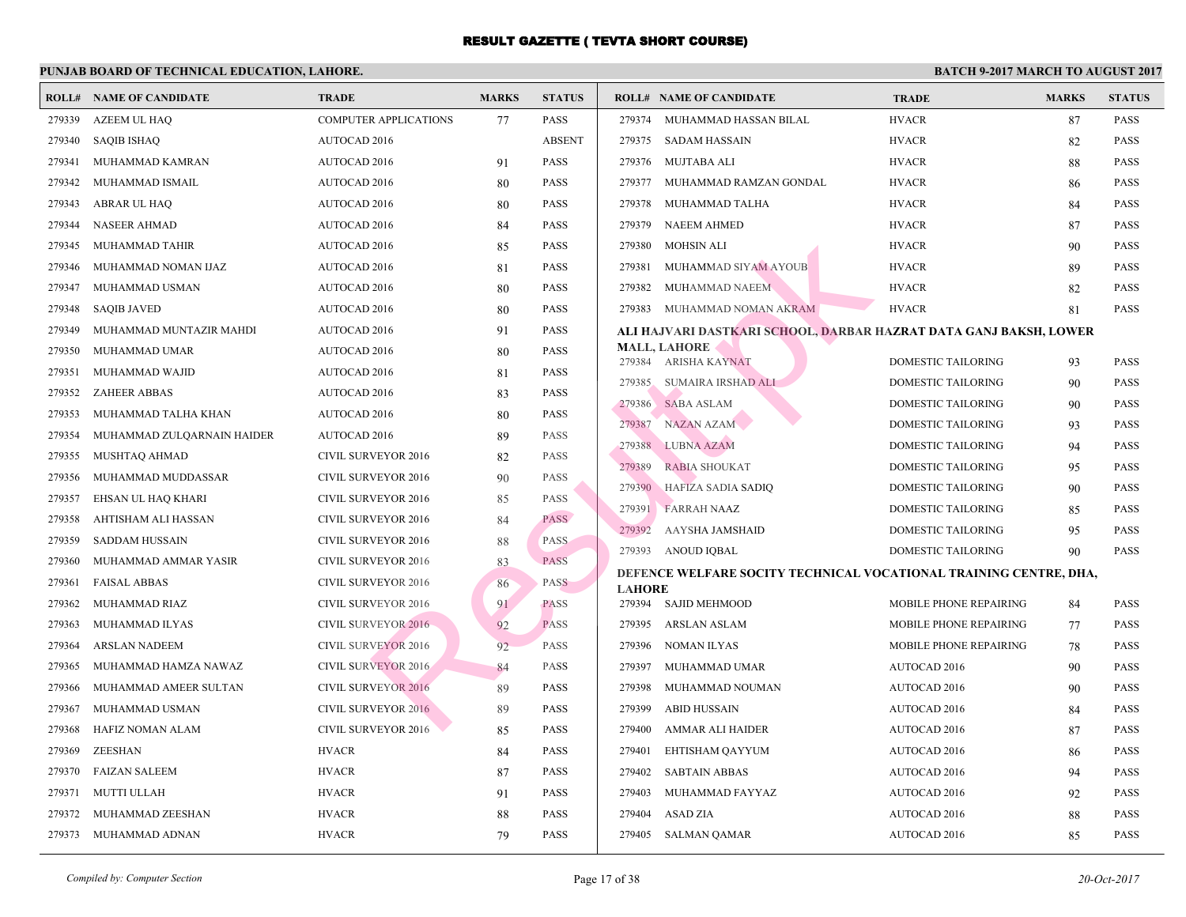|        | <b>ROLL# NAME OF CANDIDATE</b> | <b>TRADE</b>                 | <b>MARKS</b> | <b>STATUS</b> |               | <b>ROLL# NAME OF CANDIDATE</b>            | <b>TRA</b>  |
|--------|--------------------------------|------------------------------|--------------|---------------|---------------|-------------------------------------------|-------------|
| 279339 | AZEEM UL HAQ                   | <b>COMPUTER APPLICATIONS</b> | 77           | <b>PASS</b>   | 279374        | MUHAMMAD HASSAN BILAL                     | <b>HVAC</b> |
| 279340 | <b>SAQIB ISHAQ</b>             | <b>AUTOCAD 2016</b>          |              | <b>ABSENT</b> |               | 279375 SADAM HASSAIN                      | <b>HVAC</b> |
| 279341 | MUHAMMAD KAMRAN                | AUTOCAD 2016                 | 91           | <b>PASS</b>   |               | 279376 MUJTABA ALI                        | <b>HVAC</b> |
| 279342 | MUHAMMAD ISMAIL                | <b>AUTOCAD 2016</b>          | 80           | <b>PASS</b>   | 279377        | MUHAMMAD RAMZAN GONDAL                    | <b>HVAC</b> |
| 279343 | ABRAR UL HAQ                   | AUTOCAD 2016                 | 80           | <b>PASS</b>   | 279378        | MUHAMMAD TALHA                            | <b>HVAC</b> |
| 279344 | <b>NASEER AHMAD</b>            | <b>AUTOCAD 2016</b>          | 84           | <b>PASS</b>   | 279379        | NAEEM AHMED                               | <b>HVAC</b> |
| 279345 | MUHAMMAD TAHIR                 | AUTOCAD 2016                 | 85           | <b>PASS</b>   | 279380        | MOHSIN ALI                                | <b>HVAC</b> |
| 279346 | MUHAMMAD NOMAN IJAZ            | <b>AUTOCAD 2016</b>          | 81           | <b>PASS</b>   | 279381        | MUHAMMAD SIYAM AYOUB                      | <b>HVAC</b> |
| 279347 | MUHAMMAD USMAN                 | <b>AUTOCAD 2016</b>          | 80           | <b>PASS</b>   | 279382        | MUHAMMAD NAEEM                            | <b>HVAC</b> |
| 279348 | <b>SAQIB JAVED</b>             | AUTOCAD 2016                 | 80           | <b>PASS</b>   | 279383        | MUHAMMAD NOMAN AKRAM                      | <b>HVAC</b> |
| 279349 | MUHAMMAD MUNTAZIR MAHDI        | <b>AUTOCAD 2016</b>          | 91           | <b>PASS</b>   |               | ALI HAJVARI DASTKARI SCHOOL, DARBAR HAZRA |             |
| 279350 | MUHAMMAD UMAR                  | AUTOCAD 2016                 | 80           | <b>PASS</b>   |               | <b>MALL, LAHORE</b>                       |             |
| 279351 | MUHAMMAD WAJID                 | <b>AUTOCAD 2016</b>          | 81           | <b>PASS</b>   |               | 279384 ARISHA KAYNAT                      | <b>DOMI</b> |
| 279352 | <b>ZAHEER ABBAS</b>            | AUTOCAD 2016                 | 83           | <b>PASS</b>   | 279385        | SUMAIRA IRSHÀD ALI                        | <b>DOMI</b> |
| 279353 | MUHAMMAD TALHA KHAN            | AUTOCAD 2016                 | 80           | <b>PASS</b>   | 279386        | <b>SABA ASLAM</b>                         | <b>DOMI</b> |
| 279354 | MUHAMMAD ZULQARNAIN HAIDER     | AUTOCAD 2016                 | 89           | PASS          | 279387        | NAZAN AZAM                                | <b>DOMI</b> |
| 279355 | MUSHTAQ AHMAD                  | <b>CIVIL SURVEYOR 2016</b>   | 82           | <b>PASS</b>   |               | 279388 LUBNA AZAM                         | <b>DOMI</b> |
| 279356 | MUHAMMAD MUDDASSAR             | <b>CIVIL SURVEYOR 2016</b>   | 90           | <b>PASS</b>   | 279389        | <b>RABIA SHOUKAT</b>                      | <b>DOM</b>  |
| 279357 | EHSAN UL HAQ KHARI             | <b>CIVIL SURVEYOR 2016</b>   | 85           | <b>PASS</b>   |               | 279390 HAFIZA SADIA SADIQ                 | <b>DOM</b>  |
| 279358 | AHTISHAM ALI HASSAN            | <b>CIVIL SURVEYOR 2016</b>   | 84           | <b>PASS</b>   |               | 279391 FARRAH NAAZ                        | <b>DOMI</b> |
| 279359 | <b>SADDAM HUSSAIN</b>          | <b>CIVIL SURVEYOR 2016</b>   | 88           | <b>PASS</b>   | 279392        | AAYSHA JAMSHAID                           | <b>DOMI</b> |
| 279360 | MUHAMMAD AMMAR YASIR           | <b>CIVIL SURVEYOR 2016</b>   | 83           | <b>PASS</b>   |               | 279393 ANOUD IQBAL                        | <b>DOM</b>  |
| 279361 | <b>FAISAL ABBAS</b>            | <b>CIVIL SURVEYOR 2016</b>   | 86           | <b>PASS</b>   | <b>LAHORE</b> | DEFENCE WELFARE SOCITY TECHNICAL VOCATIO  |             |
| 279362 | MUHAMMAD RIAZ                  | <b>CIVIL SURVEYOR 2016</b>   | 91           | <b>PASS</b>   |               | 279394 SAJID MEHMOOD                      | <b>MOBI</b> |
| 279363 | MUHAMMAD ILYAS                 | <b>CIVIL SURVEYOR 2016</b>   | 92           | <b>PASS</b>   | 279395        | ARSLAN ASLAM                              | <b>MOBI</b> |
| 279364 | ARSLAN NADEEM                  | <b>CIVIL SURVEYOR 2016</b>   | 92           | <b>PASS</b>   |               | 279396 NOMAN ILYAS                        | <b>MOBI</b> |
| 279365 | MUHAMMAD HAMZA NAWAZ           | <b>CIVIL SURVEYOR 2016</b>   | 84           | <b>PASS</b>   |               | 279397 MUHAMMAD UMAR                      | <b>AUTO</b> |
| 279366 | MUHAMMAD AMEER SULTAN          | <b>CIVIL SURVEYOR 2016</b>   | 89           | <b>PASS</b>   | 279398        | MUHAMMAD NOUMAN                           | <b>AUTO</b> |
| 279367 | MUHAMMAD USMAN                 | <b>CIVIL SURVEYOR 2016</b>   | 89           | <b>PASS</b>   | 279399        | <b>ABID HUSSAIN</b>                       | <b>AUTO</b> |
| 279368 | HAFIZ NOMAN ALAM               | CIVIL SURVEYOR 2016          | 85           | <b>PASS</b>   | 279400        | AMMAR ALI HAIDER                          | <b>AUTO</b> |
| 279369 | <b>ZEESHAN</b>                 | <b>HVACR</b>                 | 84           | <b>PASS</b>   | 279401        | EHTISHAM QAYYUM                           | <b>AUTO</b> |
| 279370 | <b>FAIZAN SALEEM</b>           | <b>HVACR</b>                 | 87           | <b>PASS</b>   | 279402        | <b>SABTAIN ABBAS</b>                      | <b>AUTO</b> |
| 279371 | <b>MUTTI ULLAH</b>             | <b>HVACR</b>                 | 91           | <b>PASS</b>   | 279403        | MUHAMMAD FAYYAZ                           | <b>AUTC</b> |
| 279372 | MUHAMMAD ZEESHAN               | <b>HVACR</b>                 | 88           | <b>PASS</b>   | 279404        | ASAD ZIA                                  | <b>AUTO</b> |
|        | 279373 MUHAMMAD ADNAN          | <b>HVACR</b>                 | 79           | <b>PASS</b>   |               | 279405 SALMAN QAMAR                       | <b>AUTO</b> |
|        |                                |                              |              |               |               |                                           |             |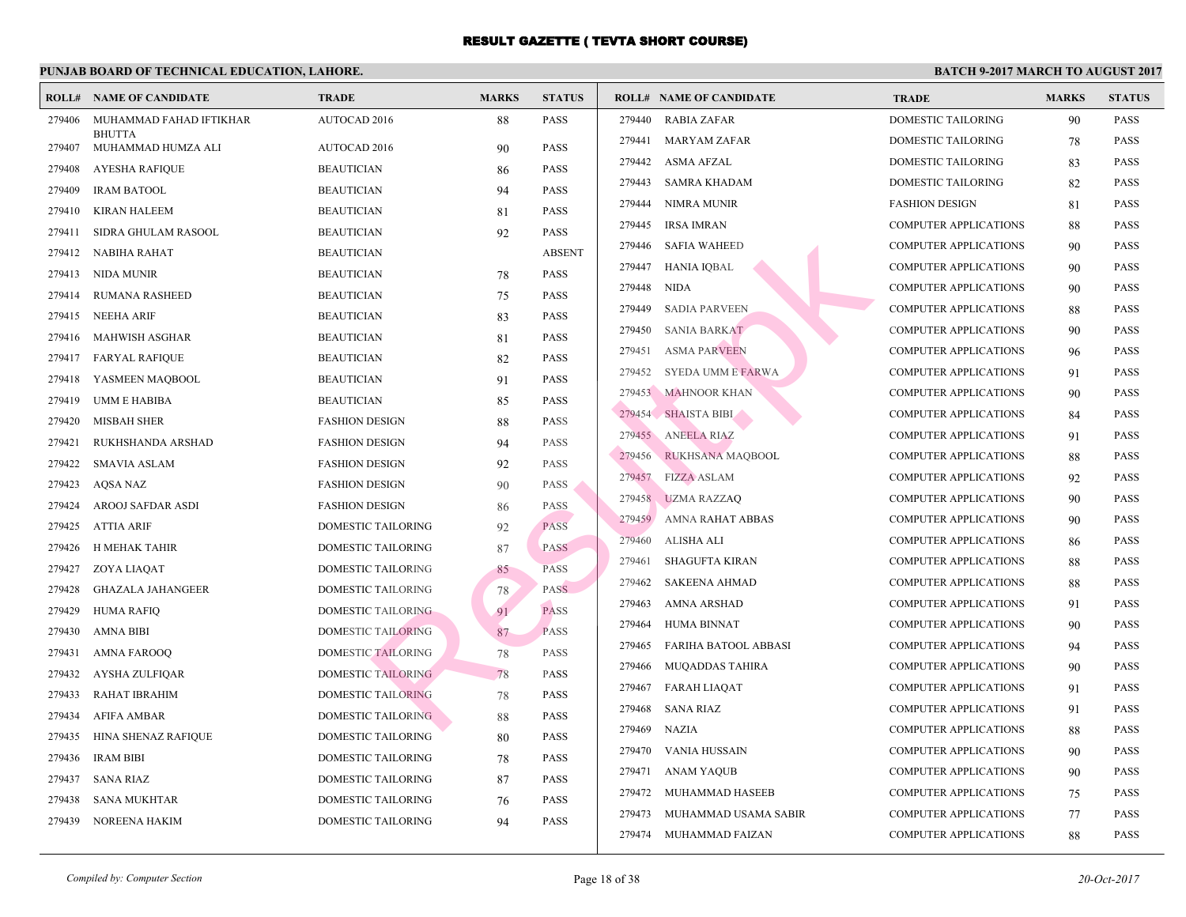|        | <b>ROLL# NAME OF CANDIDATE</b> | <b>TRADE</b>              | <b>MARKS</b> | <b>STATUS</b> |        | <b>ROLL# NAME OF CANDIDATE</b> | <b>TRA</b>  |
|--------|--------------------------------|---------------------------|--------------|---------------|--------|--------------------------------|-------------|
| 279406 | MUHAMMAD FAHAD IFTIKHAR        | AUTOCAD 2016              | 88           | <b>PASS</b>   | 279440 | <b>RABIA ZAFAR</b>             | <b>DOMI</b> |
|        | <b>BHUTTA</b>                  |                           |              |               | 279441 | MARYAM ZAFAR                   | <b>DOMI</b> |
| 279407 | MUHAMMAD HUMZA ALI             | AUTOCAD 2016              | 90           | <b>PASS</b>   |        | 279442 ASMA AFZAL              | <b>DOMI</b> |
| 279408 | <b>AYESHA RAFIQUE</b>          | <b>BEAUTICIAN</b>         | 86           | <b>PASS</b>   | 279443 | SAMRA KHADAM                   | <b>DOMI</b> |
| 279409 | <b>IRAM BATOOL</b>             | <b>BEAUTICIAN</b>         | 94           | <b>PASS</b>   | 279444 | NIMRA MUNIR                    | <b>FASH</b> |
| 279410 | <b>KIRAN HALEEM</b>            | <b>BEAUTICIAN</b>         | 81           | <b>PASS</b>   | 279445 | <b>IRSA IMRAN</b>              | <b>COMF</b> |
| 279411 | SIDRA GHULAM RASOOL            | <b>BEAUTICIAN</b>         | 92           | <b>PASS</b>   |        | 279446 SAFIA WAHEED            | <b>COME</b> |
| 279412 | NABIHA RAHAT                   | <b>BEAUTICIAN</b>         |              | <b>ABSENT</b> | 279447 | HANIA IQBAL                    | <b>COME</b> |
| 279413 | NIDA MUNIR                     | <b>BEAUTICIAN</b>         | 78           | <b>PASS</b>   | 279448 | <b>NIDA</b>                    | <b>COME</b> |
| 279414 | RUMANA RASHEED                 | <b>BEAUTICIAN</b>         | 75           | <b>PASS</b>   | 279449 | <b>SADIA PARVEEN</b>           | <b>COMF</b> |
| 279415 | NEEHA ARIF                     | <b>BEAUTICIAN</b>         | 83           | <b>PASS</b>   |        | 279450 SANIA BARKAT            | COMI        |
| 279416 | MAHWISH ASGHAR                 | <b>BEAUTICIAN</b>         | 81           | <b>PASS</b>   | 279451 | <b>ASMA PARVEEN</b>            | <b>COME</b> |
| 279417 | <b>FARYAL RAFIQUE</b>          | <b>BEAUTICIAN</b>         | 82           | <b>PASS</b>   |        | 279452 SYEDA UMM E FARWA       | <b>COME</b> |
| 279418 | YASMEEN MAQBOOL                | <b>BEAUTICIAN</b>         | 91           | <b>PASS</b>   |        | 279453 MAHNOOR KHAN            | <b>COMF</b> |
| 279419 | <b>UMM E HABIBA</b>            | <b>BEAUTICIAN</b>         | 85           | <b>PASS</b>   |        | 279454 SHAISTA BIBI            | COME        |
| 279420 | <b>MISBAH SHER</b>             | <b>FASHION DESIGN</b>     | 88           | <b>PASS</b>   |        | 279455 ANEELA RIAZ             | <b>COMF</b> |
| 279421 | RUKHSHANDA ARSHAD              | <b>FASHION DESIGN</b>     | 94           | <b>PASS</b>   |        |                                |             |
| 279422 | <b>SMAVIA ASLAM</b>            | <b>FASHION DESIGN</b>     | 92           | <b>PASS</b>   |        | 279456 RUKHSANA MAQBOOL        | COME        |
| 279423 | AQSA NAZ                       | <b>FASHION DESIGN</b>     | 90           | <b>PASS</b>   |        | 279457 FIZZA ASLAM             | <b>COMI</b> |
| 279424 | AROOJ SAFDAR ASDI              | <b>FASHION DESIGN</b>     | 86           | <b>PASS</b>   |        | 279458 UZMA RAZZAQ             | <b>COMI</b> |
| 279425 | ATTIA ARIF                     | DOMESTIC TAILORING        | 92           | <b>PASS</b>   | 279459 | AMNA RAHAT ABBAS               | COME        |
| 279426 | H MEHAK TAHIR                  | <b>DOMESTIC TAILORING</b> | 87           | <b>PASS</b>   | 279460 | ALISHA ALI                     | <b>COME</b> |
| 279427 | ZOYA LIAQAT                    | DOMESTIC TAILORING        | 85           | <b>PASS</b>   | 279461 | <b>SHAGUFTA KIRAN</b>          | <b>COME</b> |
| 279428 | <b>GHAZALA JAHANGEER</b>       | <b>DOMESTIC TAILORING</b> | 78           | <b>PASS</b>   | 279462 | <b>SAKEENA AHMAD</b>           | <b>COME</b> |
| 279429 | HUMA RAFIQ                     | DOMESTIC TAILORING        | 91           | <b>PASS</b>   | 279463 | AMNA ARSHAD                    | <b>COMF</b> |
| 279430 | AMNA BIBI                      | <b>DOMESTIC TAILORING</b> | 87           | <b>PASS</b>   | 279464 | <b>HUMA BINNAT</b>             | <b>COME</b> |
| 279431 | <b>AMNA FAROOQ</b>             | <b>DOMESTIC TAILORING</b> | 78           | <b>PASS</b>   | 279465 | FARIHA BATOOL ABBASI           | <b>COMF</b> |
| 279432 | AYSHA ZULFIQAR                 | <b>DOMESTIC TAILORING</b> | 78           | PASS          |        | 279466 MUQADDAS TAHIRA         | <b>COME</b> |
| 279433 | RAHAT IBRAHIM                  | <b>DOMESTIC TAILORING</b> | 78           | <b>PASS</b>   |        | 279467 FARAH LIAQAT            | <b>COMF</b> |
| 279434 | <b>AFIFA AMBAR</b>             | <b>DOMESTIC TAILORING</b> | 88           | <b>PASS</b>   | 279468 | <b>SANA RIAZ</b>               | COME        |
| 279435 | HINA SHENAZ RAFIQUE            | DOMESTIC TAILORING        | 80           | <b>PASS</b>   |        | 279469 NAZIA                   | COME        |
| 279436 | <b>IRAM BIBI</b>               | DOMESTIC TAILORING        | 78           | <b>PASS</b>   | 279470 | VANIA HUSSAIN                  | <b>COMI</b> |
| 279437 | <b>SANA RIAZ</b>               | DOMESTIC TAILORING        | 87           | <b>PASS</b>   | 279471 | ANAM YAQUB                     | <b>COMF</b> |
| 279438 | <b>SANA MUKHTAR</b>            | DOMESTIC TAILORING        | 76           | <b>PASS</b>   |        | 279472 MUHAMMAD HASEEB         | <b>COMF</b> |
| 279439 | <b>NOREENA HAKIM</b>           | <b>DOMESTIC TAILORING</b> | 94           | <b>PASS</b>   | 279473 | MUHAMMAD USAMA SABIR           | <b>COMI</b> |
|        |                                |                           |              |               |        | 279474 MUHAMMAD FAIZAN         | <b>COMI</b> |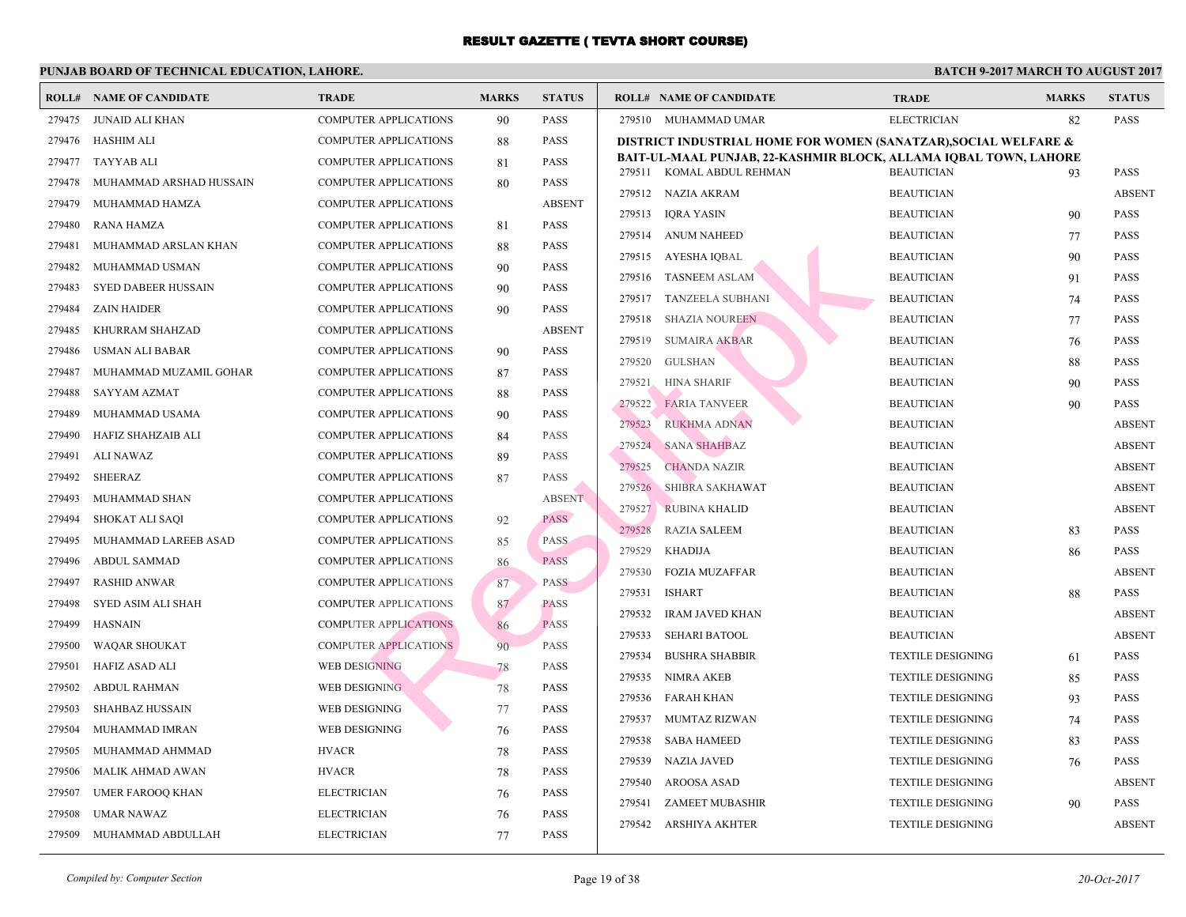|        | <b>ROLL# NAME OF CANDIDATE</b> | <b>TRADE</b>                 | <b>MARKS</b> | <b>STATUS</b> |        | <b>ROLL# NAME OF CANDIDATE</b>              | <b>TRA</b>  |
|--------|--------------------------------|------------------------------|--------------|---------------|--------|---------------------------------------------|-------------|
| 279475 | JUNAID ALI KHAN                | <b>COMPUTER APPLICATIONS</b> | 90           | <b>PASS</b>   |        | 279510 MUHAMMAD UMAR                        | <b>ELEC</b> |
| 279476 | HASHIM ALI                     | <b>COMPUTER APPLICATIONS</b> | 88           | <b>PASS</b>   |        | DISTRICT INDUSTRIAL HOME FOR WOMEN (SANAT   |             |
| 279477 | <b>TAYYAB ALI</b>              | <b>COMPUTER APPLICATIONS</b> | 81           | <b>PASS</b>   |        | BAIT-UL-MAAL PUNJAB, 22-KASHMIR BLOCK, ALLA |             |
| 279478 | MUHAMMAD ARSHAD HUSSAIN        | <b>COMPUTER APPLICATIONS</b> | 80           | <b>PASS</b>   |        | 279511 KOMAL ABDUL REHMAN                   | <b>BEAU</b> |
| 279479 | MUHAMMAD HAMZA                 | COMPUTER APPLICATIONS        |              | <b>ABSENT</b> |        | 279512 NAZIA AKRAM                          | <b>BEAU</b> |
| 279480 | <b>RANA HAMZA</b>              | <b>COMPUTER APPLICATIONS</b> | 81           | <b>PASS</b>   | 279513 | <b>IQRA YASIN</b>                           | <b>BEAU</b> |
| 279481 | MUHAMMAD ARSLAN KHAN           | <b>COMPUTER APPLICATIONS</b> | 88           | <b>PASS</b>   |        | 279514 ANUM NAHEED                          | <b>BEAU</b> |
| 279482 | MUHAMMAD USMAN                 | <b>COMPUTER APPLICATIONS</b> | 90           | PASS          |        | 279515 AYESHA IQBAL                         | <b>BEAU</b> |
| 279483 | <b>SYED DABEER HUSSAIN</b>     | COMPUTER APPLICATIONS        | 90           | <b>PASS</b>   | 279516 | <b>TASNEEM ASLAM</b>                        | <b>BEAU</b> |
| 279484 | <b>ZAIN HAIDER</b>             | <b>COMPUTER APPLICATIONS</b> | 90           | <b>PASS</b>   | 279517 | TANZEELA SUBHANI                            | <b>BEAU</b> |
| 279485 | KHURRAM SHAHZAD                | COMPUTER APPLICATIONS        |              | <b>ABSENT</b> | 279518 | SHAZIA NOUREEN                              | <b>BEAU</b> |
| 279486 | <b>USMAN ALI BABAR</b>         | COMPUTER APPLICATIONS        | 90           | <b>PASS</b>   | 279519 | <b>SUMAIRA AKBAR</b>                        | <b>BEAU</b> |
| 279487 | MUHAMMAD MUZAMIL GOHAR         | COMPUTER APPLICATIONS        | 87           | <b>PASS</b>   | 279520 | <b>GULSHAN</b>                              | <b>BEAU</b> |
| 279488 | SAYYAM AZMAT                   | <b>COMPUTER APPLICATIONS</b> | 88           | <b>PASS</b>   | 279521 | <b>HINA SHARIF</b>                          | <b>BEAU</b> |
| 279489 | MUHAMMAD USAMA                 | COMPUTER APPLICATIONS        | 90           | <b>PASS</b>   | 279522 | <b>FARIA TANVEER</b>                        | <b>BEAU</b> |
| 279490 | HAFIZ SHAHZAIB ALI             | COMPUTER APPLICATIONS        | 84           | <b>PASS</b>   | 279523 | <b>RUKHMA ADNAN</b>                         | <b>BEAU</b> |
| 279491 | <b>ALI NAWAZ</b>               | COMPUTER APPLICATIONS        | 89           | <b>PASS</b>   | 279524 | <b>SANA SHAHBAZ</b>                         | <b>BEAU</b> |
| 279492 | <b>SHEERAZ</b>                 | COMPUTER APPLICATIONS        | 87           | <b>PASS</b>   | 279525 | <b>CHANDA NAZIR</b>                         | <b>BEAU</b> |
| 279493 | MUHAMMAD SHAN                  | <b>COMPUTER APPLICATIONS</b> |              | <b>ABSENT</b> | 279526 | <b>SHIBRA SAKHAWAT</b>                      | <b>BEAU</b> |
| 279494 | SHOKAT ALI SAQI                | COMPUTER APPLICATIONS        | 92           | <b>PASS</b>   | 279527 | <b>RUBINA KHALID</b>                        | <b>BEAU</b> |
| 279495 | MUHAMMAD LAREEB ASAD           | <b>COMPUTER APPLICATIONS</b> | 85           | <b>PASS</b>   | 279528 | <b>RAZIA SALEEM</b>                         | <b>BEAU</b> |
| 279496 | ABDUL SAMMAD                   | <b>COMPUTER APPLICATIONS</b> | 86           | <b>PASS</b>   | 279529 | KHADIJA                                     | <b>BEAU</b> |
| 279497 | <b>RASHID ANWAR</b>            | <b>COMPUTER APPLICATIONS</b> | 87           | <b>PASS</b>   | 279530 | <b>FOZIA MUZAFFAR</b>                       | <b>BEAU</b> |
| 279498 | SYED ASIM ALI SHAH             | <b>COMPUTER APPLICATIONS</b> | 87           | <b>PASS</b>   | 279531 | <b>ISHART</b>                               | <b>BEAU</b> |
| 279499 | HASNAIN                        | <b>COMPUTER APPLICATIONS</b> | 86           | <b>PASS</b>   | 279532 | <b>IRAM JAVED KHAN</b>                      | <b>BEAU</b> |
| 279500 | <b>WAQAR SHOUKAT</b>           | <b>COMPUTER APPLICATIONS</b> | 90           | <b>PASS</b>   | 279533 | <b>SEHARI BATOOL</b>                        | <b>BEAU</b> |
| 279501 | <b>HAFIZ ASAD ALI</b>          | WEB DESIGNING                | 78           | <b>PASS</b>   | 279534 | <b>BUSHRA SHABBIR</b>                       | <b>TEXT</b> |
| 279502 | <b>ABDUL RAHMAN</b>            | WEB DESIGNING.               | 78           | <b>PASS</b>   | 279535 | NIMRA AKEB                                  | <b>TEXT</b> |
| 279503 | SHAHBAZ HUSSAIN                | WEB DESIGNING                | 77           | <b>PASS</b>   | 279536 | FARAH KHAN                                  | <b>TEXT</b> |
| 279504 | MUHAMMAD IMRAN                 | WEB DESIGNING                | 76           | <b>PASS</b>   | 279537 | MUMTAZ RIZWAN                               | <b>TEXT</b> |
| 279505 | MUHAMMAD AHMMAD                | <b>HVACR</b>                 | 78           | <b>PASS</b>   | 279538 | <b>SABA HAMEED</b>                          | <b>TEXT</b> |
| 279506 | MALIK AHMAD AWAN               | <b>HVACR</b>                 | 78           | <b>PASS</b>   | 279539 | NAZIA JAVED                                 | <b>TEXT</b> |
| 279507 | UMER FAROOQ KHAN               | <b>ELECTRICIAN</b>           | 76           | <b>PASS</b>   | 279540 | AROOSA ASAD                                 | <b>TEXT</b> |
| 279508 | <b>UMAR NAWAZ</b>              | <b>ELECTRICIAN</b>           | 76           | <b>PASS</b>   | 279541 | ZAMEET MUBASHIR                             | <b>TEXT</b> |
| 279509 | MUHAMMAD ABDULLAH              | <b>ELECTRICIAN</b>           | 77           | <b>PASS</b>   | 279542 | ARSHIYA AKHTER                              | <b>TEXT</b> |
|        |                                |                              |              |               |        |                                             |             |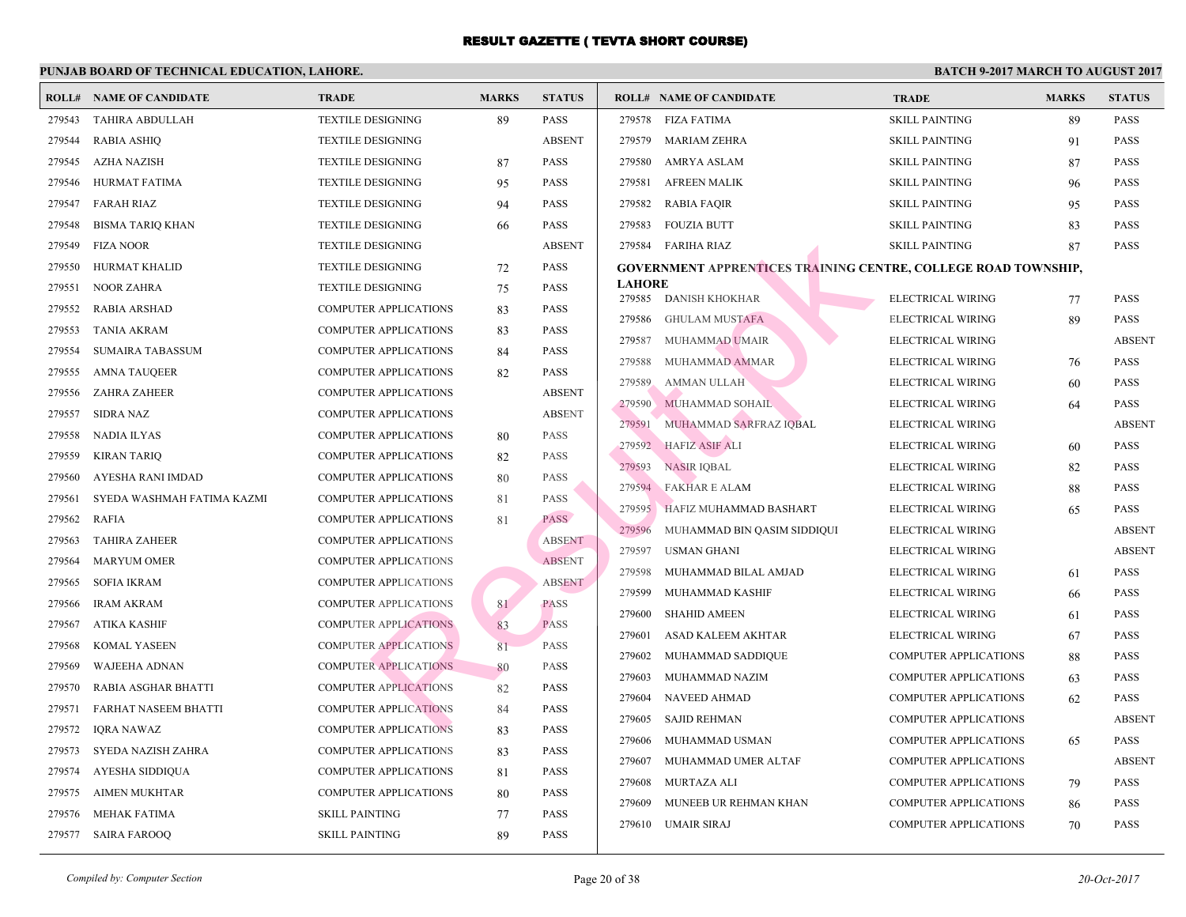|        | <b>ROLL# NAME OF CANDIDATE</b> | <b>TRADE</b>                 | <b>MARKS</b> | <b>STATUS</b> |               | <b>ROLL# NAME OF CANDIDATE</b>                 | <b>TRA</b>   |
|--------|--------------------------------|------------------------------|--------------|---------------|---------------|------------------------------------------------|--------------|
| 279543 | <b>TAHIRA ABDULLAH</b>         | <b>TEXTILE DESIGNING</b>     | 89           | <b>PASS</b>   | 279578        | FIZA FATIMA                                    | <b>SKILI</b> |
| 279544 | <b>RABIA ASHIQ</b>             | <b>TEXTILE DESIGNING</b>     |              | <b>ABSENT</b> | 279579        | MARIAM ZEHRA                                   | <b>SKILI</b> |
| 279545 | <b>AZHA NAZISH</b>             | <b>TEXTILE DESIGNING</b>     | 87           | <b>PASS</b>   | 279580        | AMRYA ASLAM                                    | <b>SKILI</b> |
| 279546 | HURMAT FATIMA                  | <b>TEXTILE DESIGNING</b>     | 95           | <b>PASS</b>   | 279581        | AFREEN MALIK                                   | SKILI        |
| 279547 | FARAH RIAZ                     | <b>TEXTILE DESIGNING</b>     | 94           | <b>PASS</b>   | 279582        | RABIA FAQIR                                    | <b>SKILI</b> |
| 279548 | <b>BISMA TARIQ KHAN</b>        | <b>TEXTILE DESIGNING</b>     | 66           | <b>PASS</b>   | 279583        | <b>FOUZIA BUTT</b>                             | <b>SKILI</b> |
| 279549 | <b>FIZA NOOR</b>               | <b>TEXTILE DESIGNING</b>     |              | <b>ABSENT</b> |               | 279584 FARIHA RIAZ                             | <b>SKILI</b> |
| 279550 | HURMAT KHALID                  | <b>TEXTILE DESIGNING</b>     | 72           | <b>PASS</b>   |               | <b>GOVERNMENT APPRENTICES TRAINING CENTRE,</b> |              |
| 279551 | <b>NOOR ZAHRA</b>              | <b>TEXTILE DESIGNING</b>     | 75           | <b>PASS</b>   | <b>LAHORE</b> |                                                |              |
| 279552 | RABIA ARSHAD                   | <b>COMPUTER APPLICATIONS</b> | 83           | <b>PASS</b>   | 279585        | DANISH KHOKHAR                                 | <b>ELEC</b>  |
| 279553 | <b>TANIA AKRAM</b>             | COMPUTER APPLICATIONS        | 83           | <b>PASS</b>   | 279586        | <b>GHULAM MUSTAFA</b>                          | <b>ELEC</b>  |
| 279554 | SUMAIRA TABASSUM               | COMPUTER APPLICATIONS        | 84           | <b>PASS</b>   | 279587        | MUHAMMAD UMAIR                                 | <b>ELEC</b>  |
| 279555 | <b>AMNA TAUQEER</b>            | COMPUTER APPLICATIONS        | 82           | <b>PASS</b>   | 279588        | MUHAMMAD AMMAR                                 | <b>ELEC</b>  |
| 279556 | <b>ZAHRA ZAHEER</b>            | <b>COMPUTER APPLICATIONS</b> |              | <b>ABSENT</b> | 279589        | <b>AMMAN ULLAH</b>                             | <b>ELEC</b>  |
| 279557 | <b>SIDRA NAZ</b>               | <b>COMPUTER APPLICATIONS</b> |              | <b>ABSENT</b> | 279590        | MUHAMMAD SOHAIL                                | <b>ELEC</b>  |
| 279558 | <b>NADIA ILYAS</b>             | COMPUTER APPLICATIONS        | 80           | <b>PASS</b>   | 279591        | MUHAMMAD SARFRAZ IQBAL                         | <b>ELEC</b>  |
| 279559 | <b>KIRAN TARIQ</b>             | COMPUTER APPLICATIONS        | 82           | <b>PASS</b>   | 279592        | <b>HAFIZ ASIF ALI</b>                          | <b>ELEC</b>  |
| 279560 | AYESHA RANI IMDAD              | COMPUTER APPLICATIONS        | 80           | <b>PASS</b>   | 279593        | <b>NASIR IQBAL</b>                             | <b>ELEC</b>  |
| 279561 | SYEDA WASHMAH FATIMA KAZMI     | <b>COMPUTER APPLICATIONS</b> | 81           | <b>PASS</b>   | 279594        | <b>FAKHAR E ALAM</b>                           | <b>ELEC</b>  |
| 279562 | <b>RAFIA</b>                   | <b>COMPUTER APPLICATIONS</b> | 81           | <b>PASS</b>   | 279595        | HAFIZ MUHAMMAD BASHART                         | <b>ELEC</b>  |
| 279563 | <b>TAHIRA ZAHEER</b>           | <b>COMPUTER APPLICATIONS</b> |              | <b>ABSENT</b> | 279596        | MUHAMMAD BIN QASIM SIDDIQUI                    | <b>ELEC</b>  |
| 279564 | <b>MARYUM OMER</b>             | COMPUTER APPLICATIONS        |              | <b>ABSENT</b> | 279597        | USMAN GHANI                                    | <b>ELEC</b>  |
| 279565 | <b>SOFIA IKRAM</b>             | <b>COMPUTER APPLICATIONS</b> |              | <b>ABSENT</b> | 279598        | MUHAMMAD BILAL AMJAD                           | <b>ELEC</b>  |
| 279566 | <b>IRAM AKRAM</b>              | <b>COMPUTER APPLICATIONS</b> | 81           | <b>PASS</b>   | 279599        | MUHAMMAD KASHIF                                | <b>ELEC</b>  |
| 279567 | ATIKA KASHIF                   | <b>COMPUTER APPLICATIONS</b> | 83           | <b>PASS</b>   | 279600        | <b>SHAHID AMEEN</b>                            | <b>ELEC</b>  |
| 279568 | KOMAL YASEEN                   | <b>COMPUTER APPLICATIONS</b> | 81           | <b>PASS</b>   | 279601        | ASAD KALEEM AKHTAR                             | <b>ELEC</b>  |
| 279569 | <b>WAJEEHA ADNAN</b>           | <b>COMPUTER APPLICATIONS</b> | 80           | PASS          | 279602        | MUHAMMAD SADDIQUE                              | <b>COME</b>  |
| 279570 | RABIA ASGHAR BHATTI            | <b>COMPUTER APPLICATIONS</b> | 82           | <b>PASS</b>   | 279603        | MUHAMMAD NAZIM                                 | <b>COME</b>  |
| 279571 | <b>FARHAT NASEEM BHATTI</b>    | <b>COMPUTER APPLICATIONS</b> | 84           | <b>PASS</b>   | 279604        | NAVEED AHMAD                                   | <b>COMF</b>  |
| 279572 | <b>IORA NAWAZ</b>              | <b>COMPUTER APPLICATIONS</b> | 83           | <b>PASS</b>   | 279605        | <b>SAJID REHMAN</b>                            | <b>COME</b>  |
| 279573 | SYEDA NAZISH ZAHRA             | <b>COMPUTER APPLICATIONS</b> | 83           | <b>PASS</b>   | 279606        | MUHAMMAD USMAN                                 | <b>COMF</b>  |
| 279574 | AYESHA SIDDIQUA                | <b>COMPUTER APPLICATIONS</b> | 81           | <b>PASS</b>   | 279607        | MUHAMMAD UMER ALTAF                            | <b>COME</b>  |
| 279575 | <b>AIMEN MUKHTAR</b>           | COMPUTER APPLICATIONS        | 80           | <b>PASS</b>   | 279608        | MURTAZA ALI                                    | <b>COMF</b>  |
| 279576 | <b>MEHAK FATIMA</b>            | <b>SKILL PAINTING</b>        | 77           | <b>PASS</b>   | 279609        | MUNEEB UR REHMAN KHAN                          | <b>COME</b>  |
| 279577 | <b>SAIRA FAROOQ</b>            | <b>SKILL PAINTING</b>        | 89           | <b>PASS</b>   | 279610        | UMAIR SIRAJ                                    | <b>COMF</b>  |
|        |                                |                              |              |               |               |                                                |              |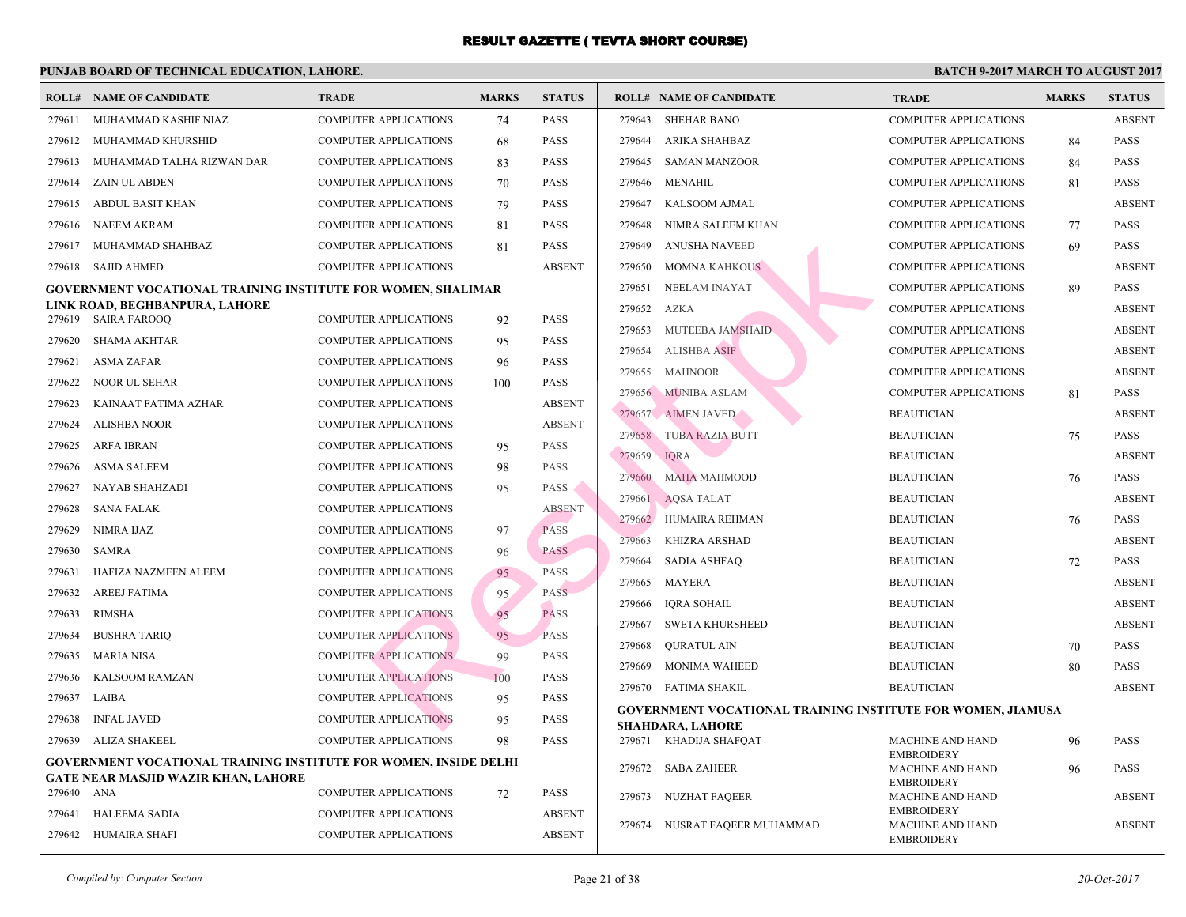| <b>COMPUTER APPLICATIONS</b><br><b>PASS</b><br>279643<br><b>SHEHAR BANO</b><br>279611<br>MUHAMMAD KASHIF NIAZ<br>74<br>MUHAMMAD KHURSHID<br><b>COMPUTER APPLICATIONS</b><br><b>PASS</b><br>279644<br>ARIKA SHAHBAZ<br>279612<br>68<br>MUHAMMAD TALHA RIZWAN DAR<br><b>COMPUTER APPLICATIONS</b><br><b>PASS</b><br>279645<br><b>SAMAN MANZOOR</b><br>279613<br>83<br>ZAIN UL ABDEN<br><b>COMPUTER APPLICATIONS</b><br><b>PASS</b><br>279646<br>MENAHIL<br>279614<br>70<br>ABDUL BASIT KHAN<br><b>COMPUTER APPLICATIONS</b><br>79<br><b>PASS</b><br>279647<br>KALSOOM AJMAL<br>279615<br><b>NAEEM AKRAM</b><br><b>COMPUTER APPLICATIONS</b><br><b>PASS</b><br>279648<br>NIMRA SALEEM KHAN<br>279616<br>81<br>MUHAMMAD SHAHBAZ<br><b>COMPUTER APPLICATIONS</b><br>81<br><b>PASS</b><br>279649<br><b>ANUSHA NAVEED</b><br>279617<br><b>SAJID AHMED</b><br><b>COMPUTER APPLICATIONS</b><br><b>ABSENT</b><br>MOMNA KAHKOUS<br>279618<br>279650<br>279651<br>NEELAM INAYAT<br>GOVERNMENT VOCATIONAL TRAINING INSTITUTE FOR WOMEN, SHALIMAR<br>LINK ROAD, BEGHBANPURA, LAHORE<br>279652<br>AZKA<br>279619 SAIRA FAROOQ<br><b>COMPUTER APPLICATIONS</b><br>92<br><b>PASS</b><br>MUTEEBA JAMSHAID<br>279653<br><b>SHAMA AKHTAR</b><br>279620<br><b>COMPUTER APPLICATIONS</b><br>95<br><b>PASS</b><br>279654<br><b>ALISHBA ASIF</b><br><b>ASMA ZAFAR</b><br>279621<br><b>COMPUTER APPLICATIONS</b><br>96<br><b>PASS</b><br><b>MAHNOOR</b><br>279655<br>279622<br><b>NOOR UL SEHAR</b><br><b>COMPUTER APPLICATIONS</b><br>PASS<br>100<br>279656 MUNIBA ASLAM<br><b>ABSENT</b><br>279623<br>KAINAAT FATIMA AZHAR<br><b>COMPUTER APPLICATIONS</b><br>279657 AIMEN JAVED<br><b>ALISHBA NOOR</b><br><b>ABSENT</b><br>279624<br><b>COMPUTER APPLICATIONS</b><br>279658<br><b>TUBA RAZIA BUTT</b><br>279625<br><b>ARFA IBRAN</b><br><b>COMPUTER APPLICATIONS</b><br>95<br><b>PASS</b><br>279659<br><b>IORA</b><br><b>ASMA SALEEM</b><br><b>COMPUTER APPLICATIONS</b><br><b>PASS</b><br>279626<br>98<br>279660<br><b>MAHA MAHMOOD</b><br>279627<br>NAYAB SHAHZADI<br><b>COMPUTER APPLICATIONS</b><br>PASS<br>95<br>279661<br><b>AQSA TALAT</b><br><b>ABSENT</b><br><b>SANA FALAK</b><br><b>COMPUTER APPLICATIONS</b><br>279628<br>279662 HUMAIRA REHMAN<br>NIMRA IJAZ<br>COMPUTER APPLICATIONS<br><b>PASS</b><br>279629<br>97<br>279663<br><b>KHIZRA ARSHAD</b><br>279630<br>SAMRA<br><b>COMPUTER APPLICATIONS</b><br>96<br><b>PASS</b><br>279664<br><b>SADIA ASHFAQ</b><br>HAFIZA NAZMEEN ALEEM<br><b>COMPUTER APPLICATIONS</b><br><b>PASS</b><br>279631<br>95<br>279665<br>MAYERA<br>279632<br><b>AREEJ FATIMA</b><br><b>COMPUTER APPLICATIONS</b><br>95<br><b>PASS</b><br>279666<br>IQRA SOHAIL<br><b>RIMSHA</b><br><b>COMPUTER APPLICATIONS</b><br>95<br><b>PASS</b><br>279633<br>279667<br>SWETA KHURSHEED<br>95<br><b>BUSHRA TARIQ</b><br><b>COMPUTER APPLICATIONS</b><br><b>PASS</b><br>279634<br>279668<br><b>OURATUL AIN</b><br><b>MARIA NISA</b><br><b>COMPUTER APPLICATIONS</b><br>279635<br>99<br><b>PASS</b><br>279669<br><b>MONIMA WAHEED</b><br><b>KALSOOM RAMZAN</b><br><b>COMPUTER APPLICATIONS</b><br>279636<br>100<br><b>PASS</b><br>279670 FATIMA SHAKIL<br><b>COMPUTER APPLICATIONS</b><br>279637<br>LAIBA<br>PASS<br>95<br><b>INFAL JAVED</b><br><b>COMPUTER APPLICATIONS</b><br>PASS<br>279638<br>95<br>SHAHDARA, LAHORE<br><b>COMPUTER APPLICATIONS</b><br>279671 KHADIJA SHAFQAT<br>279639<br>ALIZA SHAKEEL<br>98<br><b>PASS</b><br><b>GOVERNMENT VOCATIONAL TRAINING INSTITUTE FOR WOMEN, INSIDE DELHI</b><br>279672<br>SABA ZAHEER<br><b>GATE NEAR MASJID WAZIR KHAN, LAHORE</b><br>279640 ANA<br><b>COMPUTER APPLICATIONS</b><br>72<br>PASS<br>279673<br><b>NUZHAT FAQEER</b><br>279641<br><b>HALEEMA SADIA</b><br><b>COMPUTER APPLICATIONS</b><br><b>ABSENT</b><br>279674 NUSRAT FAQEER MUHAMMAD<br><b>ABSENT</b><br>HUMAIRA SHAFI<br><b>COMPUTER APPLICATIONS</b><br>279642 | <b>ROLL# NAME OF CANDIDATE</b> | <b>TRADE</b> | <b>MARKS</b> | <b>STATUS</b> | <b>ROLL# NAME OF CANDIDATE</b> | <b>TRA</b>  |
|----------------------------------------------------------------------------------------------------------------------------------------------------------------------------------------------------------------------------------------------------------------------------------------------------------------------------------------------------------------------------------------------------------------------------------------------------------------------------------------------------------------------------------------------------------------------------------------------------------------------------------------------------------------------------------------------------------------------------------------------------------------------------------------------------------------------------------------------------------------------------------------------------------------------------------------------------------------------------------------------------------------------------------------------------------------------------------------------------------------------------------------------------------------------------------------------------------------------------------------------------------------------------------------------------------------------------------------------------------------------------------------------------------------------------------------------------------------------------------------------------------------------------------------------------------------------------------------------------------------------------------------------------------------------------------------------------------------------------------------------------------------------------------------------------------------------------------------------------------------------------------------------------------------------------------------------------------------------------------------------------------------------------------------------------------------------------------------------------------------------------------------------------------------------------------------------------------------------------------------------------------------------------------------------------------------------------------------------------------------------------------------------------------------------------------------------------------------------------------------------------------------------------------------------------------------------------------------------------------------------------------------------------------------------------------------------------------------------------------------------------------------------------------------------------------------------------------------------------------------------------------------------------------------------------------------------------------------------------------------------------------------------------------------------------------------------------------------------------------------------------------------------------------------------------------------------------------------------------------------------------------------------------------------------------------------------------------------------------------------------------------------------------------------------------------------------------------------------------------------------------------------------------------------------------------------------------------------------------------------------------------------------------------------------------------------------------------------------------------------------------------------------------------------------------------------------------------------------------------------------------------------|--------------------------------|--------------|--------------|---------------|--------------------------------|-------------|
| <b>GOVERNMENT VOCATIONAL TRAINING INSTITUTI</b><br><b>MACI</b><br><b>EMBF</b><br>MACI                                                                                                                                                                                                                                                                                                                                                                                                                                                                                                                                                                                                                                                                                                                                                                                                                                                                                                                                                                                                                                                                                                                                                                                                                                                                                                                                                                                                                                                                                                                                                                                                                                                                                                                                                                                                                                                                                                                                                                                                                                                                                                                                                                                                                                                                                                                                                                                                                                                                                                                                                                                                                                                                                                                                                                                                                                                                                                                                                                                                                                                                                                                                                                                                                                                                                                                                                                                                                                                                                                                                                                                                                                                                                                                                                                                                  |                                |              |              |               |                                | COMI        |
|                                                                                                                                                                                                                                                                                                                                                                                                                                                                                                                                                                                                                                                                                                                                                                                                                                                                                                                                                                                                                                                                                                                                                                                                                                                                                                                                                                                                                                                                                                                                                                                                                                                                                                                                                                                                                                                                                                                                                                                                                                                                                                                                                                                                                                                                                                                                                                                                                                                                                                                                                                                                                                                                                                                                                                                                                                                                                                                                                                                                                                                                                                                                                                                                                                                                                                                                                                                                                                                                                                                                                                                                                                                                                                                                                                                                                                                                                        |                                |              |              |               |                                | COMI        |
|                                                                                                                                                                                                                                                                                                                                                                                                                                                                                                                                                                                                                                                                                                                                                                                                                                                                                                                                                                                                                                                                                                                                                                                                                                                                                                                                                                                                                                                                                                                                                                                                                                                                                                                                                                                                                                                                                                                                                                                                                                                                                                                                                                                                                                                                                                                                                                                                                                                                                                                                                                                                                                                                                                                                                                                                                                                                                                                                                                                                                                                                                                                                                                                                                                                                                                                                                                                                                                                                                                                                                                                                                                                                                                                                                                                                                                                                                        |                                |              |              |               |                                | <b>COMI</b> |
|                                                                                                                                                                                                                                                                                                                                                                                                                                                                                                                                                                                                                                                                                                                                                                                                                                                                                                                                                                                                                                                                                                                                                                                                                                                                                                                                                                                                                                                                                                                                                                                                                                                                                                                                                                                                                                                                                                                                                                                                                                                                                                                                                                                                                                                                                                                                                                                                                                                                                                                                                                                                                                                                                                                                                                                                                                                                                                                                                                                                                                                                                                                                                                                                                                                                                                                                                                                                                                                                                                                                                                                                                                                                                                                                                                                                                                                                                        |                                |              |              |               |                                | <b>COMI</b> |
|                                                                                                                                                                                                                                                                                                                                                                                                                                                                                                                                                                                                                                                                                                                                                                                                                                                                                                                                                                                                                                                                                                                                                                                                                                                                                                                                                                                                                                                                                                                                                                                                                                                                                                                                                                                                                                                                                                                                                                                                                                                                                                                                                                                                                                                                                                                                                                                                                                                                                                                                                                                                                                                                                                                                                                                                                                                                                                                                                                                                                                                                                                                                                                                                                                                                                                                                                                                                                                                                                                                                                                                                                                                                                                                                                                                                                                                                                        |                                |              |              |               |                                | COMI        |
|                                                                                                                                                                                                                                                                                                                                                                                                                                                                                                                                                                                                                                                                                                                                                                                                                                                                                                                                                                                                                                                                                                                                                                                                                                                                                                                                                                                                                                                                                                                                                                                                                                                                                                                                                                                                                                                                                                                                                                                                                                                                                                                                                                                                                                                                                                                                                                                                                                                                                                                                                                                                                                                                                                                                                                                                                                                                                                                                                                                                                                                                                                                                                                                                                                                                                                                                                                                                                                                                                                                                                                                                                                                                                                                                                                                                                                                                                        |                                |              |              |               |                                | <b>COMI</b> |
|                                                                                                                                                                                                                                                                                                                                                                                                                                                                                                                                                                                                                                                                                                                                                                                                                                                                                                                                                                                                                                                                                                                                                                                                                                                                                                                                                                                                                                                                                                                                                                                                                                                                                                                                                                                                                                                                                                                                                                                                                                                                                                                                                                                                                                                                                                                                                                                                                                                                                                                                                                                                                                                                                                                                                                                                                                                                                                                                                                                                                                                                                                                                                                                                                                                                                                                                                                                                                                                                                                                                                                                                                                                                                                                                                                                                                                                                                        |                                |              |              |               |                                | <b>COMI</b> |
|                                                                                                                                                                                                                                                                                                                                                                                                                                                                                                                                                                                                                                                                                                                                                                                                                                                                                                                                                                                                                                                                                                                                                                                                                                                                                                                                                                                                                                                                                                                                                                                                                                                                                                                                                                                                                                                                                                                                                                                                                                                                                                                                                                                                                                                                                                                                                                                                                                                                                                                                                                                                                                                                                                                                                                                                                                                                                                                                                                                                                                                                                                                                                                                                                                                                                                                                                                                                                                                                                                                                                                                                                                                                                                                                                                                                                                                                                        |                                |              |              |               |                                | <b>COMI</b> |
|                                                                                                                                                                                                                                                                                                                                                                                                                                                                                                                                                                                                                                                                                                                                                                                                                                                                                                                                                                                                                                                                                                                                                                                                                                                                                                                                                                                                                                                                                                                                                                                                                                                                                                                                                                                                                                                                                                                                                                                                                                                                                                                                                                                                                                                                                                                                                                                                                                                                                                                                                                                                                                                                                                                                                                                                                                                                                                                                                                                                                                                                                                                                                                                                                                                                                                                                                                                                                                                                                                                                                                                                                                                                                                                                                                                                                                                                                        |                                |              |              |               |                                | COMI        |
|                                                                                                                                                                                                                                                                                                                                                                                                                                                                                                                                                                                                                                                                                                                                                                                                                                                                                                                                                                                                                                                                                                                                                                                                                                                                                                                                                                                                                                                                                                                                                                                                                                                                                                                                                                                                                                                                                                                                                                                                                                                                                                                                                                                                                                                                                                                                                                                                                                                                                                                                                                                                                                                                                                                                                                                                                                                                                                                                                                                                                                                                                                                                                                                                                                                                                                                                                                                                                                                                                                                                                                                                                                                                                                                                                                                                                                                                                        |                                |              |              |               |                                | <b>COMI</b> |
|                                                                                                                                                                                                                                                                                                                                                                                                                                                                                                                                                                                                                                                                                                                                                                                                                                                                                                                                                                                                                                                                                                                                                                                                                                                                                                                                                                                                                                                                                                                                                                                                                                                                                                                                                                                                                                                                                                                                                                                                                                                                                                                                                                                                                                                                                                                                                                                                                                                                                                                                                                                                                                                                                                                                                                                                                                                                                                                                                                                                                                                                                                                                                                                                                                                                                                                                                                                                                                                                                                                                                                                                                                                                                                                                                                                                                                                                                        |                                |              |              |               |                                | COMI        |
|                                                                                                                                                                                                                                                                                                                                                                                                                                                                                                                                                                                                                                                                                                                                                                                                                                                                                                                                                                                                                                                                                                                                                                                                                                                                                                                                                                                                                                                                                                                                                                                                                                                                                                                                                                                                                                                                                                                                                                                                                                                                                                                                                                                                                                                                                                                                                                                                                                                                                                                                                                                                                                                                                                                                                                                                                                                                                                                                                                                                                                                                                                                                                                                                                                                                                                                                                                                                                                                                                                                                                                                                                                                                                                                                                                                                                                                                                        |                                |              |              |               |                                | <b>COMI</b> |
|                                                                                                                                                                                                                                                                                                                                                                                                                                                                                                                                                                                                                                                                                                                                                                                                                                                                                                                                                                                                                                                                                                                                                                                                                                                                                                                                                                                                                                                                                                                                                                                                                                                                                                                                                                                                                                                                                                                                                                                                                                                                                                                                                                                                                                                                                                                                                                                                                                                                                                                                                                                                                                                                                                                                                                                                                                                                                                                                                                                                                                                                                                                                                                                                                                                                                                                                                                                                                                                                                                                                                                                                                                                                                                                                                                                                                                                                                        |                                |              |              |               |                                | <b>COMI</b> |
|                                                                                                                                                                                                                                                                                                                                                                                                                                                                                                                                                                                                                                                                                                                                                                                                                                                                                                                                                                                                                                                                                                                                                                                                                                                                                                                                                                                                                                                                                                                                                                                                                                                                                                                                                                                                                                                                                                                                                                                                                                                                                                                                                                                                                                                                                                                                                                                                                                                                                                                                                                                                                                                                                                                                                                                                                                                                                                                                                                                                                                                                                                                                                                                                                                                                                                                                                                                                                                                                                                                                                                                                                                                                                                                                                                                                                                                                                        |                                |              |              |               |                                | COMI        |
|                                                                                                                                                                                                                                                                                                                                                                                                                                                                                                                                                                                                                                                                                                                                                                                                                                                                                                                                                                                                                                                                                                                                                                                                                                                                                                                                                                                                                                                                                                                                                                                                                                                                                                                                                                                                                                                                                                                                                                                                                                                                                                                                                                                                                                                                                                                                                                                                                                                                                                                                                                                                                                                                                                                                                                                                                                                                                                                                                                                                                                                                                                                                                                                                                                                                                                                                                                                                                                                                                                                                                                                                                                                                                                                                                                                                                                                                                        |                                |              |              |               |                                | <b>BEAU</b> |
|                                                                                                                                                                                                                                                                                                                                                                                                                                                                                                                                                                                                                                                                                                                                                                                                                                                                                                                                                                                                                                                                                                                                                                                                                                                                                                                                                                                                                                                                                                                                                                                                                                                                                                                                                                                                                                                                                                                                                                                                                                                                                                                                                                                                                                                                                                                                                                                                                                                                                                                                                                                                                                                                                                                                                                                                                                                                                                                                                                                                                                                                                                                                                                                                                                                                                                                                                                                                                                                                                                                                                                                                                                                                                                                                                                                                                                                                                        |                                |              |              |               |                                | <b>BEAU</b> |
|                                                                                                                                                                                                                                                                                                                                                                                                                                                                                                                                                                                                                                                                                                                                                                                                                                                                                                                                                                                                                                                                                                                                                                                                                                                                                                                                                                                                                                                                                                                                                                                                                                                                                                                                                                                                                                                                                                                                                                                                                                                                                                                                                                                                                                                                                                                                                                                                                                                                                                                                                                                                                                                                                                                                                                                                                                                                                                                                                                                                                                                                                                                                                                                                                                                                                                                                                                                                                                                                                                                                                                                                                                                                                                                                                                                                                                                                                        |                                |              |              |               |                                | <b>BEAU</b> |
|                                                                                                                                                                                                                                                                                                                                                                                                                                                                                                                                                                                                                                                                                                                                                                                                                                                                                                                                                                                                                                                                                                                                                                                                                                                                                                                                                                                                                                                                                                                                                                                                                                                                                                                                                                                                                                                                                                                                                                                                                                                                                                                                                                                                                                                                                                                                                                                                                                                                                                                                                                                                                                                                                                                                                                                                                                                                                                                                                                                                                                                                                                                                                                                                                                                                                                                                                                                                                                                                                                                                                                                                                                                                                                                                                                                                                                                                                        |                                |              |              |               |                                | <b>BEAU</b> |
|                                                                                                                                                                                                                                                                                                                                                                                                                                                                                                                                                                                                                                                                                                                                                                                                                                                                                                                                                                                                                                                                                                                                                                                                                                                                                                                                                                                                                                                                                                                                                                                                                                                                                                                                                                                                                                                                                                                                                                                                                                                                                                                                                                                                                                                                                                                                                                                                                                                                                                                                                                                                                                                                                                                                                                                                                                                                                                                                                                                                                                                                                                                                                                                                                                                                                                                                                                                                                                                                                                                                                                                                                                                                                                                                                                                                                                                                                        |                                |              |              |               |                                | <b>BEAU</b> |
|                                                                                                                                                                                                                                                                                                                                                                                                                                                                                                                                                                                                                                                                                                                                                                                                                                                                                                                                                                                                                                                                                                                                                                                                                                                                                                                                                                                                                                                                                                                                                                                                                                                                                                                                                                                                                                                                                                                                                                                                                                                                                                                                                                                                                                                                                                                                                                                                                                                                                                                                                                                                                                                                                                                                                                                                                                                                                                                                                                                                                                                                                                                                                                                                                                                                                                                                                                                                                                                                                                                                                                                                                                                                                                                                                                                                                                                                                        |                                |              |              |               |                                | <b>BEAU</b> |
|                                                                                                                                                                                                                                                                                                                                                                                                                                                                                                                                                                                                                                                                                                                                                                                                                                                                                                                                                                                                                                                                                                                                                                                                                                                                                                                                                                                                                                                                                                                                                                                                                                                                                                                                                                                                                                                                                                                                                                                                                                                                                                                                                                                                                                                                                                                                                                                                                                                                                                                                                                                                                                                                                                                                                                                                                                                                                                                                                                                                                                                                                                                                                                                                                                                                                                                                                                                                                                                                                                                                                                                                                                                                                                                                                                                                                                                                                        |                                |              |              |               |                                | <b>BEAU</b> |
|                                                                                                                                                                                                                                                                                                                                                                                                                                                                                                                                                                                                                                                                                                                                                                                                                                                                                                                                                                                                                                                                                                                                                                                                                                                                                                                                                                                                                                                                                                                                                                                                                                                                                                                                                                                                                                                                                                                                                                                                                                                                                                                                                                                                                                                                                                                                                                                                                                                                                                                                                                                                                                                                                                                                                                                                                                                                                                                                                                                                                                                                                                                                                                                                                                                                                                                                                                                                                                                                                                                                                                                                                                                                                                                                                                                                                                                                                        |                                |              |              |               |                                | <b>BEAU</b> |
|                                                                                                                                                                                                                                                                                                                                                                                                                                                                                                                                                                                                                                                                                                                                                                                                                                                                                                                                                                                                                                                                                                                                                                                                                                                                                                                                                                                                                                                                                                                                                                                                                                                                                                                                                                                                                                                                                                                                                                                                                                                                                                                                                                                                                                                                                                                                                                                                                                                                                                                                                                                                                                                                                                                                                                                                                                                                                                                                                                                                                                                                                                                                                                                                                                                                                                                                                                                                                                                                                                                                                                                                                                                                                                                                                                                                                                                                                        |                                |              |              |               |                                | <b>BEAU</b> |
|                                                                                                                                                                                                                                                                                                                                                                                                                                                                                                                                                                                                                                                                                                                                                                                                                                                                                                                                                                                                                                                                                                                                                                                                                                                                                                                                                                                                                                                                                                                                                                                                                                                                                                                                                                                                                                                                                                                                                                                                                                                                                                                                                                                                                                                                                                                                                                                                                                                                                                                                                                                                                                                                                                                                                                                                                                                                                                                                                                                                                                                                                                                                                                                                                                                                                                                                                                                                                                                                                                                                                                                                                                                                                                                                                                                                                                                                                        |                                |              |              |               |                                | <b>BEAU</b> |
|                                                                                                                                                                                                                                                                                                                                                                                                                                                                                                                                                                                                                                                                                                                                                                                                                                                                                                                                                                                                                                                                                                                                                                                                                                                                                                                                                                                                                                                                                                                                                                                                                                                                                                                                                                                                                                                                                                                                                                                                                                                                                                                                                                                                                                                                                                                                                                                                                                                                                                                                                                                                                                                                                                                                                                                                                                                                                                                                                                                                                                                                                                                                                                                                                                                                                                                                                                                                                                                                                                                                                                                                                                                                                                                                                                                                                                                                                        |                                |              |              |               |                                | <b>BEAU</b> |
|                                                                                                                                                                                                                                                                                                                                                                                                                                                                                                                                                                                                                                                                                                                                                                                                                                                                                                                                                                                                                                                                                                                                                                                                                                                                                                                                                                                                                                                                                                                                                                                                                                                                                                                                                                                                                                                                                                                                                                                                                                                                                                                                                                                                                                                                                                                                                                                                                                                                                                                                                                                                                                                                                                                                                                                                                                                                                                                                                                                                                                                                                                                                                                                                                                                                                                                                                                                                                                                                                                                                                                                                                                                                                                                                                                                                                                                                                        |                                |              |              |               |                                | <b>BEAU</b> |
|                                                                                                                                                                                                                                                                                                                                                                                                                                                                                                                                                                                                                                                                                                                                                                                                                                                                                                                                                                                                                                                                                                                                                                                                                                                                                                                                                                                                                                                                                                                                                                                                                                                                                                                                                                                                                                                                                                                                                                                                                                                                                                                                                                                                                                                                                                                                                                                                                                                                                                                                                                                                                                                                                                                                                                                                                                                                                                                                                                                                                                                                                                                                                                                                                                                                                                                                                                                                                                                                                                                                                                                                                                                                                                                                                                                                                                                                                        |                                |              |              |               |                                | <b>BEAU</b> |
|                                                                                                                                                                                                                                                                                                                                                                                                                                                                                                                                                                                                                                                                                                                                                                                                                                                                                                                                                                                                                                                                                                                                                                                                                                                                                                                                                                                                                                                                                                                                                                                                                                                                                                                                                                                                                                                                                                                                                                                                                                                                                                                                                                                                                                                                                                                                                                                                                                                                                                                                                                                                                                                                                                                                                                                                                                                                                                                                                                                                                                                                                                                                                                                                                                                                                                                                                                                                                                                                                                                                                                                                                                                                                                                                                                                                                                                                                        |                                |              |              |               |                                | <b>BEAU</b> |
|                                                                                                                                                                                                                                                                                                                                                                                                                                                                                                                                                                                                                                                                                                                                                                                                                                                                                                                                                                                                                                                                                                                                                                                                                                                                                                                                                                                                                                                                                                                                                                                                                                                                                                                                                                                                                                                                                                                                                                                                                                                                                                                                                                                                                                                                                                                                                                                                                                                                                                                                                                                                                                                                                                                                                                                                                                                                                                                                                                                                                                                                                                                                                                                                                                                                                                                                                                                                                                                                                                                                                                                                                                                                                                                                                                                                                                                                                        |                                |              |              |               |                                |             |
|                                                                                                                                                                                                                                                                                                                                                                                                                                                                                                                                                                                                                                                                                                                                                                                                                                                                                                                                                                                                                                                                                                                                                                                                                                                                                                                                                                                                                                                                                                                                                                                                                                                                                                                                                                                                                                                                                                                                                                                                                                                                                                                                                                                                                                                                                                                                                                                                                                                                                                                                                                                                                                                                                                                                                                                                                                                                                                                                                                                                                                                                                                                                                                                                                                                                                                                                                                                                                                                                                                                                                                                                                                                                                                                                                                                                                                                                                        |                                |              |              |               |                                |             |
|                                                                                                                                                                                                                                                                                                                                                                                                                                                                                                                                                                                                                                                                                                                                                                                                                                                                                                                                                                                                                                                                                                                                                                                                                                                                                                                                                                                                                                                                                                                                                                                                                                                                                                                                                                                                                                                                                                                                                                                                                                                                                                                                                                                                                                                                                                                                                                                                                                                                                                                                                                                                                                                                                                                                                                                                                                                                                                                                                                                                                                                                                                                                                                                                                                                                                                                                                                                                                                                                                                                                                                                                                                                                                                                                                                                                                                                                                        |                                |              |              |               |                                | <b>EMBF</b> |
|                                                                                                                                                                                                                                                                                                                                                                                                                                                                                                                                                                                                                                                                                                                                                                                                                                                                                                                                                                                                                                                                                                                                                                                                                                                                                                                                                                                                                                                                                                                                                                                                                                                                                                                                                                                                                                                                                                                                                                                                                                                                                                                                                                                                                                                                                                                                                                                                                                                                                                                                                                                                                                                                                                                                                                                                                                                                                                                                                                                                                                                                                                                                                                                                                                                                                                                                                                                                                                                                                                                                                                                                                                                                                                                                                                                                                                                                                        |                                |              |              |               |                                | <b>MACI</b> |
|                                                                                                                                                                                                                                                                                                                                                                                                                                                                                                                                                                                                                                                                                                                                                                                                                                                                                                                                                                                                                                                                                                                                                                                                                                                                                                                                                                                                                                                                                                                                                                                                                                                                                                                                                                                                                                                                                                                                                                                                                                                                                                                                                                                                                                                                                                                                                                                                                                                                                                                                                                                                                                                                                                                                                                                                                                                                                                                                                                                                                                                                                                                                                                                                                                                                                                                                                                                                                                                                                                                                                                                                                                                                                                                                                                                                                                                                                        |                                |              |              |               |                                | <b>MACI</b> |
|                                                                                                                                                                                                                                                                                                                                                                                                                                                                                                                                                                                                                                                                                                                                                                                                                                                                                                                                                                                                                                                                                                                                                                                                                                                                                                                                                                                                                                                                                                                                                                                                                                                                                                                                                                                                                                                                                                                                                                                                                                                                                                                                                                                                                                                                                                                                                                                                                                                                                                                                                                                                                                                                                                                                                                                                                                                                                                                                                                                                                                                                                                                                                                                                                                                                                                                                                                                                                                                                                                                                                                                                                                                                                                                                                                                                                                                                                        |                                |              |              |               |                                | <b>EMBF</b> |
|                                                                                                                                                                                                                                                                                                                                                                                                                                                                                                                                                                                                                                                                                                                                                                                                                                                                                                                                                                                                                                                                                                                                                                                                                                                                                                                                                                                                                                                                                                                                                                                                                                                                                                                                                                                                                                                                                                                                                                                                                                                                                                                                                                                                                                                                                                                                                                                                                                                                                                                                                                                                                                                                                                                                                                                                                                                                                                                                                                                                                                                                                                                                                                                                                                                                                                                                                                                                                                                                                                                                                                                                                                                                                                                                                                                                                                                                                        |                                |              |              |               |                                | <b>EMBF</b> |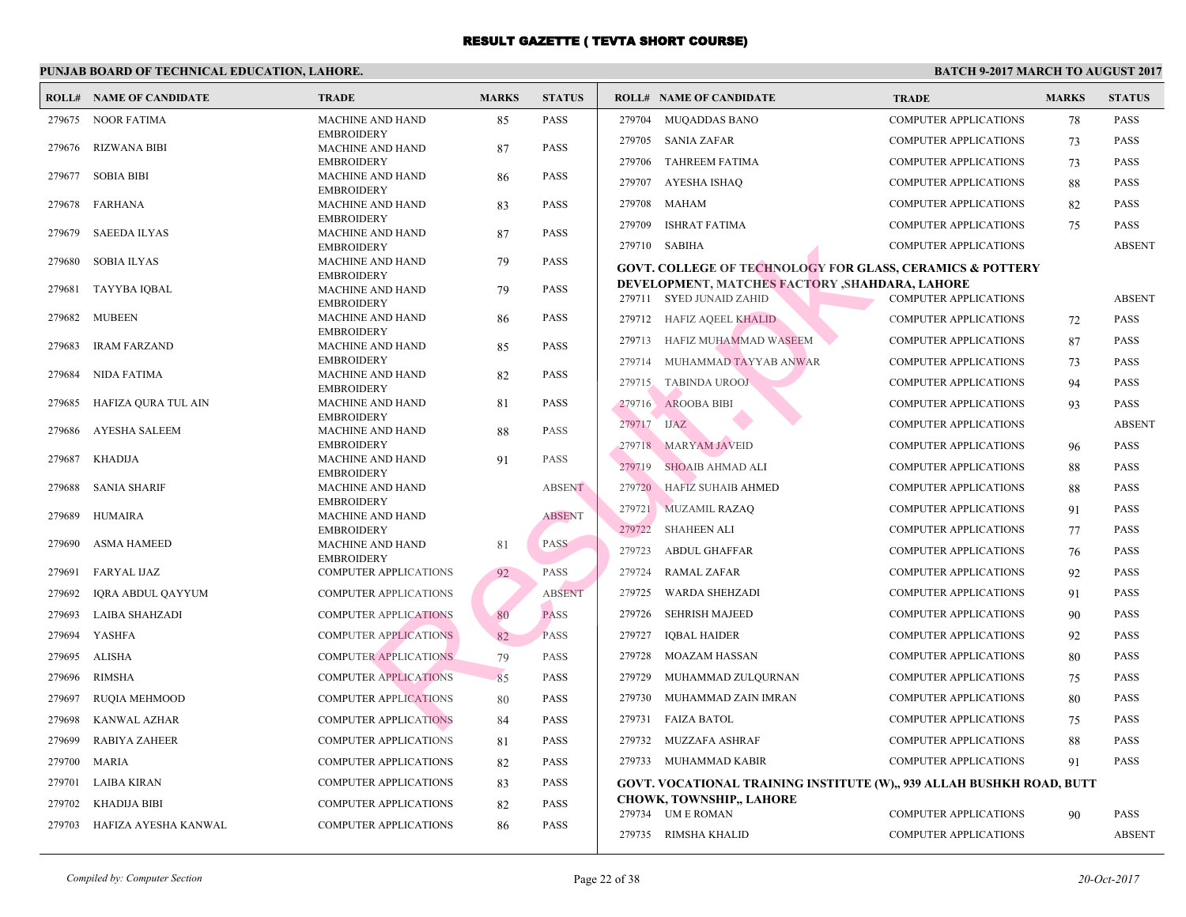|        | <b>ROLL# NAME OF CANDIDATE</b> | <b>TRADE</b>                                 | <b>MARKS</b> | <b>STATUS</b> |        | <b>ROLL# NAME OF CANDIDATE</b>                                       | <b>TRA</b>  |
|--------|--------------------------------|----------------------------------------------|--------------|---------------|--------|----------------------------------------------------------------------|-------------|
| 279675 | <b>NOOR FATIMA</b>             | <b>MACHINE AND HAND</b>                      | 85           | <b>PASS</b>   | 279704 | <b>MUQADDAS BANO</b>                                                 | <b>COME</b> |
|        |                                | <b>EMBROIDERY</b>                            |              |               | 279705 | SANIA ZAFAR                                                          | <b>COME</b> |
| 279676 | <b>RIZWANA BIBI</b>            | <b>MACHINE AND HAND</b><br><b>EMBROIDERY</b> | 87           | <b>PASS</b>   | 279706 | <b>TAHREEM FATIMA</b>                                                | <b>COME</b> |
| 279677 | <b>SOBIA BIBI</b>              | <b>MACHINE AND HAND</b>                      | 86           | <b>PASS</b>   | 279707 | AYESHA ISHAQ                                                         | <b>COMF</b> |
| 279678 | <b>FARHANA</b>                 | <b>EMBROIDERY</b><br><b>MACHINE AND HAND</b> | 83           | <b>PASS</b>   | 279708 | <b>MAHAM</b>                                                         | <b>COME</b> |
|        |                                | <b>EMBROIDERY</b>                            |              |               | 279709 | <b>ISHRAT FATIMA</b>                                                 | <b>COME</b> |
| 279679 | <b>SAEEDA ILYAS</b>            | <b>MACHINE AND HAND</b>                      | 87           | <b>PASS</b>   |        |                                                                      |             |
| 279680 | <b>SOBIA ILYAS</b>             | <b>EMBROIDERY</b><br><b>MACHINE AND HAND</b> | 79           | <b>PASS</b>   |        | 279710 SABIHA                                                        | <b>COME</b> |
|        |                                | <b>EMBROIDERY</b>                            |              |               |        | <b>GOVT. COLLEGE OF TECHNOLOGY FOR GLASS, CE</b>                     |             |
| 279681 | <b>TAYYBA IQBAL</b>            | <b>MACHINE AND HAND</b>                      | 79           | <b>PASS</b>   |        | DEVELOPMENT, MATCHES FACTORY , SHAHDARA,<br>279711 SYED JUNAID ZAHID | <b>COMF</b> |
| 279682 | <b>MUBEEN</b>                  | <b>EMBROIDERY</b><br><b>MACHINE AND HAND</b> | 86           | <b>PASS</b>   |        | 279712 HAFIZ AQEEL KHALID                                            | <b>COME</b> |
|        |                                | <b>EMBROIDERY</b>                            |              |               |        |                                                                      |             |
| 279683 | <b>IRAM FARZAND</b>            | <b>MACHINE AND HAND</b>                      | 85           | <b>PASS</b>   | 279713 | HAFIZ MUHAMMAD WASEEM                                                | <b>COME</b> |
| 279684 | <b>NIDA FATIMA</b>             | <b>EMBROIDERY</b><br><b>MACHINE AND HAND</b> | 82           | <b>PASS</b>   | 279714 | MUHAMMAD TAYYAB ANWAR                                                | <b>COME</b> |
|        |                                | <b>EMBROIDERY</b>                            |              |               | 279715 | <b>TABINDA UROOJ</b>                                                 | <b>COME</b> |
| 279685 | HAFIZA QURA TUL AIN            | <b>MACHINE AND HAND</b>                      | 81           | <b>PASS</b>   | 279716 | <b>AROOBA BIBI</b>                                                   | <b>COMF</b> |
| 279686 | <b>AYESHA SALEEM</b>           | <b>EMBROIDERY</b><br><b>MACHINE AND HAND</b> |              | <b>PASS</b>   | 279717 | <b>IJAZ</b>                                                          | <b>COME</b> |
|        |                                | <b>EMBROIDERY</b>                            | 88           |               |        | 279718 MARYAM JAVEID                                                 | <b>COME</b> |
| 279687 | <b>KHADIJA</b>                 | <b>MACHINE AND HAND</b>                      | 91           | PASS          | 279719 | <b>SHOAIB AHMAD ALI</b>                                              | <b>COMF</b> |
|        |                                | <b>EMBROIDERY</b>                            |              | <b>ABSENT</b> |        | <b>HAFIZ SUHAIB AHMED</b>                                            | <b>COMF</b> |
| 279688 | <b>SANIA SHARIF</b>            | <b>MACHINE AND HAND</b><br><b>EMBROIDERY</b> |              |               | 279720 |                                                                      |             |
| 279689 | HUMAIRA                        | <b>MACHINE AND HAND</b>                      |              | <b>ABSENT</b> |        | 279721 MUZAMIL RAZAQ                                                 | <b>COME</b> |
|        |                                | <b>EMBROIDERY</b>                            |              |               | 279722 | <b>SHAHEEN ALI</b>                                                   | <b>COME</b> |
| 279690 | <b>ASMA HAMEED</b>             | <b>MACHINE AND HAND</b><br><b>EMBROIDERY</b> | 81           | <b>PASS</b>   | 279723 | <b>ABDUL GHAFFAR</b>                                                 | <b>COMF</b> |
| 279691 | <b>FARYAL IJAZ</b>             | <b>COMPUTER APPLICATIONS</b>                 | 92           | <b>PASS</b>   | 279724 | <b>RAMAL ZAFAR</b>                                                   | <b>COME</b> |
| 279692 | <b>IQRA ABDUL QAYYUM</b>       | <b>COMPUTER APPLICATIONS</b>                 |              | <b>ABSENT</b> | 279725 | WARDA SHEHZADI                                                       | <b>COME</b> |
| 279693 | <b>LAIBA SHAHZADI</b>          | <b>COMPUTER APPLICATIONS</b>                 | 80           | <b>PASS</b>   | 279726 | <b>SEHRISH MAJEED</b>                                                | <b>COME</b> |
| 279694 | <b>YASHFA</b>                  | <b>COMPUTER APPLICATIONS</b>                 | 82           | <b>PASS</b>   | 279727 | <b>IOBAL HAIDER</b>                                                  | <b>COME</b> |
| 279695 | <b>ALISHA</b>                  | <b>COMPUTER APPLICATIONS</b>                 | 79           | <b>PASS</b>   | 279728 | MOAZAM HASSAN                                                        | <b>COME</b> |
| 279696 | <b>RIMSHA</b>                  | <b>COMPUTER APPLICATIONS</b>                 | 85           | <b>PASS</b>   | 279729 | MUHAMMAD ZULQURNAN                                                   | <b>COMF</b> |
| 279697 | <b>RUQIA MEHMOOD</b>           | <b>COMPUTER APPLICATIONS</b>                 | 80           | <b>PASS</b>   | 279730 | MUHAMMAD ZAIN IMRAN                                                  | <b>COMF</b> |
| 279698 | KANWAL AZHAR                   | <b>COMPUTER APPLICATIONS</b>                 | 84           | <b>PASS</b>   | 279731 | <b>FAIZA BATOL</b>                                                   | <b>COME</b> |
| 279699 | <b>RABIYA ZAHEER</b>           | <b>COMPUTER APPLICATIONS</b>                 | 81           | <b>PASS</b>   | 279732 | MUZZAFA ASHRAF                                                       | COMI        |
| 279700 | MARIA                          | <b>COMPUTER APPLICATIONS</b>                 | 82           | <b>PASS</b>   |        | 279733 MUHAMMAD KABIR                                                | <b>COME</b> |
| 279701 | <b>LAIBA KIRAN</b>             | COMPUTER APPLICATIONS                        | 83           | <b>PASS</b>   |        | GOVT. VOCATIONAL TRAINING INSTITUTE (W),, 93                         |             |
| 279702 | <b>KHADIJA BIBI</b>            | COMPUTER APPLICATIONS                        |              | <b>PASS</b>   |        | <b>CHOWK, TOWNSHIP,, LAHORE</b>                                      |             |
|        |                                |                                              | 82           |               |        | 279734 UM E ROMAN                                                    | <b>COME</b> |
| 279703 | HAFIZA AYESHA KANWAL           | <b>COMPUTER APPLICATIONS</b>                 | 86           | <b>PASS</b>   |        | 279735 RIMSHA KHALID                                                 | <b>COMF</b> |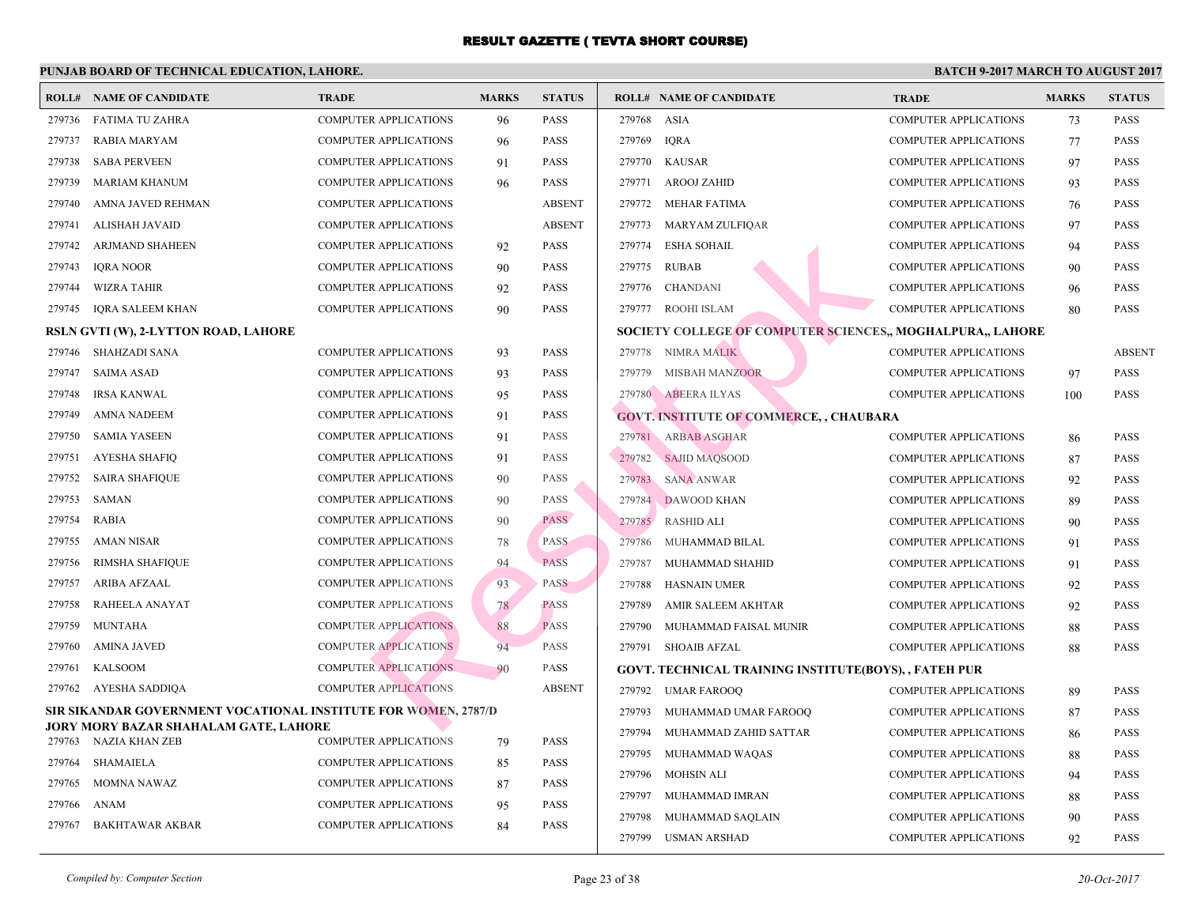|        | <b>ROLL# NAME OF CANDIDATE</b>                                 | <b>TRADE</b>                 | <b>MARKS</b> | <b>STATUS</b> |        | <b>ROLL# NAME OF CANDIDATE</b>                   | <b>TRA</b>  |
|--------|----------------------------------------------------------------|------------------------------|--------------|---------------|--------|--------------------------------------------------|-------------|
| 279736 | <b>FATIMA TU ZAHRA</b>                                         | <b>COMPUTER APPLICATIONS</b> | 96           | <b>PASS</b>   | 279768 | ASIA                                             | <b>COME</b> |
| 279737 | <b>RABIA MARYAM</b>                                            | COMPUTER APPLICATIONS        | 96           | <b>PASS</b>   | 279769 | <b>IQRA</b>                                      | <b>COME</b> |
| 279738 | <b>SABA PERVEEN</b>                                            | COMPUTER APPLICATIONS        | 91           | <b>PASS</b>   | 279770 | <b>KAUSAR</b>                                    | <b>COME</b> |
| 279739 | MARIAM KHANUM                                                  | <b>COMPUTER APPLICATIONS</b> | 96           | <b>PASS</b>   | 279771 | AROOJ ZAHID                                      | <b>COMF</b> |
| 279740 | AMNA JAVED REHMAN                                              | <b>COMPUTER APPLICATIONS</b> |              | <b>ABSENT</b> | 279772 | MEHAR FATIMA                                     | <b>COME</b> |
| 279741 | <b>ALISHAH JAVAID</b>                                          | <b>COMPUTER APPLICATIONS</b> |              | <b>ABSENT</b> | 279773 | MARYAM ZULFIQAR                                  | <b>COME</b> |
| 279742 | ARJMAND SHAHEEN                                                | COMPUTER APPLICATIONS        | 92           | <b>PASS</b>   | 279774 | <b>ESHA SOHAIL</b>                               | <b>COME</b> |
| 279743 | <b>IORA NOOR</b>                                               | <b>COMPUTER APPLICATIONS</b> | 90           | <b>PASS</b>   | 279775 | <b>RUBAB</b>                                     | <b>COME</b> |
| 279744 | <b>WIZRA TAHIR</b>                                             | COMPUTER APPLICATIONS        | 92           | <b>PASS</b>   | 279776 | CHANDANI                                         | <b>COME</b> |
| 279745 | <b>IQRA SALEEM KHAN</b>                                        | <b>COMPUTER APPLICATIONS</b> | 90           | <b>PASS</b>   | 279777 | ROOHI ISLAM                                      | <b>COMI</b> |
|        | RSLN GVTI (W), 2-LYTTON ROAD, LAHORE                           |                              |              |               |        | <b>SOCIETY COLLEGE OF COMPUTER SCIENCES,, MO</b> |             |
| 279746 | SHAHZADI SANA                                                  | <b>COMPUTER APPLICATIONS</b> | 93           | <b>PASS</b>   |        | 279778 NIMRA MALIK                               | <b>COMF</b> |
| 279747 | <b>SAIMA ASAD</b>                                              | <b>COMPUTER APPLICATIONS</b> | 93           | <b>PASS</b>   | 279779 | MISBAH MANZOOR                                   | <b>COME</b> |
| 279748 | <b>IRSA KANWAL</b>                                             | <b>COMPUTER APPLICATIONS</b> | 95           | <b>PASS</b>   |        | 279780 ABEERA ILYAS                              | <b>COMF</b> |
| 279749 | AMNA NADEEM                                                    | COMPUTER APPLICATIONS        | 91           | <b>PASS</b>   |        | <b>GOVT. INSTITUTE OF COMMERCE,, CHAUBARA</b>    |             |
| 279750 | <b>SAMIA YASEEN</b>                                            | <b>COMPUTER APPLICATIONS</b> | 91           | <b>PASS</b>   |        | 279781 ARBAB ASGHAR                              | <b>COMF</b> |
| 279751 | <b>AYESHA SHAFIQ</b>                                           | <b>COMPUTER APPLICATIONS</b> | 91           | <b>PASS</b>   | 279782 | <b>SAJID MAOSOOD</b>                             | <b>COME</b> |
| 279752 | <b>SAIRA SHAFIQUE</b>                                          | <b>COMPUTER APPLICATIONS</b> | 90           | <b>PASS</b>   | 279783 | <b>SANA ANWAR</b>                                | <b>COME</b> |
| 279753 | SAMAN                                                          | <b>COMPUTER APPLICATIONS</b> | 90           | <b>PASS</b>   | 279784 | DAWOOD KHAN                                      | <b>COME</b> |
| 279754 | <b>RABIA</b>                                                   | <b>COMPUTER APPLICATIONS</b> | 90           | <b>PASS</b>   | 279785 | RASHID ALI                                       | <b>COME</b> |
| 279755 | <b>AMAN NISAR</b>                                              | COMPUTER APPLICATIONS        | 78           | <b>PASS</b>   | 279786 | MUHAMMAD BILAL                                   | <b>COME</b> |
| 279756 | RIMSHA SHAFIQUE                                                | <b>COMPUTER APPLICATIONS</b> | 94           | <b>PASS</b>   | 279787 | MUHAMMAD SHAHID                                  | <b>COME</b> |
| 279757 | ARIBA AFZAAL                                                   | <b>COMPUTER APPLICATIONS</b> | 93           | PASS          | 279788 | <b>HASNAIN UMER</b>                              | <b>COME</b> |
| 279758 | RAHEELA ANAYAT                                                 | <b>COMPUTER APPLICATIONS</b> | 78           | <b>PASS</b>   | 279789 | AMIR SALEEM AKHTAR                               | <b>COME</b> |
| 279759 | <b>MUNTAHA</b>                                                 | <b>COMPUTER APPLICATIONS</b> | 88           | <b>PASS</b>   | 279790 | MUHAMMAD FAISAL MUNIR                            | <b>COME</b> |
| 279760 | <b>AMINA JAVED</b>                                             | <b>COMPUTER APPLICATIONS</b> | 94           | <b>PASS</b>   | 279791 | SHOAIB AFZAL                                     | <b>COME</b> |
| 279761 | <b>KALSOOM</b>                                                 | <b>COMPUTER APPLICATIONS</b> | 90           | PASS          |        | GOVT. TECHNICAL TRAINING INSTITUTE(BOYS),,       |             |
| 279762 | AYESHA SADDIQA                                                 | <b>COMPUTER APPLICATIONS</b> |              | <b>ABSENT</b> | 279792 | UMAR FAROOQ                                      | <b>COMF</b> |
|        | SIR SIKANDAR GOVERNMENT VOCATIONAL INSTITUTE FOR WOMEN, 2787/D |                              |              |               | 279793 | MUHAMMAD UMAR FAROOQ                             | <b>COME</b> |
| 279763 | JORY MORY BAZAR SHAHALAM GATE, LAHORE<br>NAZIA KHAN ZEB        | <b>COMPUTER APPLICATIONS</b> | 79           | <b>PASS</b>   | 279794 | MUHAMMAD ZAHID SATTAR                            | <b>COME</b> |
| 279764 | <b>SHAMAIELA</b>                                               | <b>COMPUTER APPLICATIONS</b> | 85           | <b>PASS</b>   | 279795 | MUHAMMAD WAQAS                                   | <b>COMF</b> |
| 279765 | <b>MOMNA NAWAZ</b>                                             | <b>COMPUTER APPLICATIONS</b> | 87           | <b>PASS</b>   | 279796 | MOHSIN ALI                                       | <b>COMF</b> |
| 279766 | <b>ANAM</b>                                                    | <b>COMPUTER APPLICATIONS</b> | 95           | <b>PASS</b>   | 279797 | MUHAMMAD IMRAN                                   | <b>COME</b> |
| 279767 | <b>BAKHTAWAR AKBAR</b>                                         | <b>COMPUTER APPLICATIONS</b> | 84           | <b>PASS</b>   | 279798 | MUHAMMAD SAQLAIN                                 | <b>COME</b> |
|        |                                                                |                              |              |               | 279799 | USMAN ARSHAD                                     | <b>COMF</b> |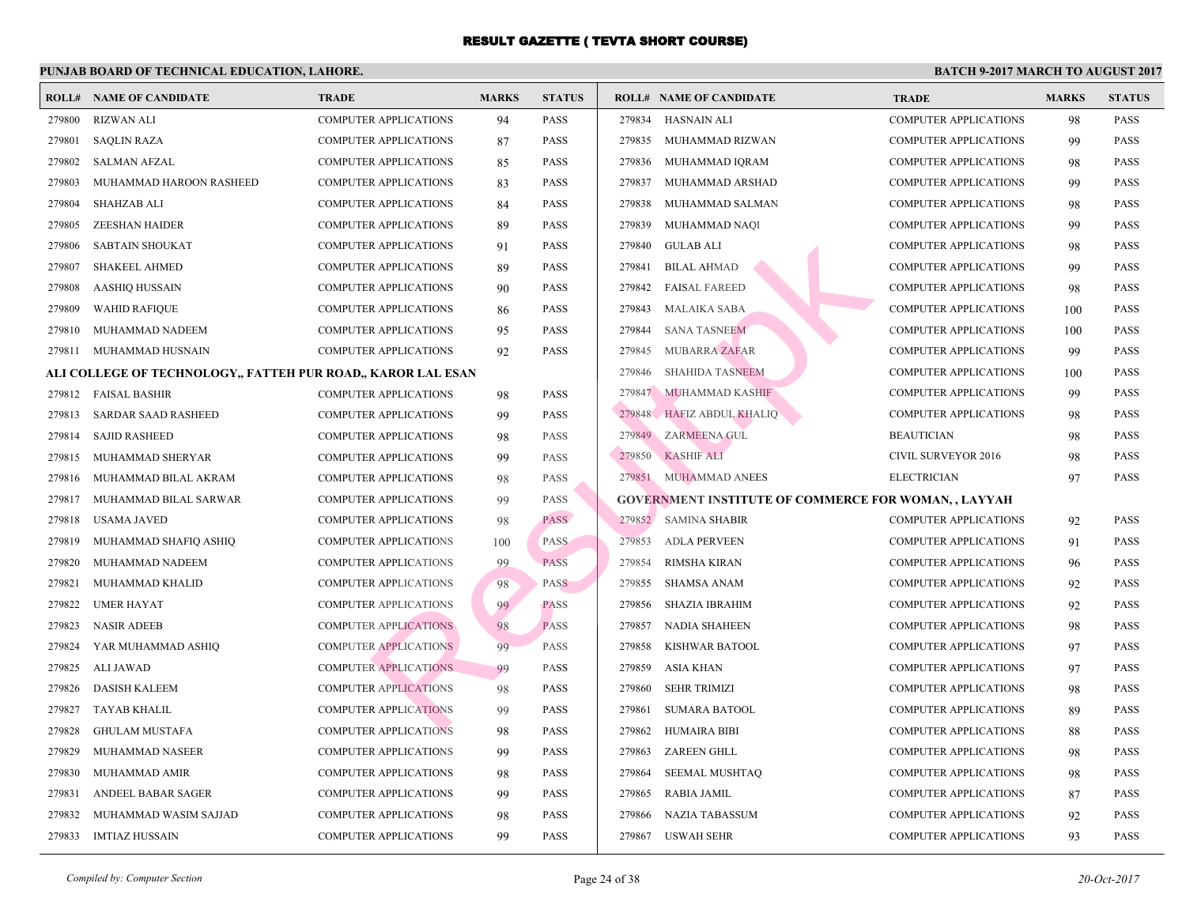| <b>ROLL#</b> | NAME OF CANDIDATE                                            | <b>TRADE</b>                 | <b>MARKS</b> | <b>STATUS</b> | <b>ROLL# NAME OF CANDIDATE</b>                 | <b>TRA</b>   |
|--------------|--------------------------------------------------------------|------------------------------|--------------|---------------|------------------------------------------------|--------------|
| 279800       | <b>RIZWAN ALI</b>                                            | <b>COMPUTER APPLICATIONS</b> | 94           | <b>PASS</b>   | 279834<br><b>HASNAIN ALI</b>                   | COMI         |
| 279801       | <b>SAQLIN RAZA</b>                                           | COMPUTER APPLICATIONS        | 87           | <b>PASS</b>   | 279835 MUHAMMAD RIZWAN                         | <b>COMI</b>  |
| 279802       | <b>SALMAN AFZAL</b>                                          | <b>COMPUTER APPLICATIONS</b> | 85           | <b>PASS</b>   | 279836<br>MUHAMMAD IQRAM                       | <b>COMF</b>  |
| 279803       | MUHAMMAD HAROON RASHEED                                      | <b>COMPUTER APPLICATIONS</b> | 83           | <b>PASS</b>   | 279837<br>MUHAMMAD ARSHAD                      | <b>COMI</b>  |
| 279804       | <b>SHAHZAB ALI</b>                                           | <b>COMPUTER APPLICATIONS</b> | 84           | <b>PASS</b>   | 279838<br>MUHAMMAD SALMAN                      | <b>COMF</b>  |
| 279805       | <b>ZEESHAN HAIDER</b>                                        | <b>COMPUTER APPLICATIONS</b> | 89           | <b>PASS</b>   | 279839<br>MUHAMMAD NAQI                        | <b>COMF</b>  |
| 279806       | <b>SABTAIN SHOUKAT</b>                                       | <b>COMPUTER APPLICATIONS</b> | 91           | <b>PASS</b>   | 279840<br><b>GULAB ALI</b>                     | <b>COMF</b>  |
| 279807       | <b>SHAKEEL AHMED</b>                                         | <b>COMPUTER APPLICATIONS</b> | 89           | <b>PASS</b>   | 279841<br><b>BILAL AHMAD</b>                   | <b>COMF</b>  |
| 279808       | <b>AASHIQ HUSSAIN</b>                                        | <b>COMPUTER APPLICATIONS</b> | 90           | <b>PASS</b>   | 279842<br><b>FAISAL FAREED</b>                 | <b>COME</b>  |
| 279809       | <b>WAHID RAFIQUE</b>                                         | <b>COMPUTER APPLICATIONS</b> | 86           | <b>PASS</b>   | 279843<br>MALAIKA SABA                         | <b>COMI</b>  |
| 279810       | MUHAMMAD NADEEM                                              | COMPUTER APPLICATIONS        | 95           | <b>PASS</b>   | 279844<br><b>SANA TASNEEM</b>                  | <b>COMI</b>  |
| 279811       | MUHAMMAD HUSNAIN                                             | COMPUTER APPLICATIONS        | 92           | <b>PASS</b>   | 279845 MUBARRA ZAFAR                           | <b>COMF</b>  |
|              | ALI COLLEGE OF TECHNOLOGY,, FATTEH PUR ROAD,, KAROR LAL ESAN |                              |              |               | 279846<br><b>SHAHIDA TASNEEM</b>               | <b>COME</b>  |
| 279812       | <b>FAISAL BASHIR</b>                                         | COMPUTER APPLICATIONS        | 98           | <b>PASS</b>   | 279847 MUHAMMAD KASHIF                         | <b>COMI</b>  |
| 279813       | <b>SARDAR SAAD RASHEED</b>                                   | <b>COMPUTER APPLICATIONS</b> | 99           | <b>PASS</b>   | 279848 HAFIZ ABDUL KHALIQ                      | <b>COME</b>  |
| 279814       | <b>SAJID RASHEED</b>                                         | <b>COMPUTER APPLICATIONS</b> | 98           | <b>PASS</b>   | 279849 ZARMEENA GUL                            | <b>BEAU</b>  |
| 279815       | MUHAMMAD SHERYAR                                             | <b>COMPUTER APPLICATIONS</b> | 99           | PASS          | 279850<br>KASHIF ALI                           | <b>CIVIL</b> |
| 279816       | MUHAMMAD BILAL AKRAM                                         | <b>COMPUTER APPLICATIONS</b> | 98           | PASS          | 279851 MUHAMMAD ANEES                          | <b>ELEC</b>  |
| 279817       | MUHAMMAD BILAL SARWAR                                        | <b>COMPUTER APPLICATIONS</b> | 99           | <b>PASS</b>   | <b>GOVERNMENT INSTITUTE OF COMMERCE FOR WO</b> |              |
| 279818       | <b>USAMA JAVED</b>                                           | COMPUTER APPLICATIONS        | 98           | <b>PASS</b>   | 279852 SAMINA SHABIR                           | <b>COME</b>  |
| 279819       | MUHAMMAD SHAFIQ ASHIQ                                        | <b>COMPUTER APPLICATIONS</b> | 100          | <b>PASS</b>   | 279853<br>ADLA PERVEEN                         | <b>COMI</b>  |
| 279820       | MUHAMMAD NADEEM                                              | <b>COMPUTER APPLICATIONS</b> | 99           | PASS          | 279854<br><b>RIMSHA KIRAN</b>                  | <b>COMF</b>  |
| 279821       | MUHAMMAD KHALID                                              | <b>COMPUTER APPLICATIONS</b> | 98           | <b>PASS</b>   | 279855<br>SHAMSA ANAM                          | <b>COMI</b>  |
| 279822       | <b>UMER HAYAT</b>                                            | <b>COMPUTER APPLICATIONS</b> | 99           | <b>PASS</b>   | 279856<br>SHAZIA IBRAHIM                       | <b>COMI</b>  |
| 279823       | <b>NASIR ADEEB</b>                                           | <b>COMPUTER APPLICATIONS</b> | 98           | <b>PASS</b>   | 279857<br>NADIA SHAHEEN                        | <b>COMI</b>  |
| 279824       | YAR MUHAMMAD ASHIQ                                           | <b>COMPUTER APPLICATIONS</b> | 99           | <b>PASS</b>   | 279858<br>KISHWAR BATOOL                       | <b>COMI</b>  |
| 279825       | ALI JAWAD                                                    | <b>COMPUTER APPLICATIONS</b> | 99           | PASS          | 279859<br>ASIA KHAN                            | <b>COMI</b>  |
| 279826       | <b>DASISH KALEEM</b>                                         | <b>COMPUTER APPLICATIONS</b> | 98           | <b>PASS</b>   | 279860<br><b>SEHR TRIMIZI</b>                  | <b>COME</b>  |
| 279827       | TAYAB KHALIL                                                 | <b>COMPUTER APPLICATIONS</b> | 99           | <b>PASS</b>   | 279861<br><b>SUMARA BATOOL</b>                 | <b>COMF</b>  |
| 279828       | <b>GHULAM MUSTAFA</b>                                        | <b>COMPUTER APPLICATIONS</b> | 98           | <b>PASS</b>   | 279862<br><b>HUMAIRA BIBI</b>                  | <b>COME</b>  |
| 279829       | MUHAMMAD NASEER                                              | <b>COMPUTER APPLICATIONS</b> | 99           | <b>PASS</b>   | 279863<br>ZAREEN GHLL                          | COMF         |
| 279830       | MUHAMMAD AMIR                                                | COMPUTER APPLICATIONS        | 98           | <b>PASS</b>   | 279864<br>SEEMAL MUSHTAQ                       | COMI         |
| 279831       | ANDEEL BABAR SAGER                                           | COMPUTER APPLICATIONS        | 99           | PASS          | 279865<br>RABIA JAMIL                          | <b>COMF</b>  |
| 279832       | MUHAMMAD WASIM SAJJAD                                        | COMPUTER APPLICATIONS        | 98           | PASS          | <b>NAZIA TABASSUM</b><br>279866                | COMI         |
| 279833       | <b>IMTIAZ HUSSAIN</b>                                        | <b>COMPUTER APPLICATIONS</b> | 99           | <b>PASS</b>   | 279867 USWAH SEHR                              | <b>COMI</b>  |
|              |                                                              |                              |              |               |                                                |              |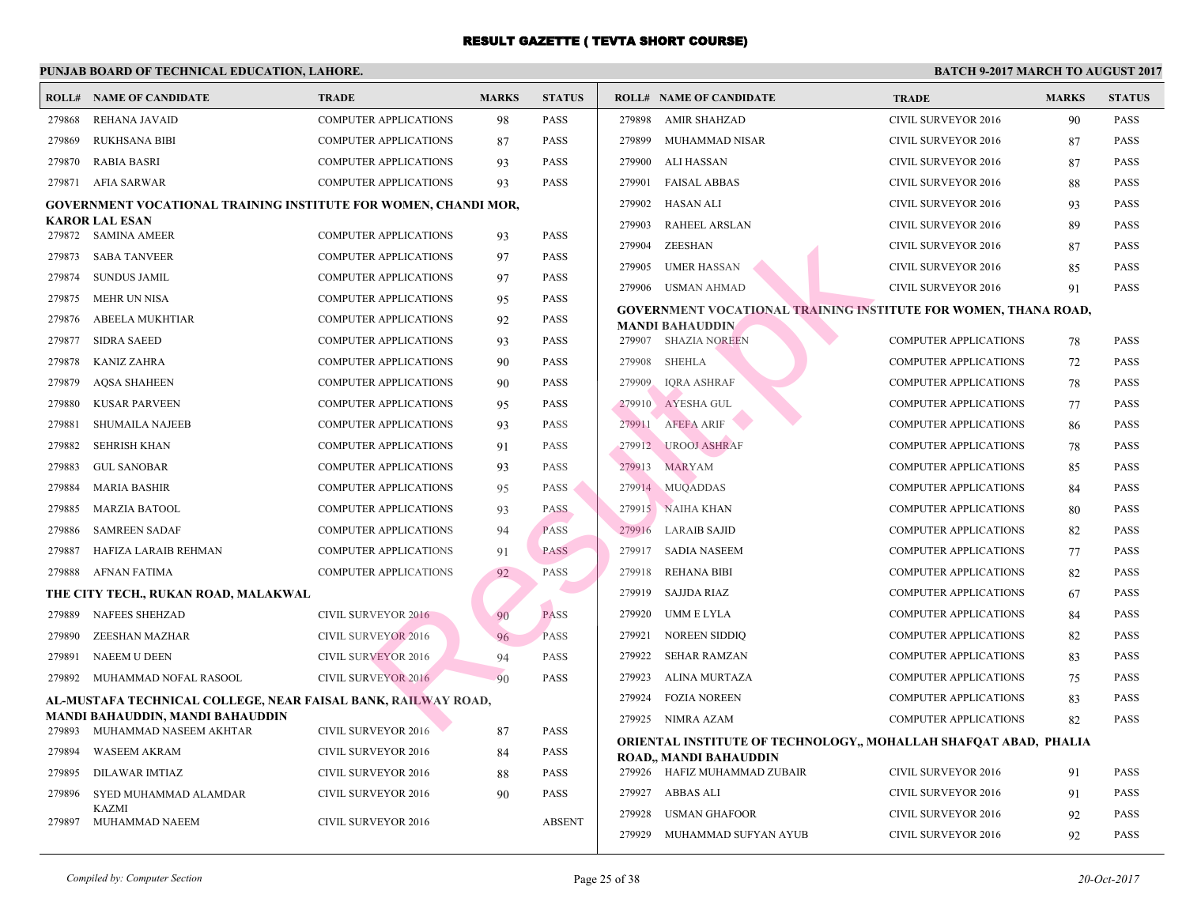|        | <b>ROLL# NAME OF CANDIDATE</b>                                         | <b>TRADE</b>                 | <b>MARKS</b> | <b>STATUS</b> | <b>ROLL# NAME OF CANDIDATE</b>                  | <b>TRA</b>   |
|--------|------------------------------------------------------------------------|------------------------------|--------------|---------------|-------------------------------------------------|--------------|
| 279868 | REHANA JAVAID                                                          | <b>COMPUTER APPLICATIONS</b> | 98           | <b>PASS</b>   | 279898<br>AMIR SHAHZAD                          | <b>CIVIL</b> |
| 279869 | <b>RUKHSANA BIBI</b>                                                   | COMPUTER APPLICATIONS        | 87           | <b>PASS</b>   | 279899<br>MUHAMMAD NISAR                        | <b>CIVIL</b> |
| 279870 | <b>RABIA BASRI</b>                                                     | <b>COMPUTER APPLICATIONS</b> | 93           | <b>PASS</b>   | 279900<br>ALI HASSAN                            | <b>CIVIL</b> |
| 279871 | AFIA SARWAR                                                            | <b>COMPUTER APPLICATIONS</b> | 93           | <b>PASS</b>   | 279901<br><b>FAISAL ABBAS</b>                   | <b>CIVIL</b> |
|        | <b>GOVERNMENT VOCATIONAL TRAINING INSTITUTE FOR WOMEN, CHANDI MOR,</b> |                              |              |               | 279902<br>HASAN ALI                             | <b>CIVIL</b> |
|        | <b>KAROR LAL ESAN</b>                                                  |                              |              |               | 279903<br><b>RAHEEL ARSLAN</b>                  | <b>CIVII</b> |
|        | 279872 SAMINA AMEER                                                    | <b>COMPUTER APPLICATIONS</b> | 93           | <b>PASS</b>   | 279904<br>ZEESHAN                               | <b>CIVIL</b> |
| 279873 | <b>SABA TANVEER</b>                                                    | <b>COMPUTER APPLICATIONS</b> | 97           | <b>PASS</b>   | 279905<br><b>UMER HASSAN</b>                    | <b>CIVIL</b> |
| 279874 | <b>SUNDUS JAMIL</b>                                                    | <b>COMPUTER APPLICATIONS</b> | 97           | <b>PASS</b>   | 279906<br><b>USMAN AHMAD</b>                    | <b>CIVIL</b> |
| 279875 | <b>MEHR UN NISA</b>                                                    | <b>COMPUTER APPLICATIONS</b> | 95           | <b>PASS</b>   | <b>GOVERNMENT VOCATIONAL TRAINING INSTITUTI</b> |              |
| 279876 | ABEELA MUKHTIAR                                                        | <b>COMPUTER APPLICATIONS</b> | 92           | <b>PASS</b>   | <b>MANDI BAHAUDDIN</b>                          |              |
| 279877 | <b>SIDRA SAEED</b>                                                     | <b>COMPUTER APPLICATIONS</b> | 93           | <b>PASS</b>   | 279907 SHAZIA NOREEN                            | <b>COMF</b>  |
| 279878 | KANIZ ZAHRA                                                            | <b>COMPUTER APPLICATIONS</b> | 90           | <b>PASS</b>   | <b>SHEHLA</b><br>279908                         | <b>COMI</b>  |
| 279879 | <b>AQSA SHAHEEN</b>                                                    | <b>COMPUTER APPLICATIONS</b> | 90           | <b>PASS</b>   | 279909<br><b>IQRA ASHRAF</b>                    | <b>COMF</b>  |
| 279880 | <b>KUSAR PARVEEN</b>                                                   | <b>COMPUTER APPLICATIONS</b> | 95           | <b>PASS</b>   | 279910 AYESHA GUL                               | <b>COMI</b>  |
| 279881 | <b>SHUMAILA NAJEEB</b>                                                 | <b>COMPUTER APPLICATIONS</b> | 93           | <b>PASS</b>   | AFEFA ARIF<br>279911                            | <b>COMI</b>  |
| 279882 | <b>SEHRISH KHAN</b>                                                    | <b>COMPUTER APPLICATIONS</b> | 91           | <b>PASS</b>   | 279912 UROOJ ASHRAF                             | <b>COMF</b>  |
| 279883 | <b>GUL SANOBAR</b>                                                     | <b>COMPUTER APPLICATIONS</b> | 93           | <b>PASS</b>   | 279913<br><b>MARYAM</b>                         | <b>COMI</b>  |
| 279884 | <b>MARIA BASHIR</b>                                                    | <b>COMPUTER APPLICATIONS</b> | 95           | <b>PASS</b>   | 279914 MUQADDAS                                 | <b>COMI</b>  |
| 279885 | <b>MARZIA BATOOL</b>                                                   | <b>COMPUTER APPLICATIONS</b> | 93           | <b>PASS</b>   | 279915 NAIHA KHAN                               | <b>COMI</b>  |
| 279886 | <b>SAMREEN SADAF</b>                                                   | <b>COMPUTER APPLICATIONS</b> | 94           | <b>PASS</b>   | 279916<br><b>LARAIB SAJID</b>                   | <b>COMI</b>  |
| 279887 | HAFIZA LARAIB REHMAN                                                   | <b>COMPUTER APPLICATIONS</b> | 91           | <b>PASS</b>   | 279917 SADIA NASEEM                             | <b>COMI</b>  |
| 279888 | AFNAN FATIMA                                                           | <b>COMPUTER APPLICATIONS</b> | 92           | PASS          | <b>REHANA BIBI</b><br>279918                    | <b>COMI</b>  |
|        | THE CITY TECH., RUKAN ROAD, MALAKWAL                                   |                              |              |               | 279919 SAJJDA RIAZ                              | COMI         |
| 279889 | <b>NAFEES SHEHZAD</b>                                                  | <b>CIVIL SURVEYOR 2016</b>   | 90           | <b>PASS</b>   | 279920<br>UMM E LYLA                            | <b>COMI</b>  |
| 279890 | ZEESHAN MAZHAR                                                         | <b>CIVIL SURVEYOR 2016</b>   | 96           | <b>PASS</b>   | 279921<br><b>NOREEN SIDDIQ</b>                  | COMI         |
| 279891 | <b>NAEEM U DEEN</b>                                                    | <b>CIVIL SURVEYOR 2016</b>   | 94           | <b>PASS</b>   | 279922<br>SEHAR RAMZAN                          | COMI         |
| 279892 | MUHAMMAD NOFAL RASOOL                                                  | <b>CIVIL SURVEYOR 2016</b>   | 90           | PASS          | 279923<br>ALINA MURTAZA                         | <b>COMI</b>  |
|        | AL-MUSTAFA TECHNICAL COLLEGE, NEAR FAISAL BANK, RAILWAY ROAD,          |                              |              |               | 279924<br><b>FOZIA NOREEN</b>                   | <b>COMI</b>  |
|        | MANDI BAHAUDDIN, MANDI BAHAUDDIN                                       |                              |              |               | 279925 NIMRA AZAM                               | <b>COMI</b>  |
| 279893 | MUHAMMAD NASEEM AKHTAR                                                 | CIVIL SURVEYOR 2016          | 87           | <b>PASS</b>   | ORIENTAL INSTITUTE OF TECHNOLOGY,, MOHALI       |              |
| 279894 | <b>WASEEM AKRAM</b>                                                    | <b>CIVIL SURVEYOR 2016</b>   | 84           | <b>PASS</b>   | ROAD,, MANDI BAHAUDDIN                          |              |
| 279895 | DILAWAR IMTIAZ                                                         | <b>CIVIL SURVEYOR 2016</b>   | 88           | <b>PASS</b>   | 279926 HAFIZ MUHAMMAD ZUBAIR                    | <b>CIVIL</b> |
| 279896 | SYED MUHAMMAD ALAMDAR                                                  | <b>CIVIL SURVEYOR 2016</b>   | 90           | <b>PASS</b>   | 279927 ABBAS ALI                                | <b>CIVIL</b> |
| 279897 | <b>KAZMI</b><br>MUHAMMAD NAEEM                                         | CIVIL SURVEYOR 2016          |              | <b>ABSENT</b> | 279928<br><b>USMAN GHAFOOR</b>                  | <b>CIVIL</b> |
|        |                                                                        |                              |              |               | 279929<br>MUHAMMAD SUFYAN AYUB                  | <b>CIVIL</b> |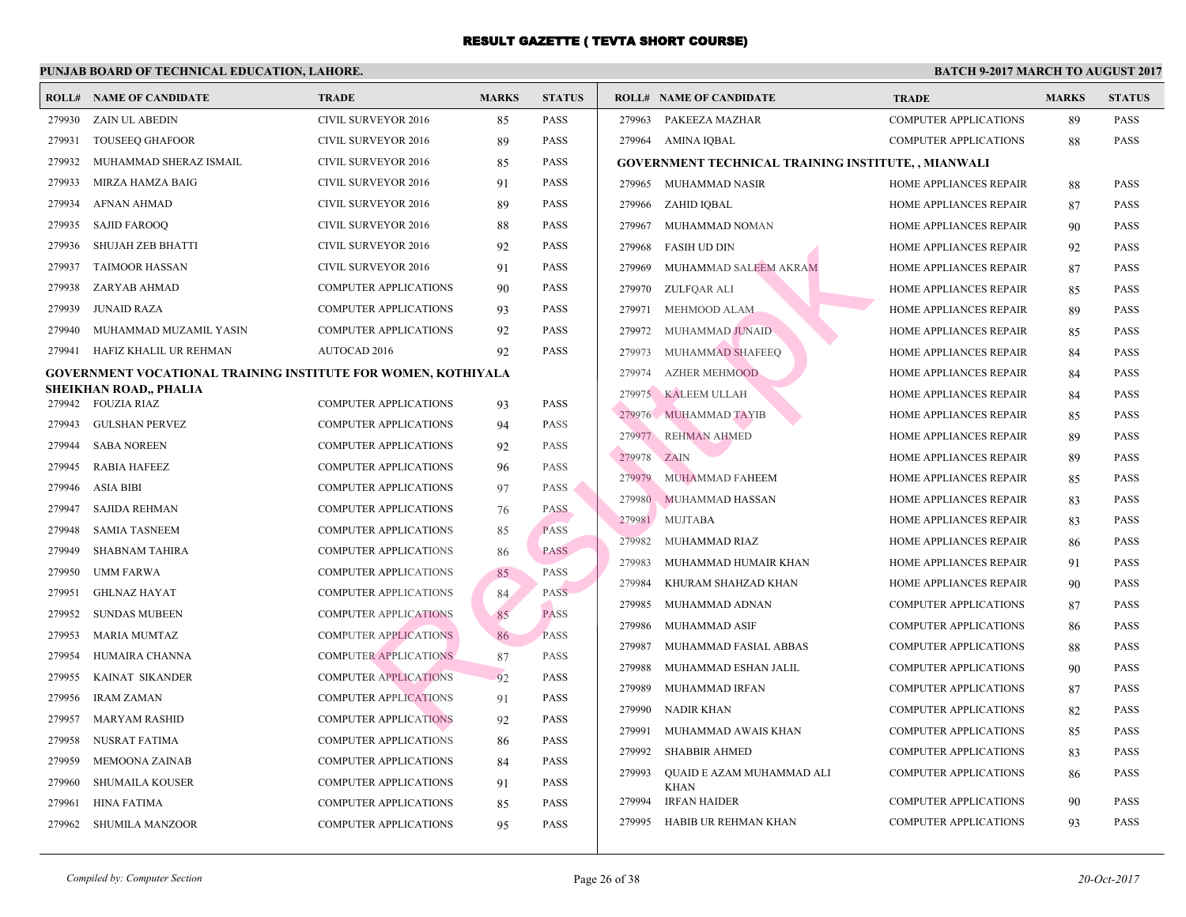|        | <b>ROLL# NAME OF CANDIDATE</b>                                | <b>TRADE</b>                 | <b>MARKS</b> | <b>STATUS</b> | <b>ROLL# NAME OF CANDIDATE</b>                  | <b>TRA</b>  |
|--------|---------------------------------------------------------------|------------------------------|--------------|---------------|-------------------------------------------------|-------------|
| 279930 | ZAIN UL ABEDIN                                                | CIVIL SURVEYOR 2016          | 85           | <b>PASS</b>   | 279963 PAKEEZA MAZHAR                           | <b>COME</b> |
| 279931 | <b>TOUSEEQ GHAFOOR</b>                                        | <b>CIVIL SURVEYOR 2016</b>   | 89           | <b>PASS</b>   | 279964 AMINA IQBAL                              | <b>COMF</b> |
| 279932 | MUHAMMAD SHERAZ ISMAIL                                        | CIVIL SURVEYOR 2016          | 85           | <b>PASS</b>   | <b>GOVERNMENT TECHNICAL TRAINING INSTITUTE,</b> |             |
| 279933 | MIRZA HAMZA BAIG                                              | CIVIL SURVEYOR 2016          | 91           | <b>PASS</b>   | 279965 MUHAMMAD NASIR                           | <b>HOM</b>  |
| 279934 | <b>AFNAN AHMAD</b>                                            | <b>CIVIL SURVEYOR 2016</b>   | 89           | <b>PASS</b>   | 279966<br>ZAHID IQBAL                           | HOM.        |
| 279935 | <b>SAJID FAROOQ</b>                                           | <b>CIVIL SURVEYOR 2016</b>   | 88           | <b>PASS</b>   | 279967<br>MUHAMMAD NOMAN                        | HOMI        |
| 279936 | SHUJAH ZEB BHATTI                                             | <b>CIVIL SURVEYOR 2016</b>   | 92           | <b>PASS</b>   | 279968<br><b>FASIH UD DIN</b>                   | <b>HOMI</b> |
| 279937 | <b>TAIMOOR HASSAN</b>                                         | CIVIL SURVEYOR 2016          | 91           | <b>PASS</b>   | 279969<br>MUHAMMAD SALEEM AKRAM                 | HOMI        |
| 279938 | ZARYAB AHMAD                                                  | <b>COMPUTER APPLICATIONS</b> | 90           | <b>PASS</b>   | 279970<br>ZULFOAR ALI                           | HOMI        |
| 279939 | <b>JUNAID RAZA</b>                                            | <b>COMPUTER APPLICATIONS</b> | 93           | <b>PASS</b>   | 279971<br>MEHMOOD ALAM                          | <b>HOMI</b> |
| 279940 | MUHAMMAD MUZAMIL YASIN                                        | <b>COMPUTER APPLICATIONS</b> | 92           | <b>PASS</b>   | 279972<br>MUHAMMAD JUNAID                       | <b>HOMI</b> |
| 279941 | HAFIZ KHALIL UR REHMAN                                        | AUTOCAD 2016                 | 92           | <b>PASS</b>   | 279973<br>MUHAMMAD SHAFEEQ                      | <b>HOMI</b> |
|        | GOVERNMENT VOCATIONAL TRAINING INSTITUTE FOR WOMEN, KOTHIYALA |                              |              |               | 279974<br><b>AZHER MEHMOOD</b>                  | <b>HOMI</b> |
| 279942 | SHEIKHAN ROAD., PHALIA<br>FOUZIA RIAZ                         | <b>COMPUTER APPLICATIONS</b> |              | <b>PASS</b>   | 279975 KALEEM ULLAH                             | <b>HOMI</b> |
| 279943 | <b>GULSHAN PERVEZ</b>                                         | <b>COMPUTER APPLICATIONS</b> | 93           | <b>PASS</b>   | 279976 MUHAMMAD TAYIB                           | HOM         |
| 279944 | <b>SABA NOREEN</b>                                            |                              | 94           | <b>PASS</b>   | <b>REHMAN AHMED</b><br>279977                   | HOM.        |
| 279945 |                                                               | <b>COMPUTER APPLICATIONS</b> | 92           |               | 279978<br><b>ZAIN</b>                           | <b>HOM</b>  |
| 279946 | <b>RABIA HAFEEZ</b>                                           | <b>COMPUTER APPLICATIONS</b> | 96           | <b>PASS</b>   | 279979<br>MUHAMMAD FAHEEM                       | HOM.        |
|        | <b>ASIA BIBI</b>                                              | <b>COMPUTER APPLICATIONS</b> | 97           | <b>PASS</b>   | 279980 MUHAMMAD HASSAN                          | HOM.        |
| 279947 | <b>SAJIDA REHMAN</b>                                          | <b>COMPUTER APPLICATIONS</b> | 76           | <b>PASS</b>   | 279981<br><b>MUJTABA</b>                        | HOM.        |
| 279948 | <b>SAMIA TASNEEM</b>                                          | COMPUTER APPLICATIONS        | 85           | <b>PASS</b>   | 279982<br>MUHAMMAD RIAZ                         | HOMI        |
| 279949 | <b>SHABNAM TAHIRA</b>                                         | <b>COMPUTER APPLICATIONS</b> | 86           | <b>PASS</b>   | 279983<br>MUHAMMAD HUMAIR KHAN                  | HOMI        |
| 279950 | <b>UMM FARWA</b>                                              | <b>COMPUTER APPLICATIONS</b> | 85           | <b>PASS</b>   | 279984<br>KHURAM SHAHZAD KHAN                   | HOMI        |
| 279951 | <b>GHLNAZ HAYAT</b>                                           | <b>COMPUTER APPLICATIONS</b> | 84           | <b>PASS</b>   | 279985<br>MUHAMMAD ADNAN                        | <b>COMI</b> |
| 279952 | <b>SUNDAS MUBEEN</b>                                          | <b>COMPUTER APPLICATIONS</b> | 85           | <b>PASS</b>   | 279986<br>MUHAMMAD ASIF                         | <b>COMF</b> |
| 279953 | <b>MARIA MUMTAZ</b>                                           | <b>COMPUTER APPLICATIONS</b> | 86           | <b>PASS</b>   | 279987<br>MUHAMMAD FASIAL ABBAS                 | <b>COMF</b> |
| 279954 | HUMAIRA CHANNA                                                | <b>COMPUTER APPLICATIONS</b> | 87           | PASS          | 279988<br>MUHAMMAD ESHAN JALIL                  | <b>COMI</b> |
| 279955 | KAINAT SIKANDER                                               | <b>COMPUTER APPLICATIONS</b> | 92           | <b>PASS</b>   | 279989<br>MUHAMMAD IRFAN                        | <b>COMI</b> |
| 279956 | <b>IRAM ZAMAN</b>                                             | <b>COMPUTER APPLICATIONS</b> | 91           | <b>PASS</b>   | 279990 NADIR KHAN                               | <b>COMI</b> |
| 279957 | <b>MARYAM RASHID</b>                                          | <b>COMPUTER APPLICATIONS</b> | 92           | <b>PASS</b>   | 279991<br>MUHAMMAD AWAIS KHAN                   | <b>COMI</b> |
| 279958 | NUSRAT FATIMA                                                 | COMPUTER APPLICATIONS        | 86           | <b>PASS</b>   | 279992<br><b>SHABBIR AHMED</b>                  | <b>COME</b> |
| 279959 | <b>MEMOONA ZAINAB</b>                                         | <b>COMPUTER APPLICATIONS</b> | 84           | <b>PASS</b>   | 279993<br>QUAID E AZAM MUHAMMAD ALI             | <b>COME</b> |
| 279960 | SHUMAILA KOUSER                                               | <b>COMPUTER APPLICATIONS</b> | 91           | <b>PASS</b>   | <b>KHAN</b>                                     |             |
| 279961 | <b>HINA FATIMA</b>                                            | <b>COMPUTER APPLICATIONS</b> | 85           | <b>PASS</b>   | 279994<br><b>IRFAN HAIDER</b>                   | <b>COME</b> |
| 279962 | SHUMILA MANZOOR                                               | <b>COMPUTER APPLICATIONS</b> | 95           | <b>PASS</b>   | 279995 HABIB UR REHMAN KHAN                     | <b>COMI</b> |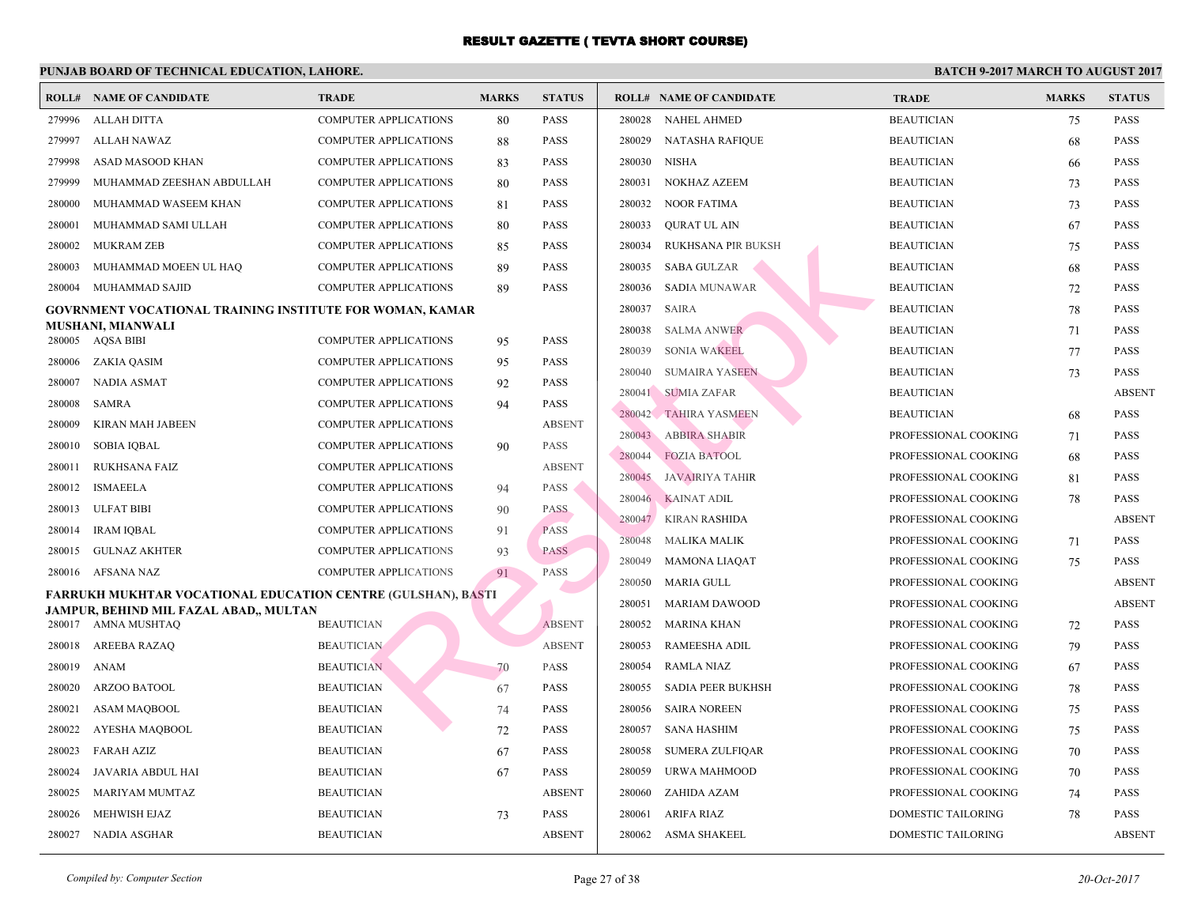|        | <b>ROLL# NAME OF CANDIDATE</b>                                                                                | <b>TRADE</b>                 | <b>MARKS</b> | <b>STATUS</b> | <b>ROLL# NAME OF CANDIDATE</b>   | <b>TRA</b>  |
|--------|---------------------------------------------------------------------------------------------------------------|------------------------------|--------------|---------------|----------------------------------|-------------|
| 279996 | ALLAH DITTA                                                                                                   | COMPUTER APPLICATIONS        | 80           | <b>PASS</b>   | 280028<br><b>NAHEL AHMED</b>     | <b>BEAU</b> |
| 279997 | ALLAH NAWAZ                                                                                                   | <b>COMPUTER APPLICATIONS</b> | 88           | <b>PASS</b>   | 280029<br><b>NATASHA RAFIQUE</b> | <b>BEAU</b> |
| 279998 | ASAD MASOOD KHAN                                                                                              | COMPUTER APPLICATIONS        | 83           | <b>PASS</b>   | 280030<br>NISHA                  | <b>BEAU</b> |
| 279999 | MUHAMMAD ZEESHAN ABDULLAH                                                                                     | <b>COMPUTER APPLICATIONS</b> | 80           | <b>PASS</b>   | NOKHAZ AZEEM<br>280031           | <b>BEAU</b> |
| 280000 | MUHAMMAD WASEEM KHAN                                                                                          | <b>COMPUTER APPLICATIONS</b> | 81           | <b>PASS</b>   | 280032<br>NOOR FATIMA            | <b>BEAU</b> |
| 280001 | MUHAMMAD SAMI ULLAH                                                                                           | <b>COMPUTER APPLICATIONS</b> | 80           | <b>PASS</b>   | 280033<br>QURAT UL AIN           | <b>BEAU</b> |
| 280002 | MUKRAM ZEB                                                                                                    | <b>COMPUTER APPLICATIONS</b> | 85           | <b>PASS</b>   | 280034<br>RUKHSANA PIR BUKSH     | <b>BEAU</b> |
| 280003 | MUHAMMAD MOEEN UL HAQ                                                                                         | <b>COMPUTER APPLICATIONS</b> | 89           | <b>PASS</b>   | <b>SABA GULZAR</b><br>280035     | <b>BEAU</b> |
| 280004 | MUHAMMAD SAJID                                                                                                | COMPUTER APPLICATIONS        | 89           | <b>PASS</b>   | <b>SADIA MUNAWAR</b><br>280036   | <b>BEAU</b> |
|        | <b>GOVRNMENT VOCATIONAL TRAINING INSTITUTE FOR WOMAN, KAMAR</b>                                               |                              |              |               | 280037<br><b>SAIRA</b>           | <b>BEAU</b> |
|        | <b>MUSHANI, MIANWALI</b><br>280005 AQSA BIBI                                                                  | <b>COMPUTER APPLICATIONS</b> |              | <b>PASS</b>   | 280038<br><b>SALMA ANWER</b>     | <b>BEAU</b> |
| 280006 |                                                                                                               | <b>COMPUTER APPLICATIONS</b> | 95           | <b>PASS</b>   | 280039<br><b>SONIA WAKEEL</b>    | <b>BEAU</b> |
| 280007 | ZAKIA QASIM<br>NADIA ASMAT                                                                                    | <b>COMPUTER APPLICATIONS</b> | 95           | <b>PASS</b>   | <b>SUMAIRA YASEEN</b><br>280040  | <b>BEAU</b> |
| 280008 | SAMRA                                                                                                         | <b>COMPUTER APPLICATIONS</b> | 92<br>94     | <b>PASS</b>   | 280041<br><b>SUMIA ZAFAR</b>     | <b>BEAU</b> |
| 280009 | KIRAN MAH JABEEN                                                                                              | <b>COMPUTER APPLICATIONS</b> |              | <b>ABSENT</b> | 280042 TAHIRA YASMEEN            | <b>BEAU</b> |
| 280010 | <b>SOBIA IOBAL</b>                                                                                            | <b>COMPUTER APPLICATIONS</b> |              | <b>PASS</b>   | 280043<br><b>ABBIRA SHABIR</b>   | <b>PROF</b> |
| 280011 | RUKHSANA FAIZ                                                                                                 | COMPUTER APPLICATIONS        | 90           | <b>ABSENT</b> | 280044<br><b>FOZIA BATOOL</b>    | <b>PROF</b> |
| 280012 | <b>ISMAEELA</b>                                                                                               | <b>COMPUTER APPLICATIONS</b> | 94           | <b>PASS</b>   | 280045<br>JAVAIRIYA TAHIR        | <b>PROF</b> |
| 280013 | ULFAT BIBI                                                                                                    | COMPUTER APPLICATIONS        | 90           | <b>PASS</b>   | 280046 KAINAT ADIL               | <b>PROF</b> |
| 280014 | <b>IRAM IOBAL</b>                                                                                             | <b>COMPUTER APPLICATIONS</b> |              | <b>PASS</b>   | 280047 KIRAN RASHIDA             | <b>PROF</b> |
| 280015 | <b>GULNAZ AKHTER</b>                                                                                          | <b>COMPUTER APPLICATIONS</b> | 91<br>93     | <b>PASS</b>   | 280048<br>MALIKA MALIK           | <b>PROF</b> |
| 280016 | AFSANA NAZ                                                                                                    | <b>COMPUTER APPLICATIONS</b> |              | PASS          | 280049<br><b>MAMONA LIAQAT</b>   | <b>PROF</b> |
|        |                                                                                                               |                              | 91           |               | MARIA GULL<br>280050             | <b>PROF</b> |
|        | <b>FARRUKH MUKHTAR VOCATIONAL EDUCATION CENTRE (GULSHAN), BASTI</b><br>JAMPUR, BEHIND MIL FAZAL ABAD,, MULTAN |                              |              |               | 280051<br><b>MARIAM DAWOOD</b>   | <b>PROF</b> |
|        | 280017 AMNA MUSHTAQ                                                                                           | <b>BEAUTICIAN</b>            |              | <b>ABSENT</b> | 280052<br><b>MARINA KHAN</b>     | <b>PROF</b> |
| 280018 | AREEBA RAZAQ                                                                                                  | <b>BEAUTICIAN</b>            |              | <b>ABSENT</b> | 280053<br>RAMEESHA ADIL          | <b>PROF</b> |
| 280019 | ANAM                                                                                                          | <b>BEAUTICIAN</b>            | 70           | <b>PASS</b>   | 280054<br>RAMLA NIAZ             | <b>PROF</b> |
| 280020 | ARZOO BATOOL                                                                                                  | <b>BEAUTICIAN</b>            | 67           | <b>PASS</b>   | 280055<br>SADIA PEER BUKHSH      | <b>PROF</b> |
| 280021 | ASAM MAQBOOL                                                                                                  | <b>BEAUTICIAN</b>            | 74           | <b>PASS</b>   | 280056<br><b>SAIRA NOREEN</b>    | <b>PROF</b> |
| 280022 | AYESHA MAQBOOL                                                                                                | <b>BEAUTICIAN</b>            | 72           | <b>PASS</b>   | 280057<br>SANA HASHIM            | <b>PROF</b> |
| 280023 | FARAH AZIZ                                                                                                    | <b>BEAUTICIAN</b>            | 67           | <b>PASS</b>   | 280058<br>SUMERA ZULFIQAR        | <b>PROF</b> |
| 280024 | JAVARIA ABDUL HAI                                                                                             | <b>BEAUTICIAN</b>            | 67           | <b>PASS</b>   | 280059<br>URWA MAHMOOD           | <b>PROF</b> |
| 280025 | MARIYAM MUMTAZ                                                                                                | <b>BEAUTICIAN</b>            |              | <b>ABSENT</b> | 280060<br>ZAHIDA AZAM            | <b>PROF</b> |
| 280026 | MEHWISH EJAZ                                                                                                  | <b>BEAUTICIAN</b>            | 73           | <b>PASS</b>   | 280061<br>ARIFA RIAZ             | <b>DOMI</b> |
| 280027 | NADIA ASGHAR                                                                                                  | <b>BEAUTICIAN</b>            |              | <b>ABSENT</b> | 280062 ASMA SHAKEEL              | <b>DOMI</b> |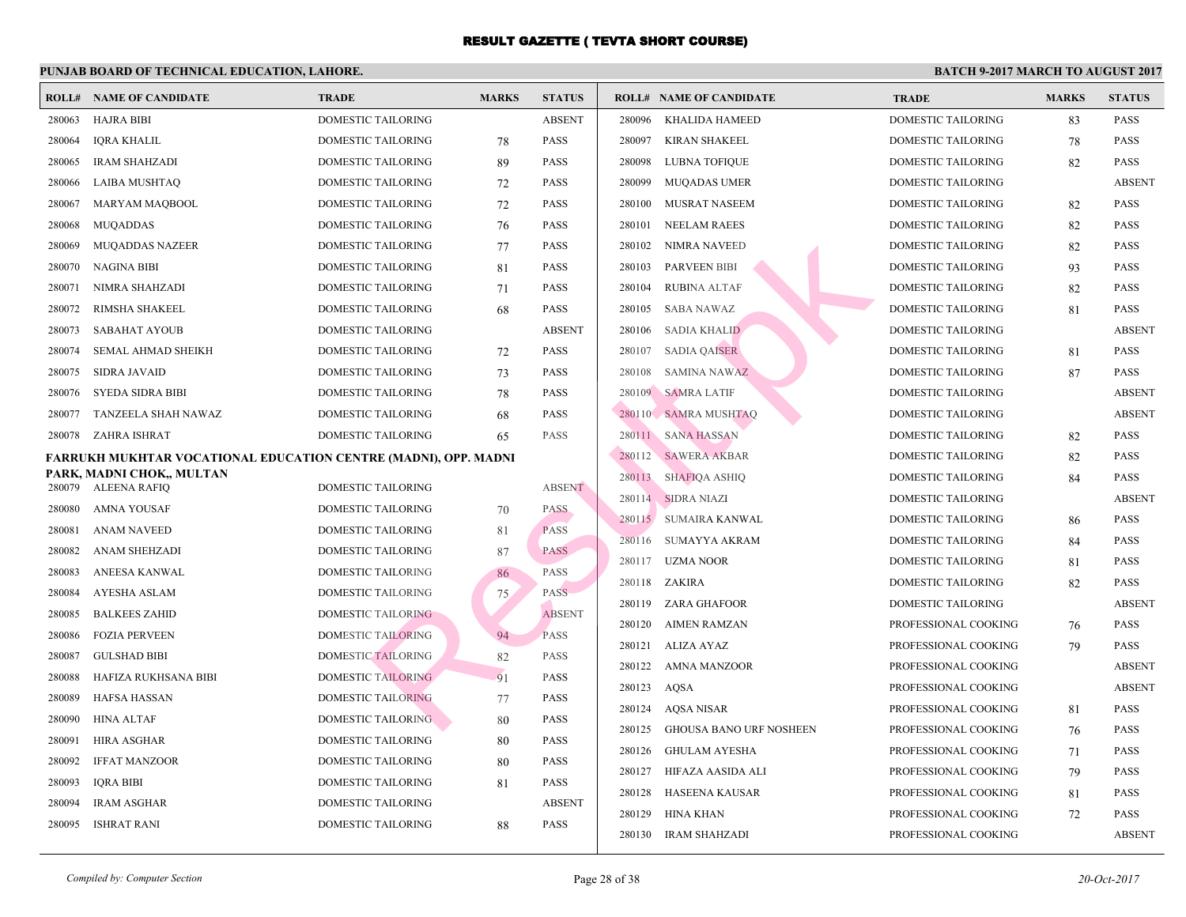|        | <b>ROLL# NAME OF CANDIDATE</b>                                  | <b>TRADE</b>              | <b>MARKS</b> | <b>STATUS</b> |        | <b>ROLL# NAME OF CANDIDATE</b> | <b>TRA</b>  |
|--------|-----------------------------------------------------------------|---------------------------|--------------|---------------|--------|--------------------------------|-------------|
| 280063 | <b>HAJRA BIBI</b>                                               | DOMESTIC TAILORING        |              | <b>ABSENT</b> | 280096 | KHALIDA HAMEED                 | <b>DOMI</b> |
| 280064 | <b>IQRA KHALIL</b>                                              | DOMESTIC TAILORING        | 78           | PASS          | 280097 | <b>KIRAN SHAKEEL</b>           | <b>DOMI</b> |
| 280065 | <b>IRAM SHAHZADI</b>                                            | DOMESTIC TAILORING        | 89           | <b>PASS</b>   | 280098 | LUBNA TOFIQUE                  | <b>DOMI</b> |
| 280066 | LAIBA MUSHTAQ                                                   | DOMESTIC TAILORING        | 72           | PASS          | 280099 | <b>MUQADAS UMER</b>            | <b>DOMI</b> |
| 280067 | MARYAM MAQBOOL                                                  | DOMESTIC TAILORING        | 72           | PASS          | 280100 | MUSRAT NASEEM                  | <b>DOMI</b> |
| 280068 | <b>MUQADDAS</b>                                                 | DOMESTIC TAILORING        | 76           | PASS          | 280101 | <b>NEELAM RAEES</b>            | <b>DOMI</b> |
| 280069 | <b>MUQADDAS NAZEER</b>                                          | DOMESTIC TAILORING        | 77           | PASS          | 280102 | NIMRA NAVEED                   | <b>DOMI</b> |
| 280070 | <b>NAGINA BIBI</b>                                              | DOMESTIC TAILORING        | 81           | PASS          | 280103 | <b>PARVEEN BIBI</b>            | <b>DOMI</b> |
| 280071 | NIMRA SHAHZADI                                                  | DOMESTIC TAILORING        | 71           | PASS          | 280104 | <b>RUBINA ALTAF</b>            | <b>DOMI</b> |
| 280072 | RIMSHA SHAKEEL                                                  | DOMESTIC TAILORING        | 68           | PASS          | 280105 | <b>SABA NAWAZ</b>              | <b>DOMI</b> |
| 280073 | <b>SABAHAT AYOUB</b>                                            | DOMESTIC TAILORING        |              | <b>ABSENT</b> | 280106 | <b>SADIA KHALID</b>            | <b>DOMI</b> |
| 280074 | <b>SEMAL AHMAD SHEIKH</b>                                       | <b>DOMESTIC TAILORING</b> | 72           | <b>PASS</b>   | 280107 | <b>SADIA QAISER</b>            | <b>DOMI</b> |
| 280075 | <b>SIDRA JAVAID</b>                                             | DOMESTIC TAILORING        | 73           | PASS          | 280108 | <b>SAMINA NAWAZ</b>            | <b>DOMI</b> |
| 280076 | <b>SYEDA SIDRA BIBI</b>                                         | DOMESTIC TAILORING        | 78           | <b>PASS</b>   | 280109 | <b>SAMRA LATIF</b>             | <b>DOMI</b> |
| 280077 | TANZEELA SHAH NAWAZ                                             | DOMESTIC TAILORING        | 68           | <b>PASS</b>   |        | 280110 SAMRA MUSHTAQ           | <b>DOMI</b> |
| 280078 | ZAHRA ISHRAT                                                    | DOMESTIC TAILORING        | 65           | PASS          |        | 280111 SANA HASSAN             | <b>DOMI</b> |
|        | FARRUKH MUKHTAR VOCATIONAL EDUCATION CENTRE (MADNI), OPP. MADNI |                           |              |               |        | 280112 SAWERA AKBAR            | <b>DOMI</b> |
| 280079 | PARK, MADNI CHOK,, MULTAN<br><b>ALEENA RAFIO</b>                | DOMESTIC TAILORING        |              | <b>ABSENT</b> | 280113 | SHAFIQA ASHIQ                  | <b>DOMI</b> |
| 280080 | AMNA YOUSAF                                                     | DOMESTIC TAILORING        | 70           | <b>PASS</b>   | 280114 | <b>SIDRA NIAZI</b>             | <b>DOMI</b> |
| 280081 | <b>ANAM NAVEED</b>                                              | <b>DOMESTIC TAILORING</b> | 81           | <b>PASS</b>   |        | 280115 SUMAIRA KANWAL          | <b>DOMI</b> |
| 280082 | ANAM SHEHZADI                                                   | DOMESTIC TAILORING        | 87           | <b>PASS</b>   | 280116 | SUMAYYA AKRAM                  | <b>DOMI</b> |
| 280083 | ANEESA KANWAL                                                   | DOMESTIC TAILORING        |              | PASS          | 280117 | <b>UZMA NOOR</b>               | <b>DOMI</b> |
| 280084 | AYESHA ASLAM                                                    | <b>DOMESTIC TAILORING</b> | 86           | <b>PASS</b>   | 280118 | ZAKIRA                         | <b>DOMI</b> |
| 280085 | <b>BALKEES ZAHID</b>                                            | <b>DOMESTIC TAILORING</b> | 75           | <b>ABSENT</b> | 280119 | ZARA GHAFOOR                   | <b>DOMI</b> |
| 280086 | <b>FOZIA PERVEEN</b>                                            | <b>DOMESTIC TAILORING</b> | 94           | <b>PASS</b>   | 280120 | AIMEN RAMZAN                   | <b>PROF</b> |
| 280087 | <b>GULSHAD BIBI</b>                                             | <b>DOMESTIC TAILORING</b> | 82           | PASS          | 280121 | ALIZA AYAZ                     | <b>PROF</b> |
| 280088 | HAFIZA RUKHSANA BIBI                                            | <b>DOMESTIC TAILORING</b> | 91           | PASS          | 280122 | AMNA MANZOOR                   | <b>PROF</b> |
| 280089 | <b>HAFSA HASSAN</b>                                             | <b>DOMESTIC TAILORING</b> | 77           | PASS          | 280123 | AQSA                           | <b>PROF</b> |
| 280090 | <b>HINA ALTAF</b>                                               | <b>DOMESTIC TAILORING</b> | 80           | <b>PASS</b>   | 280124 | AQSA NISAR                     | <b>PROF</b> |
| 280091 | HIRA ASGHAR                                                     | <b>DOMESTIC TAILORING</b> | 80           | PASS          | 280125 | <b>GHOUSA BANO URF NOSHEEN</b> | <b>PROF</b> |
| 280092 | <b>IFFAT MANZOOR</b>                                            | DOMESTIC TAILORING        | 80           | PASS          | 280126 | GHULAM AYESHA                  | <b>PROF</b> |
| 280093 | <b>IORA BIBI</b>                                                | <b>DOMESTIC TAILORING</b> | 81           | <b>PASS</b>   | 280127 | HIFAZA AASIDA ALI              | <b>PROF</b> |
| 280094 | <b>IRAM ASGHAR</b>                                              | DOMESTIC TAILORING        |              | <b>ABSENT</b> | 280128 | <b>HASEENA KAUSAR</b>          | <b>PROF</b> |
| 280095 | <b>ISHRAT RANI</b>                                              | <b>DOMESTIC TAILORING</b> | 88           | PASS          | 280129 | HINA KHAN                      | <b>PROF</b> |
|        |                                                                 |                           |              |               | 280130 | <b>IRAM SHAHZADI</b>           | <b>PROF</b> |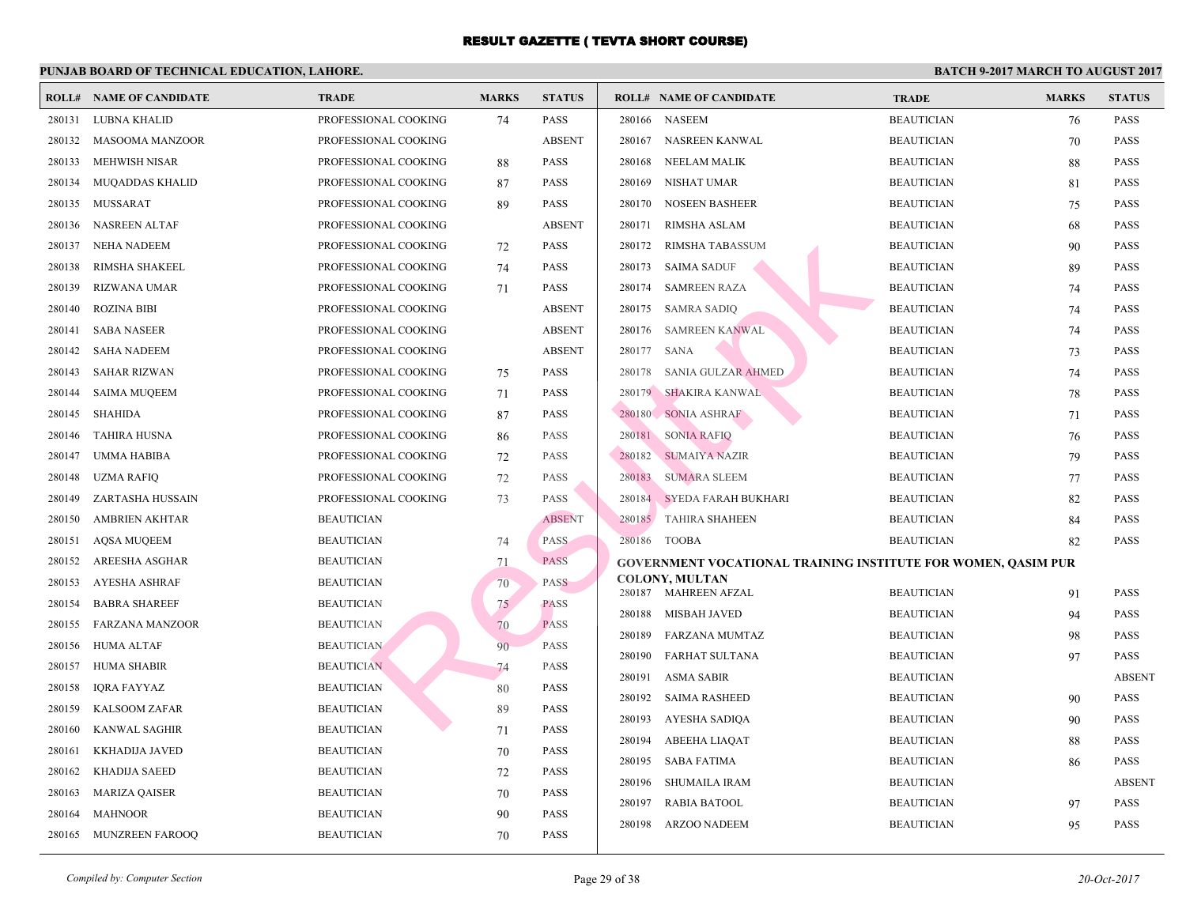|        | <b>ROLL# NAME OF CANDIDATE</b> | <b>TRADE</b>         | <b>MARKS</b> | <b>STATUS</b> |        | <b>ROLL# NAME OF CANDIDATE</b>                  | <b>TRA</b>  |
|--------|--------------------------------|----------------------|--------------|---------------|--------|-------------------------------------------------|-------------|
| 280131 | LUBNA KHALID                   | PROFESSIONAL COOKING | 74           | <b>PASS</b>   |        | 280166 NASEEM                                   | <b>BEAU</b> |
| 280132 | <b>MASOOMA MANZOOR</b>         | PROFESSIONAL COOKING |              | <b>ABSENT</b> | 280167 | NASREEN KANWAL                                  | <b>BEAU</b> |
| 280133 | MEHWISH NISAR                  | PROFESSIONAL COOKING | 88           | <b>PASS</b>   | 280168 | NEELAM MALIK                                    | <b>BEAU</b> |
| 280134 | <b>MUQADDAS KHALID</b>         | PROFESSIONAL COOKING | 87           | <b>PASS</b>   | 280169 | NISHAT UMAR                                     | <b>BEAU</b> |
| 280135 | MUSSARAT                       | PROFESSIONAL COOKING | 89           | <b>PASS</b>   | 280170 | <b>NOSEEN BASHEER</b>                           | <b>BEAU</b> |
| 280136 | <b>NASREEN ALTAF</b>           | PROFESSIONAL COOKING |              | <b>ABSENT</b> | 280171 | <b>RIMSHA ASLAM</b>                             | <b>BEAU</b> |
| 280137 | NEHA NADEEM                    | PROFESSIONAL COOKING | 72           | <b>PASS</b>   | 280172 | RIMSHA TABASSUM                                 | <b>BEAU</b> |
| 280138 | RIMSHA SHAKEEL                 | PROFESSIONAL COOKING | 74           | <b>PASS</b>   | 280173 | <b>SAIMA SADUF</b>                              | <b>BEAU</b> |
| 280139 | RIZWANA UMAR                   | PROFESSIONAL COOKING | 71           | <b>PASS</b>   | 280174 | <b>SAMREEN RAZA</b>                             | <b>BEAU</b> |
| 280140 | <b>ROZINA BIBI</b>             | PROFESSIONAL COOKING |              | <b>ABSENT</b> | 280175 | <b>SAMRA SADIQ</b>                              | <b>BEAU</b> |
| 280141 | <b>SABA NASEER</b>             | PROFESSIONAL COOKING |              | <b>ABSENT</b> | 280176 | <b>SAMREEN KANWAL</b>                           | <b>BEAU</b> |
| 280142 | SAHA NADEEM                    | PROFESSIONAL COOKING |              | <b>ABSENT</b> | 280177 | <b>SANA</b>                                     | <b>BEAU</b> |
| 280143 | <b>SAHAR RIZWAN</b>            | PROFESSIONAL COOKING | 75           | <b>PASS</b>   | 280178 | <b>SANIA GULZAR AHMED</b>                       | <b>BEAU</b> |
| 280144 | <b>SAIMA MUQEEM</b>            | PROFESSIONAL COOKING | 71           | <b>PASS</b>   |        | 280179 SHAKIRA KANWAL                           | <b>BEAU</b> |
| 280145 | <b>SHAHIDA</b>                 | PROFESSIONAL COOKING | 87           | <b>PASS</b>   |        | 280180 SONIA ASHRAF                             | <b>BEAU</b> |
| 280146 | <b>TAHIRA HUSNA</b>            | PROFESSIONAL COOKING | 86           | PASS          | 280181 | <b>SONIA RAFIQ</b>                              | <b>BEAU</b> |
| 280147 | <b>UMMA HABIBA</b>             | PROFESSIONAL COOKING | 72           | <b>PASS</b>   | 280182 | <b>SUMAIYA NAZIR</b>                            | <b>BEAU</b> |
| 280148 | UZMA RAFIQ                     | PROFESSIONAL COOKING | 72           | <b>PASS</b>   | 280183 | <b>SUMARA SLEEM</b>                             | <b>BEAU</b> |
| 280149 | ZARTASHA HUSSAIN               | PROFESSIONAL COOKING | 73           | <b>PASS</b>   | 280184 | SYEDA FARAH BUKHARI                             | <b>BEAU</b> |
| 280150 | <b>AMBRIEN AKHTAR</b>          | <b>BEAUTICIAN</b>    |              | <b>ABSENT</b> |        | 280185 TAHIRA SHAHEEN                           | <b>BEAU</b> |
| 280151 | <b>AQSA MUQEEM</b>             | <b>BEAUTICIAN</b>    | 74           | <b>PASS</b>   |        | 280186 TOOBA                                    | <b>BEAU</b> |
| 280152 | AREESHA ASGHAR                 | <b>BEAUTICIAN</b>    | 71           | <b>PASS</b>   |        | <b>GOVERNMENT VOCATIONAL TRAINING INSTITUTI</b> |             |
| 280153 | <b>AYESHA ASHRAF</b>           | <b>BEAUTICIAN</b>    | 70           | <b>PASS</b>   |        | <b>COLONY, MULTAN</b>                           |             |
| 280154 | <b>BABRA SHAREEF</b>           | <b>BEAUTICIAN</b>    | 75           | <b>PASS</b>   |        | 280187 MAHREEN AFZAL                            | <b>BEAU</b> |
| 280155 | <b>FARZANA MANZOOR</b>         | <b>BEAUTICIAN</b>    | 70           | <b>PASS</b>   | 280188 | MISBAH JAVED                                    | <b>BEAU</b> |
| 280156 | <b>HUMA ALTAF</b>              | <b>BEAUTICIAN</b>    | 90           | <b>PASS</b>   | 280189 | FARZANA MUMTAZ                                  | <b>BEAU</b> |
| 280157 | <b>HUMA SHABIR</b>             | <b>BEAUTICIAN</b>    | 74           | PASS          | 280190 | FARHAT SULTANA                                  | <b>BEAU</b> |
| 280158 | <b>IQRA FAYYAZ</b>             | <b>BEAUTICIAN</b>    | 80           | <b>PASS</b>   | 280191 | ASMA SABIR                                      | <b>BEAU</b> |
| 280159 | KALSOOM ZAFAR                  | <b>BEAUTICIAN</b>    | 89           | <b>PASS</b>   | 280192 | <b>SAIMA RASHEED</b>                            | <b>BEAU</b> |
| 280160 | <b>KANWAL SAGHIR</b>           | <b>BEAUTICIAN</b>    | 71           | <b>PASS</b>   | 280193 | AYESHA SADIQA                                   | <b>BEAU</b> |
| 280161 | KKHADIJA JAVED                 | <b>BEAUTICIAN</b>    | 70           | <b>PASS</b>   | 280194 | <b>ABEEHA LIAQAT</b>                            | <b>BEAU</b> |
| 280162 | <b>KHADIJA SAEED</b>           | <b>BEAUTICIAN</b>    | 72           | <b>PASS</b>   | 280195 | <b>SABA FATIMA</b>                              | <b>BEAU</b> |
| 280163 | <b>MARIZA QAISER</b>           | <b>BEAUTICIAN</b>    | 70           | PASS          | 280196 | <b>SHUMAILA IRAM</b>                            | <b>BEAU</b> |
| 280164 | <b>MAHNOOR</b>                 | <b>BEAUTICIAN</b>    | 90           | <b>PASS</b>   | 280197 | <b>RABIA BATOOL</b>                             | <b>BEAU</b> |
| 280165 | <b>MUNZREEN FAROOQ</b>         | <b>BEAUTICIAN</b>    | 70           | PASS          | 280198 | <b>ARZOO NADEEM</b>                             | <b>BEAU</b> |
|        |                                |                      |              |               |        |                                                 |             |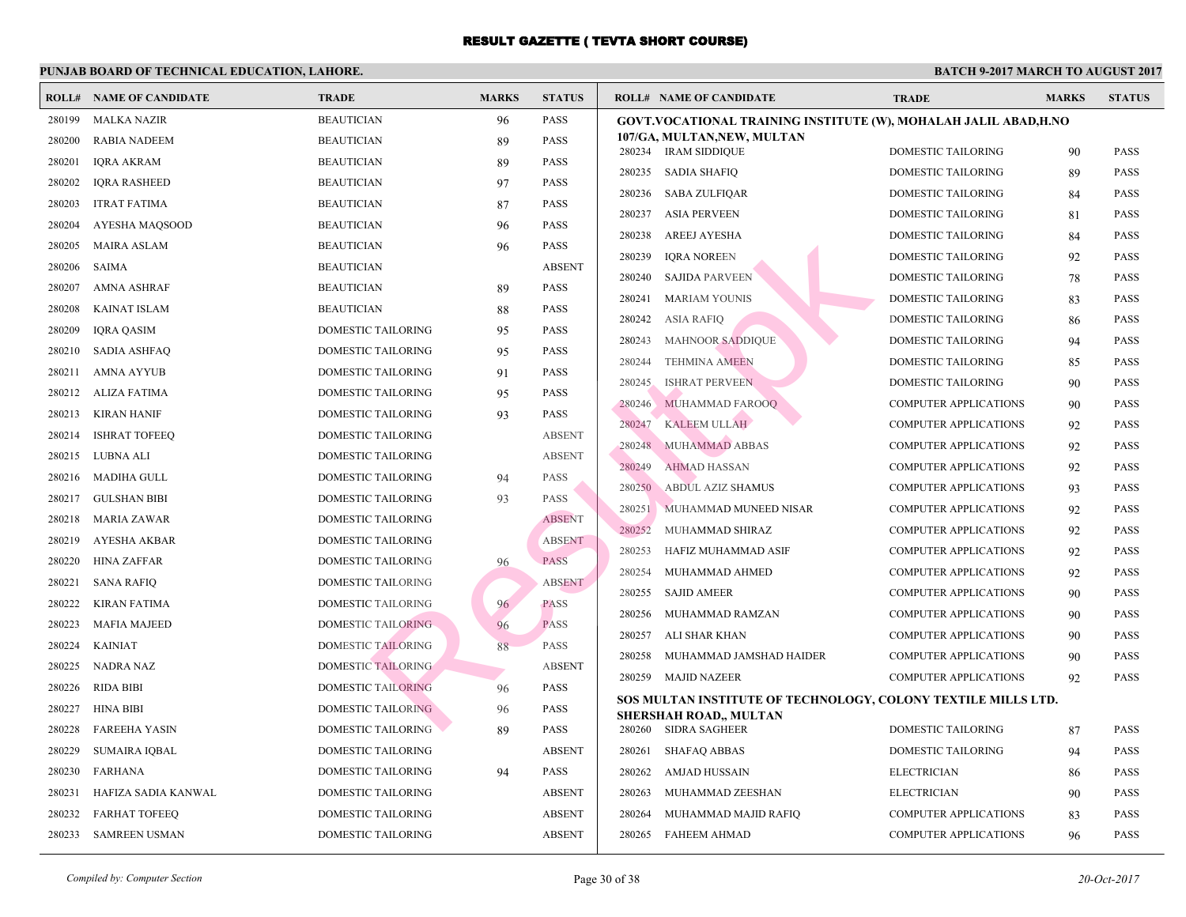|        | <b>ROLL# NAME OF CANDIDATE</b> | <b>TRADE</b>              | <b>MARKS</b> | <b>STATUS</b> | <b>ROLL# NAME OF CANDIDATE</b>                                  | <b>TRA</b>                 |
|--------|--------------------------------|---------------------------|--------------|---------------|-----------------------------------------------------------------|----------------------------|
| 280199 | <b>MALKA NAZIR</b>             | <b>BEAUTICIAN</b>         | 96           | <b>PASS</b>   | GOVT.VOCATIONAL TRAINING INSTITUTE (W), MO                      |                            |
| 280200 | <b>RABIA NADEEM</b>            | <b>BEAUTICIAN</b>         | 89           | <b>PASS</b>   | 107/GA, MULTAN, NEW, MULTAN                                     |                            |
| 280201 | <b>IQRA AKRAM</b>              | <b>BEAUTICIAN</b>         | 89           | <b>PASS</b>   | 280234 IRAM SIDDIQUE                                            | <b>DOMI</b><br><b>DOMI</b> |
| 280202 | <b>IORA RASHEED</b>            | <b>BEAUTICIAN</b>         | 97           | <b>PASS</b>   | 280235<br>SADIA SHAFIQ                                          |                            |
| 280203 | <b>ITRAT FATIMA</b>            | <b>BEAUTICIAN</b>         | 87           | <b>PASS</b>   | 280236 SABA ZULFIQAR                                            | <b>DOMI</b>                |
| 280204 | AYESHA MAQSOOD                 | <b>BEAUTICIAN</b>         | 96           | <b>PASS</b>   | 280237<br>ASIA PERVEEN                                          | <b>DOMI</b>                |
| 280205 | <b>MAIRA ASLAM</b>             | <b>BEAUTICIAN</b>         | 96           | <b>PASS</b>   | 280238<br>AREEJ AYESHA                                          | <b>DOMI</b>                |
| 280206 | <b>SAIMA</b>                   | <b>BEAUTICIAN</b>         |              | <b>ABSENT</b> | 280239<br><b>IQRA NOREEN</b>                                    | <b>DOMI</b>                |
| 280207 | <b>AMNA ASHRAF</b>             | <b>BEAUTICIAN</b>         | 89           | <b>PASS</b>   | 280240<br><b>SAJIDA PARVEEN</b>                                 | <b>DOMI</b>                |
| 280208 | <b>KAINAT ISLAM</b>            | <b>BEAUTICIAN</b>         | 88           | <b>PASS</b>   | 280241<br><b>MARIAM YOUNIS</b>                                  | <b>DOM</b>                 |
| 280209 | <b>IQRA QASIM</b>              | DOMESTIC TAILORING        | 95           | <b>PASS</b>   | 280242<br><b>ASIA RAFIQ</b>                                     | <b>DOMI</b>                |
| 280210 | <b>SADIA ASHFAQ</b>            | DOMESTIC TAILORING        | 95           | <b>PASS</b>   | <b>MAHNOOR SADDIQUE</b><br>280243                               | <b>DOMI</b>                |
| 280211 | <b>AMNA AYYUB</b>              | DOMESTIC TAILORING        | 91           | <b>PASS</b>   | 280244<br><b>TEHMINA AMEEN</b>                                  | <b>DOMI</b>                |
| 280212 | ALIZA FATIMA                   | <b>DOMESTIC TAILORING</b> | 95           | <b>PASS</b>   | <b>ISHRAT PERVEEN</b><br>280245                                 | <b>DOMI</b>                |
| 280213 | <b>KIRAN HANIF</b>             | DOMESTIC TAILORING        | 93           | <b>PASS</b>   | 280246<br>MUHAMMAD FAROOQ                                       | <b>COMI</b>                |
| 280214 | <b>ISHRAT TOFEEQ</b>           | DOMESTIC TAILORING        |              | <b>ABSENT</b> | <b>KALEEM ULLAH</b><br>280247                                   | COMI                       |
| 280215 | LUBNA ALI                      | <b>DOMESTIC TAILORING</b> |              | <b>ABSENT</b> | MUHAMMAD ABBAS<br>280248                                        | COMI                       |
| 280216 | <b>MADIHA GULL</b>             | DOMESTIC TAILORING        | 94           | <b>PASS</b>   | <b>AHMAD HASSAN</b><br>280249                                   | <b>COMI</b>                |
| 280217 | <b>GULSHAN BIBI</b>            | DOMESTIC TAILORING        | 93           | <b>PASS</b>   | 280250<br><b>ABDUL AZIZ SHAMUS</b>                              | COMI                       |
| 280218 | <b>MARIA ZAWAR</b>             | DOMESTIC TAILORING        |              | <b>ABSENT</b> | 280251<br>MUHAMMAD MUNEED NISAR                                 | <b>COMI</b>                |
| 280219 | <b>AYESHA AKBAR</b>            | DOMESTIC TAILORING        |              | <b>ABSENT</b> | 280252<br>MUHAMMAD SHIRAZ                                       | <b>COMI</b>                |
| 280220 | <b>HINA ZAFFAR</b>             | DOMESTIC TAILORING        | 96           | <b>PASS</b>   | 280253<br>HAFIZ MUHAMMAD ASIF                                   | <b>COMI</b>                |
| 280221 | <b>SANA RAFIQ</b>              | DOMESTIC TAILORING        |              | <b>ABSENT</b> | 280254<br>MUHAMMAD AHMED                                        | <b>COMI</b>                |
| 280222 | <b>KIRAN FATIMA</b>            | <b>DOMESTIC TAILORING</b> | 96           | <b>PASS</b>   | 280255<br><b>SAJID AMEER</b>                                    | COMI                       |
| 280223 | <b>MAFIA MAJEED</b>            | <b>DOMESTIC TAILORING</b> | 96           | <b>PASS</b>   | 280256<br>MUHAMMAD RAMZAN                                       | <b>COMI</b>                |
| 280224 | <b>KAINIAT</b>                 | <b>DOMESTIC TAILORING</b> | 88           | <b>PASS</b>   | 280257<br>ALI SHAR KHAN                                         | COMI                       |
| 280225 | NADRA NAZ                      | <b>DOMESTIC TAILORING</b> |              | <b>ABSENT</b> | MUHAMMAD JAMSHAD HAIDER<br>280258                               | <b>COMI</b>                |
| 280226 | <b>RIDA BIBI</b>               | <b>DOMESTIC TAILORING</b> | 96           | <b>PASS</b>   | 280259 MAJID NAZEER                                             | <b>COMI</b>                |
| 280227 | <b>HINA BIBI</b>               | DOMESTIC TAILORING        | 96           | <b>PASS</b>   | SOS MULTAN INSTITUTE OF TECHNOLOGY, COLOI                       |                            |
| 280228 | <b>FAREEHA YASIN</b>           | <b>DOMESTIC TAILORING</b> | 89           | <b>PASS</b>   | <b>SHERSHAH ROAD,, MULTAN</b><br><b>SIDRA SAGHEER</b><br>280260 | <b>DOMI</b>                |
| 280229 | <b>SUMAIRA IQBAL</b>           | DOMESTIC TAILORING        |              | <b>ABSENT</b> | 280261<br><b>SHAFAQ ABBAS</b>                                   | <b>DOMI</b>                |
| 280230 | <b>FARHANA</b>                 | DOMESTIC TAILORING        | 94           | <b>PASS</b>   | 280262<br>AMJAD HUSSAIN                                         | <b>ELEC</b>                |
| 280231 | HAFIZA SADIA KANWAL            | DOMESTIC TAILORING        |              | <b>ABSENT</b> | 280263<br>MUHAMMAD ZEESHAN                                      | <b>ELEC</b>                |
| 280232 | <b>FARHAT TOFEEQ</b>           | DOMESTIC TAILORING        |              | <b>ABSENT</b> | 280264<br>MUHAMMAD MAJID RAFIQ                                  | COMI                       |
| 280233 | <b>SAMREEN USMAN</b>           | DOMESTIC TAILORING        |              | <b>ABSENT</b> | 280265 FAHEEM AHMAD                                             | COMI                       |
|        |                                |                           |              |               |                                                                 |                            |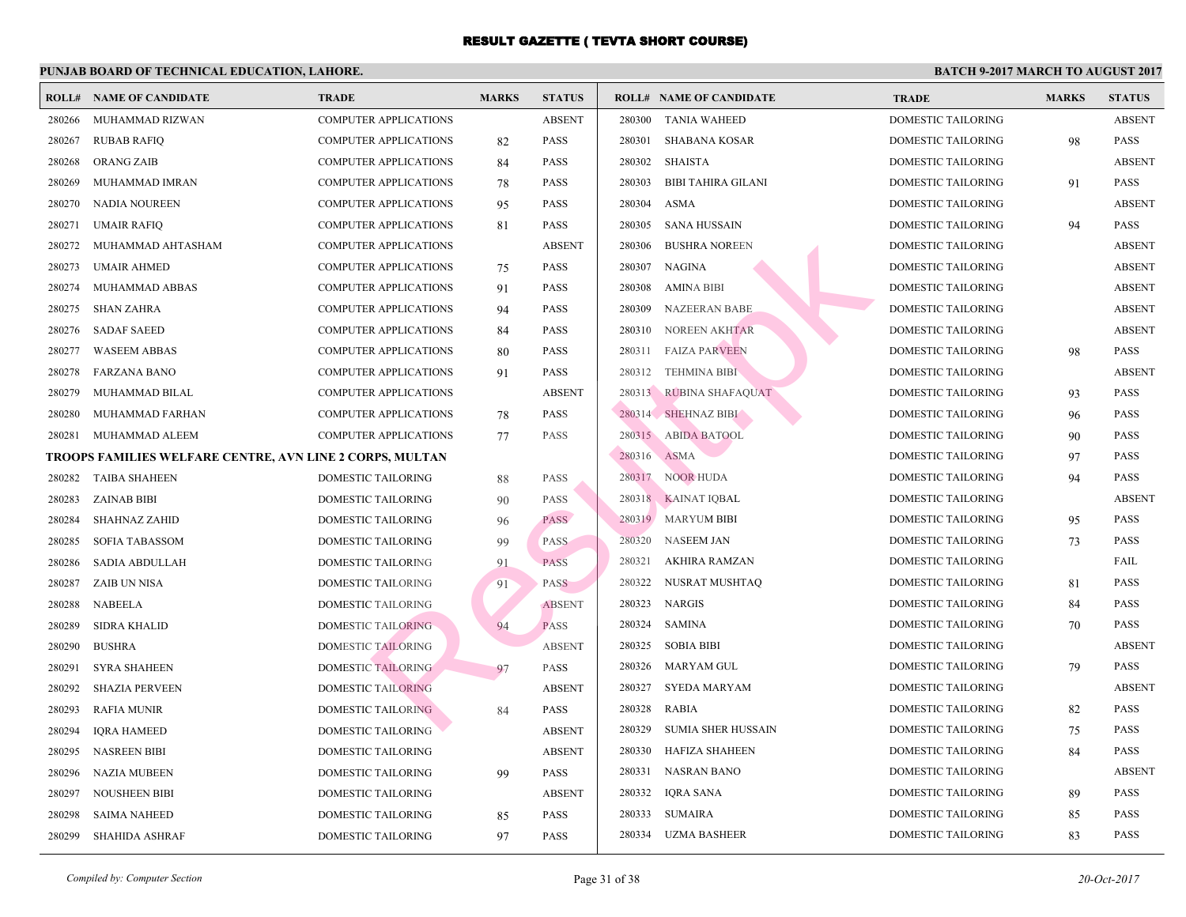|        | <b>ROLL# NAME OF CANDIDATE</b>                           | <b>TRADE</b>                 | <b>MARKS</b> | <b>STATUS</b> |        | <b>ROLL# NAME OF CANDIDATE</b> | <b>TRA</b>  |
|--------|----------------------------------------------------------|------------------------------|--------------|---------------|--------|--------------------------------|-------------|
| 280266 | MUHAMMAD RIZWAN                                          | <b>COMPUTER APPLICATIONS</b> |              | <b>ABSENT</b> | 280300 | <b>TANIA WAHEED</b>            | <b>DOMI</b> |
| 280267 | <b>RUBAB RAFIQ</b>                                       | <b>COMPUTER APPLICATIONS</b> | 82           | <b>PASS</b>   | 280301 | <b>SHABANA KOSAR</b>           | <b>DOMI</b> |
| 280268 | ORANG ZAIB                                               | <b>COMPUTER APPLICATIONS</b> | 84           | <b>PASS</b>   | 280302 | <b>SHAISTA</b>                 | <b>DOMI</b> |
| 280269 | MUHAMMAD IMRAN                                           | <b>COMPUTER APPLICATIONS</b> | 78           | <b>PASS</b>   | 280303 | <b>BIBI TAHIRA GILANI</b>      | <b>DOMI</b> |
| 280270 | <b>NADIA NOUREEN</b>                                     | <b>COMPUTER APPLICATIONS</b> | 95           | <b>PASS</b>   | 280304 | <b>ASMA</b>                    | <b>DOMI</b> |
| 280271 | <b>UMAIR RAFIQ</b>                                       | COMPUTER APPLICATIONS        | 81           | <b>PASS</b>   | 280305 | <b>SANA HUSSAIN</b>            | <b>DOMI</b> |
| 280272 | MUHAMMAD AHTASHAM                                        | <b>COMPUTER APPLICATIONS</b> |              | <b>ABSENT</b> | 280306 | <b>BUSHRA NOREEN</b>           | <b>DOMI</b> |
| 280273 | <b>UMAIR AHMED</b>                                       | COMPUTER APPLICATIONS        | 75           | <b>PASS</b>   | 280307 | NAGINA                         | <b>DOMI</b> |
| 280274 | MUHAMMAD ABBAS                                           | <b>COMPUTER APPLICATIONS</b> | 91           | <b>PASS</b>   | 280308 | <b>AMINA BIBI</b>              | <b>DOMI</b> |
| 280275 | <b>SHAN ZAHRA</b>                                        | COMPUTER APPLICATIONS        | 94           | <b>PASS</b>   | 280309 | <b>NAZEERAN BABE</b>           | <b>DOMI</b> |
| 280276 | <b>SADAF SAEED</b>                                       | COMPUTER APPLICATIONS        | 84           | <b>PASS</b>   | 280310 | <b>NOREEN AKHTAR</b>           | <b>DOMI</b> |
| 280277 | <b>WASEEM ABBAS</b>                                      | <b>COMPUTER APPLICATIONS</b> | 80           | <b>PASS</b>   | 280311 | <b>FAIZA PARVEEN</b>           | <b>DOMI</b> |
| 280278 | <b>FARZANA BANO</b>                                      | <b>COMPUTER APPLICATIONS</b> | 91           | <b>PASS</b>   | 280312 | <b>TEHMINA BIBI</b>            | <b>DOMI</b> |
| 280279 | MUHAMMAD BILAL                                           | <b>COMPUTER APPLICATIONS</b> |              | <b>ABSENT</b> |        | 280313 RUBINA SHAFAQUAT        | <b>DOMI</b> |
| 280280 | MUHAMMAD FARHAN                                          | COMPUTER APPLICATIONS        | 78           | <b>PASS</b>   |        | 280314 SHEHNAZ BIBI            | <b>DOMI</b> |
| 280281 | MUHAMMAD ALEEM                                           | <b>COMPUTER APPLICATIONS</b> | 77           | <b>PASS</b>   | 280315 | <b>ABIDA BATOOL</b>            | <b>DOMI</b> |
|        | TROOPS FAMILIES WELFARE CENTRE, AVN LINE 2 CORPS, MULTAN |                              |              |               | 280316 | <b>ASMA</b>                    | <b>DOMI</b> |
| 280282 | <b>TAIBA SHAHEEN</b>                                     | DOMESTIC TAILORING           | 88           | <b>PASS</b>   | 280317 | <b>NOOR HUDA</b>               | <b>DOMI</b> |
| 280283 | <b>ZAINAB BIBI</b>                                       | DOMESTIC TAILORING           | 90           | <b>PASS</b>   |        | 280318 KAINAT IQBAL            | <b>DOMI</b> |
| 280284 | <b>SHAHNAZ ZAHID</b>                                     | DOMESTIC TAILORING           | 96           | PASS          |        | 280319 MARYUM BIBI             | <b>DOMI</b> |
| 280285 | SOFIA TABASSOM                                           | DOMESTIC TAILORING           | 99           | <b>PASS</b>   | 280320 | <b>NASEEM JAN</b>              | <b>DOMI</b> |
| 280286 | SADIA ABDULLAH                                           | DOMESTIC TAILORING           | 91           | <b>PASS</b>   | 280321 | AKHIRA RAMZAN                  | <b>DOMI</b> |
| 280287 | ZAIB UN NISA                                             | <b>DOMESTIC TAILORING</b>    | 91           | <b>PASS</b>   | 280322 | NUSRAT MUSHTAQ                 | <b>DOMI</b> |
| 280288 | <b>NABEELA</b>                                           | DOMESTIC TAILORING           |              | <b>ABSENT</b> | 280323 | <b>NARGIS</b>                  | <b>DOMI</b> |
| 280289 | <b>SIDRA KHALID</b>                                      | <b>DOMESTIC TAILORING</b>    | 94           | <b>PASS</b>   | 280324 | <b>SAMINA</b>                  | <b>DOMI</b> |
| 280290 | <b>BUSHRA</b>                                            | <b>DOMESTIC TAILORING</b>    |              | <b>ABSENT</b> | 280325 | <b>SOBIA BIBI</b>              | <b>DOMI</b> |
| 280291 | <b>SYRA SHAHEEN</b>                                      | <b>DOMESTIC TAILORING</b>    | 97           | PASS          | 280326 | <b>MARYAM GUL</b>              | <b>DOMI</b> |
| 280292 | <b>SHAZIA PERVEEN</b>                                    | <b>DOMESTIC TAILORING</b>    |              | <b>ABSENT</b> | 280327 | <b>SYEDA MARYAM</b>            | <b>DOMI</b> |
| 280293 | RAFIA MUNIR                                              | <b>DOMESTIC TAILORING</b>    | 84           | <b>PASS</b>   | 280328 | <b>RABIA</b>                   | <b>DOMI</b> |
| 280294 | <b>IQRA HAMEED</b>                                       | DOMESTIC TAILORING           |              | <b>ABSENT</b> | 280329 | <b>SUMIA SHER HUSSAIN</b>      | <b>DOMI</b> |
| 280295 | <b>NASREEN BIBI</b>                                      | DOMESTIC TAILORING           |              | <b>ABSENT</b> | 280330 | HAFIZA SHAHEEN                 | <b>DOMI</b> |
| 280296 | <b>NAZIA MUBEEN</b>                                      | DOMESTIC TAILORING           | 99           | <b>PASS</b>   | 280331 | <b>NASRAN BANO</b>             | <b>DOMI</b> |
| 280297 | <b>NOUSHEEN BIBI</b>                                     | DOMESTIC TAILORING           |              | <b>ABSENT</b> | 280332 | <b>IQRA SANA</b>               | <b>DOMI</b> |
| 280298 | <b>SAIMA NAHEED</b>                                      | DOMESTIC TAILORING           | 85           | <b>PASS</b>   | 280333 | <b>SUMAIRA</b>                 | <b>DOMI</b> |
| 280299 | <b>SHAHIDA ASHRAF</b>                                    | <b>DOMESTIC TAILORING</b>    | 97           | <b>PASS</b>   | 280334 | <b>UZMA BASHEER</b>            | <b>DOMI</b> |
|        |                                                          |                              |              |               |        |                                |             |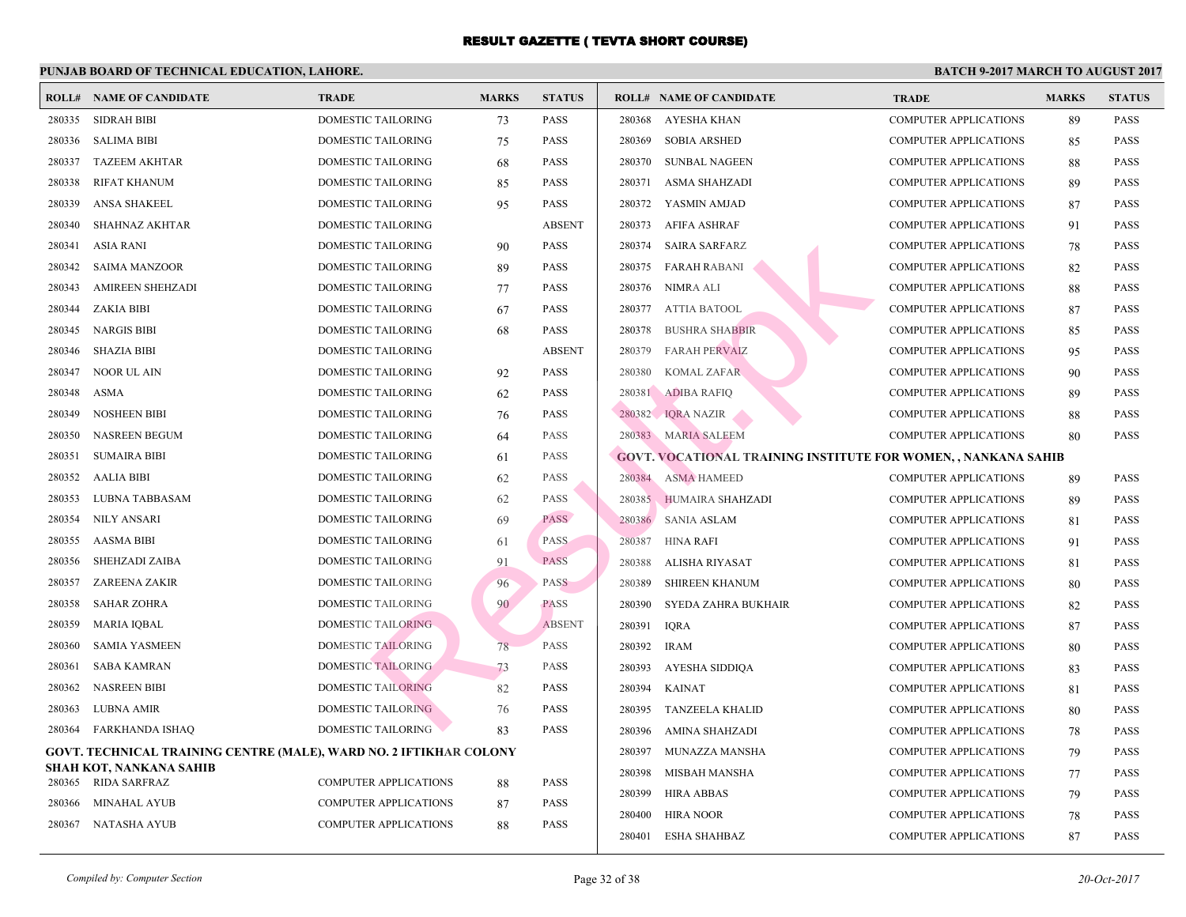|        | <b>ROLL# NAME OF CANDIDATE</b>                                     | <b>TRADE</b>                 | <b>MARKS</b> | <b>STATUS</b> |        | <b>ROLL# NAME OF CANDIDATE</b>                   | <b>TRA</b>  |
|--------|--------------------------------------------------------------------|------------------------------|--------------|---------------|--------|--------------------------------------------------|-------------|
| 280335 | <b>SIDRAH BIBI</b>                                                 | DOMESTIC TAILORING           | 73           | <b>PASS</b>   | 280368 | AYESHA KHAN                                      | COMI        |
| 280336 | <b>SALIMA BIBI</b>                                                 | DOMESTIC TAILORING           | 75           | <b>PASS</b>   | 280369 | <b>SOBIA ARSHED</b>                              | <b>COMF</b> |
| 280337 | <b>TAZEEM AKHTAR</b>                                               | DOMESTIC TAILORING           | 68           | <b>PASS</b>   | 280370 | <b>SUNBAL NAGEEN</b>                             | COMI        |
| 280338 | <b>RIFAT KHANUM</b>                                                | DOMESTIC TAILORING           | 85           | <b>PASS</b>   | 280371 | ASMA SHAHZADI                                    | <b>COMI</b> |
| 280339 | <b>ANSA SHAKEEL</b>                                                | DOMESTIC TAILORING           | 95           | <b>PASS</b>   |        | 280372 YASMIN AMJAD                              | <b>COMI</b> |
| 280340 | <b>SHAHNAZ AKHTAR</b>                                              | DOMESTIC TAILORING           |              | <b>ABSENT</b> | 280373 | AFIFA ASHRAF                                     | COMI        |
| 280341 | ASIA RANI                                                          | DOMESTIC TAILORING           | 90           | <b>PASS</b>   | 280374 | SAIRA SARFARZ                                    | <b>COMI</b> |
| 280342 | <b>SAIMA MANZOOR</b>                                               | DOMESTIC TAILORING           | 89           | <b>PASS</b>   | 280375 | FARAH RABANI                                     | <b>COMI</b> |
| 280343 | <b>AMIREEN SHEHZADI</b>                                            | DOMESTIC TAILORING           | 77           | <b>PASS</b>   | 280376 | NIMRA ALI                                        | COMI        |
| 280344 | <b>ZAKIA BIBI</b>                                                  | DOMESTIC TAILORING           | 67           | <b>PASS</b>   | 280377 | <b>ATTIA BATOOL</b>                              | COMI        |
| 280345 | <b>NARGIS BIBI</b>                                                 | DOMESTIC TAILORING           | 68           | <b>PASS</b>   | 280378 | <b>BUSHRA SHABBIR</b>                            | <b>COM</b>  |
| 280346 | <b>SHAZIA BIBI</b>                                                 | DOMESTIC TAILORING           |              | <b>ABSENT</b> | 280379 | <b>FARAH PERVAIZ</b>                             | COMI        |
| 280347 | NOOR UL AIN                                                        | <b>DOMESTIC TAILORING</b>    | 92           | <b>PASS</b>   | 280380 | <b>KOMAL ZAFAR</b>                               | <b>COMI</b> |
| 280348 | <b>ASMA</b>                                                        | DOMESTIC TAILORING           | 62           | <b>PASS</b>   | 280381 | <b>ADIBA RAFIQ</b>                               | COMI        |
| 280349 | <b>NOSHEEN BIBI</b>                                                | DOMESTIC TAILORING           | 76           | <b>PASS</b>   |        | 280382 IQRA NAZIR                                | <b>COME</b> |
| 280350 | <b>NASREEN BEGUM</b>                                               | DOMESTIC TAILORING           | 64           | <b>PASS</b>   |        | 280383 MARIA SALEEM                              | <b>COMI</b> |
| 280351 | <b>SUMAIRA BIBI</b>                                                | DOMESTIC TAILORING           | 61           | <b>PASS</b>   |        | <b>GOVT. VOCATIONAL TRAINING INSTITUTE FOR W</b> |             |
| 280352 | <b>AALIA BIBI</b>                                                  | DOMESTIC TAILORING           | 62           | <b>PASS</b>   | 280384 | <b>ASMA HAMEED</b>                               | COMI        |
| 280353 | LUBNA TABBASAM                                                     | DOMESTIC TAILORING           | 62           | <b>PASS</b>   |        | 280385 HUMAIRA SHAHZADI                          | COMI        |
| 280354 | <b>NILY ANSARI</b>                                                 | DOMESTIC TAILORING           | 69           | <b>PASS</b>   | 280386 | SANIA ASLAM                                      | COMI        |
| 280355 | <b>AASMA BIBI</b>                                                  | DOMESTIC TAILORING           | 61           | <b>PASS</b>   | 280387 | HINA RAFI                                        | COMI        |
| 280356 | SHEHZADI ZAIBA                                                     | DOMESTIC TAILORING           | 91           | <b>PASS</b>   | 280388 | ALISHA RIYASAT                                   | COMI        |
| 280357 | <b>ZAREENA ZAKIR</b>                                               | DOMESTIC TAILORING           | 96           | <b>PASS</b>   | 280389 | <b>SHIREEN KHANUM</b>                            | COMI        |
| 280358 | <b>SAHAR ZOHRA</b>                                                 | DOMESTIC TAILORING           | 90           | <b>PASS</b>   | 280390 | SYEDA ZAHRA BUKHAIR                              | COMI        |
| 280359 | MARIA IQBAL                                                        | <b>DOMESTIC TAILORING</b>    |              | <b>ABSENT</b> | 280391 | <b>IQRA</b>                                      | <b>COMI</b> |
| 280360 | <b>SAMIA YASMEEN</b>                                               | <b>DOMESTIC TAILORING</b>    | 78           | <b>PASS</b>   | 280392 | <b>IRAM</b>                                      | COMI        |
| 280361 | <b>SABA KAMRAN</b>                                                 | <b>DOMESTIC TAILORING</b>    | 73           | PASS          | 280393 | <b>AYESHA SIDDIOA</b>                            | <b>COME</b> |
| 280362 | <b>NASREEN BIBI</b>                                                | <b>DOMESTIC TAILORING</b>    | 82           | <b>PASS</b>   | 280394 | <b>KAINAT</b>                                    | <b>COMF</b> |
| 280363 | <b>LUBNA AMIR</b>                                                  | <b>DOMESTIC TAILORING</b>    | 76           | <b>PASS</b>   | 280395 | <b>TANZEELA KHALID</b>                           | COMI        |
| 280364 | <b>FARKHANDA ISHAQ</b>                                             | <b>DOMESTIC TAILORING</b>    | 83           | <b>PASS</b>   | 280396 | AMINA SHAHZADI                                   | COMI        |
|        | GOVT. TECHNICAL TRAINING CENTRE (MALE), WARD NO. 2 IFTIKHAR COLONY |                              |              |               | 280397 | MUNAZZA MANSHA                                   | <b>COMI</b> |
|        | SHAH KOT, NANKANA SAHIB                                            |                              |              |               | 280398 | MISBAH MANSHA                                    | COMI        |
| 280365 | RIDA SARFRAZ                                                       | <b>COMPUTER APPLICATIONS</b> | 88           | <b>PASS</b>   | 280399 | HIRA ABBAS                                       | <b>COMI</b> |
| 280366 | <b>MINAHAL AYUB</b>                                                | <b>COMPUTER APPLICATIONS</b> | 87           | <b>PASS</b>   | 280400 | <b>HIRA NOOR</b>                                 | <b>COMI</b> |
| 280367 | NATASHA AYUB                                                       | COMPUTER APPLICATIONS        | 88           | <b>PASS</b>   | 280401 | <b>ESHA SHAHBAZ</b>                              | COMI        |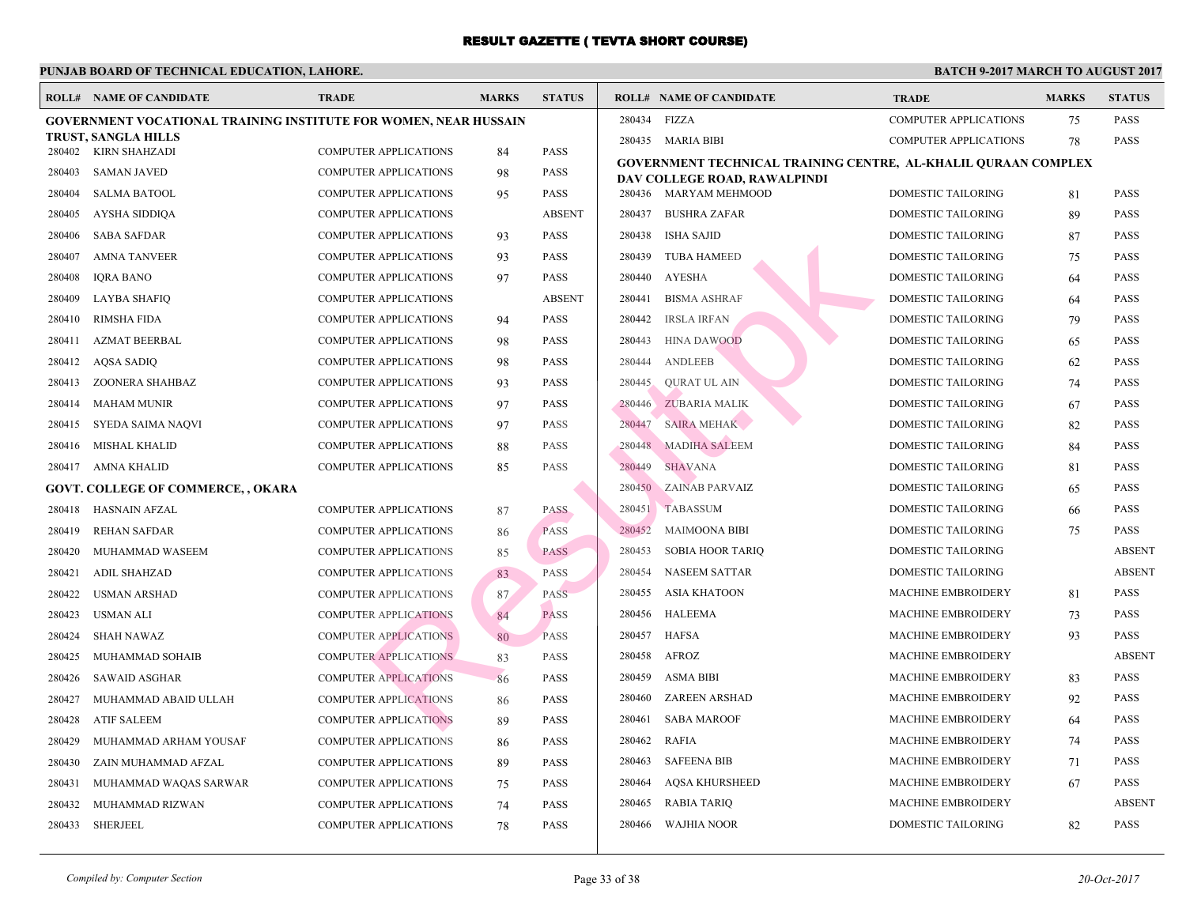|        | <b>ROLL# NAME OF CANDIDATE</b>                                   | <b>TRADE</b>                 | <b>MARKS</b> | <b>STATUS</b> |        | <b>ROLL# NAME OF CANDIDATE</b>                  | <b>TRA</b>  |
|--------|------------------------------------------------------------------|------------------------------|--------------|---------------|--------|-------------------------------------------------|-------------|
|        | GOVERNMENT VOCATIONAL TRAINING INSTITUTE FOR WOMEN, NEAR HUSSAIN |                              |              |               | 280434 | FIZZA                                           | <b>COMI</b> |
|        | TRUST, SANGLA HILLS                                              |                              |              |               |        | 280435 MARIA BIBI                               | <b>COME</b> |
|        | 280402 KIRN SHAHZADI                                             | <b>COMPUTER APPLICATIONS</b> | 84           | <b>PASS</b>   |        | <b>GOVERNMENT TECHNICAL TRAINING CENTRE, AI</b> |             |
| 280403 | <b>SAMAN JAVED</b>                                               | <b>COMPUTER APPLICATIONS</b> | 98           | <b>PASS</b>   |        | DAV COLLEGE ROAD, RAWALPINDI                    |             |
| 280404 | <b>SALMA BATOOL</b>                                              | <b>COMPUTER APPLICATIONS</b> | 95           | <b>PASS</b>   |        | 280436 MARYAM MEHMOOD                           | <b>DOMI</b> |
| 280405 | AYSHA SIDDIQA                                                    | <b>COMPUTER APPLICATIONS</b> |              | <b>ABSENT</b> | 280437 | <b>BUSHRA ZAFAR</b>                             | <b>DOMI</b> |
| 280406 | <b>SABA SAFDAR</b>                                               | <b>COMPUTER APPLICATIONS</b> | 93           | <b>PASS</b>   | 280438 | <b>ISHA SAJID</b>                               | <b>DOMI</b> |
| 280407 | <b>AMNA TANVEER</b>                                              | COMPUTER APPLICATIONS        | 93           | <b>PASS</b>   | 280439 | <b>TUBA HAMEED</b>                              | <b>DOMI</b> |
| 280408 | <b>IQRA BANO</b>                                                 | COMPUTER APPLICATIONS        | 97           | <b>PASS</b>   | 280440 | <b>AYESHA</b>                                   | <b>DOMI</b> |
| 280409 | LAYBA SHAFIQ                                                     | COMPUTER APPLICATIONS        |              | <b>ABSENT</b> | 280441 | <b>BISMA ASHRAF</b>                             | <b>DOMI</b> |
| 280410 | <b>RIMSHA FIDA</b>                                               | COMPUTER APPLICATIONS        | 94           | <b>PASS</b>   | 280442 | <b>IRSLA IRFAN</b>                              | <b>DOMI</b> |
| 280411 | <b>AZMAT BEERBAL</b>                                             | COMPUTER APPLICATIONS        | 98           | <b>PASS</b>   | 280443 | <b>HINA DAWOOD</b>                              | <b>DOMI</b> |
| 280412 | AQSA SADIQ                                                       | COMPUTER APPLICATIONS        | 98           | <b>PASS</b>   | 280444 | <b>ANDLEEB</b>                                  | <b>DOMI</b> |
| 280413 | ZOONERA SHAHBAZ                                                  | COMPUTER APPLICATIONS        | 93           | <b>PASS</b>   | 280445 | <b>QURAT UL AIN</b>                             | <b>DOMI</b> |
| 280414 | <b>MAHAM MUNIR</b>                                               | <b>COMPUTER APPLICATIONS</b> | 97           | <b>PASS</b>   | 280446 | <b>ZUBARIA MALIK</b>                            | <b>DOMI</b> |
| 280415 | SYEDA SAIMA NAQVI                                                | COMPUTER APPLICATIONS        | 97           | <b>PASS</b>   | 280447 | SAIRA MEHAK                                     | <b>DOMI</b> |
| 280416 | <b>MISHAL KHALID</b>                                             | <b>COMPUTER APPLICATIONS</b> | 88           | <b>PASS</b>   | 280448 | <b>MADIHA SALEEM</b>                            | <b>DOMI</b> |
| 280417 | AMNA KHALID                                                      | COMPUTER APPLICATIONS        | 85           | <b>PASS</b>   | 280449 | <b>SHAVANA</b>                                  | <b>DOMI</b> |
|        | <b>GOVT. COLLEGE OF COMMERCE,, OKARA</b>                         |                              |              |               | 280450 | <b>ZAINAB PARVAIZ</b>                           | <b>DOMI</b> |
| 280418 | <b>HASNAIN AFZAL</b>                                             | COMPUTER APPLICATIONS        | 87           | <b>PASS</b>   | 280451 | <b>TABASSUM</b>                                 | <b>DOMI</b> |
| 280419 | <b>REHAN SAFDAR</b>                                              | <b>COMPUTER APPLICATIONS</b> | 86           | <b>PASS</b>   | 280452 | <b>MAIMOONA BIBI</b>                            | <b>DOMI</b> |
| 280420 | MUHAMMAD WASEEM                                                  | <b>COMPUTER APPLICATIONS</b> | 85           | <b>PASS</b>   | 280453 | <b>SOBIA HOOR TARIQ</b>                         | <b>DOMI</b> |
| 280421 | <b>ADIL SHAHZAD</b>                                              | <b>COMPUTER APPLICATIONS</b> | 83           | <b>PASS</b>   | 280454 | <b>NASEEM SATTAR</b>                            | <b>DOMI</b> |
| 280422 | <b>USMAN ARSHAD</b>                                              | <b>COMPUTER APPLICATIONS</b> | 87           | <b>PASS</b>   | 280455 | <b>ASIA KHATOON</b>                             | <b>MACI</b> |
| 280423 | <b>USMAN ALI</b>                                                 | <b>COMPUTER APPLICATIONS</b> | 84           | <b>PASS</b>   | 280456 | <b>HALEEMA</b>                                  | <b>MACI</b> |
| 280424 | <b>SHAH NAWAZ</b>                                                | <b>COMPUTER APPLICATIONS</b> | 80           | PASS          | 280457 | <b>HAFSA</b>                                    | <b>MACI</b> |
| 280425 | MUHAMMAD SOHAIB                                                  | <b>COMPUTER APPLICATIONS</b> | 83           | <b>PASS</b>   | 280458 | AFROZ                                           | <b>MACI</b> |
| 280426 | <b>SAWAID ASGHAR</b>                                             | <b>COMPUTER APPLICATIONS</b> | 86           | <b>PASS</b>   | 280459 | <b>ASMA BIBI</b>                                | <b>MACI</b> |
| 280427 | MUHAMMAD ABAID ULLAH                                             | <b>COMPUTER APPLICATIONS</b> | 86           | <b>PASS</b>   | 280460 | <b>ZAREEN ARSHAD</b>                            | <b>MACI</b> |
| 280428 | <b>ATIF SALEEM</b>                                               | <b>COMPUTER APPLICATIONS</b> | 89           | <b>PASS</b>   | 280461 | <b>SABA MAROOF</b>                              | <b>MACI</b> |
| 280429 | MUHAMMAD ARHAM YOUSAF                                            | <b>COMPUTER APPLICATIONS</b> | 86           | <b>PASS</b>   | 280462 | <b>RAFIA</b>                                    | <b>MACI</b> |
| 280430 | ZAIN MUHAMMAD AFZAL                                              | <b>COMPUTER APPLICATIONS</b> | 89           | <b>PASS</b>   | 280463 | <b>SAFEENA BIB</b>                              | <b>MACI</b> |
| 280431 | MUHAMMAD WAQAS SARWAR                                            | COMPUTER APPLICATIONS        | 75           | <b>PASS</b>   | 280464 | <b>AQSA KHURSHEED</b>                           | <b>MACI</b> |
| 280432 | MUHAMMAD RIZWAN                                                  | COMPUTER APPLICATIONS        | 74           | <b>PASS</b>   | 280465 | <b>RABIA TARIQ</b>                              | <b>MACI</b> |
| 280433 | SHERJEEL                                                         | <b>COMPUTER APPLICATIONS</b> | 78           | <b>PASS</b>   | 280466 | WAJHIA NOOR                                     | <b>DOMI</b> |
|        |                                                                  |                              |              |               |        |                                                 |             |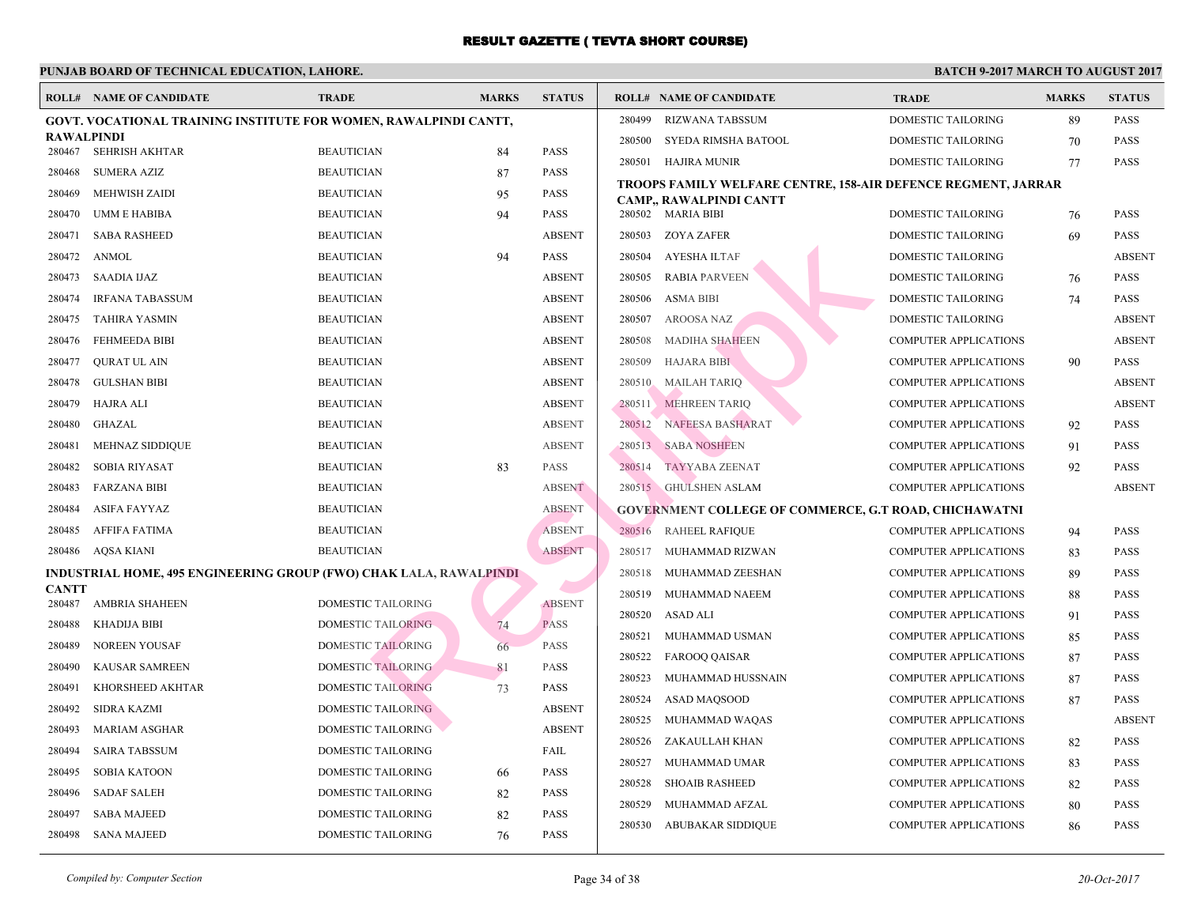|                        | <b>ROLL# NAME OF CANDIDATE</b>                                            | <b>TRADE</b>              | <b>MARKS</b> | <b>STATUS</b> |        | <b>ROLL# NAME OF CANDIDATE</b>                 | <b>TRA</b>  |
|------------------------|---------------------------------------------------------------------------|---------------------------|--------------|---------------|--------|------------------------------------------------|-------------|
|                        | GOVT. VOCATIONAL TRAINING INSTITUTE FOR WOMEN, RAWALPINDI CANTT,          |                           |              |               | 280499 | <b>RIZWANA TABSSUM</b>                         | <b>DOMI</b> |
| <b>RAWALPINDI</b>      |                                                                           |                           |              |               | 280500 | SYEDA RIMSHA BATOOL                            | <b>DOMI</b> |
| 280467                 | SEHRISH AKHTAR                                                            | <b>BEAUTICIAN</b>         | 84           | <b>PASS</b>   | 280501 | HAJIRA MUNIR                                   | <b>DOMI</b> |
| 280468                 | <b>SUMERA AZIZ</b>                                                        | <b>BEAUTICIAN</b>         | 87           | <b>PASS</b>   |        | TROOPS FAMILY WELFARE CENTRE, 158-AIR DEFE     |             |
| 280469                 | <b>MEHWISH ZAIDI</b>                                                      | <b>BEAUTICIAN</b>         | 95           | <b>PASS</b>   |        | CAMP., RAWALPINDI CANTT                        |             |
| 280470                 | UMM E HABIBA                                                              | <b>BEAUTICIAN</b>         | 94           | <b>PASS</b>   |        | 280502 MARIA BIBI                              | <b>DOMI</b> |
| 280471                 | <b>SABA RASHEED</b>                                                       | <b>BEAUTICIAN</b>         |              | <b>ABSENT</b> | 280503 | ZOYA ZAFER                                     | <b>DOMI</b> |
| 280472                 | ANMOL                                                                     | <b>BEAUTICIAN</b>         | 94           | <b>PASS</b>   | 280504 | AYESHA ILTAF                                   | <b>DOMI</b> |
| 280473                 | <b>SAADIA IJAZ</b>                                                        | <b>BEAUTICIAN</b>         |              | <b>ABSENT</b> | 280505 | <b>RABIA PARVEEN</b>                           | <b>DOMI</b> |
| 280474                 | <b>IRFANA TABASSUM</b>                                                    | <b>BEAUTICIAN</b>         |              | <b>ABSENT</b> | 280506 | <b>ASMA BIBI</b>                               | <b>DOMI</b> |
| 280475                 | TAHIRA YASMIN                                                             | <b>BEAUTICIAN</b>         |              | <b>ABSENT</b> | 280507 | <b>AROOSA NAZ</b>                              | <b>DOMI</b> |
| 280476                 | <b>FEHMEEDA BIBI</b>                                                      | <b>BEAUTICIAN</b>         |              | <b>ABSENT</b> | 280508 | <b>MADIHA SHAHEEN</b>                          | <b>COME</b> |
| 280477                 | <b>QURAT UL AIN</b>                                                       | <b>BEAUTICIAN</b>         |              | <b>ABSENT</b> | 280509 | <b>HAJARA BIBI</b>                             | <b>COME</b> |
| 280478                 | <b>GULSHAN BIBI</b>                                                       | <b>BEAUTICIAN</b>         |              | <b>ABSENT</b> | 280510 | <b>MAILAH TARIQ</b>                            | <b>COMF</b> |
| 280479                 | <b>HAJRA ALI</b>                                                          | <b>BEAUTICIAN</b>         |              | <b>ABSENT</b> | 280511 | <b>MEHREEN TARIQ</b>                           | <b>COME</b> |
| 280480                 | GHAZAL                                                                    | <b>BEAUTICIAN</b>         |              | <b>ABSENT</b> | 280512 | NAFEESA BASHARAT                               | <b>COME</b> |
| 280481                 | MEHNAZ SIDDIQUE                                                           | <b>BEAUTICIAN</b>         |              | <b>ABSENT</b> | 280513 | <b>SABA NOSHEEN</b>                            | <b>COME</b> |
| 280482                 | <b>SOBIA RIYASAT</b>                                                      | <b>BEAUTICIAN</b>         | 83           | <b>PASS</b>   | 280514 | TAYYABA ZEENAT                                 | <b>COME</b> |
| 280483                 | <b>FARZANA BIBI</b>                                                       | <b>BEAUTICIAN</b>         |              | <b>ABSENT</b> |        | 280515 GHULSHEN ASLAM                          | <b>COME</b> |
| 280484                 | <b>ASIFA FAYYAZ</b>                                                       | <b>BEAUTICIAN</b>         |              | <b>ABSENT</b> |        | <b>GOVERNMENT COLLEGE OF COMMERCE, G.T ROA</b> |             |
| 280485                 | AFFIFA FATIMA                                                             | <b>BEAUTICIAN</b>         |              | <b>ABSENT</b> | 280516 | <b>RAHEEL RAFIQUE</b>                          | <b>COME</b> |
| 280486                 | AQSA KIANI                                                                | <b>BEAUTICIAN</b>         |              | <b>ABSENT</b> | 280517 | MUHAMMAD RIZWAN                                | <b>COMF</b> |
|                        | <b>INDUSTRIAL HOME, 495 ENGINEERING GROUP (FWO) CHAK LALA, RAWALPINDI</b> |                           |              |               | 280518 | MUHAMMAD ZEESHAN                               | <b>COME</b> |
| <b>CANTT</b><br>280487 | <b>AMBRIA SHAHEEN</b>                                                     | DOMESTIC TAILORING        |              | <b>ABSENT</b> | 280519 | MUHAMMAD NAEEM                                 | <b>COME</b> |
| 280488                 | <b>KHADIJA BIBI</b>                                                       | <b>DOMESTIC TAILORING</b> | 74           | <b>PASS</b>   | 280520 | <b>ASAD ALI</b>                                | <b>COME</b> |
| 280489                 | <b>NOREEN YOUSAF</b>                                                      | <b>DOMESTIC TAILORING</b> | 66           | <b>PASS</b>   | 280521 | MUHAMMAD USMAN                                 | <b>COME</b> |
| 280490                 | <b>KAUSAR SAMREEN</b>                                                     | <b>DOMESTIC TAILORING</b> | 81           | PASS          | 280522 | <b>FAROOQ QAISAR</b>                           | <b>COME</b> |
| 280491                 | KHORSHEED AKHTAR                                                          | <b>DOMESTIC TAILORING</b> | 73           | <b>PASS</b>   | 280523 | MUHAMMAD HUSSNAIN                              | <b>COME</b> |
| 280492                 | SIDRA KAZMI                                                               | <b>DOMESTIC TAILORING</b> |              | <b>ABSENT</b> | 280524 | ASAD MAQSOOD                                   | <b>COME</b> |
| 280493                 | <b>MARIAM ASGHAR</b>                                                      | DOMESTIC TAILORING        |              | <b>ABSENT</b> | 280525 | MUHAMMAD WAQAS                                 | <b>COMF</b> |
| 280494                 | <b>SAIRA TABSSUM</b>                                                      | DOMESTIC TAILORING        |              | FAIL          | 280526 | ZAKAULLAH KHAN                                 | <b>COME</b> |
| 280495                 | <b>SOBIA KATOON</b>                                                       | DOMESTIC TAILORING        | 66           | <b>PASS</b>   | 280527 | MUHAMMAD UMAR                                  | <b>COME</b> |
| 280496                 | <b>SADAF SALEH</b>                                                        | DOMESTIC TAILORING        | 82           | <b>PASS</b>   | 280528 | <b>SHOAIB RASHEED</b>                          | <b>COME</b> |
| 280497                 | <b>SABA MAJEED</b>                                                        | DOMESTIC TAILORING        | 82           | <b>PASS</b>   | 280529 | MUHAMMAD AFZAL                                 | <b>COMF</b> |
| 280498                 | <b>SANA MAJEED</b>                                                        | DOMESTIC TAILORING        | 76           | <b>PASS</b>   | 280530 | <b>ABUBAKAR SIDDIQUE</b>                       | <b>COMF</b> |
|                        |                                                                           |                           |              |               |        |                                                |             |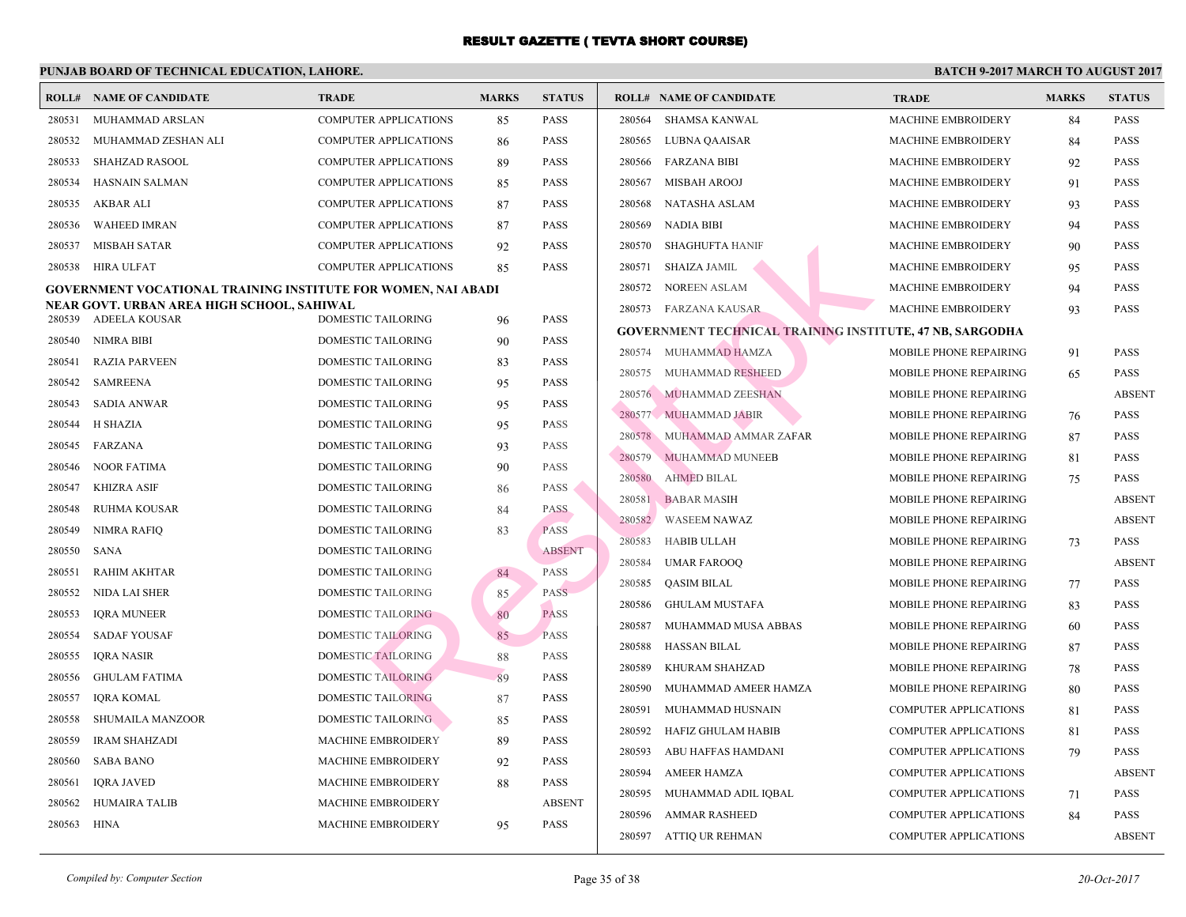|        | <b>ROLL# NAME OF CANDIDATE</b>                                       | <b>TRADE</b>                 | <b>MARKS</b> | <b>STATUS</b> |        | <b>ROLL# NAME OF CANDIDATE</b>                  | <b>TRA</b>  |
|--------|----------------------------------------------------------------------|------------------------------|--------------|---------------|--------|-------------------------------------------------|-------------|
| 280531 | MUHAMMAD ARSLAN                                                      | COMPUTER APPLICATIONS        | 85           | <b>PASS</b>   | 280564 | <b>SHAMSA KANWAL</b>                            | <b>MACI</b> |
| 280532 | MUHAMMAD ZESHAN ALI                                                  | <b>COMPUTER APPLICATIONS</b> | 86           | <b>PASS</b>   | 280565 | LUBNA QAAISAR                                   | <b>MACI</b> |
| 280533 | SHAHZAD RASOOL                                                       | <b>COMPUTER APPLICATIONS</b> | 89           | <b>PASS</b>   |        | 280566 FARZANA BIBI                             | <b>MACI</b> |
| 280534 | HASNAIN SALMAN                                                       | <b>COMPUTER APPLICATIONS</b> | 85           | <b>PASS</b>   | 280567 | MISBAH AROOJ                                    | <b>MACI</b> |
| 280535 | AKBAR ALI                                                            | <b>COMPUTER APPLICATIONS</b> | 87           | <b>PASS</b>   | 280568 | NATASHA ASLAM                                   | <b>MACI</b> |
| 280536 | <b>WAHEED IMRAN</b>                                                  | <b>COMPUTER APPLICATIONS</b> | 87           | <b>PASS</b>   | 280569 | <b>NADIA BIBI</b>                               | <b>MACI</b> |
| 280537 | <b>MISBAH SATAR</b>                                                  | <b>COMPUTER APPLICATIONS</b> | 92           | <b>PASS</b>   | 280570 | SHAGHUFTA HANIF                                 | <b>MACI</b> |
| 280538 | <b>HIRA ULFAT</b>                                                    | COMPUTER APPLICATIONS        | 85           | <b>PASS</b>   | 280571 | <b>SHAIZA JAMIL</b>                             | <b>MAC</b>  |
|        | <b>GOVERNMENT VOCATIONAL TRAINING INSTITUTE FOR WOMEN, NAI ABADI</b> |                              |              |               | 280572 | <b>NOREEN ASLAM</b>                             | <b>MACI</b> |
|        | NEAR GOVT. URBAN AREA HIGH SCHOOL, SAHIWAL                           |                              |              |               |        | 280573 FARZANA KAUSAR                           | <b>MAC</b>  |
|        | 280539 ADEELA KOUSAR                                                 | DOMESTIC TAILORING           | 96           | <b>PASS</b>   |        | <b>GOVERNMENT TECHNICAL TRAINING INSTITUTE,</b> |             |
| 280540 | NIMRA BIBI                                                           | DOMESTIC TAILORING           | 90           | <b>PASS</b>   |        | 280574 MUHAMMAD HAMZA                           | <b>MOBI</b> |
| 280541 | <b>RAZIA PARVEEN</b>                                                 | DOMESTIC TAILORING           | 83           | <b>PASS</b>   | 280575 | MUHAMMAD RESHEED                                | <b>MOBI</b> |
| 280542 | <b>SAMREENA</b>                                                      | DOMESTIC TAILORING           | 95           | <b>PASS</b>   |        | 280576 MUHAMMAD ZEESHAN                         | <b>MOBI</b> |
| 280543 | SADIA ANWAR                                                          | DOMESTIC TAILORING           | 95           | <b>PASS</b>   |        | 280577 MUHAMMAD JABIR                           | <b>MOBI</b> |
| 280544 | <b>H SHAZIA</b>                                                      | DOMESTIC TAILORING           | 95           | <b>PASS</b>   |        | 280578 MUHAMMAD AMMAR ZAFAR                     | <b>MOBI</b> |
| 280545 | FARZANA                                                              | DOMESTIC TAILORING           | 93           | <b>PASS</b>   | 280579 | MUHAMMAD MUNEEB                                 | <b>MOBI</b> |
| 280546 | <b>NOOR FATIMA</b>                                                   | DOMESTIC TAILORING           | 90           | <b>PASS</b>   | 280580 | <b>AHMED BILAL</b>                              | <b>MOBI</b> |
| 280547 | <b>KHIZRA ASIF</b>                                                   | DOMESTIC TAILORING           | 86           | <b>PASS</b>   | 280581 | <b>BABAR MASIH</b>                              | <b>MOBI</b> |
| 280548 | <b>RUHMA KOUSAR</b>                                                  | DOMESTIC TAILORING           | 84           | <b>PASS</b>   | 280582 | <b>WASEEM NAWAZ</b>                             | <b>MOBI</b> |
| 280549 | <b>NIMRA RAFIQ</b>                                                   | DOMESTIC TAILORING           | 83           | <b>PASS</b>   | 280583 | HABIB ULLAH                                     | <b>MOBI</b> |
| 280550 | SANA                                                                 | DOMESTIC TAILORING           |              | <b>ABSENT</b> | 280584 | <b>UMAR FAROOQ</b>                              | <b>MOBI</b> |
| 280551 | <b>RAHIM AKHTAR</b>                                                  | DOMESTIC TAILORING           | 84           | <b>PASS</b>   | 280585 | <b>QASIM BILAL</b>                              | <b>MOBI</b> |
| 280552 | NIDA LAI SHER                                                        | DOMESTIC TAILORING           | 85           | <b>PASS</b>   | 280586 | <b>GHULAM MUSTAFA</b>                           | <b>MOBI</b> |
| 280553 | <b>IQRA MUNEER</b>                                                   | DOMESTIC TAILORING           | 80           | <b>PASS</b>   | 280587 | MUHAMMAD MUSA ABBAS                             | <b>MOBI</b> |
| 280554 | <b>SADAF YOUSAF</b>                                                  | <b>DOMESTIC TAILORING</b>    | 85           | <b>PASS</b>   | 280588 | HASSAN BILAL                                    | <b>MOBI</b> |
| 280555 | <b>IORA NASIR</b>                                                    | <b>DOMESTIC TAILORING</b>    | 88           | <b>PASS</b>   | 280589 | KHURAM SHAHZAD                                  | <b>MOBI</b> |
| 280556 | <b>GHULAM FATIMA</b>                                                 | <b>DOMESTIC TAILORING</b>    | 89           | <b>PASS</b>   | 280590 | MUHAMMAD AMEER HAMZA                            | <b>MOBI</b> |
| 280557 | <b>IQRA KOMAL</b>                                                    | <b>DOMESTIC TAILORING</b>    | 87           | <b>PASS</b>   | 280591 | MUHAMMAD HUSNAIN                                | <b>COME</b> |
| 280558 | SHUMAILA MANZOOR                                                     | <b>DOMESTIC TAILORING</b>    | 85           | <b>PASS</b>   | 280592 | HAFIZ GHULAM HABIB                              | <b>COME</b> |
| 280559 | <b>IRAM SHAHZADI</b>                                                 | <b>MACHINE EMBROIDERY</b>    | 89           | <b>PASS</b>   | 280593 | ABU HAFFAS HAMDANI                              | <b>COMF</b> |
| 280560 | <b>SABA BANO</b>                                                     | <b>MACHINE EMBROIDERY</b>    | 92           | <b>PASS</b>   | 280594 | <b>AMEER HAMZA</b>                              | <b>COME</b> |
| 280561 | <b>IQRA JAVED</b>                                                    | <b>MACHINE EMBROIDERY</b>    | 88           | <b>PASS</b>   | 280595 | MUHAMMAD ADIL IQBAL                             | <b>COMF</b> |
| 280562 | <b>HUMAIRA TALIB</b>                                                 | <b>MACHINE EMBROIDERY</b>    |              | <b>ABSENT</b> | 280596 | AMMAR RASHEED                                   | <b>COME</b> |
| 280563 | <b>HINA</b>                                                          | <b>MACHINE EMBROIDERY</b>    | 95           | <b>PASS</b>   |        | 280597 ATTIQ UR REHMAN                          | <b>COME</b> |
|        |                                                                      |                              |              |               |        |                                                 |             |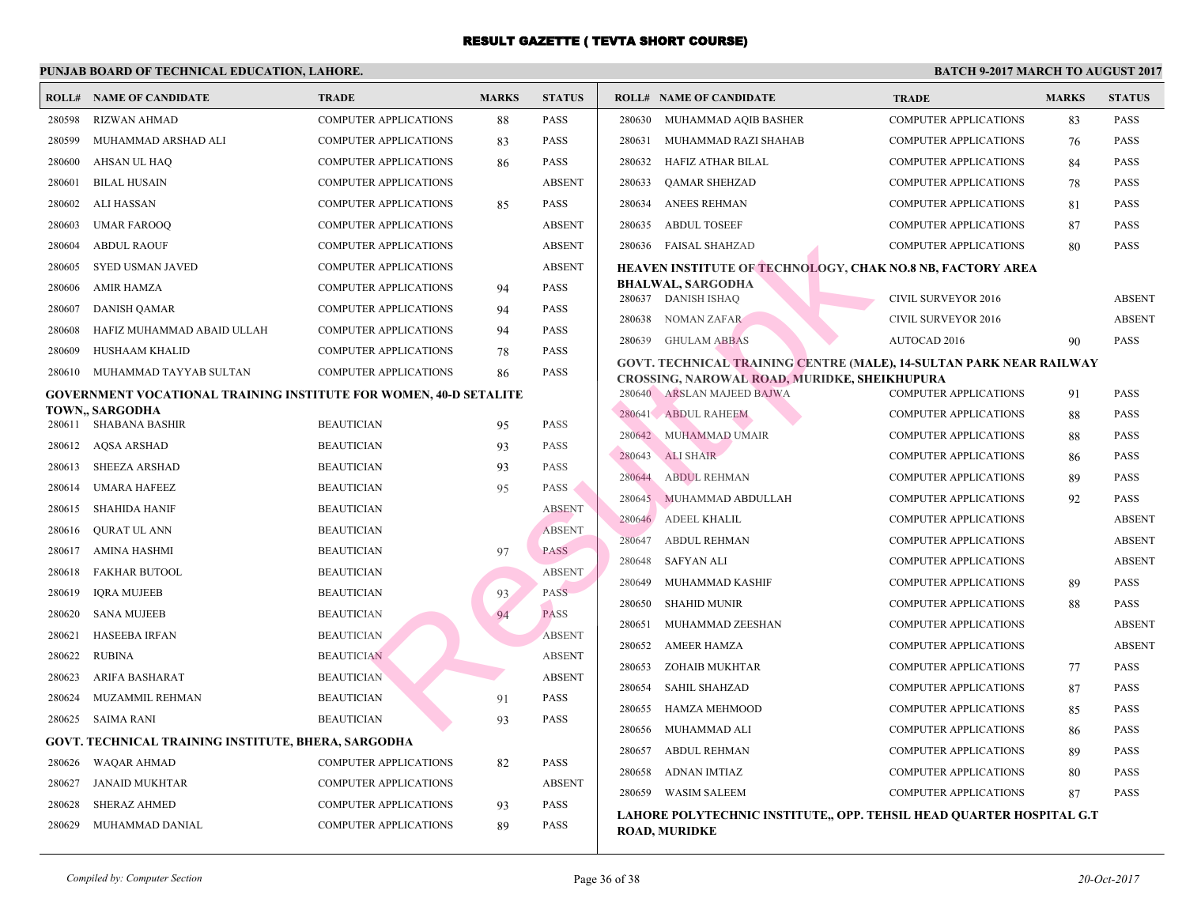|                  | <b>ROLL# NAME OF CANDIDATE</b>                                    | <b>TRADE</b>                 | <b>MARKS</b> | <b>STATUS</b> | <b>ROLL# NAME OF CANDIDATE</b>                  |                                                                                          | <b>TRA</b>   |
|------------------|-------------------------------------------------------------------|------------------------------|--------------|---------------|-------------------------------------------------|------------------------------------------------------------------------------------------|--------------|
| 280598           | <b>RIZWAN AHMAD</b>                                               | <b>COMPUTER APPLICATIONS</b> | 88           | <b>PASS</b>   |                                                 | 280630 MUHAMMAD AQIB BASHER                                                              | <b>COME</b>  |
| 280599           | MUHAMMAD ARSHAD ALI                                               | <b>COMPUTER APPLICATIONS</b> | 83           | <b>PASS</b>   | 280631                                          | MUHAMMAD RAZI SHAHAB                                                                     | <b>COME</b>  |
| 280600           | AHSAN UL HAQ                                                      | COMPUTER APPLICATIONS        | 86           | <b>PASS</b>   | 280632                                          | HAFIZ ATHAR BILAL                                                                        | <b>COMF</b>  |
| 280601           | <b>BILAL HUSAIN</b>                                               | COMPUTER APPLICATIONS        |              | <b>ABSENT</b> | 280633<br><b>QAMAR SHEHZAD</b>                  |                                                                                          | <b>COME</b>  |
| 280602           | ALI HASSAN                                                        | <b>COMPUTER APPLICATIONS</b> | 85           | <b>PASS</b>   | <b>ANEES REHMAN</b><br>280634                   |                                                                                          | <b>COME</b>  |
| 280603           | <b>UMAR FAROOQ</b>                                                | <b>COMPUTER APPLICATIONS</b> |              | <b>ABSENT</b> | 280635<br><b>ABDUL TOSEEF</b>                   |                                                                                          | <b>COME</b>  |
| 280604           | <b>ABDUL RAOUF</b>                                                | COMPUTER APPLICATIONS        |              | <b>ABSENT</b> | 280636 FAISAL SHAHZAD                           |                                                                                          | <b>COMF</b>  |
| 280605           | SYED USMAN JAVED                                                  | <b>COMPUTER APPLICATIONS</b> |              | <b>ABSENT</b> |                                                 | <b>HEAVEN INSTITUTE OF TECHNOLOGY, CHAK NO.8</b>                                         |              |
| 280606           | <b>AMIR HAMZA</b>                                                 | <b>COMPUTER APPLICATIONS</b> | 94           | <b>PASS</b>   | <b>BHALWAL, SARGODHA</b><br>280637 DANISH ISHAQ |                                                                                          | <b>CIVII</b> |
| 280607           | <b>DANISH QAMAR</b>                                               | <b>COMPUTER APPLICATIONS</b> | 94           | <b>PASS</b>   | 280638<br>NOMAN ZAFAR                           |                                                                                          | <b>CIVIL</b> |
| 280608           | HAFIZ MUHAMMAD ABAID ULLAH                                        | <b>COMPUTER APPLICATIONS</b> | 94           | <b>PASS</b>   | 280639<br><b>GHULAM ABBAS</b>                   |                                                                                          | <b>AUTO</b>  |
| 280609           | HUSHAAM KHALID                                                    | COMPUTER APPLICATIONS        | 78           | <b>PASS</b>   |                                                 |                                                                                          |              |
| 280610           | MUHAMMAD TAYYAB SULTAN                                            | <b>COMPUTER APPLICATIONS</b> | 86           | <b>PASS</b>   |                                                 | GOVT. TECHNICAL TRAINING CENTRE (MALE), 14-<br>CROSSING, NAROWAL ROAD, MURIDKE, SHEIKHUI |              |
|                  | GOVERNMENT VOCATIONAL TRAINING INSTITUTE FOR WOMEN, 40-D SETALITE |                              |              |               | 280640 ARSLAN MAJEED BAJWA                      |                                                                                          | <b>COMF</b>  |
|                  | TOWN., SARGODHA<br>280611 SHABANA BASHIR                          | <b>BEAUTICIAN</b>            |              | <b>PASS</b>   | 280641 ABDUL RAHEEM                             |                                                                                          | <b>COME</b>  |
| 280612           | AQSA ARSHAD                                                       | <b>BEAUTICIAN</b>            | 95<br>93     | <b>PASS</b>   | 280642 MUHAMMAD UMAIR                           |                                                                                          | <b>COME</b>  |
| 280613           | <b>SHEEZA ARSHAD</b>                                              | <b>BEAUTICIAN</b>            |              | <b>PASS</b>   | <b>ALI SHAIR</b><br>280643                      |                                                                                          | <b>COME</b>  |
| 280614           | <b>UMARA HAFEEZ</b>                                               | <b>BEAUTICIAN</b>            | 93           | <b>PASS</b>   | 280644<br><b>ABDUL REHMAN</b>                   |                                                                                          | <b>COME</b>  |
| 280615           | <b>SHAHIDA HANIF</b>                                              | <b>BEAUTICIAN</b>            | 95           | <b>ABSENT</b> | 280645                                          | MUHAMMAD ABDULLAH                                                                        | <b>COME</b>  |
| 280616           | <b>QURAT UL ANN</b>                                               | <b>BEAUTICIAN</b>            |              | <b>ABSENT</b> | 280646<br><b>ADEEL KHALIL</b>                   |                                                                                          | <b>COME</b>  |
| 280617           | AMINA HASHMI                                                      | <b>BEAUTICIAN</b>            | 97           | <b>PASS</b>   | 280647<br><b>ABDUL REHMAN</b>                   |                                                                                          | <b>COME</b>  |
| 280618           | <b>FAKHAR BUTOOL</b>                                              | <b>BEAUTICIAN</b>            |              | <b>ABSENT</b> | 280648<br><b>SAFYAN ALI</b>                     |                                                                                          | <b>COMF</b>  |
| 280619           |                                                                   | <b>BEAUTICIAN</b>            |              | <b>PASS</b>   | 280649                                          | MUHAMMAD KASHIF                                                                          | <b>COME</b>  |
| 280620           | <b>IQRA MUJEEB</b><br><b>SANA MUJEEB</b>                          | <b>BEAUTICIAN</b>            | 93<br>94     | <b>PASS</b>   | 280650<br><b>SHAHID MUNIR</b>                   |                                                                                          | <b>COME</b>  |
| 280621           | <b>HASEEBA IRFAN</b>                                              | <b>BEAUTICIAN</b>            |              | <b>ABSENT</b> | 280651                                          | MUHAMMAD ZEESHAN                                                                         | <b>COME</b>  |
| 280622           | <b>RUBINA</b>                                                     | <b>BEAUTICIAN</b>            |              | <b>ABSENT</b> | 280652<br><b>AMEER HAMZA</b>                    |                                                                                          | <b>COME</b>  |
| 280623           | ARIFA BASHARAT                                                    | <b>BEAUTICIAN</b>            |              | <b>ABSENT</b> | 280653                                          | ZOHAIB MUKHTAR                                                                           | <b>COME</b>  |
| 280624           | MUZAMMIL REHMAN                                                   | <b>BEAUTICIAN</b>            | 91           | <b>PASS</b>   | 280654<br><b>SAHIL SHAHZAD</b>                  |                                                                                          | <b>COMF</b>  |
| 280625           | SAIMA RANI                                                        | <b>BEAUTICIAN</b>            | 93           | <b>PASS</b>   | 280655                                          | <b>HAMZA MEHMOOD</b>                                                                     | <b>COME</b>  |
|                  |                                                                   |                              |              |               | 280656<br>MUHAMMAD ALI                          |                                                                                          | <b>COME</b>  |
| 280626           | GOVT. TECHNICAL TRAINING INSTITUTE, BHERA, SARGODHA               | <b>COMPUTER APPLICATIONS</b> |              | <b>PASS</b>   | 280657<br><b>ABDUL REHMAN</b>                   |                                                                                          | <b>COME</b>  |
|                  | WAQAR AHMAD                                                       | <b>COMPUTER APPLICATIONS</b> | 82           | <b>ABSENT</b> | 280658<br><b>ADNAN IMTIAZ</b>                   |                                                                                          | <b>COMF</b>  |
| 280627<br>280628 | JANAID MUKHTAR                                                    | <b>COMPUTER APPLICATIONS</b> |              | <b>PASS</b>   | 280659<br><b>WASIM SALEEM</b>                   |                                                                                          | <b>COME</b>  |
|                  | <b>SHERAZ AHMED</b>                                               |                              | 93           | <b>PASS</b>   |                                                 | LAHORE POLYTECHNIC INSTITUTE,, OPP. TEHSIL                                               |              |
| 280629           | MUHAMMAD DANIAL                                                   | <b>COMPUTER APPLICATIONS</b> | 89           |               | <b>ROAD, MURIDKE</b>                            |                                                                                          |              |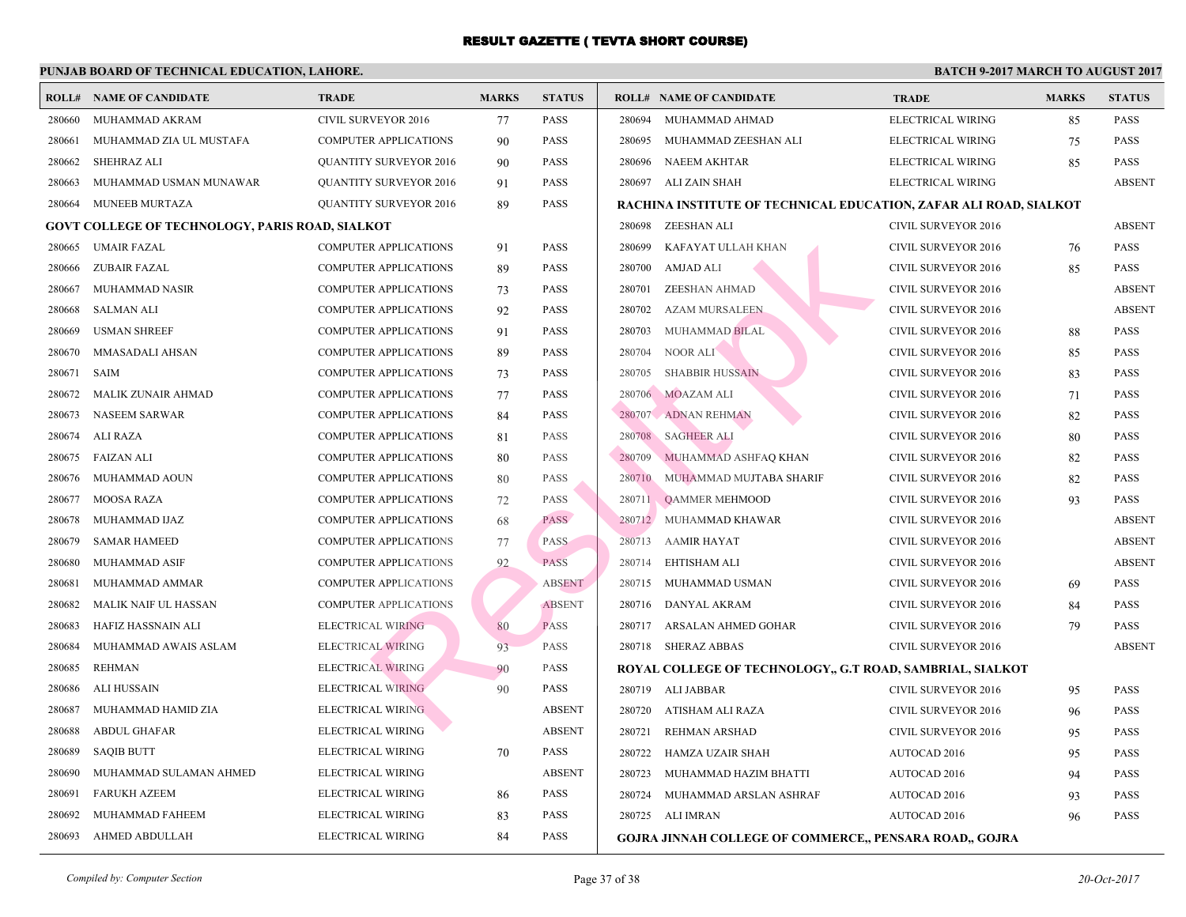|                                                        | <b>ROLL# NAME OF CANDIDATE</b> | <b>TRADE</b>                  | <b>MARKS</b> | <b>STATUS</b> | <b>ROLL# NAME OF CANDIDATE</b>                   | <b>TRA</b>   |
|--------------------------------------------------------|--------------------------------|-------------------------------|--------------|---------------|--------------------------------------------------|--------------|
| 280660                                                 | MUHAMMAD AKRAM                 | CIVIL SURVEYOR 2016           | 77           | <b>PASS</b>   | 280694<br>MUHAMMAD AHMAD                         | <b>ELEC</b>  |
| 280661                                                 | MUHAMMAD ZIA UL MUSTAFA        | <b>COMPUTER APPLICATIONS</b>  | 90           | <b>PASS</b>   | 280695<br>MUHAMMAD ZEESHAN ALI                   | <b>ELEC</b>  |
| 280662                                                 | <b>SHEHRAZ ALI</b>             | <b>QUANTITY SURVEYOR 2016</b> | 90           | <b>PASS</b>   | 280696<br><b>NAEEM AKHTAR</b>                    | <b>ELEC</b>  |
| 280663                                                 | MUHAMMAD USMAN MUNAWAR         | <b>QUANTITY SURVEYOR 2016</b> | 91           | <b>PASS</b>   | 280697<br>ALI ZAIN SHAH                          | <b>ELEC</b>  |
| 280664                                                 | MUNEEB MURTAZA                 | <b>QUANTITY SURVEYOR 2016</b> | 89           | PASS          | RACHINA INSTITUTE OF TECHNICAL EDUCATION,        |              |
| <b>GOVT COLLEGE OF TECHNOLOGY, PARIS ROAD, SIALKOT</b> |                                |                               |              |               | 280698<br>ZEESHAN ALI                            | <b>CIVIL</b> |
| 280665                                                 | <b>UMAIR FAZAL</b>             | <b>COMPUTER APPLICATIONS</b>  | 91           | <b>PASS</b>   | 280699<br>KAFAYAT ULLAH KHAN                     | <b>CIVIL</b> |
| 280666                                                 | <b>ZUBAIR FAZAL</b>            | <b>COMPUTER APPLICATIONS</b>  | 89           | <b>PASS</b>   | 280700<br>AMJAD ALI                              | <b>CIVIL</b> |
| 280667                                                 | MUHAMMAD NASIR                 | <b>COMPUTER APPLICATIONS</b>  | 73           | <b>PASS</b>   | 280701<br><b>ZEESHAN AHMAD</b>                   | <b>CIVIL</b> |
| 280668                                                 | <b>SALMAN ALI</b>              | <b>COMPUTER APPLICATIONS</b>  | 92           | <b>PASS</b>   | 280702<br><b>AZAM MURSALEEN</b>                  | <b>CIVII</b> |
| 280669                                                 | <b>USMAN SHREEF</b>            | <b>COMPUTER APPLICATIONS</b>  | 91           | PASS          | 280703<br><b>MUHAMMAD BILAL</b>                  | <b>CIVIL</b> |
| 280670                                                 | MMASADALI AHSAN                | <b>COMPUTER APPLICATIONS</b>  | 89           | PASS          | 280704<br>NOOR ALI                               | <b>CIVII</b> |
| 280671                                                 | <b>SAIM</b>                    | <b>COMPUTER APPLICATIONS</b>  | 73           | PASS          | 280705<br><b>SHABBIR HUSSAIN</b>                 | <b>CIVIL</b> |
| 280672                                                 | MALIK ZUNAIR AHMAD             | <b>COMPUTER APPLICATIONS</b>  | 77           | <b>PASS</b>   | 280706 MOAZAM ALI                                | <b>CIVII</b> |
| 280673                                                 | <b>NASEEM SARWAR</b>           | <b>COMPUTER APPLICATIONS</b>  | 84           | <b>PASS</b>   | ADNAN REHMAN<br>280707                           | <b>CIVIL</b> |
| 280674                                                 | <b>ALI RAZA</b>                | <b>COMPUTER APPLICATIONS</b>  | 81           | PASS          | 280708<br><b>SAGHEER ALI</b>                     | <b>CIVIL</b> |
| 280675                                                 | <b>FAIZAN ALI</b>              | <b>COMPUTER APPLICATIONS</b>  | 80           | <b>PASS</b>   | 280709<br>MUHAMMAD ASHFAQ KHAN                   | <b>CIVIL</b> |
| 280676                                                 | MUHAMMAD AOUN                  | <b>COMPUTER APPLICATIONS</b>  | 80           | PASS          | 280710<br>MUHAMMAD MUJTABA SHARIF                | <b>CIVIL</b> |
| 280677                                                 | <b>MOOSA RAZA</b>              | <b>COMPUTER APPLICATIONS</b>  | 72           | <b>PASS</b>   | 280711<br><b>QAMMER MEHMOOD</b>                  | <b>CIVIL</b> |
| 280678                                                 | MUHAMMAD IJAZ                  | <b>COMPUTER APPLICATIONS</b>  | 68           | <b>PASS</b>   | 280712<br>MUHAMMAD KHAWAR                        | <b>CIVIL</b> |
| 280679                                                 | <b>SAMAR HAMEED</b>            | <b>COMPUTER APPLICATIONS</b>  | 77           | <b>PASS</b>   | 280713<br><b>AAMIR HAYAT</b>                     | <b>CIVIL</b> |
| 280680                                                 | <b>MUHAMMAD ASIF</b>           | <b>COMPUTER APPLICATIONS</b>  | 92           | <b>PASS</b>   | 280714<br><b>EHTISHAM ALI</b>                    | <b>CIVII</b> |
| 280681                                                 | MUHAMMAD AMMAR                 | <b>COMPUTER APPLICATIONS</b>  |              | <b>ABSENT</b> | 280715<br>MUHAMMAD USMAN                         | <b>CIVIL</b> |
| 280682                                                 | MALIK NAIF UL HASSAN           | <b>COMPUTER APPLICATIONS</b>  |              | <b>ABSENT</b> | 280716<br>DANYAL AKRAM                           | <b>CIVIL</b> |
| 280683                                                 | HAFIZ HASSNAIN ALI             | <b>ELECTRICAL WIRING</b>      | 80           | <b>PASS</b>   | 280717<br>ARSALAN AHMED GOHAR                    | <b>CIVIL</b> |
| 280684                                                 | MUHAMMAD AWAIS ASLAM           | ELECTRICAL WIRING             | 93           | <b>PASS</b>   | 280718 SHERAZ ABBAS                              | <b>CIVIL</b> |
| 280685                                                 | <b>REHMAN</b>                  | <b>ELECTRICAL WIRING</b>      | 90           | PASS          | ROYAL COLLEGE OF TECHNOLOGY,, G.T ROAD, SA       |              |
| 280686                                                 | ALI HUSSAIN                    | <b>ELECTRICAL WIRING</b>      | 90           | PASS          | 280719 ALI JABBAR                                | <b>CIVII</b> |
| 280687                                                 | MUHAMMAD HAMID ZIA             | <b>ELECTRICAL WIRING</b>      |              | <b>ABSENT</b> | 280720<br>ATISHAM ALI RAZA                       | <b>CIVII</b> |
| 280688                                                 | <b>ABDUL GHAFAR</b>            | ELECTRICAL WIRING             |              | <b>ABSENT</b> | 280721<br>REHMAN ARSHAD                          | <b>CIVIL</b> |
| 280689                                                 | <b>SAQIB BUTT</b>              | ELECTRICAL WIRING             | 70           | <b>PASS</b>   | 280722<br>HAMZA UZAIR SHAH                       | <b>AUTO</b>  |
| 280690                                                 | MUHAMMAD SULAMAN AHMED         | ELECTRICAL WIRING             |              | <b>ABSENT</b> | 280723<br>MUHAMMAD HAZIM BHATTI                  | <b>AUTO</b>  |
| 280691                                                 | <b>FARUKH AZEEM</b>            | ELECTRICAL WIRING             | 86           | <b>PASS</b>   | 280724<br>MUHAMMAD ARSLAN ASHRAF                 | <b>AUTC</b>  |
| 280692                                                 | MUHAMMAD FAHEEM                | ELECTRICAL WIRING             | 83           | <b>PASS</b>   | 280725<br>ALI IMRAN                              | <b>AUTO</b>  |
| 280693                                                 | AHMED ABDULLAH                 | ELECTRICAL WIRING             | 84           | <b>PASS</b>   | <b>GOJRA JINNAH COLLEGE OF COMMERCE,, PENSAI</b> |              |
|                                                        |                                |                               |              |               |                                                  |              |